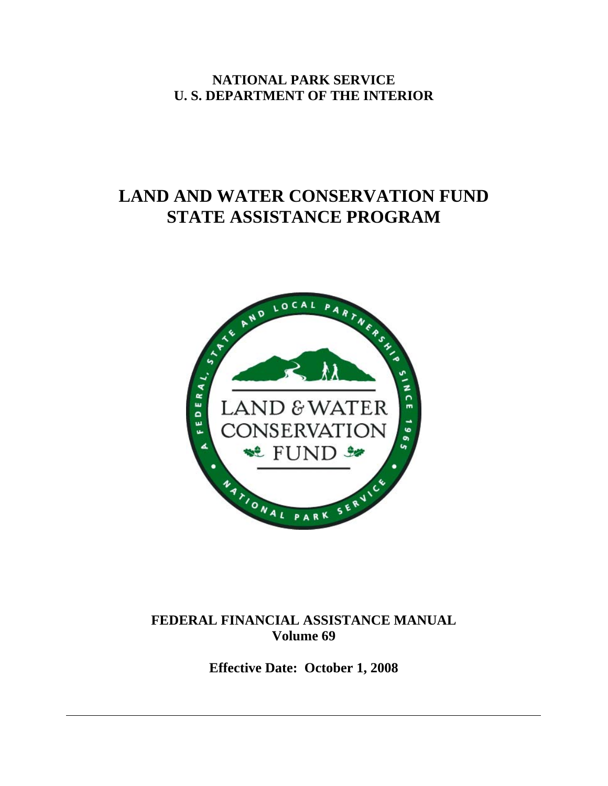**NATIONAL PARK SERVICE U. S. DEPARTMENT OF THE INTERIOR** 

# **LAND AND WATER CONSERVATION FUND STATE ASSISTANCE PROGRAM**



# **FEDERAL FINANCIAL ASSISTANCE MANUAL Volume 69**

**Effective Date: October 1, 2008**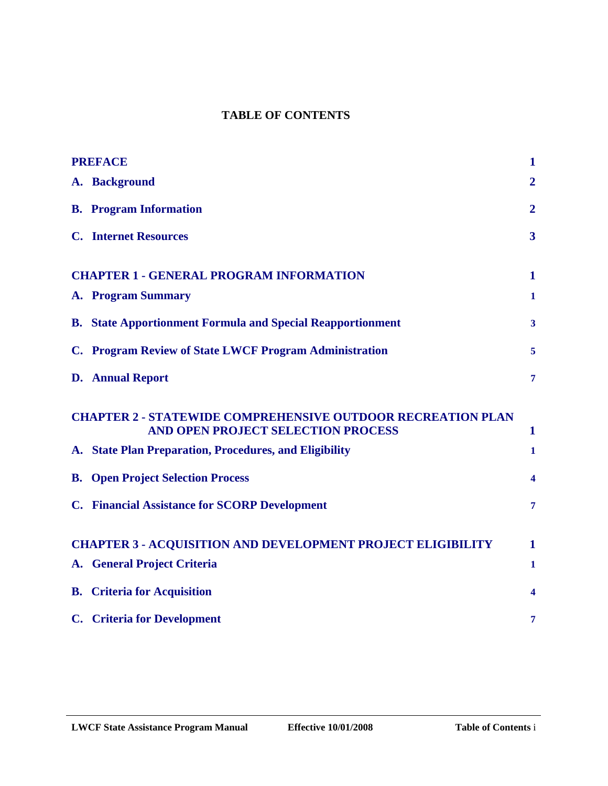### **TABLE OF CONTENTS**

| <b>PREFACE</b> |                                                                                                          | $\mathbf{1}$            |  |
|----------------|----------------------------------------------------------------------------------------------------------|-------------------------|--|
|                | A. Background                                                                                            | $\overline{2}$          |  |
|                | <b>B.</b> Program Information                                                                            | $\overline{2}$          |  |
|                | <b>C.</b> Internet Resources                                                                             | $\overline{\mathbf{3}}$ |  |
|                | <b>CHAPTER 1 - GENERAL PROGRAM INFORMATION</b><br>1                                                      |                         |  |
|                | <b>A. Program Summary</b>                                                                                | $\mathbf{1}$            |  |
|                | <b>B.</b> State Apportionment Formula and Special Reapportionment                                        | $\mathbf{3}$            |  |
|                | C. Program Review of State LWCF Program Administration                                                   | 5                       |  |
|                | <b>D.</b> Annual Report                                                                                  | $\overline{\tau}$       |  |
|                | <b>CHAPTER 2 - STATEWIDE COMPREHENSIVE OUTDOOR RECREATION PLAN</b><br>AND OPEN PROJECT SELECTION PROCESS |                         |  |
|                |                                                                                                          | $\mathbf 1$             |  |
|                | A. State Plan Preparation, Procedures, and Eligibility                                                   | 1                       |  |
|                | <b>B.</b> Open Project Selection Process                                                                 | 4                       |  |
|                | <b>C.</b> Financial Assistance for SCORP Development                                                     | $\overline{\tau}$       |  |
|                | <b>CHAPTER 3 - ACQUISITION AND DEVELOPMENT PROJECT ELIGIBILITY</b>                                       | $\mathbf 1$             |  |
|                | A. General Project Criteria                                                                              | 1                       |  |
|                | <b>B.</b> Criteria for Acquisition                                                                       | $\boldsymbol{4}$        |  |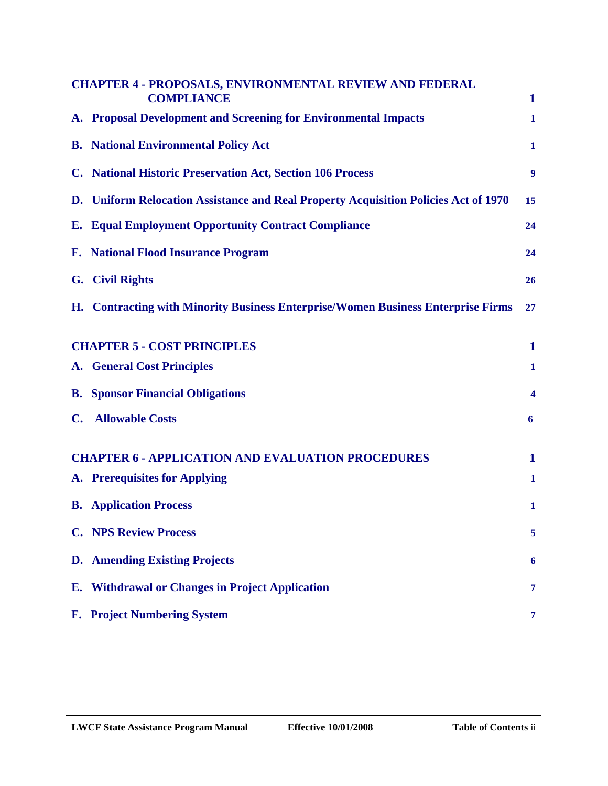|                | <b>CHAPTER 4 - PROPOSALS, ENVIRONMENTAL REVIEW AND FEDERAL</b><br><b>COMPLIANCE</b> | $\mathbf{1}$ |
|----------------|-------------------------------------------------------------------------------------|--------------|
|                | A. Proposal Development and Screening for Environmental Impacts                     | $\mathbf{1}$ |
|                | <b>B.</b> National Environmental Policy Act                                         | $\mathbf{1}$ |
|                | C. National Historic Preservation Act, Section 106 Process                          | 9            |
|                | D. Uniform Relocation Assistance and Real Property Acquisition Policies Act of 1970 | 15           |
|                | <b>E. Equal Employment Opportunity Contract Compliance</b>                          | 24           |
|                | <b>F.</b> National Flood Insurance Program                                          | 24           |
|                | G. Civil Rights                                                                     | 26           |
|                | H. Contracting with Minority Business Enterprise/Women Business Enterprise Firms    | 27           |
|                | <b>CHAPTER 5 - COST PRINCIPLES</b>                                                  |              |
|                | <b>A.</b> General Cost Principles                                                   | $\mathbf{1}$ |
|                | <b>B.</b> Sponsor Financial Obligations                                             | 4            |
| $\mathbf{C}$ . | <b>Allowable Costs</b>                                                              | 6            |
|                | <b>CHAPTER 6 - APPLICATION AND EVALUATION PROCEDURES</b>                            | $\mathbf{1}$ |
|                | A. Prerequisites for Applying                                                       | $\mathbf{1}$ |
|                | <b>B.</b> Application Process                                                       | $\mathbf{1}$ |
|                | <b>C. NPS Review Process</b>                                                        | 5            |
|                | <b>D.</b> Amending Existing Projects                                                | 6            |
| E.             | <b>Withdrawal or Changes in Project Application</b>                                 | 7            |
|                | F. Project Numbering System                                                         | 7            |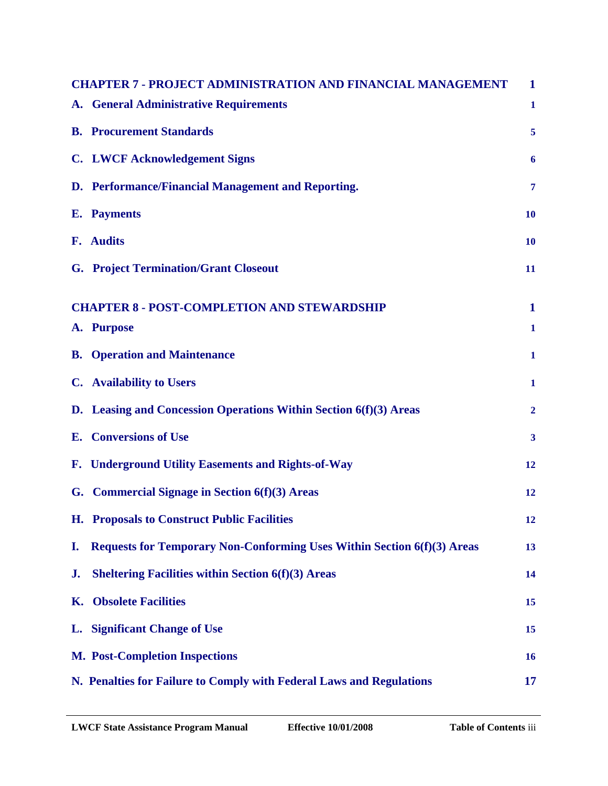|    | <b>CHAPTER 7 - PROJECT ADMINISTRATION AND FINANCIAL MANAGEMENT</b>             | $\mathbf{1}$      |
|----|--------------------------------------------------------------------------------|-------------------|
|    | A. General Administrative Requirements                                         | $\mathbf{1}$      |
|    | <b>B.</b> Procurement Standards                                                | 5                 |
|    | <b>C.</b> LWCF Acknowledgement Signs                                           | 6                 |
|    | D. Performance/Financial Management and Reporting.                             | $\overline{\tau}$ |
|    | <b>E.</b> Payments                                                             | 10                |
|    | F. Audits                                                                      | 10                |
|    | <b>G. Project Termination/Grant Closeout</b>                                   | 11                |
|    | <b>CHAPTER 8 - POST-COMPLETION AND STEWARDSHIP</b>                             |                   |
|    | A. Purpose                                                                     | $\mathbf{1}$      |
|    | <b>B.</b> Operation and Maintenance                                            | $\mathbf{1}$      |
|    | <b>C.</b> Availability to Users                                                | $\mathbf{1}$      |
|    | D. Leasing and Concession Operations Within Section 6(f)(3) Areas              | $\overline{2}$    |
|    | <b>E.</b> Conversions of Use                                                   | $\mathbf{3}$      |
|    | F. Underground Utility Easements and Rights-of-Way                             | 12                |
|    | G. Commercial Signage in Section 6(f)(3) Areas                                 | 12                |
|    | <b>H.</b> Proposals to Construct Public Facilities                             | 12                |
| I. | <b>Requests for Temporary Non-Conforming Uses Within Section 6(f)(3) Areas</b> | 13                |
| J. | <b>Sheltering Facilities within Section 6(f)(3) Areas</b>                      | 14                |
| Κ. | <b>Obsolete Facilities</b>                                                     | 15                |
|    | L. Significant Change of Use                                                   | 15                |
|    | <b>M. Post-Completion Inspections</b>                                          | 16                |
|    | N. Penalties for Failure to Comply with Federal Laws and Regulations           | 17                |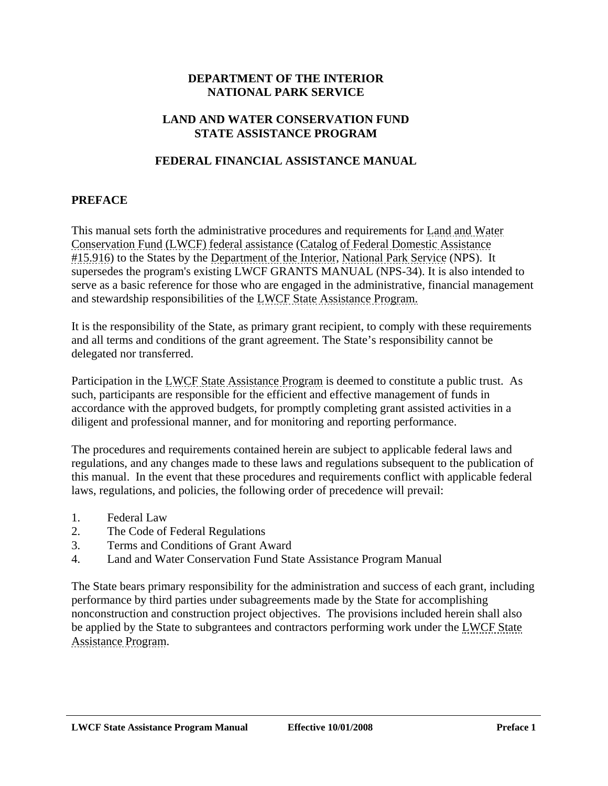#### **DEPARTMENT OF THE INTERIOR NATIONAL PARK SERVICE**

#### <span id="page-4-0"></span>**LAND AND WATER CONSERVATION FUND STATE ASSISTANCE PROGRAM**

#### **FEDERAL FINANCIAL ASSISTANCE MANUAL**

#### **PREFACE**

This manual sets forth the administrative procedures and requirements for Land and Water Conservation Fund (LWCF) federal assistance (Catalog of Federal Domestic Assistance #15.916) to the States by the Department of the Interior, National Park Service (NPS). It supersedes the program's existing LWCF GRANTS MANUAL (NPS-34). It is also intended to serve as a basic reference for those who are engaged in the administrative, financial management and stewardship responsibilities of the LWCF State Assistance Program.

It is the responsibility of the State, as primary grant recipient, to comply with these requirements and all terms and conditions of the grant agreement. The State's responsibility cannot be delegated nor transferred.

Participation in the LWCF State Assistance Program is deemed to constitute a public trust. As such, participants are responsible for the efficient and effective management of funds in accordance with the approved budgets, for promptly completing grant assisted activities in a diligent and professional manner, and for monitoring and reporting performance.

The procedures and requirements contained herein are subject to applicable federal laws and regulations, and any changes made to these laws and regulations subsequent to the publication of this manual. In the event that these procedures and requirements conflict with applicable federal laws, regulations, and policies, the following order of precedence will prevail:

- 1. Federal Law
- 2. The Code of Federal Regulations
- 3. Terms and Conditions of Grant Award
- 4. Land and Water Conservation Fund State Assistance Program Manual

The State bears primary responsibility for the administration and success of each grant, including performance by third parties under subagreements made by the State for accomplishing nonconstruction and construction project objectives. The provisions included herein shall also be applied by the State to subgrantees and contractors performing work under the LWCF State Assistance Program.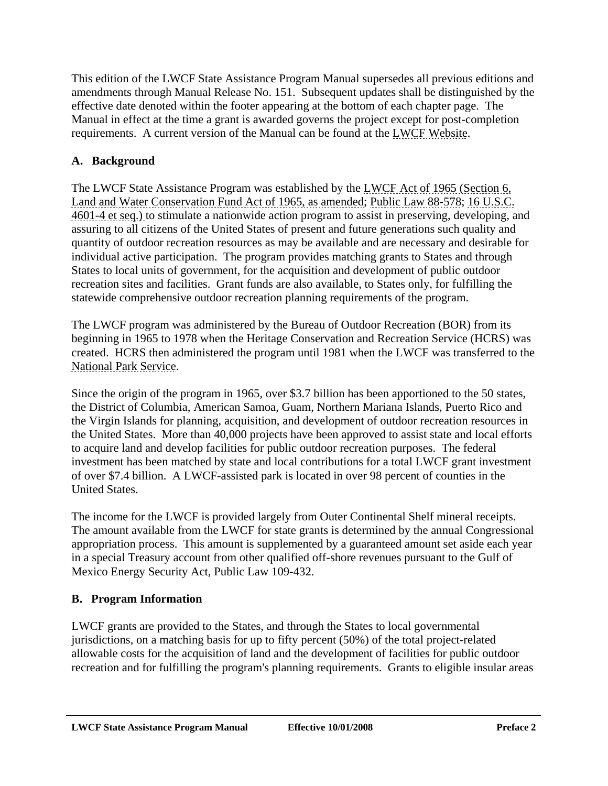<span id="page-5-0"></span>This edition of the LWCF State Assistance Program Manual supersedes all previous editions and amendments through Manual Release No. 151. Subsequent updates shall be distinguished by the effective date denoted within the footer appearing at the bottom of each chapter page. The Manual in effect at the time a grant is awarded governs the project except for post-completion requirements. A current version of the Manual can be found at the LWCF Website.

# **A. Background**

The LWCF State Assistance Program was established by the LWCF Act of 1965 (Section 6, Land and Water Conservation Fund Act of 1965, as amended; Public Law 88-578; 16 U.S.C. 4601-4 et seq.) to stimulate a nationwide action program to assist in preserving, developing, and assuring to all citizens of the United States of present and future generations such quality and quantity of outdoor recreation resources as may be available and are necessary and desirable for individual active participation. The program provides matching grants to States and through States to local units of government, for the acquisition and development of public outdoor recreation sites and facilities. Grant funds are also available, to States only, for fulfilling the statewide comprehensive outdoor recreation planning requirements of the program.

The LWCF program was administered by the Bureau of Outdoor Recreation (BOR) from its beginning in 1965 to 1978 when the Heritage Conservation and Recreation Service (HCRS) was created. HCRS then administered the program until 1981 when the LWCF was transferred to the National Park Service.

Since the origin of the program in 1965, over \$3.7 billion has been apportioned to the 50 states, the District of Columbia, American Samoa, Guam, Northern Mariana Islands, Puerto Rico and the Virgin Islands for planning, acquisition, and development of outdoor recreation resources in the United States. More than 40,000 projects have been approved to assist state and local efforts to acquire land and develop facilities for public outdoor recreation purposes. The federal investment has been matched by state and local contributions for a total LWCF grant investment of over \$7.4 billion. A LWCF-assisted park is located in over 98 percent of counties in the United States.

The income for the LWCF is provided largely from Outer Continental Shelf mineral receipts. The amount available from the LWCF for state grants is determined by the annual Congressional appropriation process. This amount is supplemented by a guaranteed amount set aside each year in a special Treasury account from other qualified off-shore revenues pursuant to the Gulf of Mexico Energy Security Act, Public Law 109-432.

# **B. Program Information**

LWCF grants are provided to the States, and through the States to local governmental jurisdictions, on a matching basis for up to fifty percent (50%) of the total project-related allowable costs for the acquisition of land and the development of facilities for public outdoor recreation and for fulfilling the program's planning requirements. Grants to eligible insular areas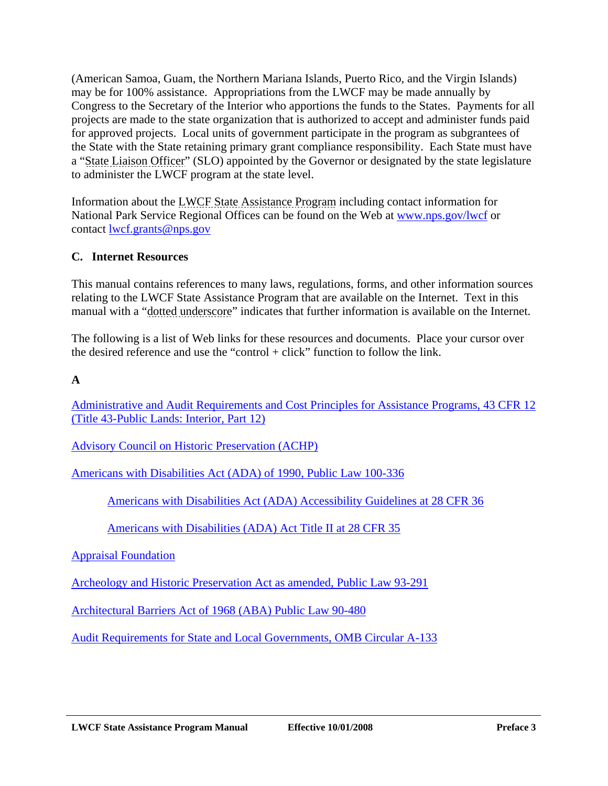<span id="page-6-0"></span>(American Samoa, Guam, the Northern Mariana Islands, Puerto Rico, and the Virgin Islands) may be for 100% assistance. Appropriations from the LWCF may be made annually by Congress to the Secretary of the Interior who apportions the funds to the States. Payments for all projects are made to the state organization that is authorized to accept and administer funds paid for approved projects. Local units of government participate in the program as subgrantees of the State with the State retaining primary grant compliance responsibility. Each State must have a "State Liaison Officer" (SLO) appointed by the Governor or designated by the state legislature to administer the LWCF program at the state level.

Information about the LWCF State Assistance Program including contact information for National Park Service Regional Offices can be found on the Web a[t www.nps.gov/lwcf](www.nps.gov/lwcf) or contact lwcf.grants@nps.gov

# **C. Internet Resources**

This manual contains references to many laws, regulations, forms, and other information sources relating to the LWCF State Assistance Program that are available on the Internet. Text in this manual with a "dotted underscore" indicates that further information is available on the Internet.

The following is a list of Web links for these resources and documents. Place your cursor over the desired reference and use the "control + click" function to follow the link.

# **A**

[Administrative and Audit Requirements and Cost Principles for Assistance Programs, 43 CFR 12](http://www.access.gpo.gov/nara/cfr/waisidx_03/43cfr12_03.html)  (Title 43-Public Lands: Interior, Part 12)

[Advisory Council on Historic Preservation \(ACHP\)](http://www.achp.gov/) 

[Americans with Disabilities Act \(ADA\) of 1990, Public Law 100-336](http://www.ada.gov/)

[Americans with Disabilities Act \(ADA\) Accessibility Guidelines at 28 CFR 36](http://www.access-board.gov/adaag/html/adaag.htm)

[Americans with Disabilities \(ADA\) Act Title II at 28 CFR 35](http://www.ada.gov/reg2.html)

[Appraisal Foundation](http://www.appraisalfoundation.org/s_appraisal/index.asp)

[Archeology and Historic Preservation Act as amended, Public Law 93-291](http://www.nps.gov/history/local-law/fhpl_archhistpres.pdf)

[Architectural Barriers Act of 1968 \(ABA\) Public Law 90-480](http://www.access-board.gov/about/laws/ABA.htm)

[Audit Requirements for State and Local Governments, OMB Circular A-133](http://www.whitehouse.gov/omb/financial/fin_single_audit.html)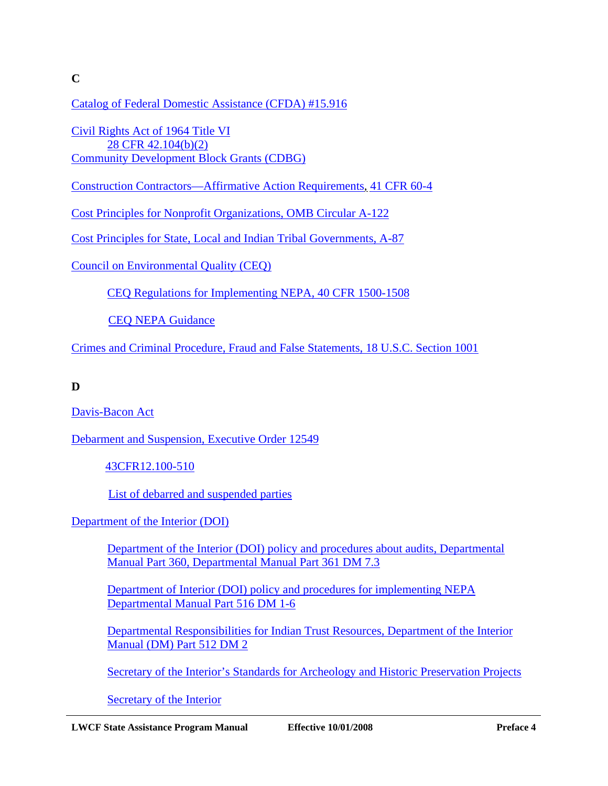**C** 

[Catalog of Federal Domestic Assistance \(CFDA\) #15.916](http://www.cfda.gov/)

[Civil Rights Act of 1964 Title VI](http://www.usdoj.gov/crt/cor/coord/titlevi.htm)  [28 CFR 42.104\(b\)\(2\)](http://ecfr.gpoaccess.gov/cgi/t/text/text-idx?c=ecfr&sid=20d31b6b681fdb606c488c3a73cf9b5e&rgn=div8&view=text&node=28:1.0.1.1.43.3.47.4&idno=28) [Community Development Block Grants \(CDBG\)](http://www.hud.gov/offices/cpd/communitydevelopment/programs/) 

[Construction Contractors—Affirmative Action Requirements, 41 CFR 60-4](http://ecfr.gpoaccess.gov/cgi/t/text/text-idx?c=ecfr&sid=b07a25ade6fb231baa1132f3b7ec9dd5&rgn=div5&view=text&node=41:1.2.3.1.4&idno=41) 

[Cost Principles for Nonprofit Organizations, OMB Circular A-122](http://www.whitehouse.gov/omb/circulars/a122/a122.html)

[Cost Principles for State, Local and Indian Tribal Governments, A-87](http://www.whitehouse.gov/omb/circulars/a087/a087-all.html) 

[Council on Environmental Quality \(CEQ\)](http://www.whitehouse.gov/ceq/) 

[CEQ Regulations for Implementing NEPA, 40 CFR 1500-1508](http://ceq.hss.doe.gov/Nepa/regs/ceq/toc_ceq.htm)

[CEQ NEPA Guidance](http://ceq.hss.doe.gov/nepa/regs/guidance.html)

[Crimes and Criminal Procedure, Fraud and False Statements, 18 U.S.C. Section 1001](http://www.access.gpo.gov/uscode/title18/parti_chapter47_.html)

**D** 

[Davis-Bacon Act](http://www.gpo.gov/davisbacon/referencemat.html)

[Debarment and Suspension, Executive Order 12549](http://www.archives.gov/federal-register/codification/executive-order/12549.html)

[43CFR12.100-510](http://www.access.gpo.gov/nara/cfr/waisidx_03/43cfr12_03.html)

[List of debarred and suspended parties](https://www.epls.gov/)

[Department of the Interior \(DOI\)](http://www.doi.gov/) 

[Department of the Interior \(DOI\) policy and procedures about audits, Departmental](http://elips.doi.gov/app_DM/index.cfm?fuseaction=home)  Manual Part 360, Departmental Manual Part 361 DM 7.3

[Department of Interior \(DOI\) policy and procedures for implementing NEPA](http://elips.doi.gov/app_DM/index.cfm?fuseaction=searchDM&keyword=516)  [Departmental Manual Part 516 DM 1-6](http://elips.doi.gov/app_DM/index.cfm?fuseaction=searchDM&keyword=516)

[Departmental Responsibilities for Indian Trust Resources, Department of the Interior](http://elips.doi.gov/app_DM/act_getfiles.cfm?relnum=3049)  Manual (DM) Part 512 DM 2

[Secretary of the Interior's Standards for Archeology and Historic Preservation Projects](http://www.nps.gov/history/local-law/arch_stnds_0.htm)

[Secretary of the Interior](http://www.doi.gov/)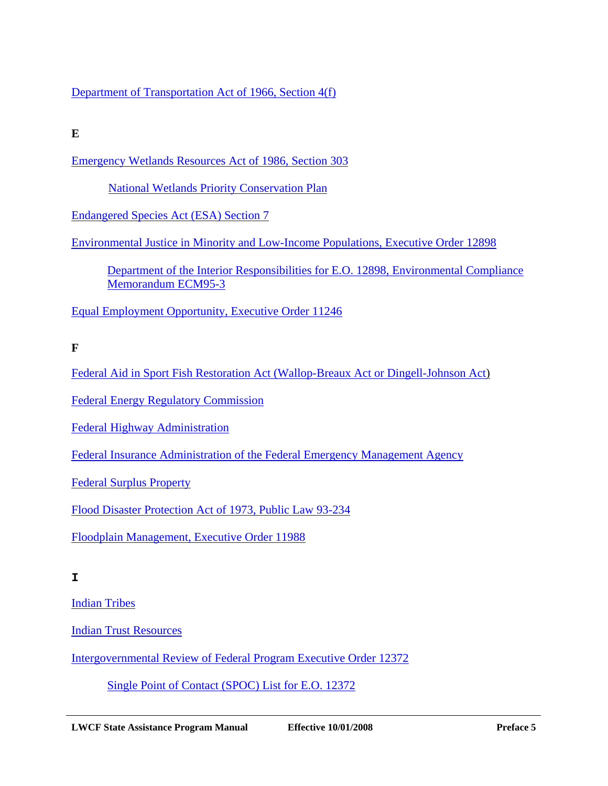[Department of Transportation Act of 1966, Section 4\(f\)](http://www.environment.fhwa.dot.gov/projdev/PD5sec4f.asp)

**E** 

[Emergency Wetlands Resources Act of 1986, Section 303](http://www.fws.gov/policy/660fw4.html)

[National Wetlands Priority Conservation Plan](http://www.fws.gov/policy/660fw4.html)

[Endangered Species Act \(ESA\) Section 7](http://epw.senate.gov/esa73.pdf)

[Environmental Justice in Minority and Low-Income Populations, Executive Order 12898](http://www.epa.gov/oswer/ej/html-doc/execordr.htm)

[Department of the Interior Responsibilities for E.O. 12898, Environmental Compliance](http://oepc.doi.gov/ECM/ECM95-3.pdf)  Memorandum ECM95-3

[Equal Employment Opportunity, Executive Order 11246](http://www.hud.gov/offices/fheo/FHLaws/EXO11246.cfm)

**F** 

[Federal Aid in Sport Fish Restoration Act \(Wallop-Breaux Act or Dingell-Johnson Act\)](http://www.fws.gov/laws/lawsdigest/FASPORT.HTML)

[Federal Energy Regulatory Commission](http://www.ferc.gov/)

[Federal Highway Administration](http://www.fhwa.dot.gov/)

[Federal Insurance Administration of the Federal Emergency Management Agency](http://www.fema.gov/about/fedins.shtm)

[Federal Surplus Property](http://www.gsa.gov/Portal/gsa/ep/channelView.do?pageTypeId=8211&channelPage=%252Fep%252Fchannel%252FgsaOverview.jsp&channelId=-13016)

[Flood Disaster Protection Act of 1973, Public Law 93-234](http://www.fema.gov/plan/prevent/fhm/dl_acts.shtm)

[Floodplain Management, Executive Order 11988](http://www.archives.gov/federal-register/codification/executive-order/11988.html)

**I** 

[Indian Tribes](http://www.doi.gov/bia)

[Indian Trust Resources](http://www.doi.gov/bia)

[Intergovernmental Review of Federal Program Executive Order 12372](http://www.archives.gov/federal-register/codification/executive-order/12372.html) 

[Single Point of Contact \(SPOC\) List for E.O. 12372](http://www.whitehouse.gov/omb/grants/spoc.html)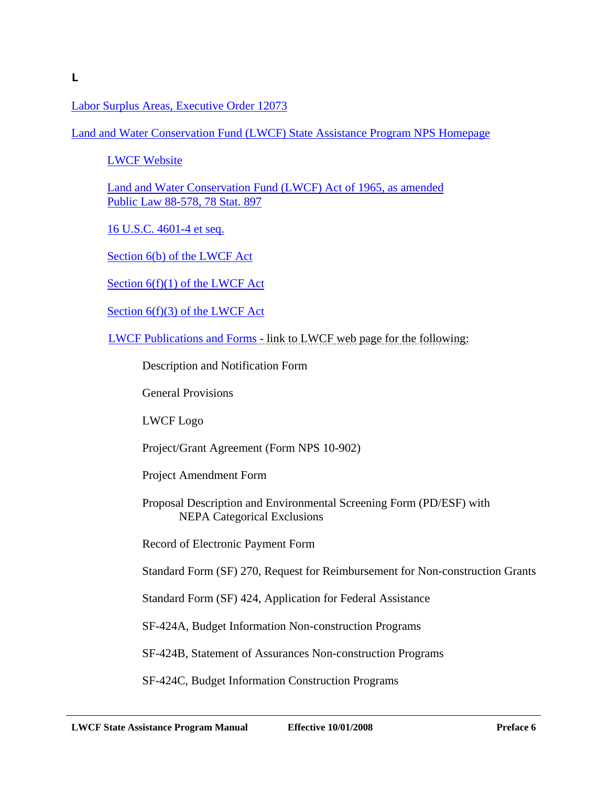[Labor Surplus Areas, Executive Order 12073](http://www.archives.gov/federal-register/codification/executive-order/12073.html)

[Land and Water Conservation Fund \(LWCF\) State Assistance Program NPS Homepage](http://www.nps.gov/lwcf)

[LWCF Website](http://www.nps.gov/lwcf)

[Land and Water Conservation Fund \(LWCF\) Act of 1965, as amended](http://www.nps.gov/lwcf/lwcf_act.pdf) [Public Law 88-578, 78 Stat. 897](http://www.nps.gov/lwcf/lwcf_act.pdf)

[16 U.S.C. 4601-4 et seq.](http://frwebgate.access.gpo.gov/cgi-bin/getdoc.cgi?dbname=browse_usc&docid=Cite:+16USC460l-8) 

[Section 6\(b\) of the LWCF Act](http://www.nps.gov/lwcf/lwcf_act.pdf)

[Section 6\(f\)\(1\) of the LWCF Act](http://www.nps.gov/lwcf/lwcf_act.pdf)

[Section 6\(f\)\(3\) of the LWCF Act](http://www.nps.gov/lwcf/lwcf_act.pdf)

[LWCF Publications and Forms -](http://www.nps.gov/ncrc/programs/lwcf/pub.htm) link to LWCF web page for the following:

Description and Notification Form

General Provisions

LWCF Logo

Project/Grant Agreement (Form NPS 10-902)

Project Amendment Form

Proposal Description and Environmental Screening Form (PD/ESF) with NEPA Categorical Exclusions

Record of Electronic Payment Form

Standard Form (SF) 270, Request for Reimbursement for Non-construction Grants

Standard Form (SF) 424, Application for Federal Assistance

SF-424A, Budget Information Non-construction Programs

SF-424B, Statement of Assurances Non-construction Programs

SF-424C, Budget Information Construction Programs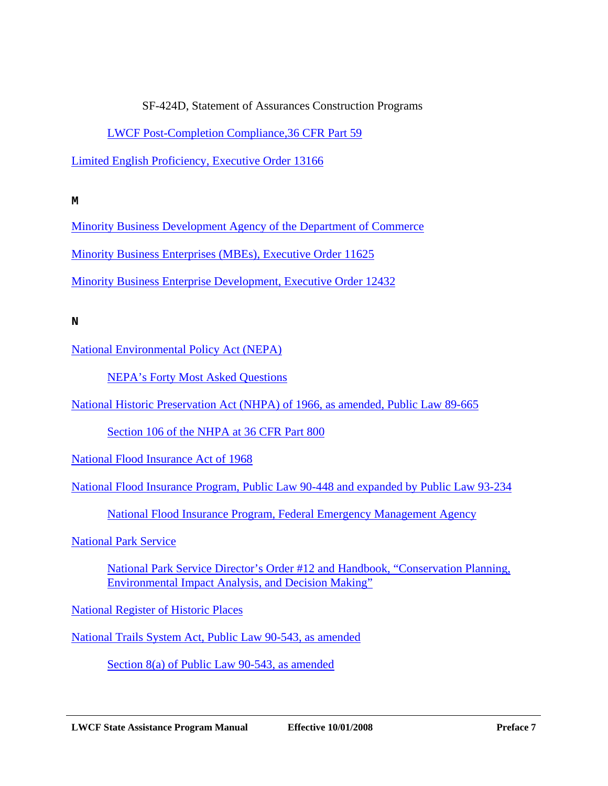#### SF-424D, Statement of Assurances Construction Programs

#### [LWCF Post-Completion Compliance,36 CFR Part 59](http://ecfr.gpoaccess.gov/cgi/t/text/text-idx?c=ecfr&sid=bf9ed0f57fbdd152c7868d2b57e3bcf1&rgn=div5&view=text&node=36:1.0.1.1.25&idno=36)

[Limited English Proficiency, Executive Order 13166](http://frwebgate.access.gpo.gov/cgi-bin/getdoc.cgi?dbname=2000_register&docid=fr16au00-137.pdf)

**M** 

[Minority Business Development Agency of the Department of Commerce](http://www.mbda.gov/)

[Minority Business Enterprises \(MBEs\), Executive Order 11625](http://www.archives.gov/federal-register/codification/executive-order/11625.html)

[Minority Business Enterprise Development, Executive Order 12432](http://www.archives.gov/federal-register/codification/executive-order/12432.html)

**N** 

[National Environmental Policy Act \(NEPA\)](http://ceq.hss.doe.gov/Nepa/regs/nepa/nepaeqia.htm)

[NEPA's Forty Most Asked Questions](http://www.nepa.gov/nepa/regs/40/40p3.htm)

[National Historic Preservation Act \(NHPA\) of 1966, as amended, Public Law 89-665](http://www.achp.gov/nhpa.html)

[Section 106 of the NHPA at 36 CFR Part 800](http://www.achp.gov/regs-rev04.pdf)

[National Flood Insurance Act of 1968](http://www.fema.gov/pdf/fhm/frm_acts.pdf)

[National Flood Insurance Program, Public Law 90-448 and expanded by Public Law 93-234](http://edocket.access.gpo.gov/2006/E6-2018.htm)

[National Flood Insurance Program, Federal Emergency Management Agency](http://www.fema.gov/business/nfip)

[National Park Service](http://www.nps.gov/) 

[National Park Service Director's Order #12 and Handbook, "Conservation Planning,](http://www.nature.nps.gov/protectingrestoring/DO12Site/01_intro/011_intro.htm)  Environmental Impact Analysis, and Decision Making"

[National Register of Historic Places](http://www.cr.nps.gov/nr)

[National Trails System Act, Public Law 90-543, as amended](http://www.nps.gov/nts/legislation.html) 

[Section 8\(a\) of Public Law 90-543, as amended](http://www.nps.gov/nts/legislation.html)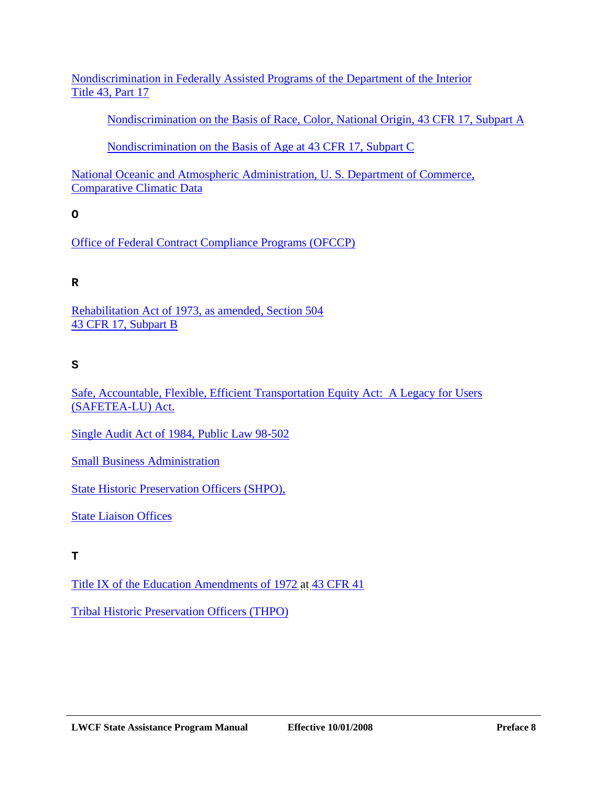[Nondiscrimination in Federally Assisted Programs of the Department of the Interior](http://ecfr.gpoaccess.gov/cgi/t/text/text-idx?c=ecfr&sid=3162c36126d6a8f74ea7307cc3a4d277&rgn=div5&view=text&node=43:1.1.1.1.17&idno=43) Title 43, Part 17

[Nondiscrimination on the Basis of Race, Color, National Origin, 43 CFR 17, Subpart A](http://ecfr.gpoaccess.gov/cgi/t/text/text-idx?c=ecfr&sid=6e51fff945f2c479ebe19f3b3bd84d51&rgn=div5&view=text&node=43:1.1.1.1.17&idno=43)

[Nondiscrimination on the Basis of Age at 43 CFR 17, Subpart C](http://ecfr.gpoaccess.gov/cgi/t/text/text-idx?c=ecfr&sid=d76ddd618b7156bcbb0ce4800e7cdcc2&rgn=div5&view=text&node=43:1.1.1.1.17&idno=43)

[National Oceanic and Atmospheric Administration, U. S. Department of Commerce,](http://www.ncdc.noaa.gov/oa/climate/online/ccd/extrememax.html) Comparative Climatic Data

**O** 

[Office of Federal Contract Compliance Programs \(OFCCP\)](http://www.dol.gov/esa/ofccp)

# **R**

[Rehabilitation Act of 1973, as amended, Section 504](http://www.access-board.gov/enforcement/Rehab-Act-text/intro.htm)  43 CFR 17, Subpart B

### **S**

[Safe, Accountable, Flexible, Efficient Transportation Equity Act: A Legacy for Users](http://www.fhwa.dot.gov/safetealu/index.htm)  (SAFETEA-LU) Act.

[Single Audit Act of 1984, Public Law 98-502](http://www.whitehouse.gov/omb/financial/fin_single_audit.html)

[Small Business Administration](http://www.sba.gov/)

[State Historic Preservation Officers \(SHPO\),](http://www.achp.gov/shpo.html)

[State Liaison Offices](http://www.nps.gov/ncrc/programs/lwcf/contact_list.html)

**T** 

[Title IX of the Education Amendments of 1972 a](http://www.usdoj.gov/crt/cor/coord/titleixstat.htm)t [43 CFR 41](http://ecfr.gpoaccess.gov/cgi/t/text/text-idx?c=ecfr&sid=6e51fff945f2c479ebe19f3b3bd84d51&rgn=div5&view=text&node=43:1.1.1.1.37&idno=43)

[Tribal Historic Preservation Officers \(THPO\)](http://www.achp.gov/thpo.html)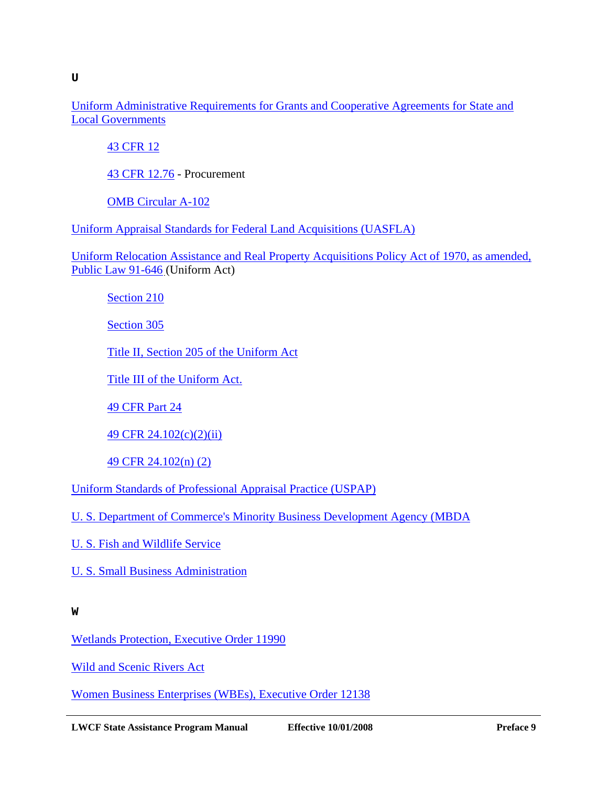[Uniform Administrative Requirements for Grants and Cooperative Agreements for State and](http://ecfr.gpoaccess.gov/cgi/t/text/text-idx?c=ecfr&sid=ddcca60248d670c3fb471fb27dfdfca6&rgn=div5&view=text&node=43:1.1.1.1.12&idno=43)  Local Governments

[43 CFR 12](http://ecfr.gpoaccess.gov/cgi/t/text/text-idx?c=ecfr&tpl=/ecfrbrowse/Title43/43cfr12_main_02.tpl)

[43 CFR 12.76 -](http://ecfr.gpoaccess.gov/cgi/t/text/text-idx?c=ecfr&sid=ddcca60248d670c3fb471fb27dfdfca6&rgn=div5&view=text&node=43:1.1.1.1.12&idno=43) Procurement

[OMB Circular A-102](http://www.whitehouse.gov/omb/circulars/a102/a102.html)

[Uniform Appraisal Standards for Federal Land Acquisitions \(UASFLA\)](http://www.usdoj.gov/enrd/land-ack)

[Uniform Relocation Assistance and Real Property Acquisitions Policy Act of 1970, as amended,](http://www.fhwa.dot.gov/realestate/act.htm)  Public Law 91-646 (Uniform Act)

[Section 210](http://www.fhwa.dot.gov/realestate/act.htm)

[Section 305](http://www.fhwa.dot.gov/realestate/act.htm)

[Title II, Section 205 of the Uniform Act](http://www.fhwa.dot.gov/realestate/act.htm)

[Title III of the Uniform Act.](http://www.fhwa.dot.gov/realestate/act.htm)

[49 CFR Part 24](http://ecfr.gpoaccess.gov/cgi/t/text/text-idx?c=ecfr&sid=b2b7aae1bc0cd67b82ea3b7552f685cd&rgn=div5&view=text&node=49:1.0.1.1.17&idno=49)

[49 CFR 24.102\(c\)\(2\)\(ii\)](http://ecfr.gpoaccess.gov/cgi/t/text/text-idx?c=ecfr&sid=b2b7aae1bc0cd67b82ea3b7552f685cd&rgn=div5&view=text&node=49:1.0.1.1.17&idno=49)

[49 CFR 24.102\(n\) \(2\)](http://ecfr.gpoaccess.gov/cgi/t/text/text-idx?c=ecfr&sid=b2b7aae1bc0cd67b82ea3b7552f685cd&rgn=div5&view=text&node=49:1.0.1.1.17&idno=49)

[Uniform Standards of Professional Appraisal Practice \(USPAP\)](http://www.appraisalfoundation.org/s_appraisal/index.asp) 

[U. S. Department of Commerce's Minority Business Development Agency \(MBDA](http://www.mbda.gov/)

[U. S. Fish and Wildlife Service](http://www.fws.gov/)

[U. S. Small Business Administration](http://www.sba.gov/)

**W** 

[Wetlands Protection, Executive Order 11990](http://www.archives.gov/federal-register/codification/executive-order/11990.html)

[Wild and Scenic Rivers Act](http://www.rivers.gov/wsract.html)

[Women Business Enterprises \(WBEs\), Executive Order 12138](http://www.archives.gov/federal-register/codification/executive-order/12138.html)

**LWCF State Assistance Program Manual 12 12 Effective 10/01/2008 Preface 9** Preface 9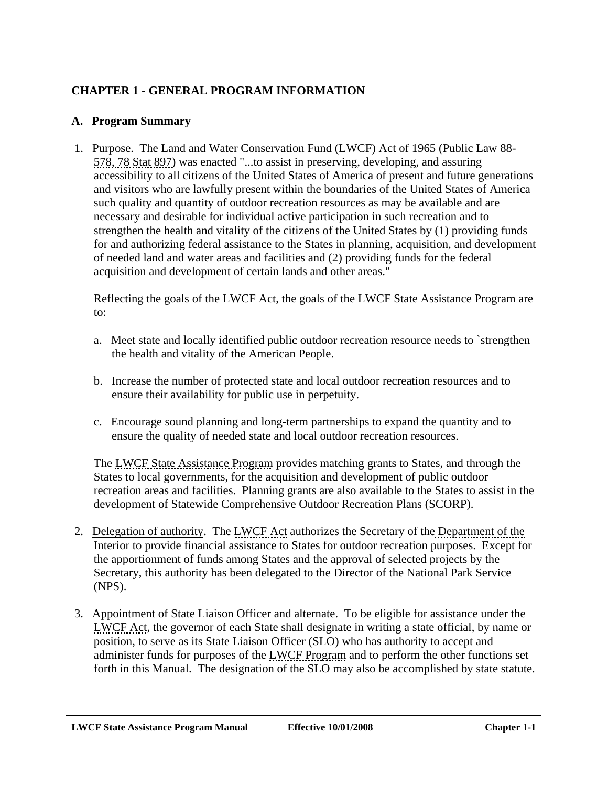# <span id="page-13-0"></span>**CHAPTER 1 - GENERAL PROGRAM INFORMATION**

#### **A. Program Summary**

 1. Purpose. The Land and Water Conservation Fund (LWCF) Act of 1965 (Public Law 88- 578, 78 Stat 897) was enacted "...to assist in preserving, developing, and assuring accessibility to all citizens of the United States of America of present and future generations and visitors who are lawfully present within the boundaries of the United States of America such quality and quantity of outdoor recreation resources as may be available and are necessary and desirable for individual active participation in such recreation and to strengthen the health and vitality of the citizens of the United States by (1) providing funds for and authorizing federal assistance to the States in planning, acquisition, and development of needed land and water areas and facilities and (2) providing funds for the federal acquisition and development of certain lands and other areas."

Reflecting the goals of the LWCF Act, the goals of the LWCF State Assistance Program are to:

- a. Meet state and locally identified public outdoor recreation resource needs to `strengthen the health and vitality of the American People.
- b. Increase the number of protected state and local outdoor recreation resources and to ensure their availability for public use in perpetuity.
- c. Encourage sound planning and long-term partnerships to expand the quantity and to ensure the quality of needed state and local outdoor recreation resources.

The LWCF State Assistance Program provides matching grants to States, and through the States to local governments, for the acquisition and development of public outdoor recreation areas and facilities. Planning grants are also available to the States to assist in the development of Statewide Comprehensive Outdoor Recreation Plans (SCORP).

- 2. Delegation of authority. The LWCF Act authorizes the Secretary of the Department of the Interior to provide financial assistance to States for outdoor recreation purposes. Except for the apportionment of funds among States and the approval of selected projects by the Secretary, this authority has been delegated to the Director of the National Park Service (NPS).
- 3. Appointment of State Liaison Officer and alternate. To be eligible for assistance under the LWCF Act, the governor of each State shall designate in writing a state official, by name or position, to serve as its State Liaison Officer (SLO) who has authority to accept and administer funds for purposes of the LWCF Program and to perform the other functions set forth in this Manual. The designation of the SLO may also be accomplished by state statute.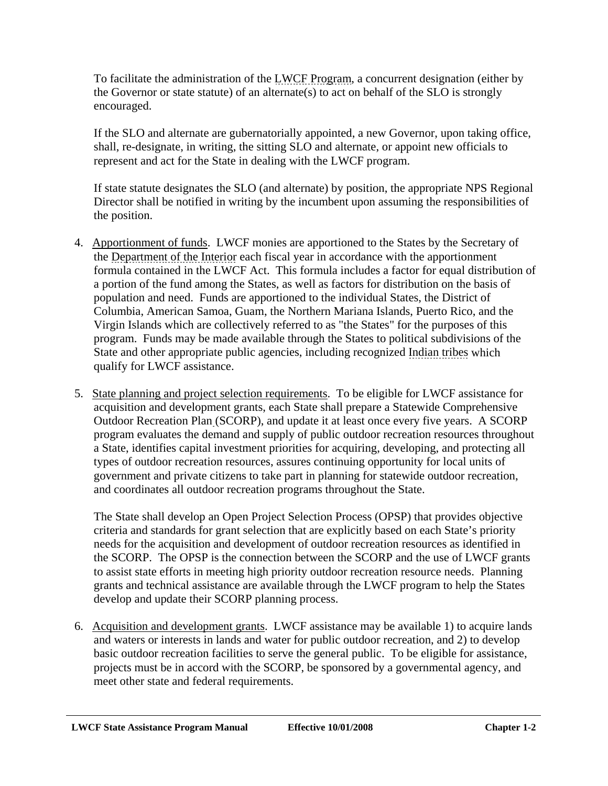To facilitate the administration of the LWCF Program, a concurrent designation (either by the Governor or state statute) of an alternate(s) to act on behalf of the SLO is strongly encouraged.

If the SLO and alternate are gubernatorially appointed, a new Governor, upon taking office, shall, re-designate, in writing, the sitting SLO and alternate, or appoint new officials to represent and act for the State in dealing with the LWCF program.

If state statute designates the SLO (and alternate) by position, the appropriate NPS Regional Director shall be notified in writing by the incumbent upon assuming the responsibilities of the position.

- 4. Apportionment of funds. LWCF monies are apportioned to the States by the Secretary of the Department of the Interior each fiscal year in accordance with the apportionment formula contained in the LWCF Act. This formula includes a factor for equal distribution of a portion of the fund among the States, as well as factors for distribution on the basis of population and need. Funds are apportioned to the individual States, the District of Columbia, American Samoa, Guam, the Northern Mariana Islands, Puerto Rico, and the Virgin Islands which are collectively referred to as "the States" for the purposes of this program. Funds may be made available through the States to political subdivisions of the State and other appropriate public agencies, including recognized Indian tribes which qualify for LWCF assistance.
- 5. State planning and project selection requirements. To be eligible for LWCF assistance for acquisition and development grants, each State shall prepare a Statewide Comprehensive Outdoor Recreation Plan (SCORP), and update it at least once every five years. A SCORP program evaluates the demand and supply of public outdoor recreation resources throughout a State, identifies capital investment priorities for acquiring, developing, and protecting all types of outdoor recreation resources, assures continuing opportunity for local units of government and private citizens to take part in planning for statewide outdoor recreation, and coordinates all outdoor recreation programs throughout the State.

The State shall develop an Open Project Selection Process (OPSP) that provides objective criteria and standards for grant selection that are explicitly based on each State's priority needs for the acquisition and development of outdoor recreation resources as identified in the SCORP. The OPSP is the connection between the SCORP and the use of LWCF grants to assist state efforts in meeting high priority outdoor recreation resource needs. Planning grants and technical assistance are available through the LWCF program to help the States develop and update their SCORP planning process.

 6. Acquisition and development grants. LWCF assistance may be available 1) to acquire lands and waters or interests in lands and water for public outdoor recreation, and 2) to develop basic outdoor recreation facilities to serve the general public. To be eligible for assistance, projects must be in accord with the SCORP, be sponsored by a governmental agency, and meet other state and federal requirements.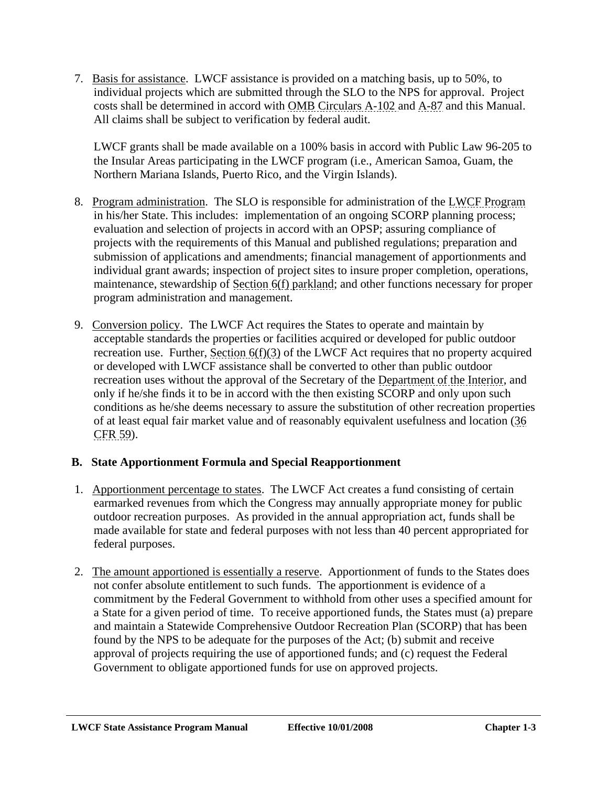<span id="page-15-0"></span> 7. Basis for assistance. LWCF assistance is provided on a matching basis, up to 50%, to individual projects which are submitted through the SLO to the NPS for approval. Project costs shall be determined in accord with OMB Circulars A-102 and A-87 and this Manual. All claims shall be subject to verification by federal audit.

LWCF grants shall be made available on a 100% basis in accord with Public Law 96-205 to the Insular Areas participating in the LWCF program (i.e., American Samoa, Guam, the Northern Mariana Islands, Puerto Rico, and the Virgin Islands).

- 8. Program administration. The SLO is responsible for administration of the LWCF Program in his/her State. This includes: implementation of an ongoing SCORP planning process; evaluation and selection of projects in accord with an OPSP; assuring compliance of projects with the requirements of this Manual and published regulations; preparation and submission of applications and amendments; financial management of apportionments and individual grant awards; inspection of project sites to insure proper completion, operations, maintenance, stewardship of Section 6(f) parkland; and other functions necessary for proper program administration and management.
- 9. Conversion policy. The LWCF Act requires the States to operate and maintain by acceptable standards the properties or facilities acquired or developed for public outdoor recreation use. Further, Section 6(f)(3) of the LWCF Act requires that no property acquired or developed with LWCF assistance shall be converted to other than public outdoor recreation uses without the approval of the Secretary of the Department of the Interior, and only if he/she finds it to be in accord with the then existing SCORP and only upon such conditions as he/she deems necessary to assure the substitution of other recreation properties of at least equal fair market value and of reasonably equivalent usefulness and location (36 CFR 59).

# **B. State Apportionment Formula and Special Reapportionment**

- 1. Apportionment percentage to states. The LWCF Act creates a fund consisting of certain earmarked revenues from which the Congress may annually appropriate money for public outdoor recreation purposes. As provided in the annual appropriation act, funds shall be made available for state and federal purposes with not less than 40 percent appropriated for federal purposes.
- 2. The amount apportioned is essentially a reserve. Apportionment of funds to the States does not confer absolute entitlement to such funds. The apportionment is evidence of a commitment by the Federal Government to withhold from other uses a specified amount for a State for a given period of time. To receive apportioned funds, the States must (a) prepare and maintain a Statewide Comprehensive Outdoor Recreation Plan (SCORP) that has been found by the NPS to be adequate for the purposes of the Act; (b) submit and receive approval of projects requiring the use of apportioned funds; and (c) request the Federal Government to obligate apportioned funds for use on approved projects.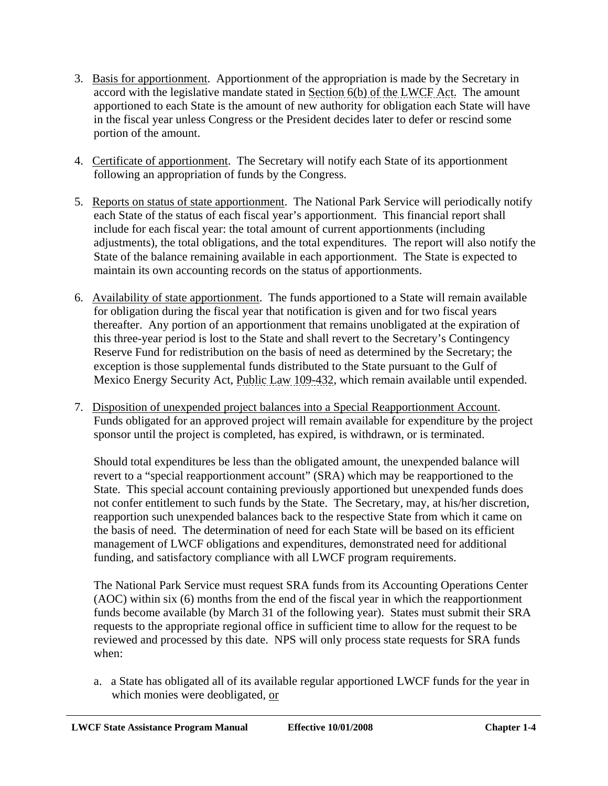- 3. Basis for apportionment. Apportionment of the appropriation is made by the Secretary in accord with the legislative mandate stated in Section 6(b) of the LWCF Act. The amount apportioned to each State is the amount of new authority for obligation each State will have in the fiscal year unless Congress or the President decides later to defer or rescind some portion of the amount.
- 4. Certificate of apportionment. The Secretary will notify each State of its apportionment following an appropriation of funds by the Congress.
- 5. Reports on status of state apportionment. The National Park Service will periodically notify each State of the status of each fiscal year's apportionment. This financial report shall include for each fiscal year: the total amount of current apportionments (including adjustments), the total obligations, and the total expenditures. The report will also notify the State of the balance remaining available in each apportionment. The State is expected to maintain its own accounting records on the status of apportionments.
- 6. Availability of state apportionment. The funds apportioned to a State will remain available for obligation during the fiscal year that notification is given and for two fiscal years thereafter. Any portion of an apportionment that remains unobligated at the expiration of this three-year period is lost to the State and shall revert to the Secretary's Contingency Reserve Fund for redistribution on the basis of need as determined by the Secretary; the exception is those supplemental funds distributed to the State pursuant to the Gulf of Mexico Energy Security Act, Public Law 109-432, which remain available until expended.
- 7. Disposition of unexpended project balances into a Special Reapportionment Account. Funds obligated for an approved project will remain available for expenditure by the project sponsor until the project is completed, has expired, is withdrawn, or is terminated.

Should total expenditures be less than the obligated amount, the unexpended balance will revert to a "special reapportionment account" (SRA) which may be reapportioned to the State. This special account containing previously apportioned but unexpended funds does not confer entitlement to such funds by the State. The Secretary, may, at his/her discretion, reapportion such unexpended balances back to the respective State from which it came on the basis of need. The determination of need for each State will be based on its efficient management of LWCF obligations and expenditures, demonstrated need for additional funding, and satisfactory compliance with all LWCF program requirements.

The National Park Service must request SRA funds from its Accounting Operations Center (AOC) within six (6) months from the end of the fiscal year in which the reapportionment funds become available (by March 31 of the following year). States must submit their SRA requests to the appropriate regional office in sufficient time to allow for the request to be reviewed and processed by this date. NPS will only process state requests for SRA funds when:

a. a State has obligated all of its available regular apportioned LWCF funds for the year in which monies were deobligated, or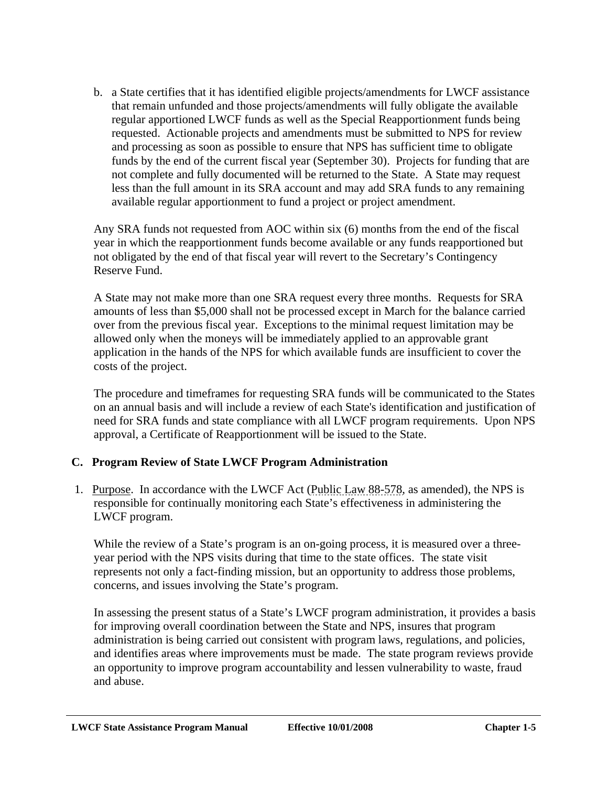<span id="page-17-0"></span>b. a State certifies that it has identified eligible projects/amendments for LWCF assistance that remain unfunded and those projects/amendments will fully obligate the available regular apportioned LWCF funds as well as the Special Reapportionment funds being requested. Actionable projects and amendments must be submitted to NPS for review and processing as soon as possible to ensure that NPS has sufficient time to obligate funds by the end of the current fiscal year (September 30). Projects for funding that are not complete and fully documented will be returned to the State. A State may request less than the full amount in its SRA account and may add SRA funds to any remaining available regular apportionment to fund a project or project amendment.

Any SRA funds not requested from AOC within six (6) months from the end of the fiscal year in which the reapportionment funds become available or any funds reapportioned but not obligated by the end of that fiscal year will revert to the Secretary's Contingency Reserve Fund.

A State may not make more than one SRA request every three months. Requests for SRA amounts of less than \$5,000 shall not be processed except in March for the balance carried over from the previous fiscal year. Exceptions to the minimal request limitation may be allowed only when the moneys will be immediately applied to an approvable grant application in the hands of the NPS for which available funds are insufficient to cover the costs of the project.

The procedure and timeframes for requesting SRA funds will be communicated to the States on an annual basis and will include a review of each State's identification and justification of need for SRA funds and state compliance with all LWCF program requirements. Upon NPS approval, a Certificate of Reapportionment will be issued to the State.

# **C. Program Review of State LWCF Program Administration**

 1. Purpose. In accordance with the LWCF Act (Public Law 88-578, as amended), the NPS is responsible for continually monitoring each State's effectiveness in administering the LWCF program.

While the review of a State's program is an on-going process, it is measured over a threeyear period with the NPS visits during that time to the state offices. The state visit represents not only a fact-finding mission, but an opportunity to address those problems, concerns, and issues involving the State's program.

In assessing the present status of a State's LWCF program administration, it provides a basis for improving overall coordination between the State and NPS, insures that program administration is being carried out consistent with program laws, regulations, and policies, and identifies areas where improvements must be made. The state program reviews provide an opportunity to improve program accountability and lessen vulnerability to waste, fraud and abuse.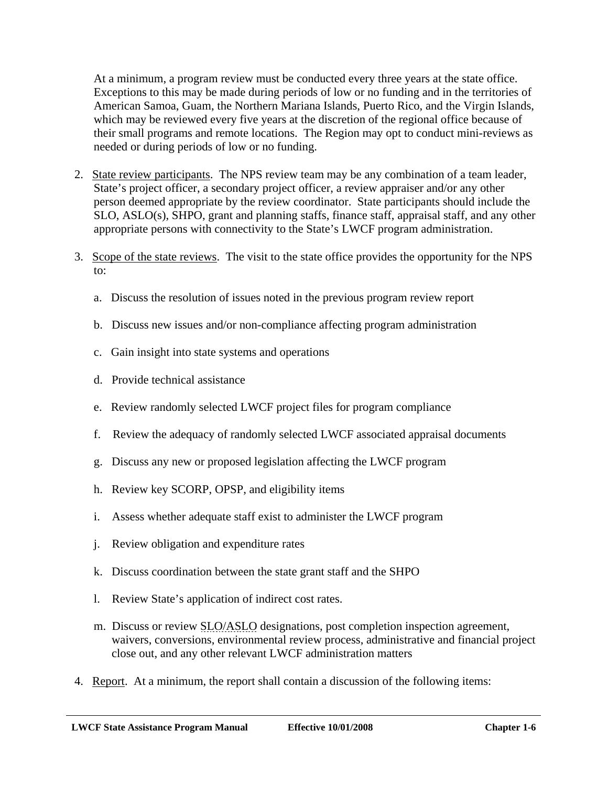At a minimum, a program review must be conducted every three years at the state office. Exceptions to this may be made during periods of low or no funding and in the territories of American Samoa, Guam, the Northern Mariana Islands, Puerto Rico, and the Virgin Islands, which may be reviewed every five years at the discretion of the regional office because of their small programs and remote locations. The Region may opt to conduct mini-reviews as needed or during periods of low or no funding.

- 2. State review participants. The NPS review team may be any combination of a team leader, State's project officer, a secondary project officer, a review appraiser and/or any other person deemed appropriate by the review coordinator. State participants should include the SLO, ASLO(s), SHPO, grant and planning staffs, finance staff, appraisal staff, and any other appropriate persons with connectivity to the State's LWCF program administration.
- 3. Scope of the state reviews. The visit to the state office provides the opportunity for the NPS to:
	- a. Discuss the resolution of issues noted in the previous program review report
	- b. Discuss new issues and/or non-compliance affecting program administration
	- c. Gain insight into state systems and operations
	- d. Provide technical assistance
	- e. Review randomly selected LWCF project files for program compliance
	- f. Review the adequacy of randomly selected LWCF associated appraisal documents
	- g. Discuss any new or proposed legislation affecting the LWCF program
	- h. Review key SCORP, OPSP, and eligibility items
	- i. Assess whether adequate staff exist to administer the LWCF program
	- j. Review obligation and expenditure rates
	- k. Discuss coordination between the state grant staff and the SHPO
	- l. Review State's application of indirect cost rates.
	- m. Discuss or review SLO/ASLO designations, post completion inspection agreement, waivers, conversions, environmental review process, administrative and financial project close out, and any other relevant LWCF administration matters
- 4. Report. At a minimum, the report shall contain a discussion of the following items: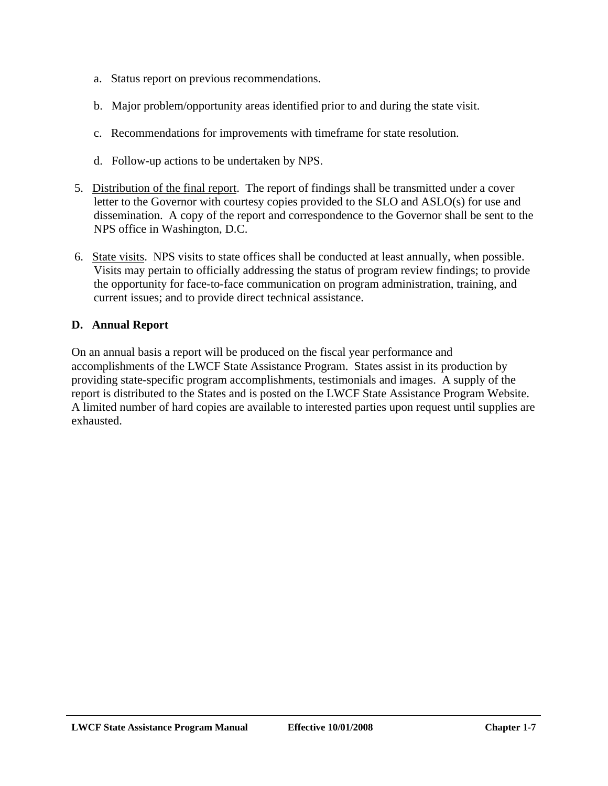- <span id="page-19-0"></span>a. Status report on previous recommendations.
- b. Major problem/opportunity areas identified prior to and during the state visit.
- c. Recommendations for improvements with timeframe for state resolution.
- d. Follow-up actions to be undertaken by NPS.
- 5. Distribution of the final report. The report of findings shall be transmitted under a cover letter to the Governor with courtesy copies provided to the SLO and ASLO(s) for use and dissemination. A copy of the report and correspondence to the Governor shall be sent to the NPS office in Washington, D.C.
- 6. State visits. NPS visits to state offices shall be conducted at least annually, when possible. Visits may pertain to officially addressing the status of program review findings; to provide the opportunity for face-to-face communication on program administration, training, and current issues; and to provide direct technical assistance.

# **D. Annual Report**

On an annual basis a report will be produced on the fiscal year performance and accomplishments of the LWCF State Assistance Program. States assist in its production by providing state-specific program accomplishments, testimonials and images. A supply of the report is distributed to the States and is posted on the LWCF State Assistance Program Website. A limited number of hard copies are available to interested parties upon request until supplies are exhausted.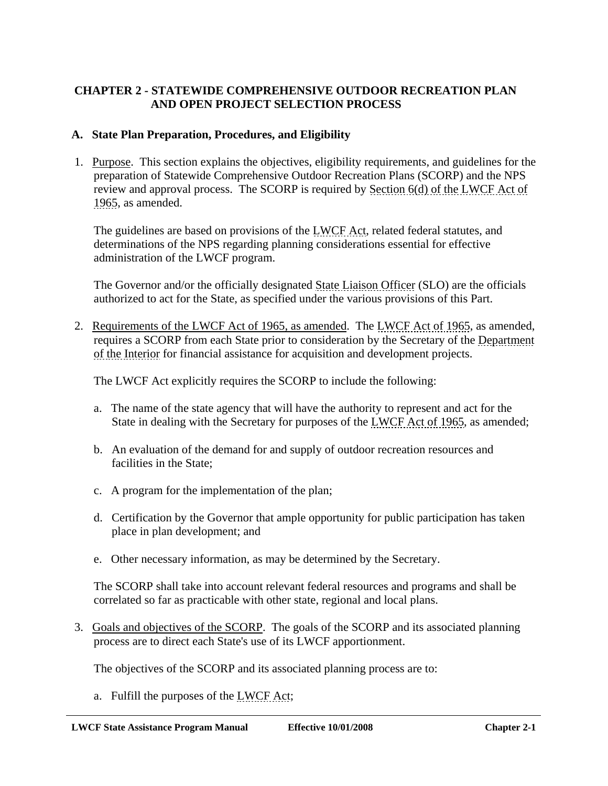### <span id="page-20-0"></span>**CHAPTER 2 - STATEWIDE COMPREHENSIVE OUTDOOR RECREATION PLAN AND OPEN PROJECT SELECTION PROCESS**

#### **A. State Plan Preparation, Procedures, and Eligibility**

 1. Purpose. This section explains the objectives, eligibility requirements, and guidelines for the preparation of Statewide Comprehensive Outdoor Recreation Plans (SCORP) and the NPS review and approval process. The SCORP is required by Section 6(d) of the LWCF Act of 1965, as amended.

The guidelines are based on provisions of the LWCF Act, related federal statutes, and determinations of the NPS regarding planning considerations essential for effective administration of the LWCF program.

The Governor and/or the officially designated State Liaison Officer (SLO) are the officials authorized to act for the State, as specified under the various provisions of this Part.

 2. Requirements of the LWCF Act of 1965, as amended. The LWCF Act of 1965, as amended, requires a SCORP from each State prior to consideration by the Secretary of the Department of the Interior for financial assistance for acquisition and development projects.

The LWCF Act explicitly requires the SCORP to include the following:

- a. The name of the state agency that will have the authority to represent and act for the State in dealing with the Secretary for purposes of the LWCF Act of 1965, as amended;
- b. An evaluation of the demand for and supply of outdoor recreation resources and facilities in the State;
- c. A program for the implementation of the plan;
- d. Certification by the Governor that ample opportunity for public participation has taken place in plan development; and
- e. Other necessary information, as may be determined by the Secretary.

The SCORP shall take into account relevant federal resources and programs and shall be correlated so far as practicable with other state, regional and local plans.

 3. Goals and objectives of the SCORP. The goals of the SCORP and its associated planning process are to direct each State's use of its LWCF apportionment.

The objectives of the SCORP and its associated planning process are to:

a. Fulfill the purposes of the LWCF Act;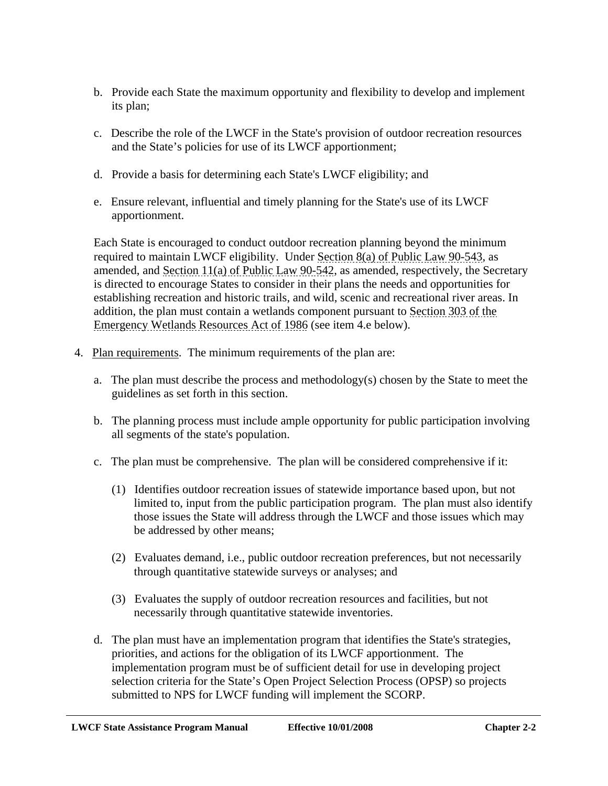- b. Provide each State the maximum opportunity and flexibility to develop and implement its plan;
- c. Describe the role of the LWCF in the State's provision of outdoor recreation resources and the State's policies for use of its LWCF apportionment;
- d. Provide a basis for determining each State's LWCF eligibility; and
- e. Ensure relevant, influential and timely planning for the State's use of its LWCF apportionment.

Each State is encouraged to conduct outdoor recreation planning beyond the minimum required to maintain LWCF eligibility. Under Section 8(a) of Public Law 90-543, as amended, and Section 11(a) of Public Law 90-542, as amended, respectively, the Secretary is directed to encourage States to consider in their plans the needs and opportunities for establishing recreation and historic trails, and wild, scenic and recreational river areas. In addition, the plan must contain a wetlands component pursuant to Section 303 of the Emergency Wetlands Resources Act of 1986 (see item 4.e below).

- 4. Plan requirements. The minimum requirements of the plan are:
	- a. The plan must describe the process and methodology(s) chosen by the State to meet the guidelines as set forth in this section.
	- b. The planning process must include ample opportunity for public participation involving all segments of the state's population.
	- c. The plan must be comprehensive. The plan will be considered comprehensive if it:
		- (1) Identifies outdoor recreation issues of statewide importance based upon, but not limited to, input from the public participation program. The plan must also identify those issues the State will address through the LWCF and those issues which may be addressed by other means;
		- (2) Evaluates demand, i.e., public outdoor recreation preferences, but not necessarily through quantitative statewide surveys or analyses; and
		- (3) Evaluates the supply of outdoor recreation resources and facilities, but not necessarily through quantitative statewide inventories.
	- d. The plan must have an implementation program that identifies the State's strategies, priorities, and actions for the obligation of its LWCF apportionment. The implementation program must be of sufficient detail for use in developing project selection criteria for the State's Open Project Selection Process (OPSP) so projects submitted to NPS for LWCF funding will implement the SCORP.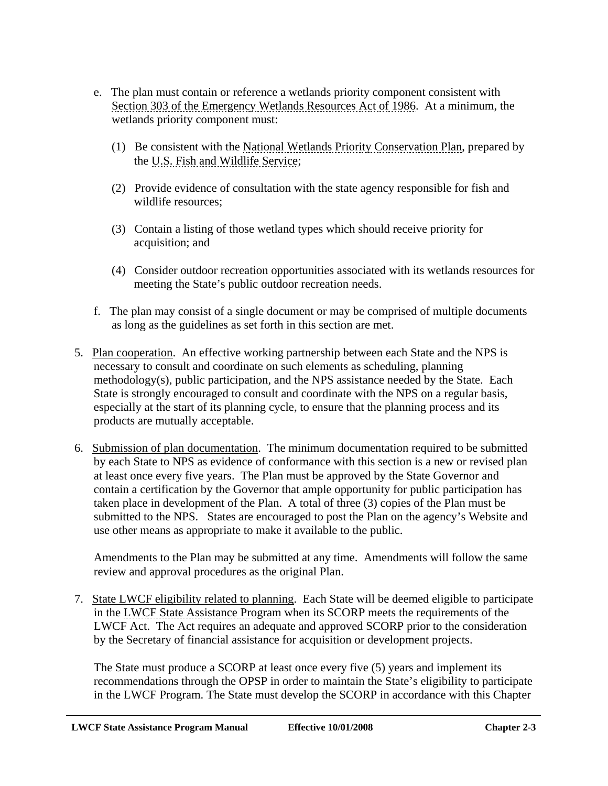- e. The plan must contain or reference a wetlands priority component consistent with Section 303 of the Emergency Wetlands Resources Act of 1986. At a minimum, the wetlands priority component must:
	- (1) Be consistent with the National Wetlands Priority Conservation Plan, prepared by the U.S. Fish and Wildlife Service;
	- (2) Provide evidence of consultation with the state agency responsible for fish and wildlife resources;
	- (3) Contain a listing of those wetland types which should receive priority for acquisition; and
	- (4) Consider outdoor recreation opportunities associated with its wetlands resources for meeting the State's public outdoor recreation needs.
- f. The plan may consist of a single document or may be comprised of multiple documents as long as the guidelines as set forth in this section are met.
- 5. Plan cooperation. An effective working partnership between each State and the NPS is necessary to consult and coordinate on such elements as scheduling, planning methodology(s), public participation, and the NPS assistance needed by the State. Each State is strongly encouraged to consult and coordinate with the NPS on a regular basis, especially at the start of its planning cycle, to ensure that the planning process and its products are mutually acceptable.
- 6. Submission of plan documentation. The minimum documentation required to be submitted by each State to NPS as evidence of conformance with this section is a new or revised plan at least once every five years. The Plan must be approved by the State Governor and contain a certification by the Governor that ample opportunity for public participation has taken place in development of the Plan. A total of three (3) copies of the Plan must be submitted to the NPS. States are encouraged to post the Plan on the agency's Website and use other means as appropriate to make it available to the public.

Amendments to the Plan may be submitted at any time. Amendments will follow the same review and approval procedures as the original Plan.

 7. State LWCF eligibility related to planning. Each State will be deemed eligible to participate in the LWCF State Assistance Program when its SCORP meets the requirements of the LWCF Act. The Act requires an adequate and approved SCORP prior to the consideration by the Secretary of financial assistance for acquisition or development projects.

The State must produce a SCORP at least once every five (5) years and implement its recommendations through the OPSP in order to maintain the State's eligibility to participate in the LWCF Program. The State must develop the SCORP in accordance with this Chapter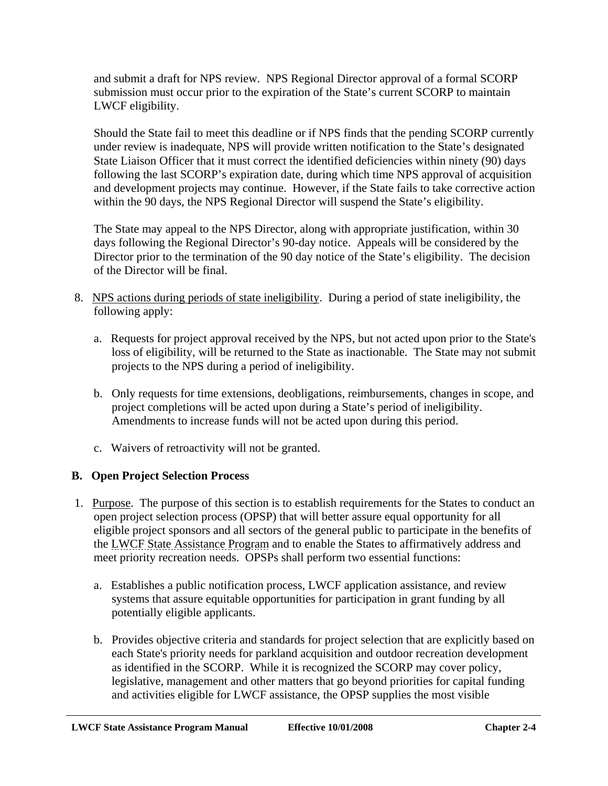<span id="page-23-0"></span>and submit a draft for NPS review. NPS Regional Director approval of a formal SCORP submission must occur prior to the expiration of the State's current SCORP to maintain LWCF eligibility.

Should the State fail to meet this deadline or if NPS finds that the pending SCORP currently under review is inadequate, NPS will provide written notification to the State's designated State Liaison Officer that it must correct the identified deficiencies within ninety (90) days following the last SCORP's expiration date, during which time NPS approval of acquisition and development projects may continue. However, if the State fails to take corrective action within the 90 days, the NPS Regional Director will suspend the State's eligibility.

The State may appeal to the NPS Director, along with appropriate justification, within 30 days following the Regional Director's 90-day notice. Appeals will be considered by the Director prior to the termination of the 90 day notice of the State's eligibility. The decision of the Director will be final.

- 8. NPS actions during periods of state ineligibility. During a period of state ineligibility, the following apply:
	- a. Requests for project approval received by the NPS, but not acted upon prior to the State's loss of eligibility, will be returned to the State as inactionable. The State may not submit projects to the NPS during a period of ineligibility.
	- b. Only requests for time extensions, deobligations, reimbursements, changes in scope, and project completions will be acted upon during a State's period of ineligibility. Amendments to increase funds will not be acted upon during this period.
	- c. Waivers of retroactivity will not be granted.

# **B. Open Project Selection Process**

- 1. Purpose. The purpose of this section is to establish requirements for the States to conduct an open project selection process (OPSP) that will better assure equal opportunity for all eligible project sponsors and all sectors of the general public to participate in the benefits of the LWCF State Assistance Program and to enable the States to affirmatively address and meet priority recreation needs. OPSPs shall perform two essential functions:
	- a. Establishes a public notification process, LWCF application assistance, and review systems that assure equitable opportunities for participation in grant funding by all potentially eligible applicants.
	- b. Provides objective criteria and standards for project selection that are explicitly based on each State's priority needs for parkland acquisition and outdoor recreation development as identified in the SCORP. While it is recognized the SCORP may cover policy, legislative, management and other matters that go beyond priorities for capital funding and activities eligible for LWCF assistance, the OPSP supplies the most visible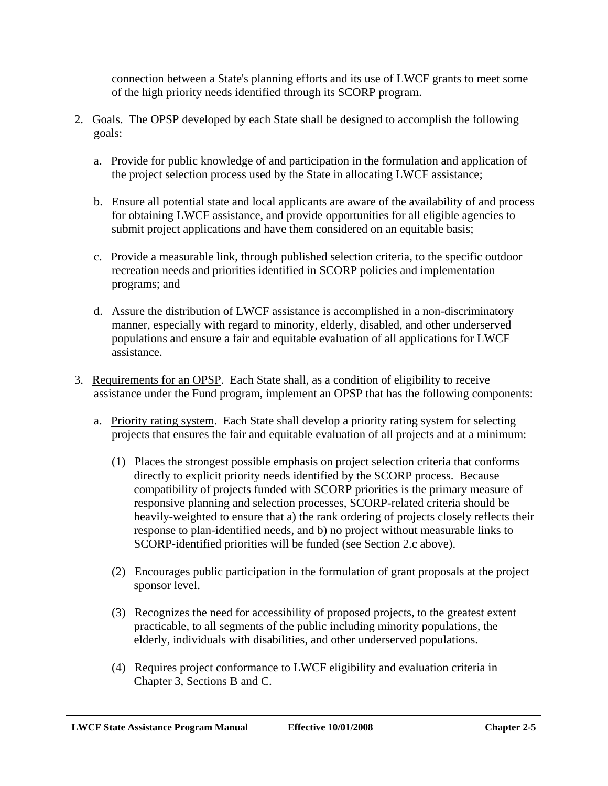connection between a State's planning efforts and its use of LWCF grants to meet some of the high priority needs identified through its SCORP program.

- 2. Goals. The OPSP developed by each State shall be designed to accomplish the following goals:
	- a. Provide for public knowledge of and participation in the formulation and application of the project selection process used by the State in allocating LWCF assistance;
	- b. Ensure all potential state and local applicants are aware of the availability of and process for obtaining LWCF assistance, and provide opportunities for all eligible agencies to submit project applications and have them considered on an equitable basis;
	- c. Provide a measurable link, through published selection criteria, to the specific outdoor recreation needs and priorities identified in SCORP policies and implementation programs; and
	- d. Assure the distribution of LWCF assistance is accomplished in a non-discriminatory manner, especially with regard to minority, elderly, disabled, and other underserved populations and ensure a fair and equitable evaluation of all applications for LWCF assistance.
- 3. Requirements for an OPSP. Each State shall, as a condition of eligibility to receive assistance under the Fund program, implement an OPSP that has the following components:
	- a. Priority rating system. Each State shall develop a priority rating system for selecting projects that ensures the fair and equitable evaluation of all projects and at a minimum:
		- (1) Places the strongest possible emphasis on project selection criteria that conforms directly to explicit priority needs identified by the SCORP process. Because compatibility of projects funded with SCORP priorities is the primary measure of responsive planning and selection processes, SCORP-related criteria should be heavily-weighted to ensure that a) the rank ordering of projects closely reflects their response to plan-identified needs, and b) no project without measurable links to SCORP-identified priorities will be funded (see Section 2.c above).
		- (2) Encourages public participation in the formulation of grant proposals at the project sponsor level.
		- (3) Recognizes the need for accessibility of proposed projects, to the greatest extent practicable, to all segments of the public including minority populations, the elderly, individuals with disabilities, and other underserved populations.
		- (4) Requires project conformance to LWCF eligibility and evaluation criteria in Chapter 3, Sections B and C.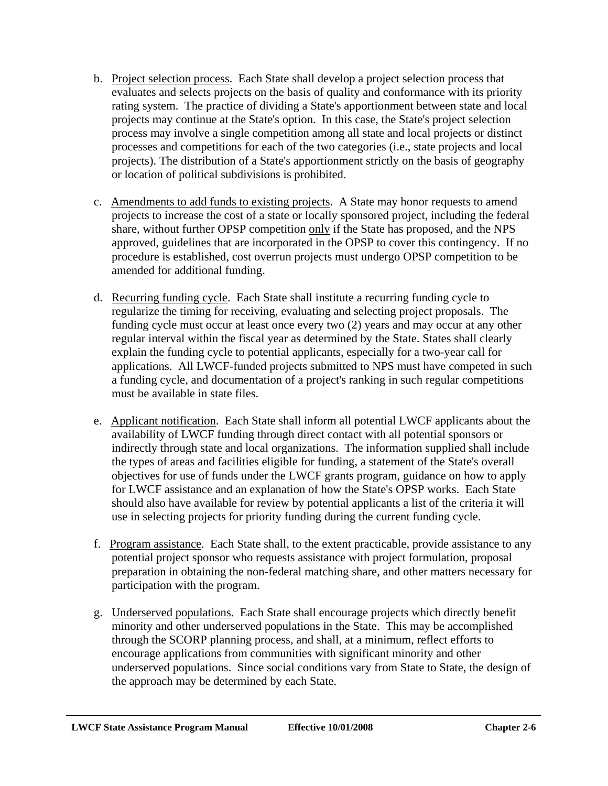- b. Project selection process. Each State shall develop a project selection process that evaluates and selects projects on the basis of quality and conformance with its priority rating system. The practice of dividing a State's apportionment between state and local projects may continue at the State's option. In this case, the State's project selection process may involve a single competition among all state and local projects or distinct processes and competitions for each of the two categories (i.e., state projects and local projects). The distribution of a State's apportionment strictly on the basis of geography or location of political subdivisions is prohibited.
- c. Amendments to add funds to existing projects. A State may honor requests to amend projects to increase the cost of a state or locally sponsored project, including the federal share, without further OPSP competition only if the State has proposed, and the NPS approved, guidelines that are incorporated in the OPSP to cover this contingency. If no procedure is established, cost overrun projects must undergo OPSP competition to be amended for additional funding.
- d. Recurring funding cycle. Each State shall institute a recurring funding cycle to regularize the timing for receiving, evaluating and selecting project proposals. The funding cycle must occur at least once every two (2) years and may occur at any other regular interval within the fiscal year as determined by the State. States shall clearly explain the funding cycle to potential applicants, especially for a two-year call for applications. All LWCF-funded projects submitted to NPS must have competed in such a funding cycle, and documentation of a project's ranking in such regular competitions must be available in state files.
- e. Applicant notification. Each State shall inform all potential LWCF applicants about the availability of LWCF funding through direct contact with all potential sponsors or indirectly through state and local organizations. The information supplied shall include the types of areas and facilities eligible for funding, a statement of the State's overall objectives for use of funds under the LWCF grants program, guidance on how to apply for LWCF assistance and an explanation of how the State's OPSP works. Each State should also have available for review by potential applicants a list of the criteria it will use in selecting projects for priority funding during the current funding cycle.
- f. Program assistance. Each State shall, to the extent practicable, provide assistance to any potential project sponsor who requests assistance with project formulation, proposal preparation in obtaining the non-federal matching share, and other matters necessary for participation with the program.
- g. Underserved populations. Each State shall encourage projects which directly benefit minority and other underserved populations in the State. This may be accomplished through the SCORP planning process, and shall, at a minimum, reflect efforts to encourage applications from communities with significant minority and other underserved populations. Since social conditions vary from State to State, the design of the approach may be determined by each State.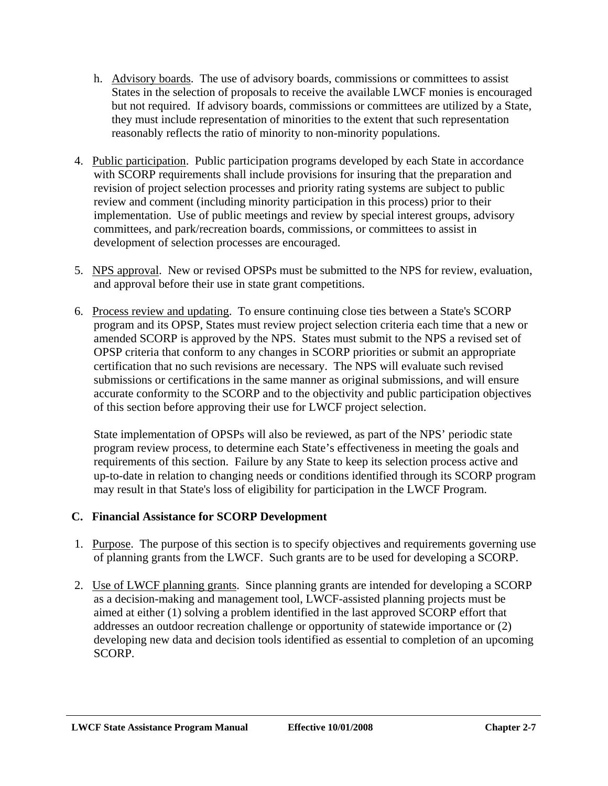- <span id="page-26-0"></span>h. Advisory boards. The use of advisory boards, commissions or committees to assist States in the selection of proposals to receive the available LWCF monies is encouraged but not required. If advisory boards, commissions or committees are utilized by a State, they must include representation of minorities to the extent that such representation reasonably reflects the ratio of minority to non-minority populations.
- 4. Public participation. Public participation programs developed by each State in accordance with SCORP requirements shall include provisions for insuring that the preparation and revision of project selection processes and priority rating systems are subject to public review and comment (including minority participation in this process) prior to their implementation. Use of public meetings and review by special interest groups, advisory committees, and park/recreation boards, commissions, or committees to assist in development of selection processes are encouraged.
- 5. NPS approval. New or revised OPSPs must be submitted to the NPS for review, evaluation, and approval before their use in state grant competitions.
- 6. Process review and updating. To ensure continuing close ties between a State's SCORP program and its OPSP, States must review project selection criteria each time that a new or amended SCORP is approved by the NPS. States must submit to the NPS a revised set of OPSP criteria that conform to any changes in SCORP priorities or submit an appropriate certification that no such revisions are necessary. The NPS will evaluate such revised submissions or certifications in the same manner as original submissions, and will ensure accurate conformity to the SCORP and to the objectivity and public participation objectives of this section before approving their use for LWCF project selection.

State implementation of OPSPs will also be reviewed, as part of the NPS' periodic state program review process, to determine each State's effectiveness in meeting the goals and requirements of this section. Failure by any State to keep its selection process active and up-to-date in relation to changing needs or conditions identified through its SCORP program may result in that State's loss of eligibility for participation in the LWCF Program.

# **C. Financial Assistance for SCORP Development**

- 1. Purpose. The purpose of this section is to specify objectives and requirements governing use of planning grants from the LWCF. Such grants are to be used for developing a SCORP.
- 2. Use of LWCF planning grants. Since planning grants are intended for developing a SCORP as a decision-making and management tool, LWCF-assisted planning projects must be aimed at either (1) solving a problem identified in the last approved SCORP effort that addresses an outdoor recreation challenge or opportunity of statewide importance or (2) developing new data and decision tools identified as essential to completion of an upcoming SCORP.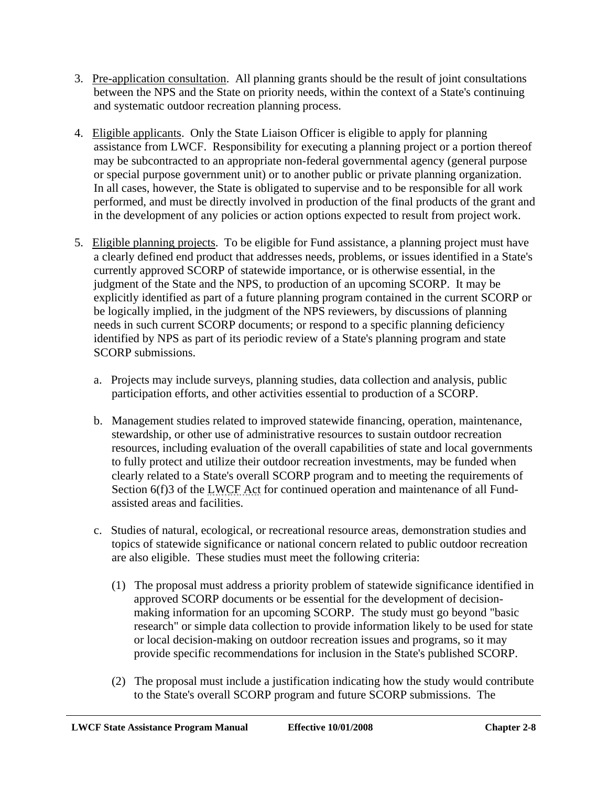- 3. Pre-application consultation. All planning grants should be the result of joint consultations between the NPS and the State on priority needs, within the context of a State's continuing and systematic outdoor recreation planning process.
- 4. Eligible applicants. Only the State Liaison Officer is eligible to apply for planning assistance from LWCF. Responsibility for executing a planning project or a portion thereof may be subcontracted to an appropriate non-federal governmental agency (general purpose or special purpose government unit) or to another public or private planning organization. In all cases, however, the State is obligated to supervise and to be responsible for all work performed, and must be directly involved in production of the final products of the grant and in the development of any policies or action options expected to result from project work.
- 5. Eligible planning projects. To be eligible for Fund assistance, a planning project must have a clearly defined end product that addresses needs, problems, or issues identified in a State's currently approved SCORP of statewide importance, or is otherwise essential, in the judgment of the State and the NPS, to production of an upcoming SCORP. It may be explicitly identified as part of a future planning program contained in the current SCORP or be logically implied, in the judgment of the NPS reviewers, by discussions of planning needs in such current SCORP documents; or respond to a specific planning deficiency identified by NPS as part of its periodic review of a State's planning program and state SCORP submissions.
	- a. Projects may include surveys, planning studies, data collection and analysis, public participation efforts, and other activities essential to production of a SCORP.
	- b. Management studies related to improved statewide financing, operation, maintenance, stewardship, or other use of administrative resources to sustain outdoor recreation resources, including evaluation of the overall capabilities of state and local governments to fully protect and utilize their outdoor recreation investments, may be funded when clearly related to a State's overall SCORP program and to meeting the requirements of Section 6(f)3 of the LWCF Act for continued operation and maintenance of all Fundassisted areas and facilities.
	- c. Studies of natural, ecological, or recreational resource areas, demonstration studies and topics of statewide significance or national concern related to public outdoor recreation are also eligible. These studies must meet the following criteria:
		- (1) The proposal must address a priority problem of statewide significance identified in approved SCORP documents or be essential for the development of decisionmaking information for an upcoming SCORP. The study must go beyond "basic research" or simple data collection to provide information likely to be used for state or local decision-making on outdoor recreation issues and programs, so it may provide specific recommendations for inclusion in the State's published SCORP.
		- (2) The proposal must include a justification indicating how the study would contribute to the State's overall SCORP program and future SCORP submissions. The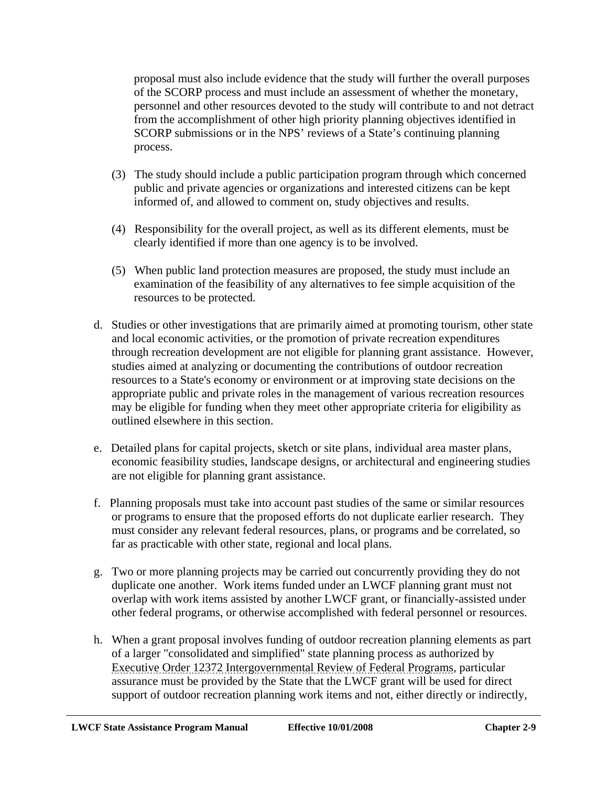proposal must also include evidence that the study will further the overall purposes of the SCORP process and must include an assessment of whether the monetary, personnel and other resources devoted to the study will contribute to and not detract from the accomplishment of other high priority planning objectives identified in SCORP submissions or in the NPS' reviews of a State's continuing planning process.

- (3) The study should include a public participation program through which concerned public and private agencies or organizations and interested citizens can be kept informed of, and allowed to comment on, study objectives and results.
- (4) Responsibility for the overall project, as well as its different elements, must be clearly identified if more than one agency is to be involved.
- (5) When public land protection measures are proposed, the study must include an examination of the feasibility of any alternatives to fee simple acquisition of the resources to be protected.
- d. Studies or other investigations that are primarily aimed at promoting tourism, other state and local economic activities, or the promotion of private recreation expenditures through recreation development are not eligible for planning grant assistance. However, studies aimed at analyzing or documenting the contributions of outdoor recreation resources to a State's economy or environment or at improving state decisions on the appropriate public and private roles in the management of various recreation resources may be eligible for funding when they meet other appropriate criteria for eligibility as outlined elsewhere in this section.
- e. Detailed plans for capital projects, sketch or site plans, individual area master plans, economic feasibility studies, landscape designs, or architectural and engineering studies are not eligible for planning grant assistance.
- f. Planning proposals must take into account past studies of the same or similar resources or programs to ensure that the proposed efforts do not duplicate earlier research. They must consider any relevant federal resources, plans, or programs and be correlated, so far as practicable with other state, regional and local plans.
- g. Two or more planning projects may be carried out concurrently providing they do not duplicate one another. Work items funded under an LWCF planning grant must not overlap with work items assisted by another LWCF grant, or financially-assisted under other federal programs, or otherwise accomplished with federal personnel or resources.
- h. When a grant proposal involves funding of outdoor recreation planning elements as part of a larger "consolidated and simplified" state planning process as authorized by Executive Order 12372 Intergovernmental Review of Federal Programs, particular assurance must be provided by the State that the LWCF grant will be used for direct support of outdoor recreation planning work items and not, either directly or indirectly,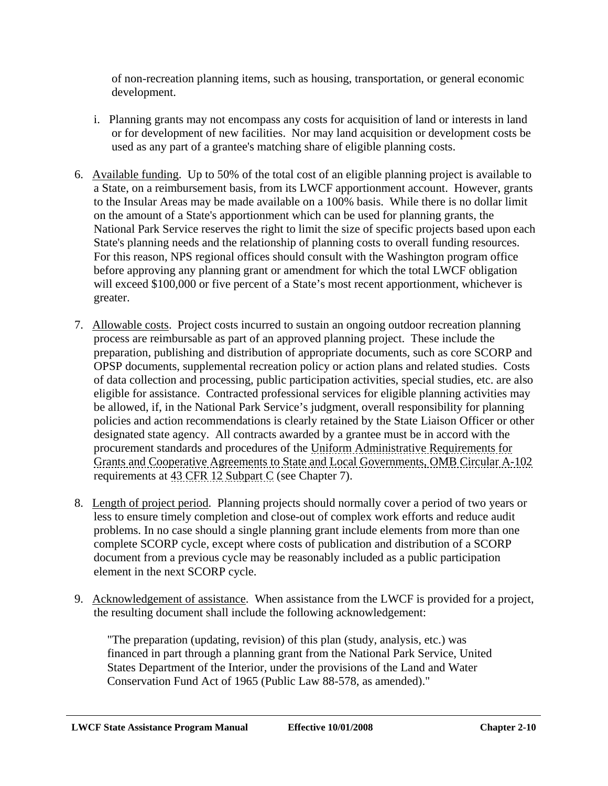of non-recreation planning items, such as housing, transportation, or general economic development.

- i. Planning grants may not encompass any costs for acquisition of land or interests in land or for development of new facilities. Nor may land acquisition or development costs be used as any part of a grantee's matching share of eligible planning costs.
- 6. Available funding. Up to 50% of the total cost of an eligible planning project is available to a State, on a reimbursement basis, from its LWCF apportionment account. However, grants to the Insular Areas may be made available on a 100% basis. While there is no dollar limit on the amount of a State's apportionment which can be used for planning grants, the National Park Service reserves the right to limit the size of specific projects based upon each State's planning needs and the relationship of planning costs to overall funding resources. For this reason, NPS regional offices should consult with the Washington program office before approving any planning grant or amendment for which the total LWCF obligation will exceed \$100,000 or five percent of a State's most recent apportionment, whichever is greater.
- 7. Allowable costs. Project costs incurred to sustain an ongoing outdoor recreation planning process are reimbursable as part of an approved planning project. These include the preparation, publishing and distribution of appropriate documents, such as core SCORP and OPSP documents, supplemental recreation policy or action plans and related studies. Costs of data collection and processing, public participation activities, special studies, etc. are also eligible for assistance. Contracted professional services for eligible planning activities may be allowed, if, in the National Park Service's judgment, overall responsibility for planning policies and action recommendations is clearly retained by the State Liaison Officer or other designated state agency. All contracts awarded by a grantee must be in accord with the procurement standards and procedures of the Uniform Administrative Requirements for Grants and Cooperative Agreements to State and Local Governments, OMB Circular A-102 requirements at 43 CFR 12 Subpart C (see Chapter 7).
- 8. Length of project period. Planning projects should normally cover a period of two years or less to ensure timely completion and close-out of complex work efforts and reduce audit problems. In no case should a single planning grant include elements from more than one complete SCORP cycle, except where costs of publication and distribution of a SCORP document from a previous cycle may be reasonably included as a public participation element in the next SCORP cycle.
- 9. Acknowledgement of assistance. When assistance from the LWCF is provided for a project, the resulting document shall include the following acknowledgement:

"The preparation (updating, revision) of this plan (study, analysis, etc.) was financed in part through a planning grant from the National Park Service, United States Department of the Interior, under the provisions of the Land and Water Conservation Fund Act of 1965 (Public Law 88-578, as amended)."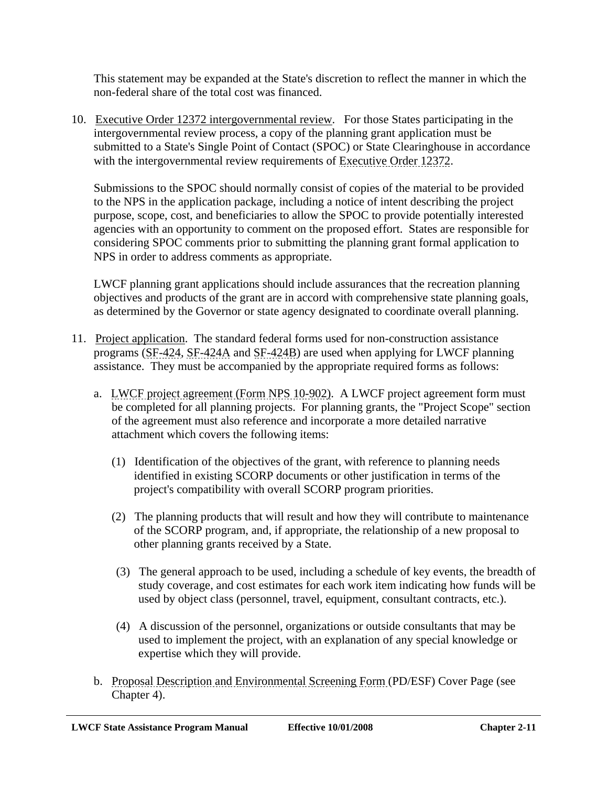This statement may be expanded at the State's discretion to reflect the manner in which the non-federal share of the total cost was financed.

10. Executive Order 12372 intergovernmental review. For those States participating in the intergovernmental review process, a copy of the planning grant application must be submitted to a State's Single Point of Contact (SPOC) or State Clearinghouse in accordance with the intergovernmental review requirements of Executive Order 12372.

Submissions to the SPOC should normally consist of copies of the material to be provided to the NPS in the application package, including a notice of intent describing the project purpose, scope, cost, and beneficiaries to allow the SPOC to provide potentially interested agencies with an opportunity to comment on the proposed effort. States are responsible for considering SPOC comments prior to submitting the planning grant formal application to NPS in order to address comments as appropriate.

LWCF planning grant applications should include assurances that the recreation planning objectives and products of the grant are in accord with comprehensive state planning goals, as determined by the Governor or state agency designated to coordinate overall planning.

- 11. Project application. The standard federal forms used for non-construction assistance programs (SF-424, SF-424A and SF-424B) are used when applying for LWCF planning assistance. They must be accompanied by the appropriate required forms as follows:
	- a. LWCF project agreement (Form NPS 10-902). A LWCF project agreement form must be completed for all planning projects. For planning grants, the "Project Scope" section of the agreement must also reference and incorporate a more detailed narrative attachment which covers the following items:
		- (1) Identification of the objectives of the grant, with reference to planning needs identified in existing SCORP documents or other justification in terms of the project's compatibility with overall SCORP program priorities.
		- (2) The planning products that will result and how they will contribute to maintenance of the SCORP program, and, if appropriate, the relationship of a new proposal to other planning grants received by a State.
		- (3) The general approach to be used, including a schedule of key events, the breadth of study coverage, and cost estimates for each work item indicating how funds will be used by object class (personnel, travel, equipment, consultant contracts, etc.).
		- (4) A discussion of the personnel, organizations or outside consultants that may be used to implement the project, with an explanation of any special knowledge or expertise which they will provide.
	- b. Proposal Description and Environmental Screening Form (PD/ESF) Cover Page (see Chapter 4).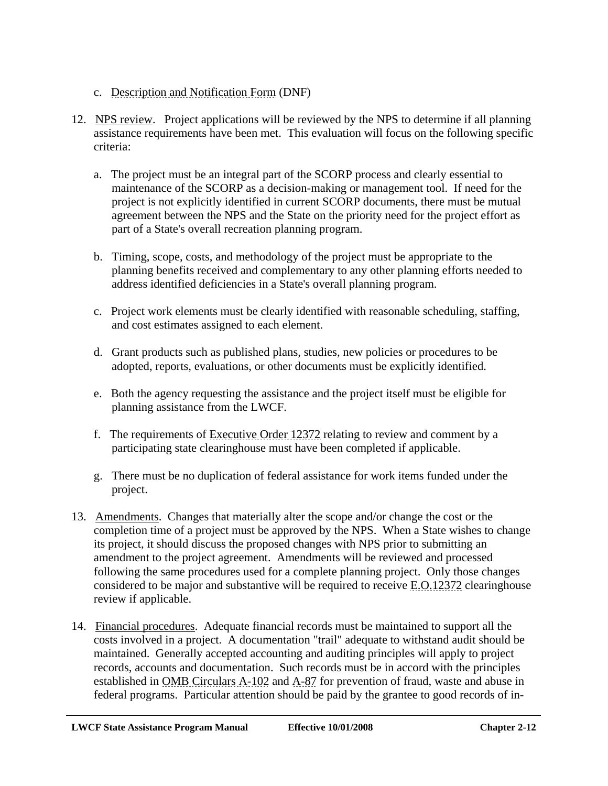- c. Description and Notification Form (DNF)
- 12. NPS review. Project applications will be reviewed by the NPS to determine if all planning assistance requirements have been met. This evaluation will focus on the following specific criteria:
	- a. The project must be an integral part of the SCORP process and clearly essential to maintenance of the SCORP as a decision-making or management tool. If need for the project is not explicitly identified in current SCORP documents, there must be mutual agreement between the NPS and the State on the priority need for the project effort as part of a State's overall recreation planning program.
	- b. Timing, scope, costs, and methodology of the project must be appropriate to the planning benefits received and complementary to any other planning efforts needed to address identified deficiencies in a State's overall planning program.
	- c. Project work elements must be clearly identified with reasonable scheduling, staffing, and cost estimates assigned to each element.
	- d. Grant products such as published plans, studies, new policies or procedures to be adopted, reports, evaluations, or other documents must be explicitly identified.
	- e. Both the agency requesting the assistance and the project itself must be eligible for planning assistance from the LWCF.
	- f. The requirements of Executive Order 12372 relating to review and comment by a participating state clearinghouse must have been completed if applicable.
	- g. There must be no duplication of federal assistance for work items funded under the project.
- 13. Amendments. Changes that materially alter the scope and/or change the cost or the completion time of a project must be approved by the NPS. When a State wishes to change its project, it should discuss the proposed changes with NPS prior to submitting an amendment to the project agreement. Amendments will be reviewed and processed following the same procedures used for a complete planning project. Only those changes considered to be major and substantive will be required to receive E.O.12372 clearinghouse review if applicable.
- 14. Financial procedures. Adequate financial records must be maintained to support all the costs involved in a project. A documentation "trail" adequate to withstand audit should be maintained. Generally accepted accounting and auditing principles will apply to project records, accounts and documentation. Such records must be in accord with the principles established in OMB Circulars A-102 and A-87 for prevention of fraud, waste and abuse in federal programs. Particular attention should be paid by the grantee to good records of in-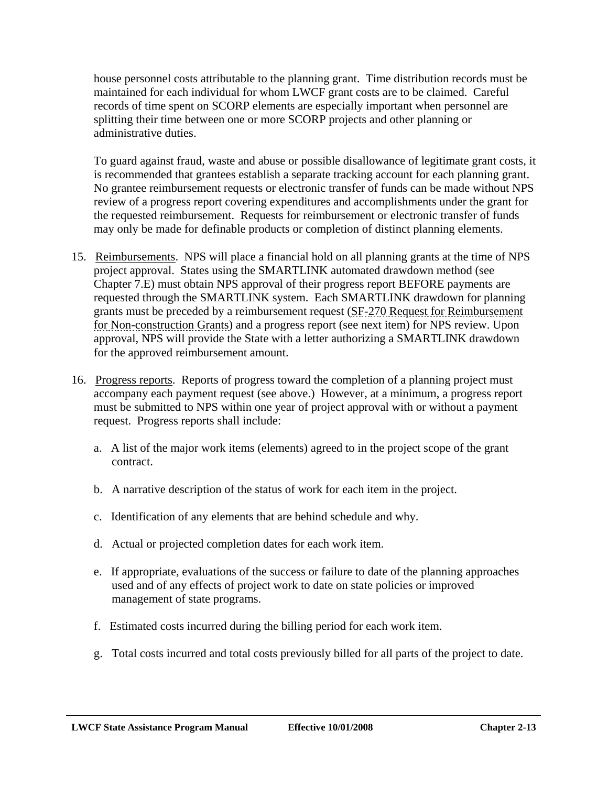house personnel costs attributable to the planning grant. Time distribution records must be maintained for each individual for whom LWCF grant costs are to be claimed. Careful records of time spent on SCORP elements are especially important when personnel are splitting their time between one or more SCORP projects and other planning or administrative duties.

To guard against fraud, waste and abuse or possible disallowance of legitimate grant costs, it is recommended that grantees establish a separate tracking account for each planning grant. No grantee reimbursement requests or electronic transfer of funds can be made without NPS review of a progress report covering expenditures and accomplishments under the grant for the requested reimbursement. Requests for reimbursement or electronic transfer of funds may only be made for definable products or completion of distinct planning elements.

- 15. Reimbursements. NPS will place a financial hold on all planning grants at the time of NPS project approval. States using the SMARTLINK automated drawdown method (see Chapter 7.E) must obtain NPS approval of their progress report BEFORE payments are requested through the SMARTLINK system. Each SMARTLINK drawdown for planning grants must be preceded by a reimbursement request (SF-270 Request for Reimbursement for Non-construction Grants) and a progress report (see next item) for NPS review. Upon approval, NPS will provide the State with a letter authorizing a SMARTLINK drawdown for the approved reimbursement amount.
- 16. Progress reports. Reports of progress toward the completion of a planning project must accompany each payment request (see above.) However, at a minimum, a progress report must be submitted to NPS within one year of project approval with or without a payment request. Progress reports shall include:
	- a. A list of the major work items (elements) agreed to in the project scope of the grant contract.
	- b. A narrative description of the status of work for each item in the project.
	- c. Identification of any elements that are behind schedule and why.
	- d. Actual or projected completion dates for each work item.
	- e. If appropriate, evaluations of the success or failure to date of the planning approaches used and of any effects of project work to date on state policies or improved management of state programs.
	- f. Estimated costs incurred during the billing period for each work item.
	- g. Total costs incurred and total costs previously billed for all parts of the project to date.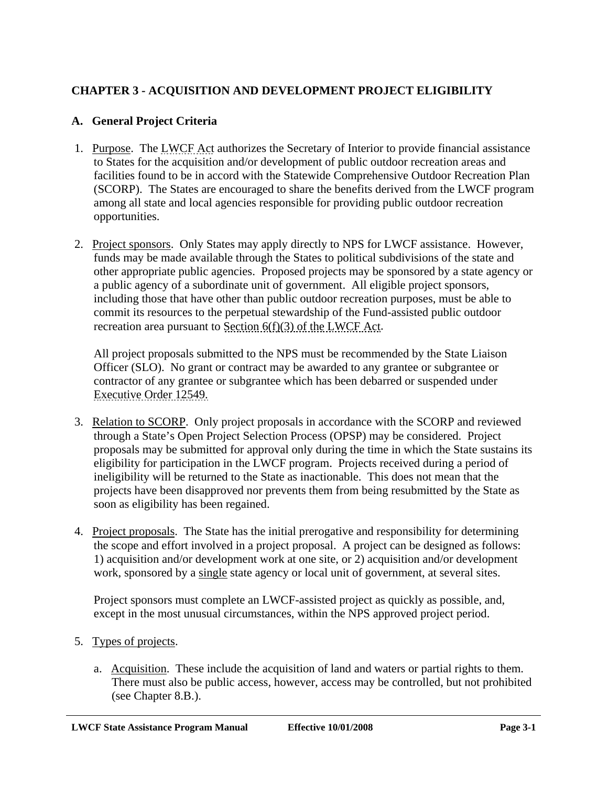# <span id="page-33-0"></span>**CHAPTER 3 - ACQUISITION AND DEVELOPMENT PROJECT ELIGIBILITY**

#### **A. General Project Criteria**

- 1. Purpose. The LWCF Act authorizes the Secretary of Interior to provide financial assistance to States for the acquisition and/or development of public outdoor recreation areas and facilities found to be in accord with the Statewide Comprehensive Outdoor Recreation Plan (SCORP). The States are encouraged to share the benefits derived from the LWCF program among all state and local agencies responsible for providing public outdoor recreation opportunities.
- 2. Project sponsors. Only States may apply directly to NPS for LWCF assistance. However, funds may be made available through the States to political subdivisions of the state and other appropriate public agencies. Proposed projects may be sponsored by a state agency or a public agency of a subordinate unit of government. All eligible project sponsors, including those that have other than public outdoor recreation purposes, must be able to commit its resources to the perpetual stewardship of the Fund-assisted public outdoor recreation area pursuant to Section 6(f)(3) of the LWCF Act.

All project proposals submitted to the NPS must be recommended by the State Liaison Officer (SLO). No grant or contract may be awarded to any grantee or subgrantee or contractor of any grantee or subgrantee which has been debarred or suspended under Executive Order 12549.

- 3. Relation to SCORP. Only project proposals in accordance with the SCORP and reviewed through a State's Open Project Selection Process (OPSP) may be considered. Project proposals may be submitted for approval only during the time in which the State sustains its eligibility for participation in the LWCF program. Projects received during a period of ineligibility will be returned to the State as inactionable. This does not mean that the projects have been disapproved nor prevents them from being resubmitted by the State as soon as eligibility has been regained.
- 4. Project proposals. The State has the initial prerogative and responsibility for determining the scope and effort involved in a project proposal. A project can be designed as follows: 1) acquisition and/or development work at one site, or 2) acquisition and/or development work, sponsored by a single state agency or local unit of government, at several sites.

Project sponsors must complete an LWCF-assisted project as quickly as possible, and, except in the most unusual circumstances, within the NPS approved project period.

- 5. Types of projects.
	- a. Acquisition. These include the acquisition of land and waters or partial rights to them. There must also be public access, however, access may be controlled, but not prohibited (see Chapter 8.B.).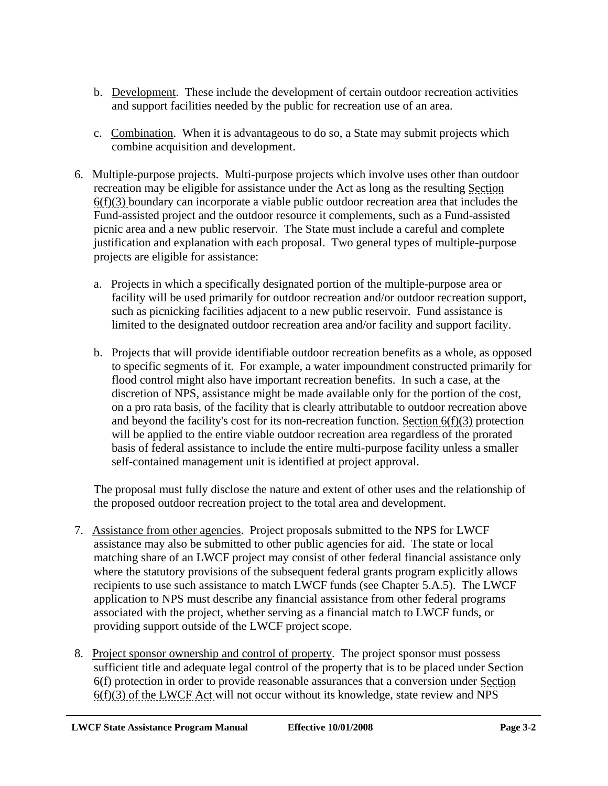- b. Development. These include the development of certain outdoor recreation activities and support facilities needed by the public for recreation use of an area.
- c. Combination. When it is advantageous to do so, a State may submit projects which combine acquisition and development.
- 6. Multiple-purpose projects. Multi-purpose projects which involve uses other than outdoor recreation may be eligible for assistance under the Act as long as the resulting Section 6(f)(3) boundary can incorporate a viable public outdoor recreation area that includes the Fund-assisted project and the outdoor resource it complements, such as a Fund-assisted picnic area and a new public reservoir. The State must include a careful and complete justification and explanation with each proposal. Two general types of multiple-purpose projects are eligible for assistance:
	- a. Projects in which a specifically designated portion of the multiple-purpose area or facility will be used primarily for outdoor recreation and/or outdoor recreation support, such as picnicking facilities adjacent to a new public reservoir. Fund assistance is limited to the designated outdoor recreation area and/or facility and support facility.
	- b. Projects that will provide identifiable outdoor recreation benefits as a whole, as opposed to specific segments of it. For example, a water impoundment constructed primarily for flood control might also have important recreation benefits. In such a case, at the discretion of NPS, assistance might be made available only for the portion of the cost, on a pro rata basis, of the facility that is clearly attributable to outdoor recreation above and beyond the facility's cost for its non-recreation function. Section  $6(f)(3)$  protection will be applied to the entire viable outdoor recreation area regardless of the prorated basis of federal assistance to include the entire multi-purpose facility unless a smaller self-contained management unit is identified at project approval.

The proposal must fully disclose the nature and extent of other uses and the relationship of the proposed outdoor recreation project to the total area and development.

- 7. Assistance from other agencies. Project proposals submitted to the NPS for LWCF assistance may also be submitted to other public agencies for aid. The state or local matching share of an LWCF project may consist of other federal financial assistance only where the statutory provisions of the subsequent federal grants program explicitly allows recipients to use such assistance to match LWCF funds (see Chapter 5.A.5). The LWCF application to NPS must describe any financial assistance from other federal programs associated with the project, whether serving as a financial match to LWCF funds, or providing support outside of the LWCF project scope.
- 8. Project sponsor ownership and control of property. The project sponsor must possess sufficient title and adequate legal control of the property that is to be placed under Section 6(f) protection in order to provide reasonable assurances that a conversion under Section  $6(f)(3)$  of the LWCF Act will not occur without its knowledge, state review and NPS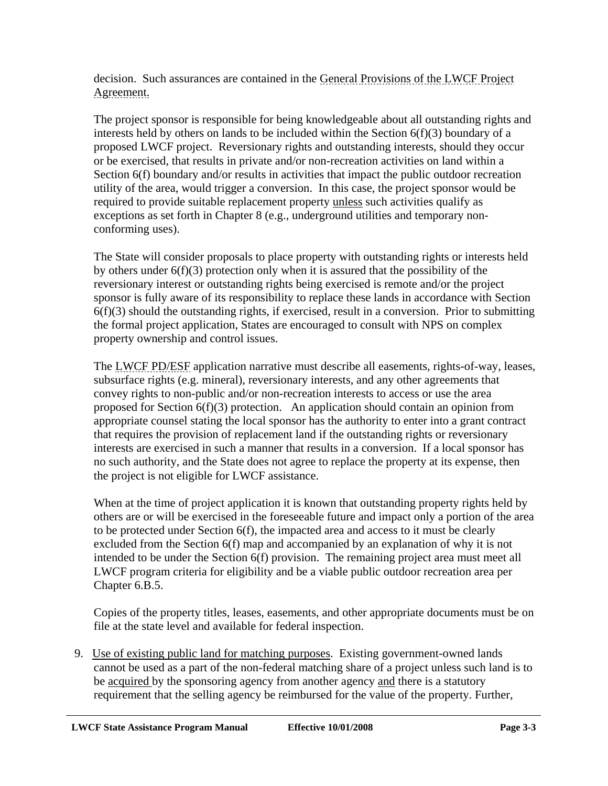decision. Such assurances are contained in the General Provisions of the LWCF Project Agreement.

The project sponsor is responsible for being knowledgeable about all outstanding rights and interests held by others on lands to be included within the Section 6(f)(3) boundary of a proposed LWCF project. Reversionary rights and outstanding interests, should they occur or be exercised, that results in private and/or non-recreation activities on land within a Section 6(f) boundary and/or results in activities that impact the public outdoor recreation utility of the area, would trigger a conversion. In this case, the project sponsor would be required to provide suitable replacement property unless such activities qualify as exceptions as set forth in Chapter 8 (e.g., underground utilities and temporary nonconforming uses).

The State will consider proposals to place property with outstanding rights or interests held by others under  $6(f)(3)$  protection only when it is assured that the possibility of the reversionary interest or outstanding rights being exercised is remote and/or the project sponsor is fully aware of its responsibility to replace these lands in accordance with Section  $6(f)(3)$  should the outstanding rights, if exercised, result in a conversion. Prior to submitting the formal project application, States are encouraged to consult with NPS on complex property ownership and control issues.

The LWCF PD/ESF application narrative must describe all easements, rights-of-way, leases, subsurface rights (e.g. mineral), reversionary interests, and any other agreements that convey rights to non-public and/or non-recreation interests to access or use the area proposed for Section 6(f)(3) protection. An application should contain an opinion from appropriate counsel stating the local sponsor has the authority to enter into a grant contract that requires the provision of replacement land if the outstanding rights or reversionary interests are exercised in such a manner that results in a conversion. If a local sponsor has no such authority, and the State does not agree to replace the property at its expense, then the project is not eligible for LWCF assistance.

When at the time of project application it is known that outstanding property rights held by others are or will be exercised in the foreseeable future and impact only a portion of the area to be protected under Section 6(f), the impacted area and access to it must be clearly excluded from the Section 6(f) map and accompanied by an explanation of why it is not intended to be under the Section 6(f) provision. The remaining project area must meet all LWCF program criteria for eligibility and be a viable public outdoor recreation area per Chapter 6.B.5.

Copies of the property titles, leases, easements, and other appropriate documents must be on file at the state level and available for federal inspection.

 9. Use of existing public land for matching purposes. Existing government-owned lands cannot be used as a part of the non-federal matching share of a project unless such land is to be acquired by the sponsoring agency from another agency and there is a statutory requirement that the selling agency be reimbursed for the value of the property. Further,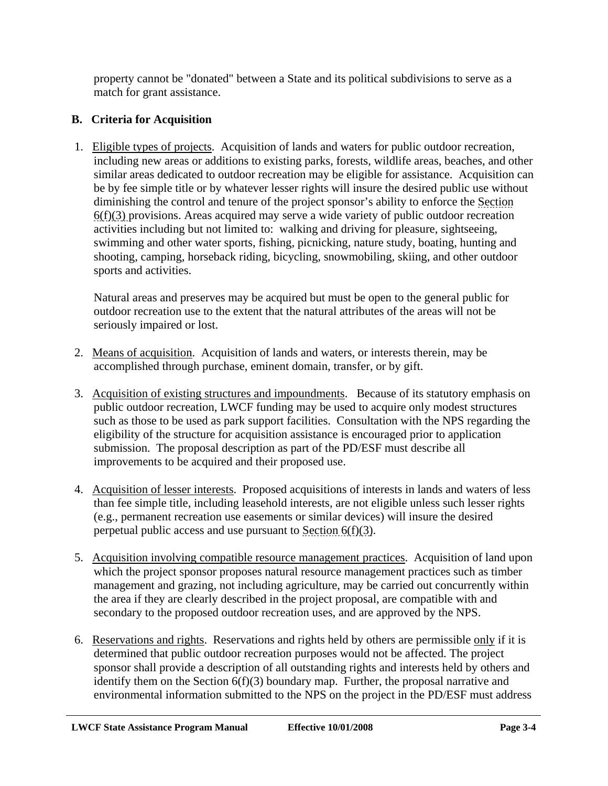property cannot be "donated" between a State and its political subdivisions to serve as a match for grant assistance.

# **B. Criteria for Acquisition**

 1. Eligible types of projects. Acquisition of lands and waters for public outdoor recreation, including new areas or additions to existing parks, forests, wildlife areas, beaches, and other similar areas dedicated to outdoor recreation may be eligible for assistance. Acquisition can be by fee simple title or by whatever lesser rights will insure the desired public use without diminishing the control and tenure of the project sponsor's ability to enforce the Section 6(f)(3) provisions. Areas acquired may serve a wide variety of public outdoor recreation activities including but not limited to: walking and driving for pleasure, sightseeing, swimming and other water sports, fishing, picnicking, nature study, boating, hunting and shooting, camping, horseback riding, bicycling, snowmobiling, skiing, and other outdoor sports and activities.

Natural areas and preserves may be acquired but must be open to the general public for outdoor recreation use to the extent that the natural attributes of the areas will not be seriously impaired or lost.

- 2. Means of acquisition. Acquisition of lands and waters, or interests therein, may be accomplished through purchase, eminent domain, transfer, or by gift.
- 3. Acquisition of existing structures and impoundments. Because of its statutory emphasis on public outdoor recreation, LWCF funding may be used to acquire only modest structures such as those to be used as park support facilities. Consultation with the NPS regarding the eligibility of the structure for acquisition assistance is encouraged prior to application submission. The proposal description as part of the PD/ESF must describe all improvements to be acquired and their proposed use.
- 4. Acquisition of lesser interests. Proposed acquisitions of interests in lands and waters of less than fee simple title, including leasehold interests, are not eligible unless such lesser rights (e.g., permanent recreation use easements or similar devices) will insure the desired perpetual public access and use pursuant to Section 6(f)(3).
- 5. Acquisition involving compatible resource management practices. Acquisition of land upon which the project sponsor proposes natural resource management practices such as timber management and grazing, not including agriculture, may be carried out concurrently within the area if they are clearly described in the project proposal, are compatible with and secondary to the proposed outdoor recreation uses, and are approved by the NPS.
- 6. Reservations and rights. Reservations and rights held by others are permissible only if it is determined that public outdoor recreation purposes would not be affected. The project sponsor shall provide a description of all outstanding rights and interests held by others and identify them on the Section  $6(f)(3)$  boundary map. Further, the proposal narrative and environmental information submitted to the NPS on the project in the PD/ESF must address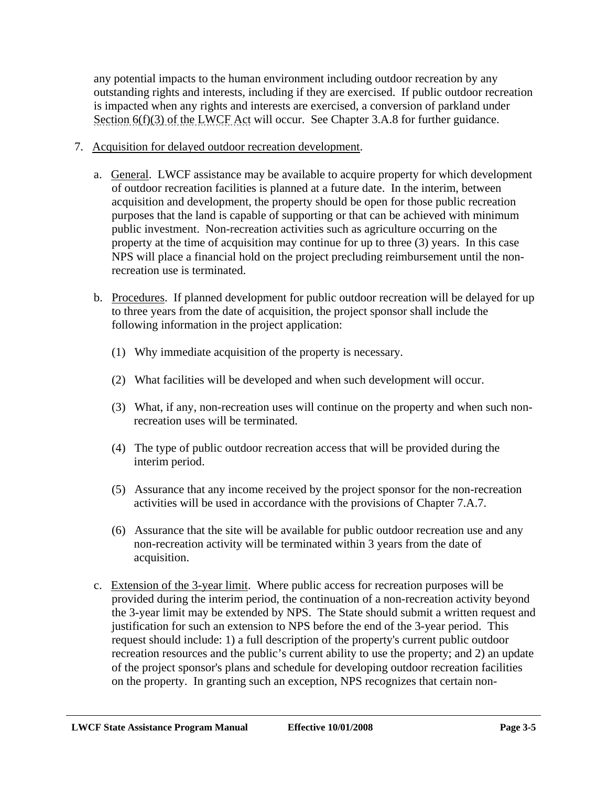any potential impacts to the human environment including outdoor recreation by any outstanding rights and interests, including if they are exercised. If public outdoor recreation is impacted when any rights and interests are exercised, a conversion of parkland under Section 6(f)(3) of the LWCF Act will occur. See Chapter 3.A.8 for further guidance.

- 7. Acquisition for delayed outdoor recreation development.
	- a. General. LWCF assistance may be available to acquire property for which development of outdoor recreation facilities is planned at a future date. In the interim, between acquisition and development, the property should be open for those public recreation purposes that the land is capable of supporting or that can be achieved with minimum public investment. Non-recreation activities such as agriculture occurring on the property at the time of acquisition may continue for up to three (3) years. In this case NPS will place a financial hold on the project precluding reimbursement until the nonrecreation use is terminated.
	- b. Procedures. If planned development for public outdoor recreation will be delayed for up to three years from the date of acquisition, the project sponsor shall include the following information in the project application:
		- (1) Why immediate acquisition of the property is necessary.
		- (2) What facilities will be developed and when such development will occur.
		- (3) What, if any, non-recreation uses will continue on the property and when such nonrecreation uses will be terminated.
		- (4) The type of public outdoor recreation access that will be provided during the interim period.
		- (5) Assurance that any income received by the project sponsor for the non-recreation activities will be used in accordance with the provisions of Chapter 7.A.7.
		- (6) Assurance that the site will be available for public outdoor recreation use and any non-recreation activity will be terminated within 3 years from the date of acquisition.
	- c. Extension of the 3-year limit. Where public access for recreation purposes will be provided during the interim period, the continuation of a non-recreation activity beyond the 3-year limit may be extended by NPS. The State should submit a written request and justification for such an extension to NPS before the end of the 3-year period. This request should include: 1) a full description of the property's current public outdoor recreation resources and the public's current ability to use the property; and 2) an update of the project sponsor's plans and schedule for developing outdoor recreation facilities on the property. In granting such an exception, NPS recognizes that certain non-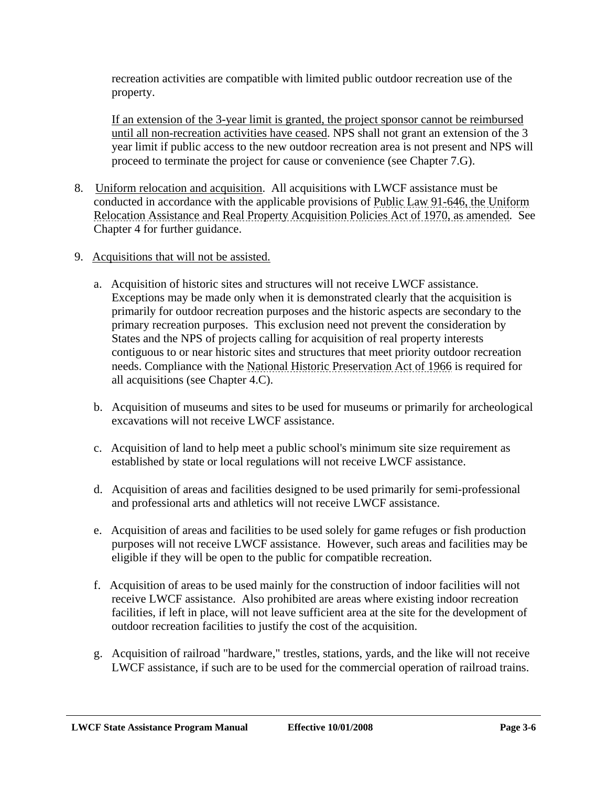recreation activities are compatible with limited public outdoor recreation use of the property.

If an extension of the 3-year limit is granted, the project sponsor cannot be reimbursed until all non-recreation activities have ceased. NPS shall not grant an extension of the 3 year limit if public access to the new outdoor recreation area is not present and NPS will proceed to terminate the project for cause or convenience (see Chapter 7.G).

- 8. Uniform relocation and acquisition. All acquisitions with LWCF assistance must be conducted in accordance with the applicable provisions of Public Law 91-646, the Uniform Relocation Assistance and Real Property Acquisition Policies Act of 1970, as amended. See Chapter 4 for further guidance.
- 9. Acquisitions that will not be assisted.
	- a. Acquisition of historic sites and structures will not receive LWCF assistance. Exceptions may be made only when it is demonstrated clearly that the acquisition is primarily for outdoor recreation purposes and the historic aspects are secondary to the primary recreation purposes. This exclusion need not prevent the consideration by States and the NPS of projects calling for acquisition of real property interests contiguous to or near historic sites and structures that meet priority outdoor recreation needs. Compliance with the National Historic Preservation Act of 1966 is required for all acquisitions (see Chapter 4.C).
	- b. Acquisition of museums and sites to be used for museums or primarily for archeological excavations will not receive LWCF assistance.
	- c. Acquisition of land to help meet a public school's minimum site size requirement as established by state or local regulations will not receive LWCF assistance.
	- d. Acquisition of areas and facilities designed to be used primarily for semi-professional and professional arts and athletics will not receive LWCF assistance.
	- e. Acquisition of areas and facilities to be used solely for game refuges or fish production purposes will not receive LWCF assistance. However, such areas and facilities may be eligible if they will be open to the public for compatible recreation.
	- f. Acquisition of areas to be used mainly for the construction of indoor facilities will not receive LWCF assistance. Also prohibited are areas where existing indoor recreation facilities, if left in place, will not leave sufficient area at the site for the development of outdoor recreation facilities to justify the cost of the acquisition.
	- g. Acquisition of railroad "hardware," trestles, stations, yards, and the like will not receive LWCF assistance, if such are to be used for the commercial operation of railroad trains.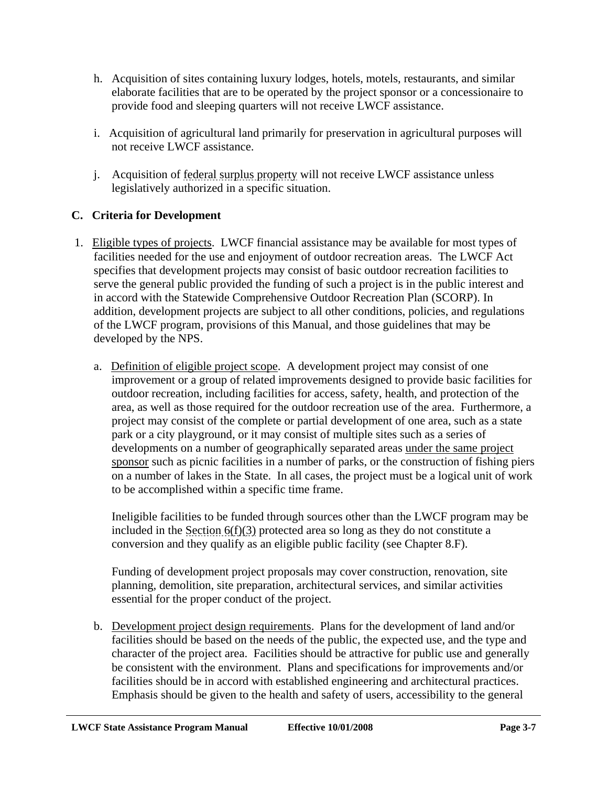- h. Acquisition of sites containing luxury lodges, hotels, motels, restaurants, and similar elaborate facilities that are to be operated by the project sponsor or a concessionaire to provide food and sleeping quarters will not receive LWCF assistance.
- i. Acquisition of agricultural land primarily for preservation in agricultural purposes will not receive LWCF assistance.
- j. Acquisition of federal surplus property will not receive LWCF assistance unless legislatively authorized in a specific situation.

# **C. Criteria for Development**

- 1. Eligible types of projects. LWCF financial assistance may be available for most types of facilities needed for the use and enjoyment of outdoor recreation areas. The LWCF Act specifies that development projects may consist of basic outdoor recreation facilities to serve the general public provided the funding of such a project is in the public interest and in accord with the Statewide Comprehensive Outdoor Recreation Plan (SCORP). In addition, development projects are subject to all other conditions, policies, and regulations of the LWCF program, provisions of this Manual, and those guidelines that may be developed by the NPS.
	- a. Definition of eligible project scope. A development project may consist of one improvement or a group of related improvements designed to provide basic facilities for outdoor recreation, including facilities for access, safety, health, and protection of the area, as well as those required for the outdoor recreation use of the area. Furthermore, a project may consist of the complete or partial development of one area, such as a state park or a city playground, or it may consist of multiple sites such as a series of developments on a number of geographically separated areas under the same project sponsor such as picnic facilities in a number of parks, or the construction of fishing piers on a number of lakes in the State. In all cases, the project must be a logical unit of work to be accomplished within a specific time frame.

Ineligible facilities to be funded through sources other than the LWCF program may be included in the Section 6(f)(3) protected area so long as they do not constitute a conversion and they qualify as an eligible public facility (see Chapter 8.F).

Funding of development project proposals may cover construction, renovation, site planning, demolition, site preparation, architectural services, and similar activities essential for the proper conduct of the project.

b. Development project design requirements. Plans for the development of land and/or facilities should be based on the needs of the public, the expected use, and the type and character of the project area. Facilities should be attractive for public use and generally be consistent with the environment. Plans and specifications for improvements and/or facilities should be in accord with established engineering and architectural practices. Emphasis should be given to the health and safety of users, accessibility to the general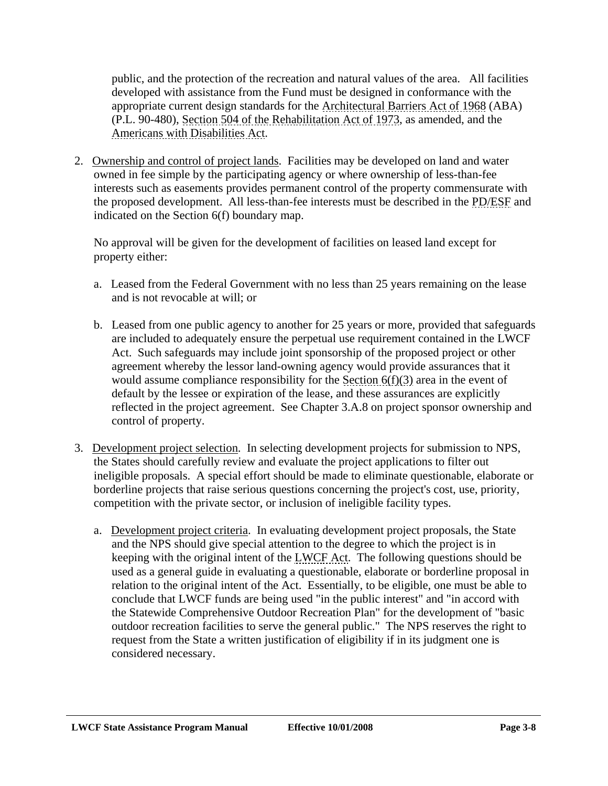public, and the protection of the recreation and natural values of the area. All facilities developed with assistance from the Fund must be designed in conformance with the appropriate current design standards for the Architectural Barriers Act of 1968 (ABA) (P.L. 90-480), Section 504 of the Rehabilitation Act of 1973, as amended, and the Americans with Disabilities Act.

 2. Ownership and control of project lands. Facilities may be developed on land and water owned in fee simple by the participating agency or where ownership of less-than-fee interests such as easements provides permanent control of the property commensurate with the proposed development. All less-than-fee interests must be described in the PD/ESF and indicated on the Section 6(f) boundary map.

No approval will be given for the development of facilities on leased land except for property either:

- a. Leased from the Federal Government with no less than 25 years remaining on the lease and is not revocable at will; or
- b. Leased from one public agency to another for 25 years or more, provided that safeguards are included to adequately ensure the perpetual use requirement contained in the LWCF Act. Such safeguards may include joint sponsorship of the proposed project or other agreement whereby the lessor land-owning agency would provide assurances that it would assume compliance responsibility for the Section 6(f)(3) area in the event of default by the lessee or expiration of the lease, and these assurances are explicitly reflected in the project agreement. See Chapter 3.A.8 on project sponsor ownership and control of property.
- 3. Development project selection. In selecting development projects for submission to NPS, the States should carefully review and evaluate the project applications to filter out ineligible proposals. A special effort should be made to eliminate questionable, elaborate or borderline projects that raise serious questions concerning the project's cost, use, priority, competition with the private sector, or inclusion of ineligible facility types.
	- a. Development project criteria. In evaluating development project proposals, the State and the NPS should give special attention to the degree to which the project is in keeping with the original intent of the LWCF Act. The following questions should be used as a general guide in evaluating a questionable, elaborate or borderline proposal in relation to the original intent of the Act. Essentially, to be eligible, one must be able to conclude that LWCF funds are being used "in the public interest" and "in accord with the Statewide Comprehensive Outdoor Recreation Plan" for the development of "basic outdoor recreation facilities to serve the general public." The NPS reserves the right to request from the State a written justification of eligibility if in its judgment one is considered necessary.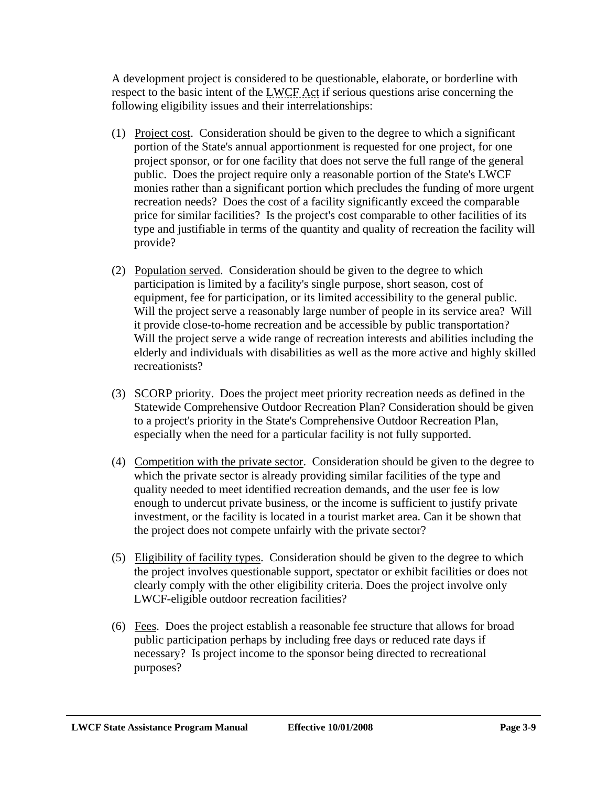A development project is considered to be questionable, elaborate, or borderline with respect to the basic intent of the LWCF Act if serious questions arise concerning the following eligibility issues and their interrelationships:

- (1) Project cost. Consideration should be given to the degree to which a significant portion of the State's annual apportionment is requested for one project, for one project sponsor, or for one facility that does not serve the full range of the general public. Does the project require only a reasonable portion of the State's LWCF monies rather than a significant portion which precludes the funding of more urgent recreation needs? Does the cost of a facility significantly exceed the comparable price for similar facilities? Is the project's cost comparable to other facilities of its type and justifiable in terms of the quantity and quality of recreation the facility will provide?
- (2) Population served. Consideration should be given to the degree to which participation is limited by a facility's single purpose, short season, cost of equipment, fee for participation, or its limited accessibility to the general public. Will the project serve a reasonably large number of people in its service area? Will it provide close-to-home recreation and be accessible by public transportation? Will the project serve a wide range of recreation interests and abilities including the elderly and individuals with disabilities as well as the more active and highly skilled recreationists?
- (3) SCORP priority. Does the project meet priority recreation needs as defined in the Statewide Comprehensive Outdoor Recreation Plan? Consideration should be given to a project's priority in the State's Comprehensive Outdoor Recreation Plan, especially when the need for a particular facility is not fully supported.
- (4) Competition with the private sector. Consideration should be given to the degree to which the private sector is already providing similar facilities of the type and quality needed to meet identified recreation demands, and the user fee is low enough to undercut private business, or the income is sufficient to justify private investment, or the facility is located in a tourist market area. Can it be shown that the project does not compete unfairly with the private sector?
- (5) Eligibility of facility types. Consideration should be given to the degree to which the project involves questionable support, spectator or exhibit facilities or does not clearly comply with the other eligibility criteria. Does the project involve only LWCF-eligible outdoor recreation facilities?
- (6) Fees. Does the project establish a reasonable fee structure that allows for broad public participation perhaps by including free days or reduced rate days if necessary? Is project income to the sponsor being directed to recreational purposes?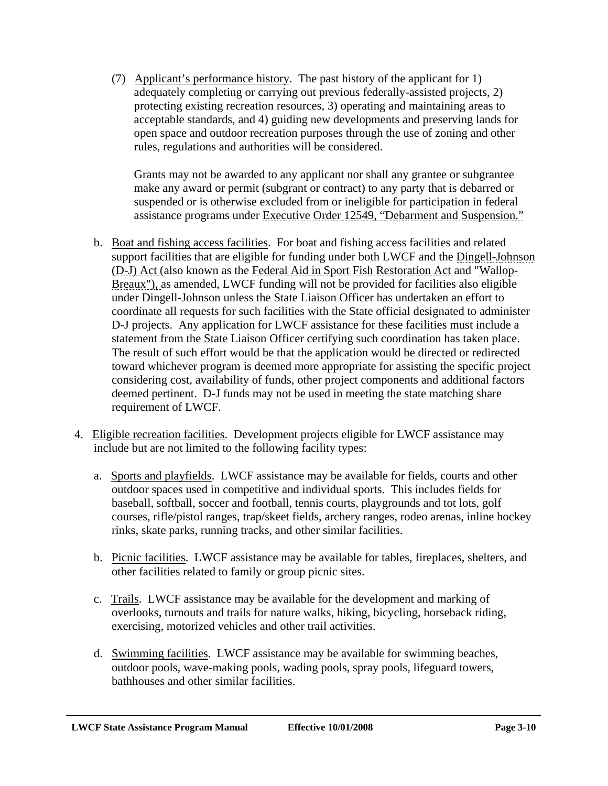(7) Applicant's performance history. The past history of the applicant for 1) adequately completing or carrying out previous federally-assisted projects, 2) protecting existing recreation resources, 3) operating and maintaining areas to acceptable standards, and 4) guiding new developments and preserving lands for open space and outdoor recreation purposes through the use of zoning and other rules, regulations and authorities will be considered.

Grants may not be awarded to any applicant nor shall any grantee or subgrantee make any award or permit (subgrant or contract) to any party that is debarred or suspended or is otherwise excluded from or ineligible for participation in federal assistance programs under Executive Order 12549, "Debarment and Suspension."

- b. Boat and fishing access facilities. For boat and fishing access facilities and related support facilities that are eligible for funding under both LWCF and the Dingell-Johnson (D-J) Act (also known as the Federal Aid in Sport Fish Restoration Act and "Wallop-Breaux"), as amended, LWCF funding will not be provided for facilities also eligible under Dingell-Johnson unless the State Liaison Officer has undertaken an effort to coordinate all requests for such facilities with the State official designated to administer D-J projects. Any application for LWCF assistance for these facilities must include a statement from the State Liaison Officer certifying such coordination has taken place. The result of such effort would be that the application would be directed or redirected toward whichever program is deemed more appropriate for assisting the specific project considering cost, availability of funds, other project components and additional factors deemed pertinent. D-J funds may not be used in meeting the state matching share requirement of LWCF.
- 4. Eligible recreation facilities. Development projects eligible for LWCF assistance may include but are not limited to the following facility types:
	- a. Sports and playfields. LWCF assistance may be available for fields, courts and other outdoor spaces used in competitive and individual sports. This includes fields for baseball, softball, soccer and football, tennis courts, playgrounds and tot lots, golf courses, rifle/pistol ranges, trap/skeet fields, archery ranges, rodeo arenas, inline hockey rinks, skate parks, running tracks, and other similar facilities.
	- b. Picnic facilities. LWCF assistance may be available for tables, fireplaces, shelters, and other facilities related to family or group picnic sites.
	- c. Trails. LWCF assistance may be available for the development and marking of overlooks, turnouts and trails for nature walks, hiking, bicycling, horseback riding, exercising, motorized vehicles and other trail activities.
	- d. Swimming facilities. LWCF assistance may be available for swimming beaches, outdoor pools, wave-making pools, wading pools, spray pools, lifeguard towers, bathhouses and other similar facilities.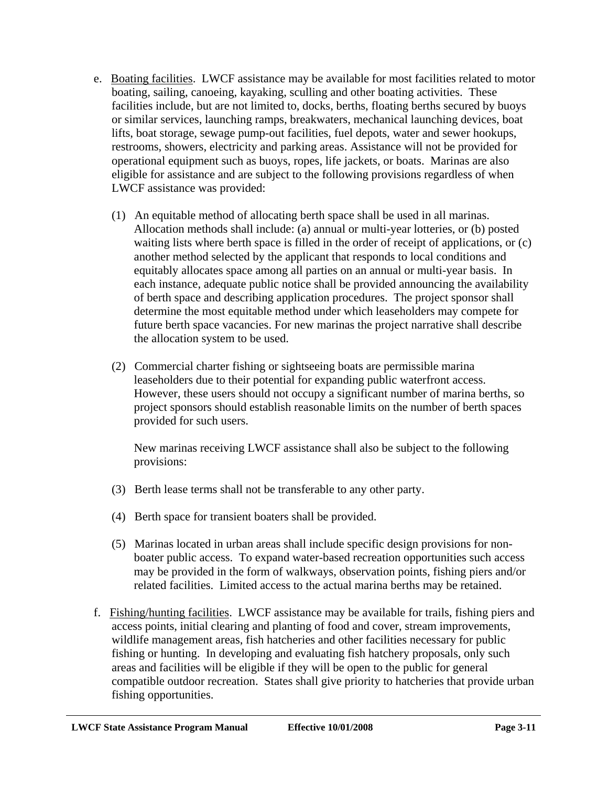- e. Boating facilities. LWCF assistance may be available for most facilities related to motor boating, sailing, canoeing, kayaking, sculling and other boating activities. These facilities include, but are not limited to, docks, berths, floating berths secured by buoys or similar services, launching ramps, breakwaters, mechanical launching devices, boat lifts, boat storage, sewage pump-out facilities, fuel depots, water and sewer hookups, restrooms, showers, electricity and parking areas. Assistance will not be provided for operational equipment such as buoys, ropes, life jackets, or boats. Marinas are also eligible for assistance and are subject to the following provisions regardless of when LWCF assistance was provided:
	- (1) An equitable method of allocating berth space shall be used in all marinas. Allocation methods shall include: (a) annual or multi-year lotteries, or (b) posted waiting lists where berth space is filled in the order of receipt of applications, or (c) another method selected by the applicant that responds to local conditions and equitably allocates space among all parties on an annual or multi-year basis. In each instance, adequate public notice shall be provided announcing the availability of berth space and describing application procedures. The project sponsor shall determine the most equitable method under which leaseholders may compete for future berth space vacancies. For new marinas the project narrative shall describe the allocation system to be used.
	- (2) Commercial charter fishing or sightseeing boats are permissible marina leaseholders due to their potential for expanding public waterfront access. However, these users should not occupy a significant number of marina berths, so project sponsors should establish reasonable limits on the number of berth spaces provided for such users.

New marinas receiving LWCF assistance shall also be subject to the following provisions:

- (3) Berth lease terms shall not be transferable to any other party.
- (4) Berth space for transient boaters shall be provided.
- (5) Marinas located in urban areas shall include specific design provisions for nonboater public access. To expand water-based recreation opportunities such access may be provided in the form of walkways, observation points, fishing piers and/or related facilities. Limited access to the actual marina berths may be retained.
- f. Fishing/hunting facilities. LWCF assistance may be available for trails, fishing piers and access points, initial clearing and planting of food and cover, stream improvements, wildlife management areas, fish hatcheries and other facilities necessary for public fishing or hunting. In developing and evaluating fish hatchery proposals, only such areas and facilities will be eligible if they will be open to the public for general compatible outdoor recreation. States shall give priority to hatcheries that provide urban fishing opportunities.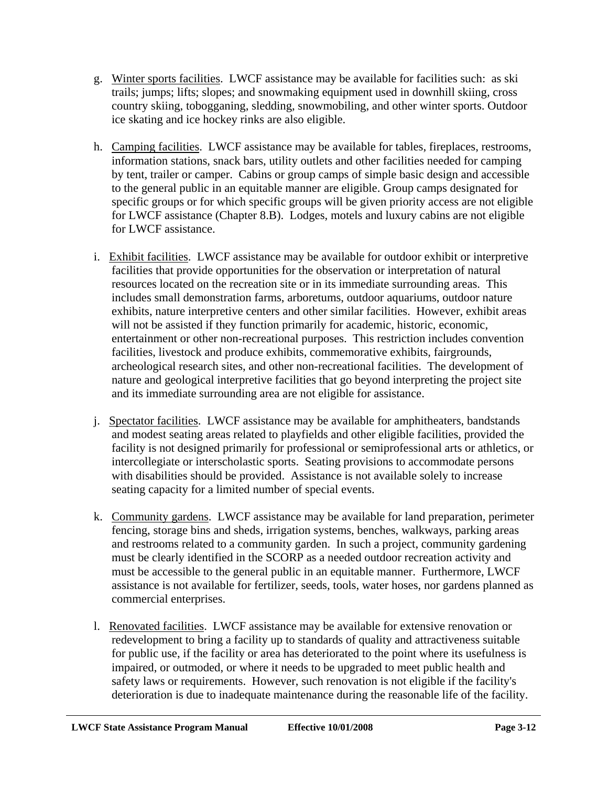- g. Winter sports facilities. LWCF assistance may be available for facilities such: as ski trails; jumps; lifts; slopes; and snowmaking equipment used in downhill skiing, cross country skiing, tobogganing, sledding, snowmobiling, and other winter sports. Outdoor ice skating and ice hockey rinks are also eligible.
- h. Camping facilities. LWCF assistance may be available for tables, fireplaces, restrooms, information stations, snack bars, utility outlets and other facilities needed for camping by tent, trailer or camper. Cabins or group camps of simple basic design and accessible to the general public in an equitable manner are eligible. Group camps designated for specific groups or for which specific groups will be given priority access are not eligible for LWCF assistance (Chapter 8.B). Lodges, motels and luxury cabins are not eligible for LWCF assistance.
- i. Exhibit facilities. LWCF assistance may be available for outdoor exhibit or interpretive facilities that provide opportunities for the observation or interpretation of natural resources located on the recreation site or in its immediate surrounding areas. This includes small demonstration farms, arboretums, outdoor aquariums, outdoor nature exhibits, nature interpretive centers and other similar facilities. However, exhibit areas will not be assisted if they function primarily for academic, historic, economic, entertainment or other non-recreational purposes. This restriction includes convention facilities, livestock and produce exhibits, commemorative exhibits, fairgrounds, archeological research sites, and other non-recreational facilities. The development of nature and geological interpretive facilities that go beyond interpreting the project site and its immediate surrounding area are not eligible for assistance.
- j. Spectator facilities. LWCF assistance may be available for amphitheaters, bandstands and modest seating areas related to playfields and other eligible facilities, provided the facility is not designed primarily for professional or semiprofessional arts or athletics, or intercollegiate or interscholastic sports. Seating provisions to accommodate persons with disabilities should be provided. Assistance is not available solely to increase seating capacity for a limited number of special events.
- k. Community gardens. LWCF assistance may be available for land preparation, perimeter fencing, storage bins and sheds, irrigation systems, benches, walkways, parking areas and restrooms related to a community garden. In such a project, community gardening must be clearly identified in the SCORP as a needed outdoor recreation activity and must be accessible to the general public in an equitable manner. Furthermore, LWCF assistance is not available for fertilizer, seeds, tools, water hoses, nor gardens planned as commercial enterprises.
- l. Renovated facilities. LWCF assistance may be available for extensive renovation or redevelopment to bring a facility up to standards of quality and attractiveness suitable for public use, if the facility or area has deteriorated to the point where its usefulness is impaired, or outmoded, or where it needs to be upgraded to meet public health and safety laws or requirements. However, such renovation is not eligible if the facility's deterioration is due to inadequate maintenance during the reasonable life of the facility.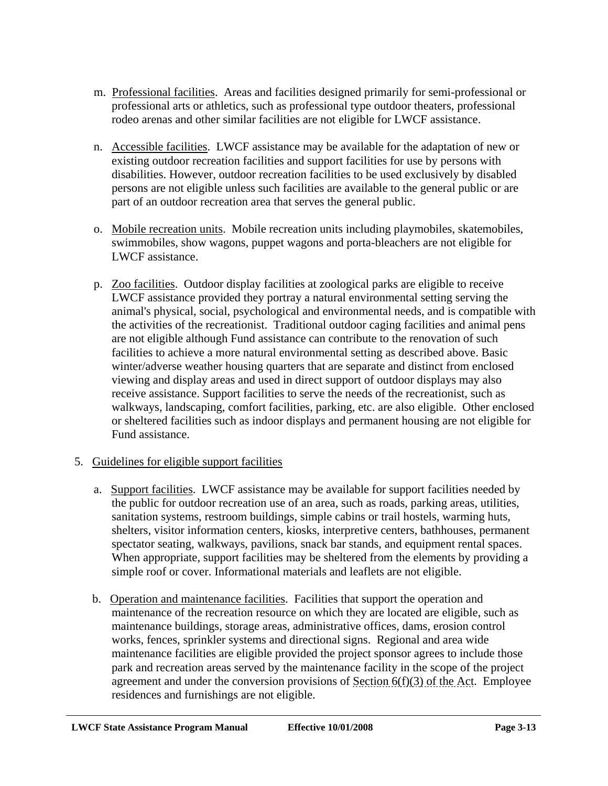- m. Professional facilities. Areas and facilities designed primarily for semi-professional or professional arts or athletics, such as professional type outdoor theaters, professional rodeo arenas and other similar facilities are not eligible for LWCF assistance.
- n. Accessible facilities. LWCF assistance may be available for the adaptation of new or existing outdoor recreation facilities and support facilities for use by persons with disabilities. However, outdoor recreation facilities to be used exclusively by disabled persons are not eligible unless such facilities are available to the general public or are part of an outdoor recreation area that serves the general public.
- o. Mobile recreation units. Mobile recreation units including playmobiles, skatemobiles, swimmobiles, show wagons, puppet wagons and porta-bleachers are not eligible for LWCF assistance.
- p. Zoo facilities. Outdoor display facilities at zoological parks are eligible to receive LWCF assistance provided they portray a natural environmental setting serving the animal's physical, social, psychological and environmental needs, and is compatible with the activities of the recreationist. Traditional outdoor caging facilities and animal pens are not eligible although Fund assistance can contribute to the renovation of such facilities to achieve a more natural environmental setting as described above. Basic winter/adverse weather housing quarters that are separate and distinct from enclosed viewing and display areas and used in direct support of outdoor displays may also receive assistance. Support facilities to serve the needs of the recreationist, such as walkways, landscaping, comfort facilities, parking, etc. are also eligible. Other enclosed or sheltered facilities such as indoor displays and permanent housing are not eligible for Fund assistance.

# 5. Guidelines for eligible support facilities

- a. Support facilities. LWCF assistance may be available for support facilities needed by the public for outdoor recreation use of an area, such as roads, parking areas, utilities, sanitation systems, restroom buildings, simple cabins or trail hostels, warming huts, shelters, visitor information centers, kiosks, interpretive centers, bathhouses, permanent spectator seating, walkways, pavilions, snack bar stands, and equipment rental spaces. When appropriate, support facilities may be sheltered from the elements by providing a simple roof or cover. Informational materials and leaflets are not eligible.
- b. Operation and maintenance facilities. Facilities that support the operation and maintenance of the recreation resource on which they are located are eligible, such as maintenance buildings, storage areas, administrative offices, dams, erosion control works, fences, sprinkler systems and directional signs. Regional and area wide maintenance facilities are eligible provided the project sponsor agrees to include those park and recreation areas served by the maintenance facility in the scope of the project agreement and under the conversion provisions of Section  $6(f)(3)$  of the Act. Employee residences and furnishings are not eligible.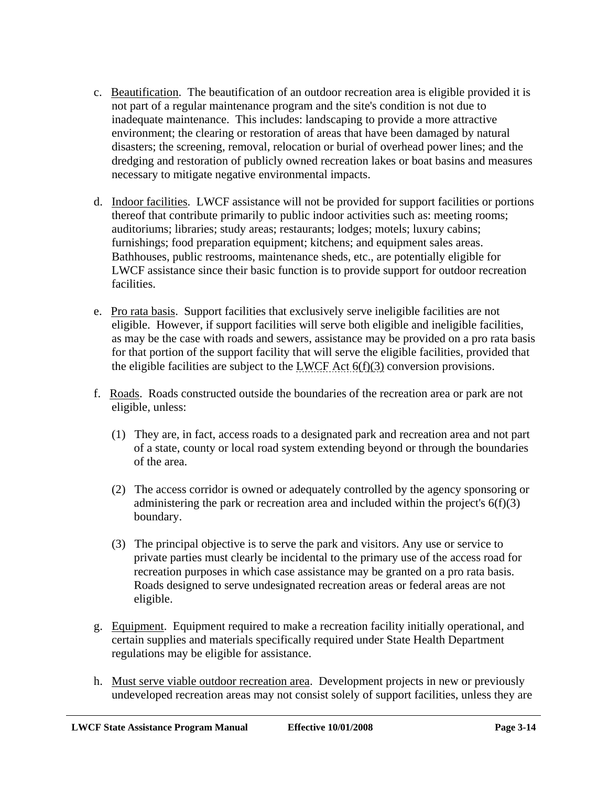- c. Beautification. The beautification of an outdoor recreation area is eligible provided it is not part of a regular maintenance program and the site's condition is not due to inadequate maintenance. This includes: landscaping to provide a more attractive environment; the clearing or restoration of areas that have been damaged by natural disasters; the screening, removal, relocation or burial of overhead power lines; and the dredging and restoration of publicly owned recreation lakes or boat basins and measures necessary to mitigate negative environmental impacts.
- d. Indoor facilities. LWCF assistance will not be provided for support facilities or portions thereof that contribute primarily to public indoor activities such as: meeting rooms; auditoriums; libraries; study areas; restaurants; lodges; motels; luxury cabins; furnishings; food preparation equipment; kitchens; and equipment sales areas. Bathhouses, public restrooms, maintenance sheds, etc., are potentially eligible for LWCF assistance since their basic function is to provide support for outdoor recreation facilities.
- e. Pro rata basis. Support facilities that exclusively serve ineligible facilities are not eligible. However, if support facilities will serve both eligible and ineligible facilities, as may be the case with roads and sewers, assistance may be provided on a pro rata basis for that portion of the support facility that will serve the eligible facilities, provided that the eligible facilities are subject to the LWCF Act  $6(f)(3)$  conversion provisions.
- f. Roads. Roads constructed outside the boundaries of the recreation area or park are not eligible, unless:
	- (1) They are, in fact, access roads to a designated park and recreation area and not part of a state, county or local road system extending beyond or through the boundaries of the area.
	- (2) The access corridor is owned or adequately controlled by the agency sponsoring or administering the park or recreation area and included within the project's  $6(f)(3)$ boundary.
	- (3) The principal objective is to serve the park and visitors. Any use or service to private parties must clearly be incidental to the primary use of the access road for recreation purposes in which case assistance may be granted on a pro rata basis. Roads designed to serve undesignated recreation areas or federal areas are not eligible.
- g. Equipment. Equipment required to make a recreation facility initially operational, and certain supplies and materials specifically required under State Health Department regulations may be eligible for assistance.
- h. Must serve viable outdoor recreation area. Development projects in new or previously undeveloped recreation areas may not consist solely of support facilities, unless they are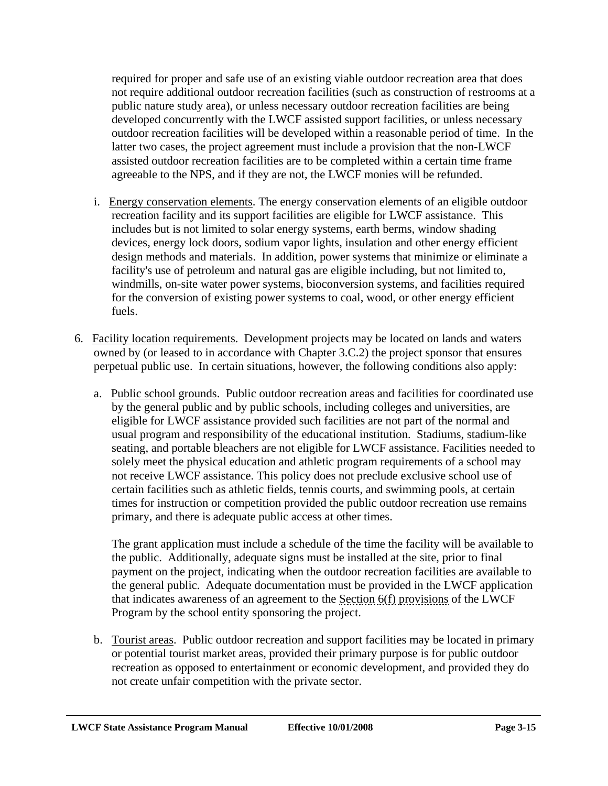required for proper and safe use of an existing viable outdoor recreation area that does not require additional outdoor recreation facilities (such as construction of restrooms at a public nature study area), or unless necessary outdoor recreation facilities are being developed concurrently with the LWCF assisted support facilities, or unless necessary outdoor recreation facilities will be developed within a reasonable period of time. In the latter two cases, the project agreement must include a provision that the non-LWCF assisted outdoor recreation facilities are to be completed within a certain time frame agreeable to the NPS, and if they are not, the LWCF monies will be refunded.

- i. Energy conservation elements. The energy conservation elements of an eligible outdoor recreation facility and its support facilities are eligible for LWCF assistance. This includes but is not limited to solar energy systems, earth berms, window shading devices, energy lock doors, sodium vapor lights, insulation and other energy efficient design methods and materials. In addition, power systems that minimize or eliminate a facility's use of petroleum and natural gas are eligible including, but not limited to, windmills, on-site water power systems, bioconversion systems, and facilities required for the conversion of existing power systems to coal, wood, or other energy efficient fuels.
- 6. Facility location requirements. Development projects may be located on lands and waters owned by (or leased to in accordance with Chapter 3.C.2) the project sponsor that ensures perpetual public use. In certain situations, however, the following conditions also apply:
	- a. Public school grounds. Public outdoor recreation areas and facilities for coordinated use by the general public and by public schools, including colleges and universities, are eligible for LWCF assistance provided such facilities are not part of the normal and usual program and responsibility of the educational institution. Stadiums, stadium-like seating, and portable bleachers are not eligible for LWCF assistance. Facilities needed to solely meet the physical education and athletic program requirements of a school may not receive LWCF assistance. This policy does not preclude exclusive school use of certain facilities such as athletic fields, tennis courts, and swimming pools, at certain times for instruction or competition provided the public outdoor recreation use remains primary, and there is adequate public access at other times.

The grant application must include a schedule of the time the facility will be available to the public. Additionally, adequate signs must be installed at the site, prior to final payment on the project, indicating when the outdoor recreation facilities are available to the general public. Adequate documentation must be provided in the LWCF application that indicates awareness of an agreement to the Section  $6(f)$  provisions of the LWCF Program by the school entity sponsoring the project.

b. Tourist areas. Public outdoor recreation and support facilities may be located in primary or potential tourist market areas, provided their primary purpose is for public outdoor recreation as opposed to entertainment or economic development, and provided they do not create unfair competition with the private sector.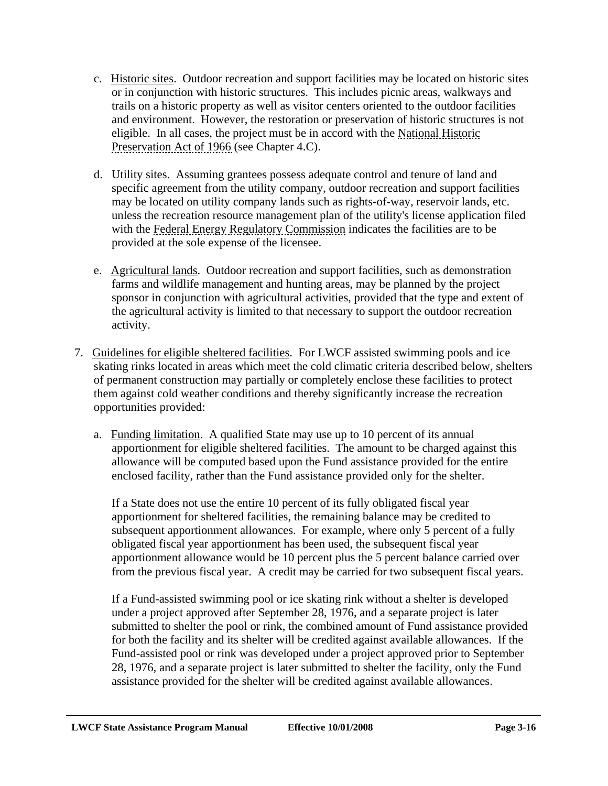- c. Historic sites. Outdoor recreation and support facilities may be located on historic sites or in conjunction with historic structures. This includes picnic areas, walkways and trails on a historic property as well as visitor centers oriented to the outdoor facilities and environment. However, the restoration or preservation of historic structures is not eligible. In all cases, the project must be in accord with the National Historic Preservation Act of 1966 (see Chapter 4.C).
- d. Utility sites. Assuming grantees possess adequate control and tenure of land and specific agreement from the utility company, outdoor recreation and support facilities may be located on utility company lands such as rights-of-way, reservoir lands, etc. unless the recreation resource management plan of the utility's license application filed with the Federal Energy Regulatory Commission indicates the facilities are to be provided at the sole expense of the licensee.
- e. Agricultural lands. Outdoor recreation and support facilities, such as demonstration farms and wildlife management and hunting areas, may be planned by the project sponsor in conjunction with agricultural activities, provided that the type and extent of the agricultural activity is limited to that necessary to support the outdoor recreation activity.
- 7. Guidelines for eligible sheltered facilities. For LWCF assisted swimming pools and ice skating rinks located in areas which meet the cold climatic criteria described below, shelters of permanent construction may partially or completely enclose these facilities to protect them against cold weather conditions and thereby significantly increase the recreation opportunities provided:
	- a. Funding limitation. A qualified State may use up to 10 percent of its annual apportionment for eligible sheltered facilities. The amount to be charged against this allowance will be computed based upon the Fund assistance provided for the entire enclosed facility, rather than the Fund assistance provided only for the shelter.

If a State does not use the entire 10 percent of its fully obligated fiscal year apportionment for sheltered facilities, the remaining balance may be credited to subsequent apportionment allowances. For example, where only 5 percent of a fully obligated fiscal year apportionment has been used, the subsequent fiscal year apportionment allowance would be 10 percent plus the 5 percent balance carried over from the previous fiscal year. A credit may be carried for two subsequent fiscal years.

If a Fund-assisted swimming pool or ice skating rink without a shelter is developed under a project approved after September 28, 1976, and a separate project is later submitted to shelter the pool or rink, the combined amount of Fund assistance provided for both the facility and its shelter will be credited against available allowances. If the Fund-assisted pool or rink was developed under a project approved prior to September 28, 1976, and a separate project is later submitted to shelter the facility, only the Fund assistance provided for the shelter will be credited against available allowances.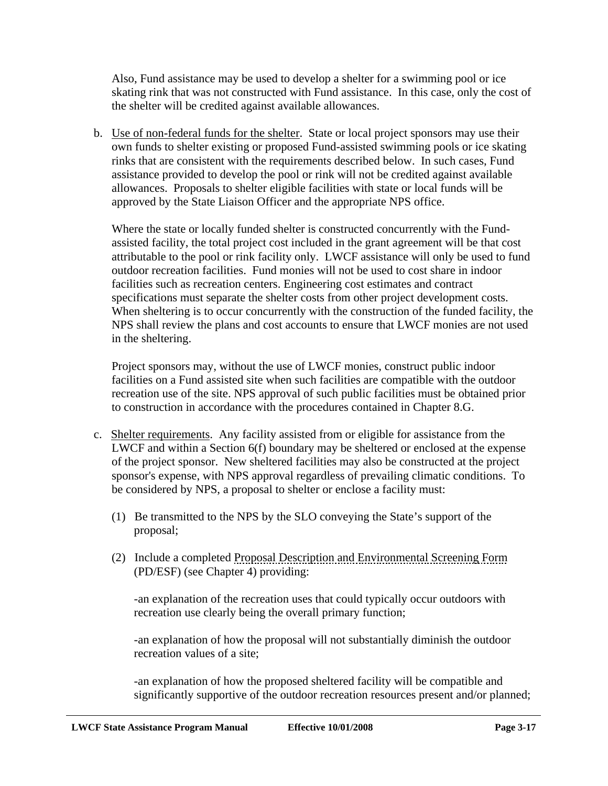Also, Fund assistance may be used to develop a shelter for a swimming pool or ice skating rink that was not constructed with Fund assistance. In this case, only the cost of the shelter will be credited against available allowances.

b. Use of non-federal funds for the shelter. State or local project sponsors may use their own funds to shelter existing or proposed Fund-assisted swimming pools or ice skating rinks that are consistent with the requirements described below. In such cases, Fund assistance provided to develop the pool or rink will not be credited against available allowances. Proposals to shelter eligible facilities with state or local funds will be approved by the State Liaison Officer and the appropriate NPS office.

Where the state or locally funded shelter is constructed concurrently with the Fundassisted facility, the total project cost included in the grant agreement will be that cost attributable to the pool or rink facility only. LWCF assistance will only be used to fund outdoor recreation facilities. Fund monies will not be used to cost share in indoor facilities such as recreation centers. Engineering cost estimates and contract specifications must separate the shelter costs from other project development costs. When sheltering is to occur concurrently with the construction of the funded facility, the NPS shall review the plans and cost accounts to ensure that LWCF monies are not used in the sheltering.

Project sponsors may, without the use of LWCF monies, construct public indoor facilities on a Fund assisted site when such facilities are compatible with the outdoor recreation use of the site. NPS approval of such public facilities must be obtained prior to construction in accordance with the procedures contained in Chapter 8.G.

- c. Shelter requirements. Any facility assisted from or eligible for assistance from the LWCF and within a Section 6(f) boundary may be sheltered or enclosed at the expense of the project sponsor. New sheltered facilities may also be constructed at the project sponsor's expense, with NPS approval regardless of prevailing climatic conditions. To be considered by NPS, a proposal to shelter or enclose a facility must:
	- (1) Be transmitted to the NPS by the SLO conveying the State's support of the proposal;
	- (2) Include a completed Proposal Description and Environmental Screening Form (PD/ESF) (see Chapter 4) providing:

-an explanation of the recreation uses that could typically occur outdoors with recreation use clearly being the overall primary function;

-an explanation of how the proposal will not substantially diminish the outdoor recreation values of a site;

-an explanation of how the proposed sheltered facility will be compatible and significantly supportive of the outdoor recreation resources present and/or planned;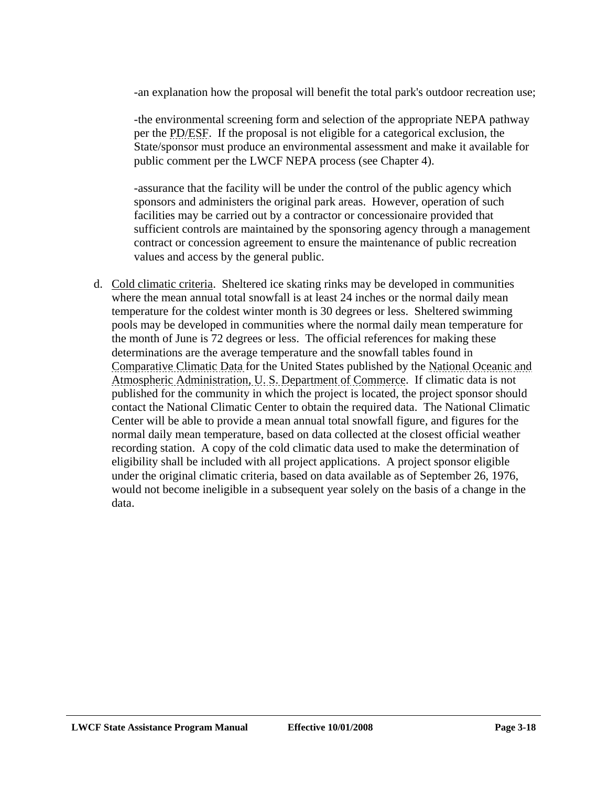-an explanation how the proposal will benefit the total park's outdoor recreation use;

-the environmental screening form and selection of the appropriate NEPA pathway per the PD/ESF. If the proposal is not eligible for a categorical exclusion, the State/sponsor must produce an environmental assessment and make it available for public comment per the LWCF NEPA process (see Chapter 4).

-assurance that the facility will be under the control of the public agency which sponsors and administers the original park areas. However, operation of such facilities may be carried out by a contractor or concessionaire provided that sufficient controls are maintained by the sponsoring agency through a management contract or concession agreement to ensure the maintenance of public recreation values and access by the general public.

d. Cold climatic criteria. Sheltered ice skating rinks may be developed in communities where the mean annual total snowfall is at least 24 inches or the normal daily mean temperature for the coldest winter month is 30 degrees or less. Sheltered swimming pools may be developed in communities where the normal daily mean temperature for the month of June is 72 degrees or less. The official references for making these determinations are the average temperature and the snowfall tables found in Comparative Climatic Data for the United States published by the National Oceanic and Atmospheric Administration, U. S. Department of Commerce. If climatic data is not published for the community in which the project is located, the project sponsor should contact the National Climatic Center to obtain the required data. The National Climatic Center will be able to provide a mean annual total snowfall figure, and figures for the normal daily mean temperature, based on data collected at the closest official weather recording station. A copy of the cold climatic data used to make the determination of eligibility shall be included with all project applications. A project sponsor eligible under the original climatic criteria, based on data available as of September 26, 1976, would not become ineligible in a subsequent year solely on the basis of a change in the data.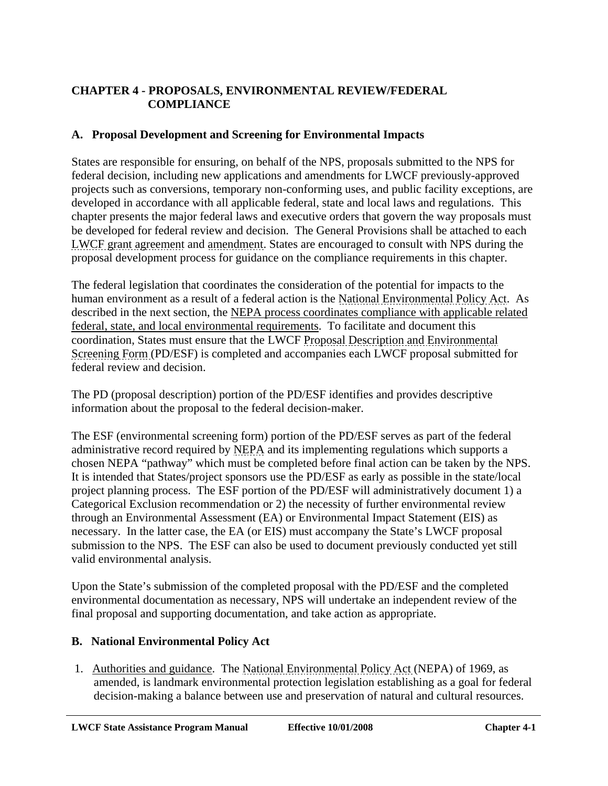# **CHAPTER 4 - PROPOSALS, ENVIRONMENTAL REVIEW/FEDERAL COMPLIANCE**

### **A. Proposal Development and Screening for Environmental Impacts**

States are responsible for ensuring, on behalf of the NPS, proposals submitted to the NPS for federal decision, including new applications and amendments for LWCF previously-approved projects such as conversions, temporary non-conforming uses, and public facility exceptions, are developed in accordance with all applicable federal, state and local laws and regulations. This chapter presents the major federal laws and executive orders that govern the way proposals must be developed for federal review and decision. The General Provisions shall be attached to each LWCF grant agreement and amendment. States are encouraged to consult with NPS during the proposal development process for guidance on the compliance requirements in this chapter.

The federal legislation that coordinates the consideration of the potential for impacts to the human environment as a result of a federal action is the National Environmental Policy Act. As described in the next section, the NEPA process coordinates compliance with applicable related federal, state, and local environmental requirements. To facilitate and document this coordination, States must ensure that the LWCF Proposal Description and Environmental Screening Form (PD/ESF) is completed and accompanies each LWCF proposal submitted for federal review and decision.

The PD (proposal description) portion of the PD/ESF identifies and provides descriptive information about the proposal to the federal decision-maker.

The ESF (environmental screening form) portion of the PD/ESF serves as part of the federal administrative record required by NEPA and its implementing regulations which supports a chosen NEPA "pathway" which must be completed before final action can be taken by the NPS. It is intended that States/project sponsors use the PD/ESF as early as possible in the state/local project planning process. The ESF portion of the PD/ESF will administratively document 1) a Categorical Exclusion recommendation or 2) the necessity of further environmental review through an Environmental Assessment (EA) or Environmental Impact Statement (EIS) as necessary. In the latter case, the EA (or EIS) must accompany the State's LWCF proposal submission to the NPS. The ESF can also be used to document previously conducted yet still valid environmental analysis.

Upon the State's submission of the completed proposal with the PD/ESF and the completed environmental documentation as necessary, NPS will undertake an independent review of the final proposal and supporting documentation, and take action as appropriate.

#### **B. National Environmental Policy Act**

 1. Authorities and guidance. The National Environmental Policy Act (NEPA) of 1969, as amended, is landmark environmental protection legislation establishing as a goal for federal decision-making a balance between use and preservation of natural and cultural resources.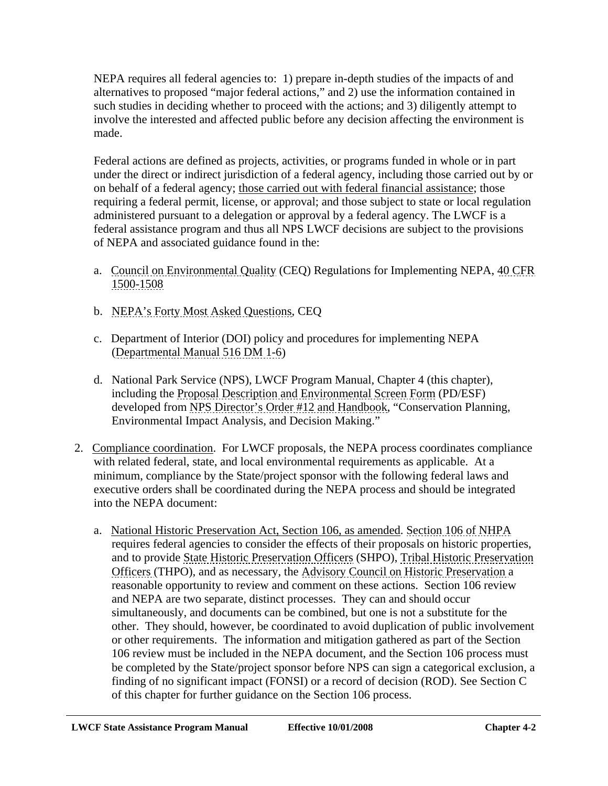NEPA requires all federal agencies to: 1) prepare in-depth studies of the impacts of and alternatives to proposed "major federal actions," and 2) use the information contained in such studies in deciding whether to proceed with the actions; and 3) diligently attempt to involve the interested and affected public before any decision affecting the environment is made.

Federal actions are defined as projects, activities, or programs funded in whole or in part under the direct or indirect jurisdiction of a federal agency, including those carried out by or on behalf of a federal agency; those carried out with federal financial assistance; those requiring a federal permit, license, or approval; and those subject to state or local regulation administered pursuant to a delegation or approval by a federal agency. The LWCF is a federal assistance program and thus all NPS LWCF decisions are subject to the provisions of NEPA and associated guidance found in the:

- a. Council on Environmental Quality (CEQ) Regulations for Implementing NEPA, 40 CFR 1500-1508
- b. NEPA's Forty Most Asked Questions, CEQ
- c. Department of Interior (DOI) policy and procedures for implementing NEPA (Departmental Manual 516 DM 1-6)
- d. National Park Service (NPS), LWCF Program Manual, Chapter 4 (this chapter), including the Proposal Description and Environmental Screen Form (PD/ESF) developed from NPS Director's Order #12 and Handbook, "Conservation Planning, Environmental Impact Analysis, and Decision Making."
- 2. Compliance coordination. For LWCF proposals, the NEPA process coordinates compliance with related federal, state, and local environmental requirements as applicable. At a minimum, compliance by the State/project sponsor with the following federal laws and executive orders shall be coordinated during the NEPA process and should be integrated into the NEPA document:
	- a. National Historic Preservation Act, Section 106, as amended. Section 106 of NHPA requires federal agencies to consider the effects of their proposals on historic properties, and to provide State Historic Preservation Officers (SHPO), Tribal Historic Preservation Officers (THPO), and as necessary, the Advisory Council on Historic Preservation a reasonable opportunity to review and comment on these actions. Section 106 review and NEPA are two separate, distinct processes. They can and should occur simultaneously, and documents can be combined, but one is not a substitute for the other. They should, however, be coordinated to avoid duplication of public involvement or other requirements. The information and mitigation gathered as part of the Section 106 review must be included in the NEPA document, and the Section 106 process must be completed by the State/project sponsor before NPS can sign a categorical exclusion, a finding of no significant impact (FONSI) or a record of decision (ROD). See Section C of this chapter for further guidance on the Section 106 process.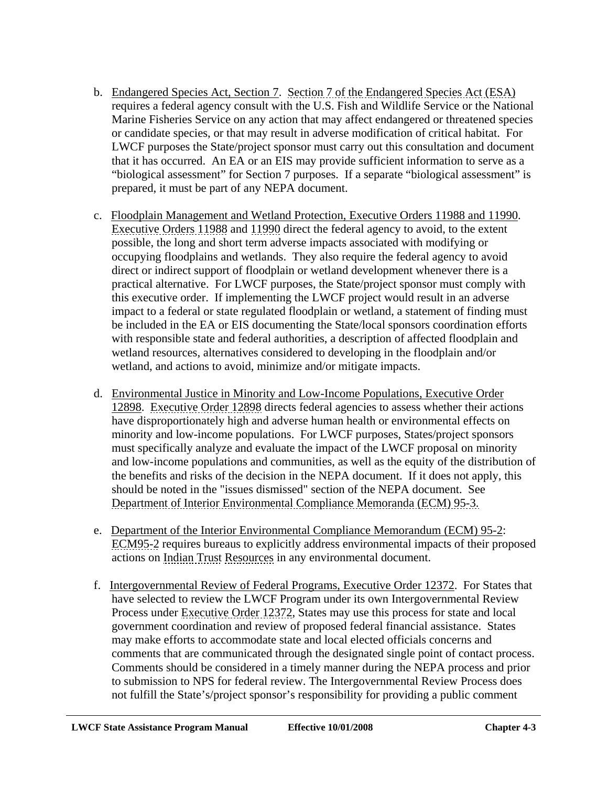- b. Endangered Species Act, Section 7. Section 7 of the Endangered Species Act (ESA) requires a federal agency consult with the U.S. Fish and Wildlife Service or the National Marine Fisheries Service on any action that may affect endangered or threatened species or candidate species, or that may result in adverse modification of critical habitat. For LWCF purposes the State/project sponsor must carry out this consultation and document that it has occurred. An EA or an EIS may provide sufficient information to serve as a "biological assessment" for Section 7 purposes. If a separate "biological assessment" is prepared, it must be part of any NEPA document.
- c. Floodplain Management and Wetland Protection, Executive Orders 11988 and 11990. Executive Orders 11988 and 11990 direct the federal agency to avoid, to the extent possible, the long and short term adverse impacts associated with modifying or occupying floodplains and wetlands. They also require the federal agency to avoid direct or indirect support of floodplain or wetland development whenever there is a practical alternative. For LWCF purposes, the State/project sponsor must comply with this executive order. If implementing the LWCF project would result in an adverse impact to a federal or state regulated floodplain or wetland, a statement of finding must be included in the EA or EIS documenting the State/local sponsors coordination efforts with responsible state and federal authorities, a description of affected floodplain and wetland resources, alternatives considered to developing in the floodplain and/or wetland, and actions to avoid, minimize and/or mitigate impacts.
- d. Environmental Justice in Minority and Low-Income Populations, Executive Order 12898. Executive Order 12898 directs federal agencies to assess whether their actions have disproportionately high and adverse human health or environmental effects on minority and low-income populations. For LWCF purposes, States/project sponsors must specifically analyze and evaluate the impact of the LWCF proposal on minority and low-income populations and communities, as well as the equity of the distribution of the benefits and risks of the decision in the NEPA document. If it does not apply, this should be noted in the "issues dismissed" section of the NEPA document. See Department of Interior Environmental Compliance Memoranda (ECM) 95-3.
- e. Department of the Interior Environmental Compliance Memorandum (ECM) 95-2: ECM95-2 requires bureaus to explicitly address environmental impacts of their proposed actions on Indian Trust Resources in any environmental document.
- f. Intergovernmental Review of Federal Programs, Executive Order 12372. For States that have selected to review the LWCF Program under its own Intergovernmental Review Process under Executive Order 12372, States may use this process for state and local government coordination and review of proposed federal financial assistance. States may make efforts to accommodate state and local elected officials concerns and comments that are communicated through the designated single point of contact process. Comments should be considered in a timely manner during the NEPA process and prior to submission to NPS for federal review. The Intergovernmental Review Process does not fulfill the State's/project sponsor's responsibility for providing a public comment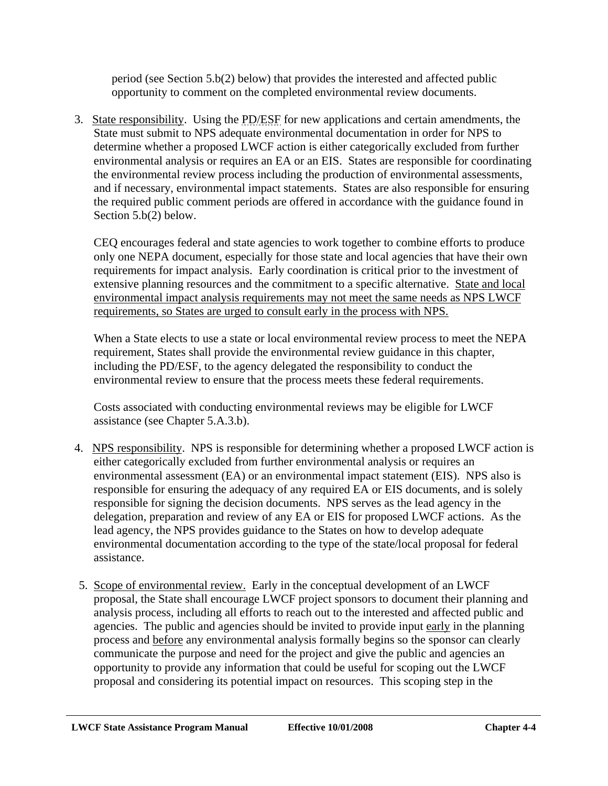period (see Section 5.b(2) below) that provides the interested and affected public opportunity to comment on the completed environmental review documents.

 3. State responsibility. Using the PD/ESF for new applications and certain amendments, the State must submit to NPS adequate environmental documentation in order for NPS to determine whether a proposed LWCF action is either categorically excluded from further environmental analysis or requires an EA or an EIS. States are responsible for coordinating the environmental review process including the production of environmental assessments, and if necessary, environmental impact statements. States are also responsible for ensuring the required public comment periods are offered in accordance with the guidance found in Section 5.b(2) below.

CEQ encourages federal and state agencies to work together to combine efforts to produce only one NEPA document, especially for those state and local agencies that have their own requirements for impact analysis. Early coordination is critical prior to the investment of extensive planning resources and the commitment to a specific alternative. State and local environmental impact analysis requirements may not meet the same needs as NPS LWCF requirements, so States are urged to consult early in the process with NPS.

When a State elects to use a state or local environmental review process to meet the NEPA requirement, States shall provide the environmental review guidance in this chapter, including the PD/ESF, to the agency delegated the responsibility to conduct the environmental review to ensure that the process meets these federal requirements.

Costs associated with conducting environmental reviews may be eligible for LWCF assistance (see Chapter 5.A.3.b).

- 4. NPS responsibility. NPS is responsible for determining whether a proposed LWCF action is either categorically excluded from further environmental analysis or requires an environmental assessment (EA) or an environmental impact statement (EIS). NPS also is responsible for ensuring the adequacy of any required EA or EIS documents, and is solely responsible for signing the decision documents. NPS serves as the lead agency in the delegation, preparation and review of any EA or EIS for proposed LWCF actions. As the lead agency, the NPS provides guidance to the States on how to develop adequate environmental documentation according to the type of the state/local proposal for federal assistance.
- 5. Scope of environmental review. Early in the conceptual development of an LWCF proposal, the State shall encourage LWCF project sponsors to document their planning and analysis process, including all efforts to reach out to the interested and affected public and agencies. The public and agencies should be invited to provide input early in the planning process and before any environmental analysis formally begins so the sponsor can clearly communicate the purpose and need for the project and give the public and agencies an opportunity to provide any information that could be useful for scoping out the LWCF proposal and considering its potential impact on resources. This scoping step in the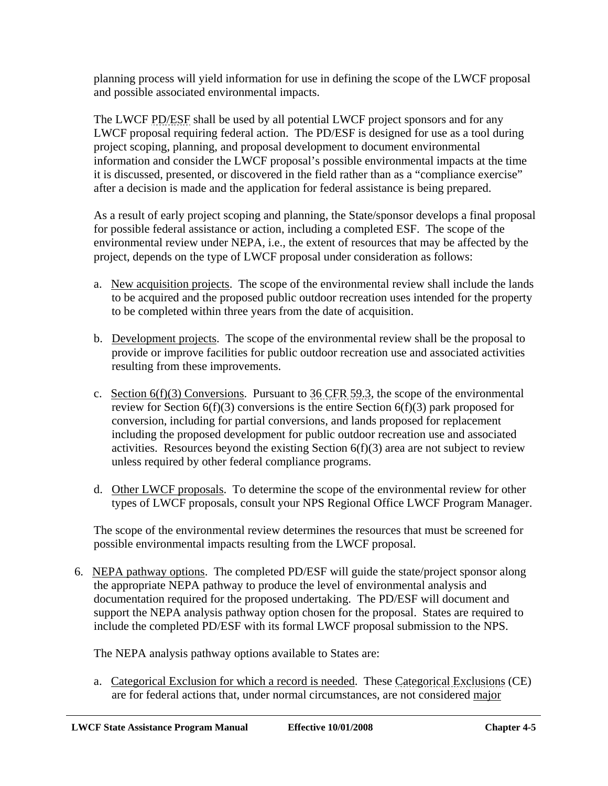planning process will yield information for use in defining the scope of the LWCF proposal and possible associated environmental impacts.

The LWCF PD/ESF shall be used by all potential LWCF project sponsors and for any LWCF proposal requiring federal action. The PD/ESF is designed for use as a tool during project scoping, planning, and proposal development to document environmental information and consider the LWCF proposal's possible environmental impacts at the time it is discussed, presented, or discovered in the field rather than as a "compliance exercise" after a decision is made and the application for federal assistance is being prepared.

As a result of early project scoping and planning, the State/sponsor develops a final proposal for possible federal assistance or action, including a completed ESF. The scope of the environmental review under NEPA, i.e., the extent of resources that may be affected by the project, depends on the type of LWCF proposal under consideration as follows:

- a. New acquisition projects. The scope of the environmental review shall include the lands to be acquired and the proposed public outdoor recreation uses intended for the property to be completed within three years from the date of acquisition.
- b. Development projects. The scope of the environmental review shall be the proposal to provide or improve facilities for public outdoor recreation use and associated activities resulting from these improvements.
- c. Section  $6(f)(3)$  Conversions. Pursuant to 36 CFR 59.3, the scope of the environmental review for Section  $6(f)(3)$  conversions is the entire Section  $6(f)(3)$  park proposed for conversion, including for partial conversions, and lands proposed for replacement including the proposed development for public outdoor recreation use and associated activities. Resources beyond the existing Section  $6(f)(3)$  area are not subject to review unless required by other federal compliance programs.
- d. Other LWCF proposals. To determine the scope of the environmental review for other types of LWCF proposals, consult your NPS Regional Office LWCF Program Manager.

The scope of the environmental review determines the resources that must be screened for possible environmental impacts resulting from the LWCF proposal.

 6. NEPA pathway options. The completed PD/ESF will guide the state/project sponsor along the appropriate NEPA pathway to produce the level of environmental analysis and documentation required for the proposed undertaking. The PD/ESF will document and support the NEPA analysis pathway option chosen for the proposal. States are required to include the completed PD/ESF with its formal LWCF proposal submission to the NPS.

The NEPA analysis pathway options available to States are:

a. Categorical Exclusion for which a record is needed. These Categorical Exclusions (CE) are for federal actions that, under normal circumstances, are not considered major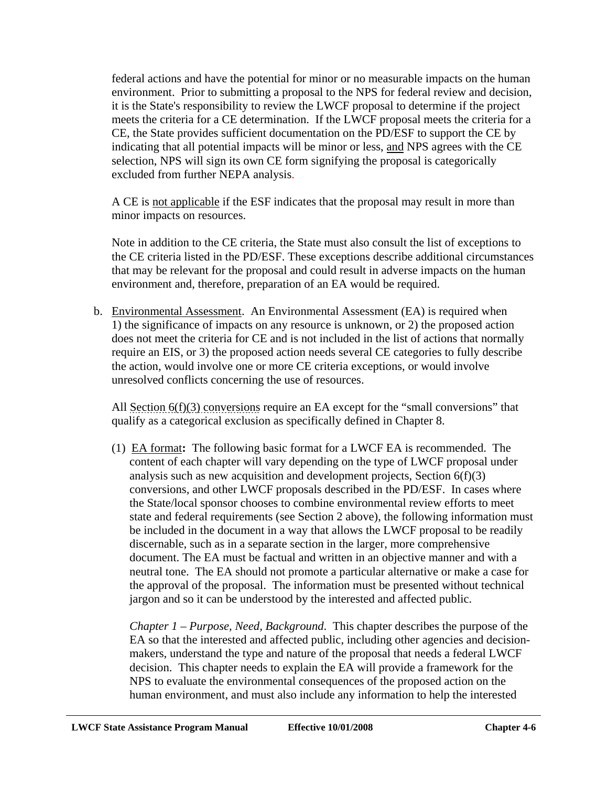federal actions and have the potential for minor or no measurable impacts on the human environment. Prior to submitting a proposal to the NPS for federal review and decision, it is the State's responsibility to review the LWCF proposal to determine if the project meets the criteria for a CE determination. If the LWCF proposal meets the criteria for a CE, the State provides sufficient documentation on the PD/ESF to support the CE by indicating that all potential impacts will be minor or less, and NPS agrees with the CE selection, NPS will sign its own CE form signifying the proposal is categorically excluded from further NEPA analysis.

A CE is not applicable if the ESF indicates that the proposal may result in more than minor impacts on resources.

Note in addition to the CE criteria, the State must also consult the list of exceptions to the CE criteria listed in the PD/ESF. These exceptions describe additional circumstances that may be relevant for the proposal and could result in adverse impacts on the human environment and, therefore, preparation of an EA would be required.

b. Environmental Assessment. An Environmental Assessment (EA) is required when 1) the significance of impacts on any resource is unknown, or 2) the proposed action does not meet the criteria for CE and is not included in the list of actions that normally require an EIS, or 3) the proposed action needs several CE categories to fully describe the action, would involve one or more CE criteria exceptions, or would involve unresolved conflicts concerning the use of resources.

All Section 6(f)(3) conversions require an EA except for the "small conversions" that qualify as a categorical exclusion as specifically defined in Chapter 8.

(1) EA format**:** The following basic format for a LWCF EA is recommended. The content of each chapter will vary depending on the type of LWCF proposal under analysis such as new acquisition and development projects, Section  $6(f)(3)$ conversions, and other LWCF proposals described in the PD/ESF. In cases where the State/local sponsor chooses to combine environmental review efforts to meet state and federal requirements (see Section 2 above), the following information must be included in the document in a way that allows the LWCF proposal to be readily discernable, such as in a separate section in the larger, more comprehensive document. The EA must be factual and written in an objective manner and with a neutral tone. The EA should not promote a particular alternative or make a case for the approval of the proposal. The information must be presented without technical jargon and so it can be understood by the interested and affected public.

*Chapter 1 – Purpose, Need, Background*. This chapter describes the purpose of the EA so that the interested and affected public, including other agencies and decisionmakers, understand the type and nature of the proposal that needs a federal LWCF decision. This chapter needs to explain the EA will provide a framework for the NPS to evaluate the environmental consequences of the proposed action on the human environment, and must also include any information to help the interested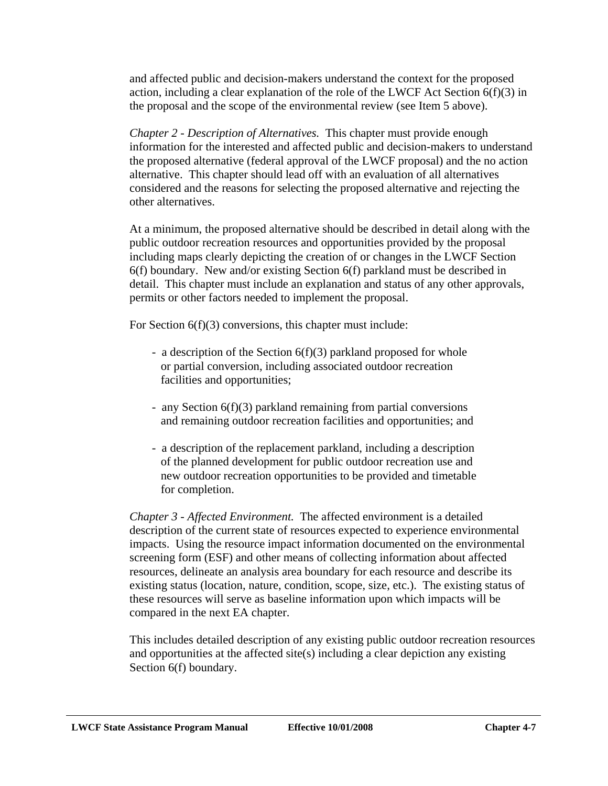and affected public and decision-makers understand the context for the proposed action, including a clear explanation of the role of the LWCF Act Section 6(f)(3) in the proposal and the scope of the environmental review (see Item 5 above).

*Chapter 2 - Description of Alternatives.*This chapter must provide enough information for the interested and affected public and decision-makers to understand the proposed alternative (federal approval of the LWCF proposal) and the no action alternative. This chapter should lead off with an evaluation of all alternatives considered and the reasons for selecting the proposed alternative and rejecting the other alternatives.

At a minimum, the proposed alternative should be described in detail along with the public outdoor recreation resources and opportunities provided by the proposal including maps clearly depicting the creation of or changes in the LWCF Section 6(f) boundary. New and/or existing Section 6(f) parkland must be described in detail. This chapter must include an explanation and status of any other approvals, permits or other factors needed to implement the proposal.

For Section 6(f)(3) conversions, this chapter must include:

- a description of the Section 6(f)(3) parkland proposed for whole or partial conversion, including associated outdoor recreation facilities and opportunities;
- any Section 6(f)(3) parkland remaining from partial conversions and remaining outdoor recreation facilities and opportunities; and
- a description of the replacement parkland, including a description of the planned development for public outdoor recreation use and new outdoor recreation opportunities to be provided and timetable for completion.

*Chapter 3 - Affected Environment.* The affected environment is a detailed description of the current state of resources expected to experience environmental impacts. Using the resource impact information documented on the environmental screening form (ESF) and other means of collecting information about affected resources, delineate an analysis area boundary for each resource and describe its existing status (location, nature, condition, scope, size, etc.). The existing status of these resources will serve as baseline information upon which impacts will be compared in the next EA chapter.

This includes detailed description of any existing public outdoor recreation resources and opportunities at the affected site(s) including a clear depiction any existing Section 6(f) boundary.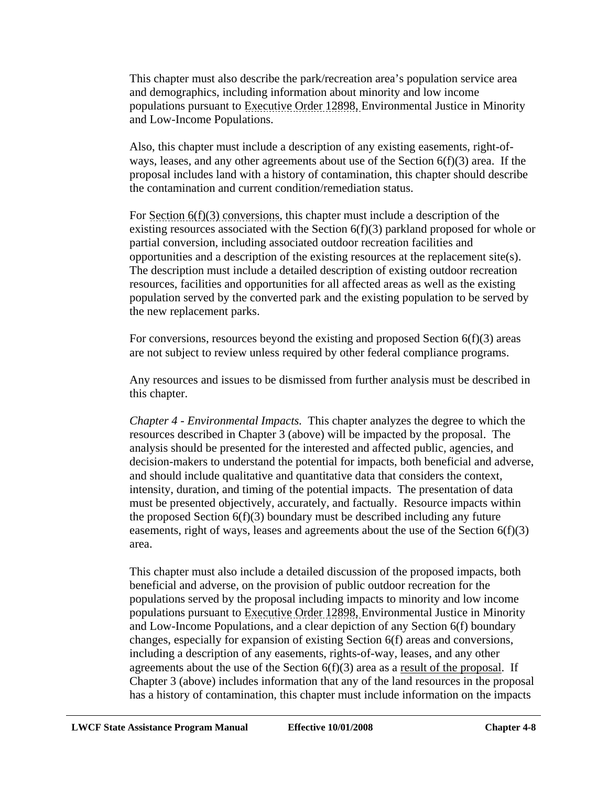This chapter must also describe the park/recreation area's population service area and demographics, including information about minority and low income populations pursuant to Executive Order 12898, Environmental Justice in Minority and Low-Income Populations.

Also, this chapter must include a description of any existing easements, right-ofways, leases, and any other agreements about use of the Section 6(f)(3) area. If the proposal includes land with a history of contamination, this chapter should describe the contamination and current condition/remediation status.

For Section  $6(f)(3)$  conversions, this chapter must include a description of the existing resources associated with the Section 6(f)(3) parkland proposed for whole or partial conversion, including associated outdoor recreation facilities and opportunities and a description of the existing resources at the replacement site(s). The description must include a detailed description of existing outdoor recreation resources, facilities and opportunities for all affected areas as well as the existing population served by the converted park and the existing population to be served by the new replacement parks.

For conversions, resources beyond the existing and proposed Section 6(f)(3) areas are not subject to review unless required by other federal compliance programs.

Any resources and issues to be dismissed from further analysis must be described in this chapter.

*Chapter 4 - Environmental Impacts.* This chapter analyzes the degree to which the resources described in Chapter 3 (above) will be impacted by the proposal. The analysis should be presented for the interested and affected public, agencies, and decision-makers to understand the potential for impacts, both beneficial and adverse, and should include qualitative and quantitative data that considers the context, intensity, duration, and timing of the potential impacts. The presentation of data must be presented objectively, accurately, and factually. Resource impacts within the proposed Section 6(f)(3) boundary must be described including any future easements, right of ways, leases and agreements about the use of the Section  $6(f)(3)$ area.

This chapter must also include a detailed discussion of the proposed impacts, both beneficial and adverse, on the provision of public outdoor recreation for the populations served by the proposal including impacts to minority and low income populations pursuant to Executive Order 12898, Environmental Justice in Minority and Low-Income Populations, and a clear depiction of any Section 6(f) boundary changes, especially for expansion of existing Section 6(f) areas and conversions, including a description of any easements, rights-of-way, leases, and any other agreements about the use of the Section  $6(f)(3)$  area as a result of the proposal. If Chapter 3 (above) includes information that any of the land resources in the proposal has a history of contamination, this chapter must include information on the impacts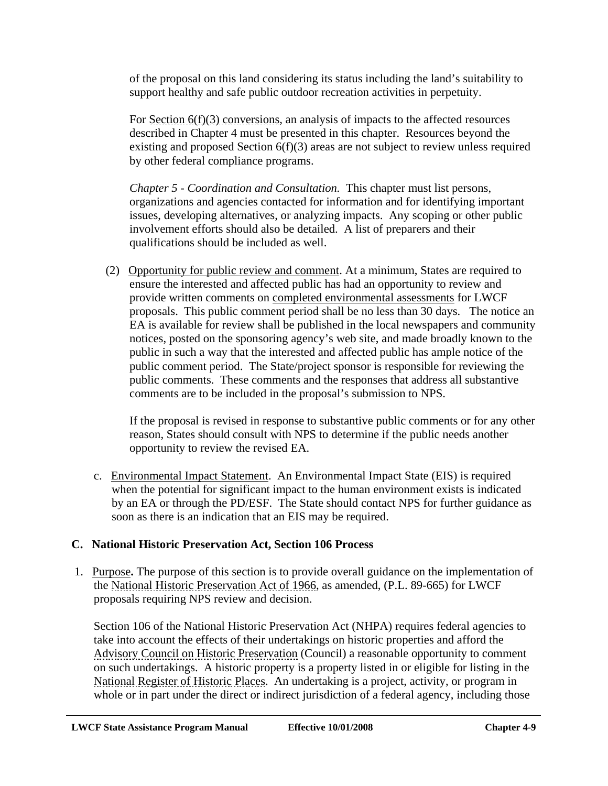of the proposal on this land considering its status including the land's suitability to support healthy and safe public outdoor recreation activities in perpetuity.

For Section 6(f)(3) conversions, an analysis of impacts to the affected resources described in Chapter 4 must be presented in this chapter. Resources beyond the existing and proposed Section 6(f)(3) areas are not subject to review unless required by other federal compliance programs.

*Chapter 5 - Coordination and Consultation.*This chapter must list persons, organizations and agencies contacted for information and for identifying important issues, developing alternatives, or analyzing impacts. Any scoping or other public involvement efforts should also be detailed. A list of preparers and their qualifications should be included as well.

 (2) Opportunity for public review and comment. At a minimum, States are required to ensure the interested and affected public has had an opportunity to review and provide written comments on completed environmental assessments for LWCF proposals. This public comment period shall be no less than 30 days. The notice an EA is available for review shall be published in the local newspapers and community notices, posted on the sponsoring agency's web site, and made broadly known to the public in such a way that the interested and affected public has ample notice of the public comment period. The State/project sponsor is responsible for reviewing the public comments. These comments and the responses that address all substantive comments are to be included in the proposal's submission to NPS.

If the proposal is revised in response to substantive public comments or for any other reason, States should consult with NPS to determine if the public needs another opportunity to review the revised EA.

c. Environmental Impact Statement. An Environmental Impact State (EIS) is required when the potential for significant impact to the human environment exists is indicated by an EA or through the PD/ESF. The State should contact NPS for further guidance as soon as there is an indication that an EIS may be required.

# **C. National Historic Preservation Act, Section 106 Process**

 1. Purpose**.** The purpose of this section is to provide overall guidance on the implementation of the National Historic Preservation Act of 1966, as amended, (P.L. 89-665) for LWCF proposals requiring NPS review and decision.

Section 106 of the National Historic Preservation Act (NHPA) requires federal agencies to take into account the effects of their undertakings on historic properties and afford the Advisory Council on Historic Preservation (Council) a reasonable opportunity to comment on such undertakings. A historic property is a property listed in or eligible for listing in the National Register of Historic Places. An undertaking is a project, activity, or program in whole or in part under the direct or indirect jurisdiction of a federal agency, including those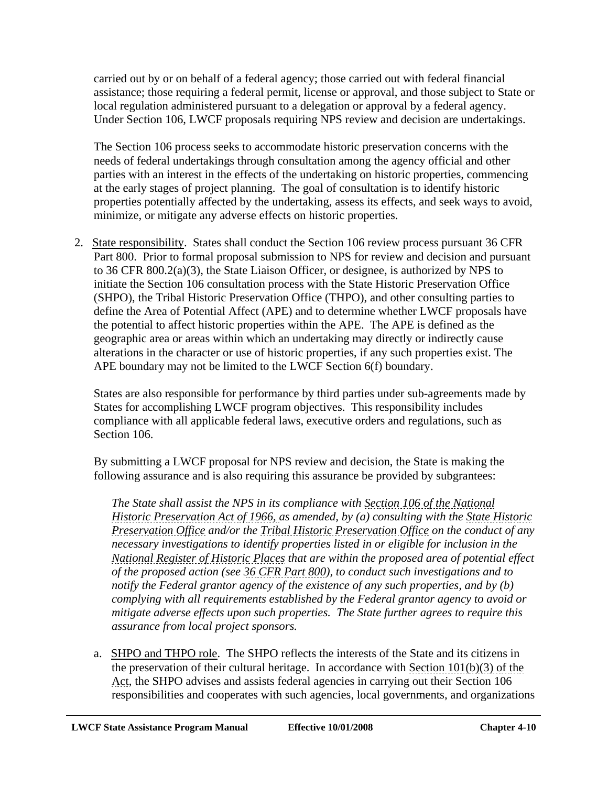carried out by or on behalf of a federal agency; those carried out with federal financial assistance; those requiring a federal permit, license or approval, and those subject to State or local regulation administered pursuant to a delegation or approval by a federal agency. Under Section 106, LWCF proposals requiring NPS review and decision are undertakings.

The Section 106 process seeks to accommodate historic preservation concerns with the needs of federal undertakings through consultation among the agency official and other parties with an interest in the effects of the undertaking on historic properties, commencing at the early stages of project planning. The goal of consultation is to identify historic properties potentially affected by the undertaking, assess its effects, and seek ways to avoid, minimize, or mitigate any adverse effects on historic properties.

 2. State responsibility. States shall conduct the Section 106 review process pursuant 36 CFR Part 800. Prior to formal proposal submission to NPS for review and decision and pursuant to 36 CFR 800.2(a)(3), the State Liaison Officer, or designee, is authorized by NPS to initiate the Section 106 consultation process with the State Historic Preservation Office (SHPO), the Tribal Historic Preservation Office (THPO), and other consulting parties to define the Area of Potential Affect (APE) and to determine whether LWCF proposals have the potential to affect historic properties within the APE. The APE is defined as the geographic area or areas within which an undertaking may directly or indirectly cause alterations in the character or use of historic properties, if any such properties exist. The APE boundary may not be limited to the LWCF Section 6(f) boundary.

States are also responsible for performance by third parties under sub-agreements made by States for accomplishing LWCF program objectives. This responsibility includes compliance with all applicable federal laws, executive orders and regulations, such as Section 106.

By submitting a LWCF proposal for NPS review and decision, the State is making the following assurance and is also requiring this assurance be provided by subgrantees:

*The State shall assist the NPS in its compliance with Section 106 of the National Historic Preservation Act of 1966, as amended, by (a) consulting with the State Historic Preservation Office and/or the Tribal Historic Preservation Office on the conduct of any necessary investigations to identify properties listed in or eligible for inclusion in the National Register of Historic Places that are within the proposed area of potential effect of the proposed action (see 36 CFR Part 800), to conduct such investigations and to notify the Federal grantor agency of the existence of any such properties, and by (b) complying with all requirements established by the Federal grantor agency to avoid or mitigate adverse effects upon such properties. The State further agrees to require this assurance from local project sponsors.* 

a. SHPO and THPO role.The SHPO reflects the interests of the State and its citizens in the preservation of their cultural heritage. In accordance with Section 101(b)(3) of the Act, the SHPO advises and assists federal agencies in carrying out their Section 106 responsibilities and cooperates with such agencies, local governments, and organizations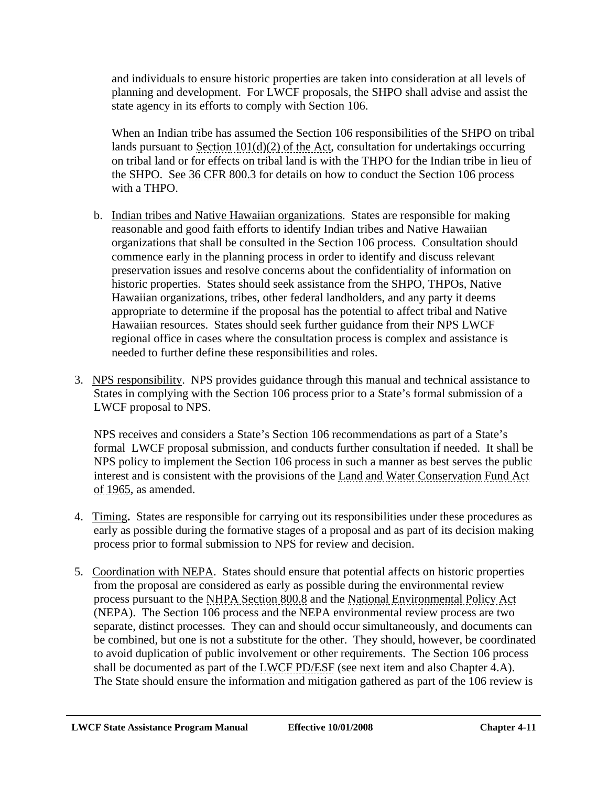and individuals to ensure historic properties are taken into consideration at all levels of planning and development. For LWCF proposals, the SHPO shall advise and assist the state agency in its efforts to comply with Section 106.

When an Indian tribe has assumed the Section 106 responsibilities of the SHPO on tribal lands pursuant to Section 101(d)(2) of the Act, consultation for undertakings occurring on tribal land or for effects on tribal land is with the THPO for the Indian tribe in lieu of the SHPO. See 36 CFR 800.3 for details on how to conduct the Section 106 process with a THPO.

- b. Indian tribes and Native Hawaiian organizations. States are responsible for making reasonable and good faith efforts to identify Indian tribes and Native Hawaiian organizations that shall be consulted in the Section 106 process. Consultation should commence early in the planning process in order to identify and discuss relevant preservation issues and resolve concerns about the confidentiality of information on historic properties. States should seek assistance from the SHPO, THPOs, Native Hawaiian organizations, tribes, other federal landholders, and any party it deems appropriate to determine if the proposal has the potential to affect tribal and Native Hawaiian resources. States should seek further guidance from their NPS LWCF regional office in cases where the consultation process is complex and assistance is needed to further define these responsibilities and roles.
- 3. NPS responsibility. NPS provides guidance through this manual and technical assistance to States in complying with the Section 106 process prior to a State's formal submission of a LWCF proposal to NPS.

NPS receives and considers a State's Section 106 recommendations as part of a State's formal LWCF proposal submission, and conducts further consultation if needed. It shall be NPS policy to implement the Section 106 process in such a manner as best serves the public interest and is consistent with the provisions of the Land and Water Conservation Fund Act of 1965, as amended.

- 4. Timing**.** States are responsible for carrying out its responsibilities under these procedures as early as possible during the formative stages of a proposal and as part of its decision making process prior to formal submission to NPS for review and decision.
- 5. Coordination with NEPA. States should ensure that potential affects on historic properties from the proposal are considered as early as possible during the environmental review process pursuant to the NHPA Section 800.8 and the National Environmental Policy Act (NEPA). The Section 106 process and the NEPA environmental review process are two separate, distinct processes. They can and should occur simultaneously, and documents can be combined, but one is not a substitute for the other. They should, however, be coordinated to avoid duplication of public involvement or other requirements. The Section 106 process shall be documented as part of the LWCF PD/ESF (see next item and also Chapter 4.A). The State should ensure the information and mitigation gathered as part of the 106 review is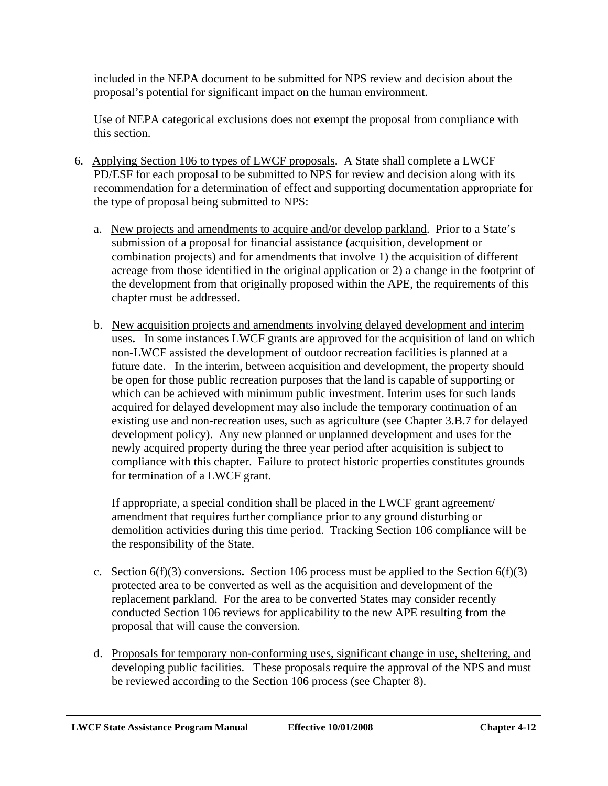included in the NEPA document to be submitted for NPS review and decision about the proposal's potential for significant impact on the human environment.

Use of NEPA categorical exclusions does not exempt the proposal from compliance with this section.

- 6. Applying Section 106 to types of LWCF proposals. A State shall complete a LWCF PD/ESF for each proposal to be submitted to NPS for review and decision along with its recommendation for a determination of effect and supporting documentation appropriate for the type of proposal being submitted to NPS:
	- a. New projects and amendments to acquire and/or develop parkland. Prior to a State's submission of a proposal for financial assistance (acquisition, development or combination projects) and for amendments that involve 1) the acquisition of different acreage from those identified in the original application or 2) a change in the footprint of the development from that originally proposed within the APE, the requirements of this chapter must be addressed.
	- b. New acquisition projects and amendments involving delayed development and interim uses**.** In some instances LWCF grants are approved for the acquisition of land on which non-LWCF assisted the development of outdoor recreation facilities is planned at a future date. In the interim, between acquisition and development, the property should be open for those public recreation purposes that the land is capable of supporting or which can be achieved with minimum public investment. Interim uses for such lands acquired for delayed development may also include the temporary continuation of an existing use and non-recreation uses, such as agriculture (see Chapter 3.B.7 for delayed development policy). Any new planned or unplanned development and uses for the newly acquired property during the three year period after acquisition is subject to compliance with this chapter. Failure to protect historic properties constitutes grounds for termination of a LWCF grant.

If appropriate, a special condition shall be placed in the LWCF grant agreement/ amendment that requires further compliance prior to any ground disturbing or demolition activities during this time period. Tracking Section 106 compliance will be the responsibility of the State.

- c. Section 6(f)(3) conversions**.** Section 106 process must be applied to the Section 6(f)(3) protected area to be converted as well as the acquisition and development of the replacement parkland. For the area to be converted States may consider recently conducted Section 106 reviews for applicability to the new APE resulting from the proposal that will cause the conversion.
- d. Proposals for temporary non-conforming uses, significant change in use, sheltering, and developing public facilities. These proposals require the approval of the NPS and must be reviewed according to the Section 106 process (see Chapter 8).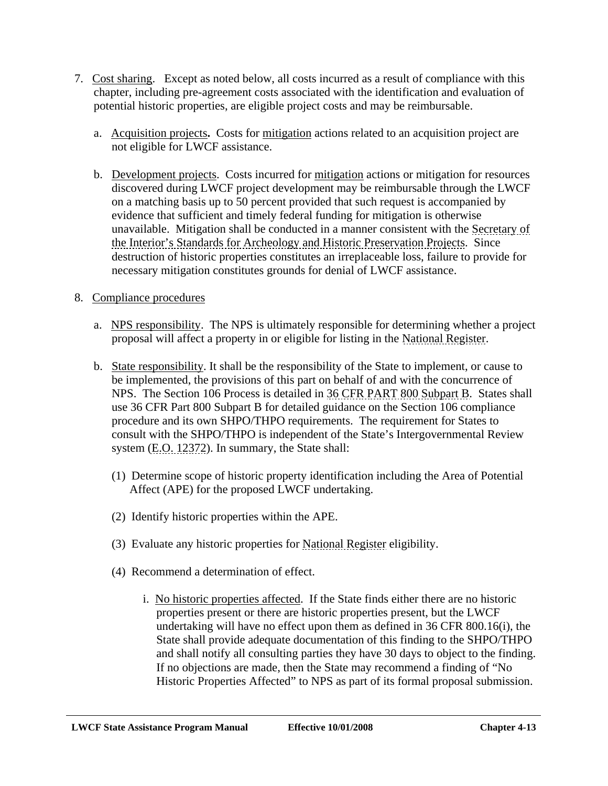- 7. Cost sharing. Except as noted below, all costs incurred as a result of compliance with this chapter, including pre-agreement costs associated with the identification and evaluation of potential historic properties, are eligible project costs and may be reimbursable.
	- a. Acquisition projects**.** Costs for mitigation actions related to an acquisition project are not eligible for LWCF assistance.
	- b. Development projects. Costs incurred for mitigation actions or mitigation for resources discovered during LWCF project development may be reimbursable through the LWCF on a matching basis up to 50 percent provided that such request is accompanied by evidence that sufficient and timely federal funding for mitigation is otherwise unavailable. Mitigation shall be conducted in a manner consistent with the Secretary of the Interior's Standards for Archeology and Historic Preservation Projects. Since destruction of historic properties constitutes an irreplaceable loss, failure to provide for necessary mitigation constitutes grounds for denial of LWCF assistance.

### 8. Compliance procedures

- a. NPS responsibility. The NPS is ultimately responsible for determining whether a project proposal will affect a property in or eligible for listing in the National Register.
- b. State responsibility. It shall be the responsibility of the State to implement, or cause to be implemented, the provisions of this part on behalf of and with the concurrence of NPS. The Section 106 Process is detailed in 36 CFR PART 800 Subpart B. States shall use 36 CFR Part 800 Subpart B for detailed guidance on the Section 106 compliance procedure and its own SHPO/THPO requirements. The requirement for States to consult with the SHPO/THPO is independent of the State's Intergovernmental Review system (E.O. 12372). In summary, the State shall:
	- (1) Determine scope of historic property identification including the Area of Potential Affect (APE) for the proposed LWCF undertaking.
	- (2) Identify historic properties within the APE.
	- (3) Evaluate any historic properties for National Register eligibility.
	- (4) Recommend a determination of effect.
		- i.No historic properties affected. If the State finds either there are no historic properties present or there are historic properties present, but the LWCF undertaking will have no effect upon them as defined in 36 CFR 800.16(i), the State shall provide adequate documentation of this finding to the SHPO/THPO and shall notify all consulting parties they have 30 days to object to the finding. If no objections are made, then the State may recommend a finding of "No Historic Properties Affected" to NPS as part of its formal proposal submission.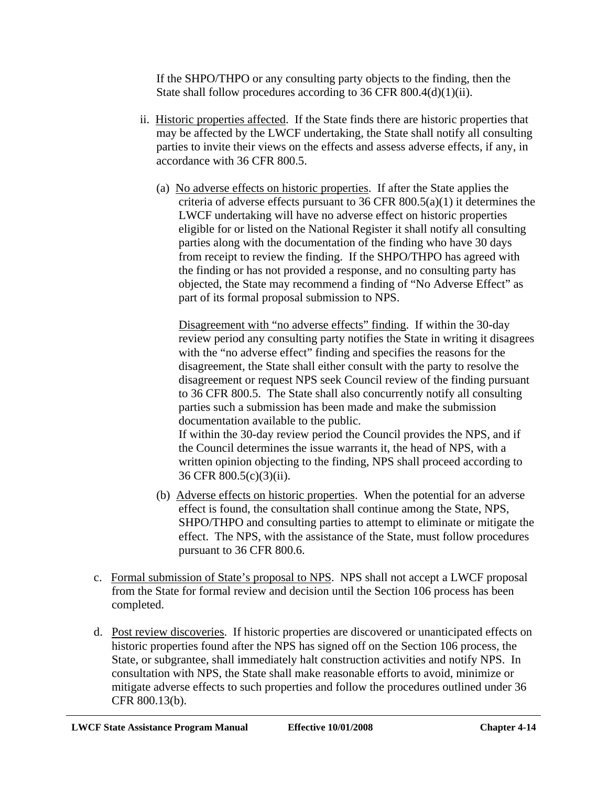If the SHPO/THPO or any consulting party objects to the finding, then the State shall follow procedures according to 36 CFR 800.4(d)(1)(ii).

- ii. Historic properties affected. If the State finds there are historic properties that may be affected by the LWCF undertaking, the State shall notify all consulting parties to invite their views on the effects and assess adverse effects, if any, in accordance with 36 CFR 800.5.
	- (a) No adverse effects on historic properties. If after the State applies the criteria of adverse effects pursuant to 36 CFR 800.5(a)(1) it determines the LWCF undertaking will have no adverse effect on historic properties eligible for or listed on the National Register it shall notify all consulting parties along with the documentation of the finding who have 30 days from receipt to review the finding. If the SHPO/THPO has agreed with the finding or has not provided a response, and no consulting party has objected, the State may recommend a finding of "No Adverse Effect" as part of its formal proposal submission to NPS.

Disagreement with "no adverse effects" finding. If within the 30-day review period any consulting party notifies the State in writing it disagrees with the "no adverse effect" finding and specifies the reasons for the disagreement, the State shall either consult with the party to resolve the disagreement or request NPS seek Council review of the finding pursuant to 36 CFR 800.5. The State shall also concurrently notify all consulting parties such a submission has been made and make the submission documentation available to the public.

If within the 30-day review period the Council provides the NPS, and if the Council determines the issue warrants it, the head of NPS, with a written opinion objecting to the finding, NPS shall proceed according to 36 CFR 800.5(c)(3)(ii).

- (b) Adverse effects on historic properties. When the potential for an adverse effect is found, the consultation shall continue among the State, NPS, SHPO/THPO and consulting parties to attempt to eliminate or mitigate the effect. The NPS, with the assistance of the State, must follow procedures pursuant to 36 CFR 800.6.
- c. Formal submission of State's proposal to NPS. NPS shall not accept a LWCF proposal from the State for formal review and decision until the Section 106 process has been completed.
- d. Post review discoveries. If historic properties are discovered or unanticipated effects on historic properties found after the NPS has signed off on the Section 106 process, the State, or subgrantee, shall immediately halt construction activities and notify NPS. In consultation with NPS, the State shall make reasonable efforts to avoid, minimize or mitigate adverse effects to such properties and follow the procedures outlined under 36 CFR 800.13(b).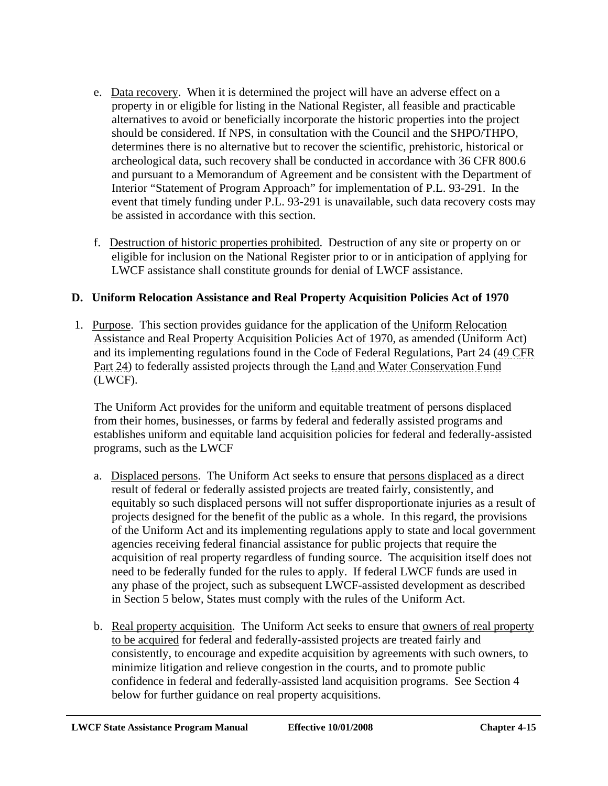- e. Data recovery. When it is determined the project will have an adverse effect on a property in or eligible for listing in the National Register, all feasible and practicable alternatives to avoid or beneficially incorporate the historic properties into the project should be considered. If NPS, in consultation with the Council and the SHPO/THPO, determines there is no alternative but to recover the scientific, prehistoric, historical or archeological data, such recovery shall be conducted in accordance with 36 CFR 800.6 and pursuant to a Memorandum of Agreement and be consistent with the Department of Interior "Statement of Program Approach" for implementation of P.L. 93-291. In the event that timely funding under P.L. 93-291 is unavailable, such data recovery costs may be assisted in accordance with this section.
- f. Destruction of historic properties prohibited. Destruction of any site or property on or eligible for inclusion on the National Register prior to or in anticipation of applying for LWCF assistance shall constitute grounds for denial of LWCF assistance.

# **D. Uniform Relocation Assistance and Real Property Acquisition Policies Act of 1970**

 1. Purpose. This section provides guidance for the application of the Uniform Relocation Assistance and Real Property Acquisition Policies Act of 1970, as amended (Uniform Act) and its implementing regulations found in the Code of Federal Regulations, Part 24 (49 CFR Part 24) to federally assisted projects through the Land and Water Conservation Fund (LWCF).

The Uniform Act provides for the uniform and equitable treatment of persons displaced from their homes, businesses, or farms by federal and federally assisted programs and establishes uniform and equitable land acquisition policies for federal and federally-assisted programs, such as the LWCF

- a. Displaced persons. The Uniform Act seeks to ensure that persons displaced as a direct result of federal or federally assisted projects are treated fairly, consistently, and equitably so such displaced persons will not suffer disproportionate injuries as a result of projects designed for the benefit of the public as a whole. In this regard, the provisions of the Uniform Act and its implementing regulations apply to state and local government agencies receiving federal financial assistance for public projects that require the acquisition of real property regardless of funding source. The acquisition itself does not need to be federally funded for the rules to apply. If federal LWCF funds are used in any phase of the project, such as subsequent LWCF-assisted development as described in Section 5 below, States must comply with the rules of the Uniform Act.
- b. Real property acquisition. The Uniform Act seeks to ensure that owners of real property to be acquired for federal and federally-assisted projects are treated fairly and consistently, to encourage and expedite acquisition by agreements with such owners, to minimize litigation and relieve congestion in the courts, and to promote public confidence in federal and federally-assisted land acquisition programs. See Section 4 below for further guidance on real property acquisitions.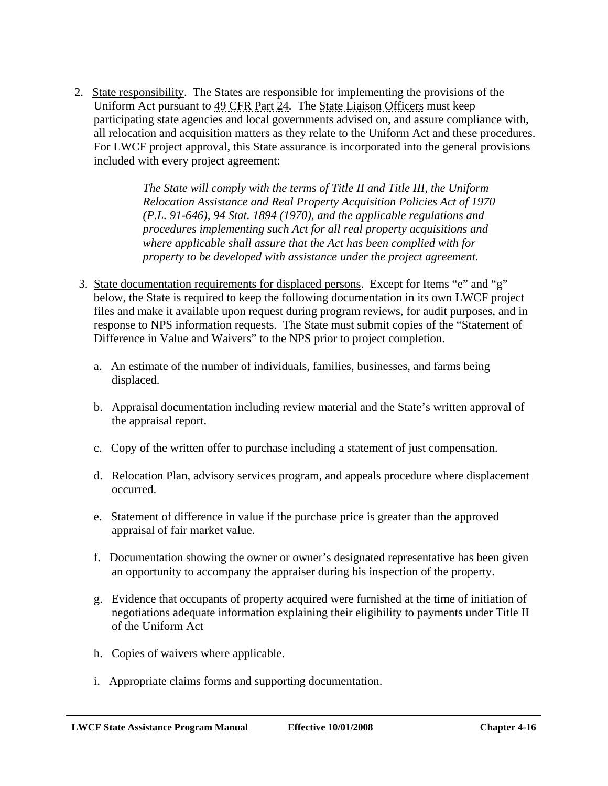2. State responsibility. The States are responsible for implementing the provisions of the Uniform Act pursuant to 49 CFR Part 24. The State Liaison Officers must keep participating state agencies and local governments advised on, and assure compliance with, all relocation and acquisition matters as they relate to the Uniform Act and these procedures. For LWCF project approval, this State assurance is incorporated into the general provisions included with every project agreement:

> *The State will comply with the terms of Title II and Title III, the Uniform Relocation Assistance and Real Property Acquisition Policies Act of 1970 (P.L. 91-646), 94 Stat. 1894 (1970), and the applicable regulations and procedures implementing such Act for all real property acquisitions and where applicable shall assure that the Act has been complied with for property to be developed with assistance under the project agreement.*

- 3. State documentation requirements for displaced persons. Except for Items "e" and "g" below, the State is required to keep the following documentation in its own LWCF project files and make it available upon request during program reviews, for audit purposes, and in response to NPS information requests. The State must submit copies of the "Statement of Difference in Value and Waivers" to the NPS prior to project completion.
	- a. An estimate of the number of individuals, families, businesses, and farms being displaced.
	- b. Appraisal documentation including review material and the State's written approval of the appraisal report.
	- c. Copy of the written offer to purchase including a statement of just compensation.
	- d. Relocation Plan, advisory services program, and appeals procedure where displacement occurred.
	- e. Statement of difference in value if the purchase price is greater than the approved appraisal of fair market value.
	- f. Documentation showing the owner or owner's designated representative has been given an opportunity to accompany the appraiser during his inspection of the property.
	- g. Evidence that occupants of property acquired were furnished at the time of initiation of negotiations adequate information explaining their eligibility to payments under Title II of the Uniform Act
	- h. Copies of waivers where applicable.
	- i. Appropriate claims forms and supporting documentation.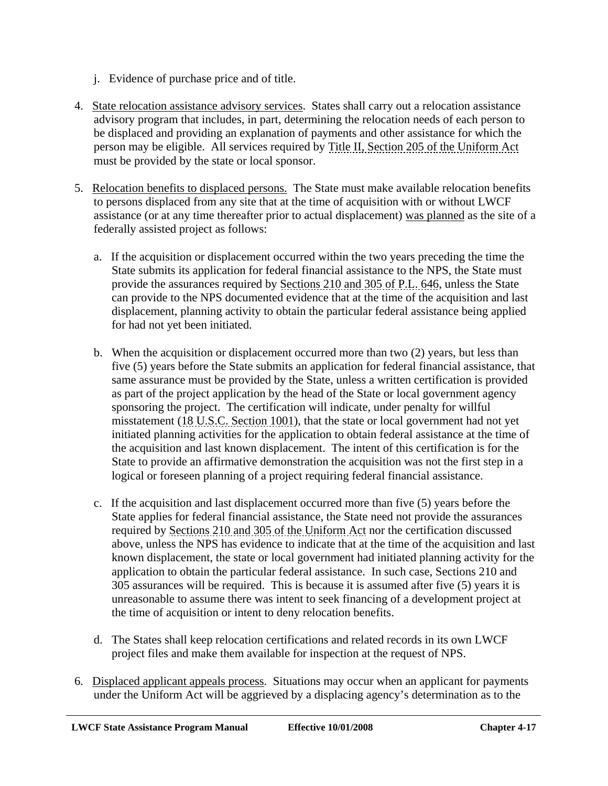- j. Evidence of purchase price and of title.
- 4. State relocation assistance advisory services.States shall carry out a relocation assistance advisory program that includes, in part, determining the relocation needs of each person to be displaced and providing an explanation of payments and other assistance for which the person may be eligible. All services required by Title II, Section 205 of the Uniform Act must be provided by the state or local sponsor.
- 5. Relocation benefits to displaced persons. The State must make available relocation benefits to persons displaced from any site that at the time of acquisition with or without LWCF assistance (or at any time thereafter prior to actual displacement) was planned as the site of a federally assisted project as follows:
	- a. If the acquisition or displacement occurred within the two years preceding the time the State submits its application for federal financial assistance to the NPS, the State must provide the assurances required by Sections 210 and 305 of P.L. 646, unless the State can provide to the NPS documented evidence that at the time of the acquisition and last displacement, planning activity to obtain the particular federal assistance being applied for had not yet been initiated.
	- b. When the acquisition or displacement occurred more than two (2) years, but less than five (5) years before the State submits an application for federal financial assistance, that same assurance must be provided by the State, unless a written certification is provided as part of the project application by the head of the State or local government agency sponsoring the project. The certification will indicate, under penalty for willful misstatement (18 U.S.C. Section 1001), that the state or local government had not yet initiated planning activities for the application to obtain federal assistance at the time of the acquisition and last known displacement. The intent of this certification is for the State to provide an affirmative demonstration the acquisition was not the first step in a logical or foreseen planning of a project requiring federal financial assistance.
	- c. If the acquisition and last displacement occurred more than five (5) years before the State applies for federal financial assistance, the State need not provide the assurances required by Sections 210 and 305 of the Uniform Act nor the certification discussed above, unless the NPS has evidence to indicate that at the time of the acquisition and last known displacement, the state or local government had initiated planning activity for the application to obtain the particular federal assistance. In such case, Sections 210 and 305 assurances will be required. This is because it is assumed after five (5) years it is unreasonable to assume there was intent to seek financing of a development project at the time of acquisition or intent to deny relocation benefits.
	- d. The States shall keep relocation certifications and related records in its own LWCF project files and make them available for inspection at the request of NPS.
- 6. Displaced applicant appeals process. Situations may occur when an applicant for payments under the Uniform Act will be aggrieved by a displacing agency's determination as to the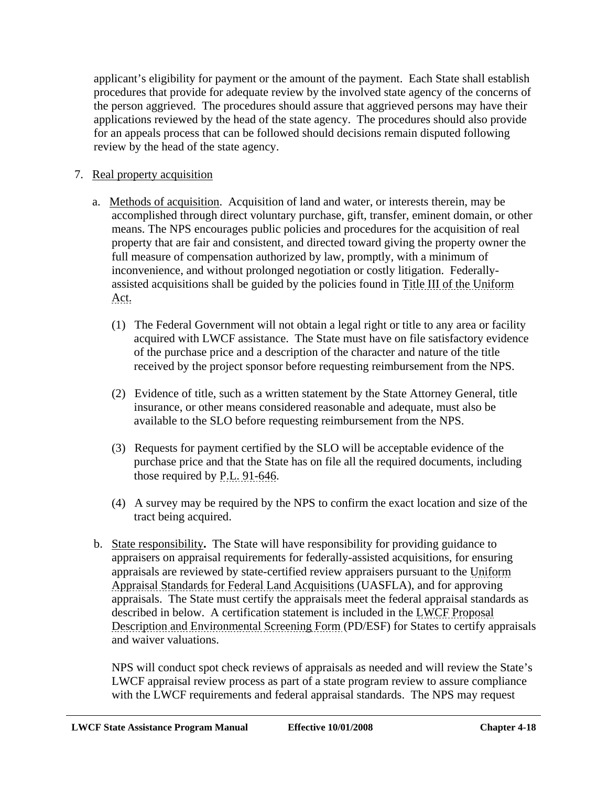applicant's eligibility for payment or the amount of the payment. Each State shall establish procedures that provide for adequate review by the involved state agency of the concerns of the person aggrieved. The procedures should assure that aggrieved persons may have their applications reviewed by the head of the state agency. The procedures should also provide for an appeals process that can be followed should decisions remain disputed following review by the head of the state agency.

- 7. Real property acquisition
	- a. Methods of acquisition. Acquisition of land and water, or interests therein, may be accomplished through direct voluntary purchase, gift, transfer, eminent domain, or other means. The NPS encourages public policies and procedures for the acquisition of real property that are fair and consistent, and directed toward giving the property owner the full measure of compensation authorized by law, promptly, with a minimum of inconvenience, and without prolonged negotiation or costly litigation. Federallyassisted acquisitions shall be guided by the policies found in Title III of the Uniform Act.
		- (1) The Federal Government will not obtain a legal right or title to any area or facility acquired with LWCF assistance. The State must have on file satisfactory evidence of the purchase price and a description of the character and nature of the title received by the project sponsor before requesting reimbursement from the NPS.
		- (2) Evidence of title, such as a written statement by the State Attorney General, title insurance, or other means considered reasonable and adequate, must also be available to the SLO before requesting reimbursement from the NPS.
		- (3) Requests for payment certified by the SLO will be acceptable evidence of the purchase price and that the State has on file all the required documents, including those required by P.L. 91-646.
		- (4) A survey may be required by the NPS to confirm the exact location and size of the tract being acquired.
	- b. State responsibility**.** The State will have responsibility for providing guidance to appraisers on appraisal requirements for federally-assisted acquisitions, for ensuring appraisals are reviewed by state-certified review appraisers pursuant to the Uniform Appraisal Standards for Federal Land Acquisitions (UASFLA), and for approving appraisals. The State must certify the appraisals meet the federal appraisal standards as described in below. A certification statement is included in the LWCF Proposal Description and Environmental Screening Form (PD/ESF) for States to certify appraisals and waiver valuations.

NPS will conduct spot check reviews of appraisals as needed and will review the State's LWCF appraisal review process as part of a state program review to assure compliance with the LWCF requirements and federal appraisal standards. The NPS may request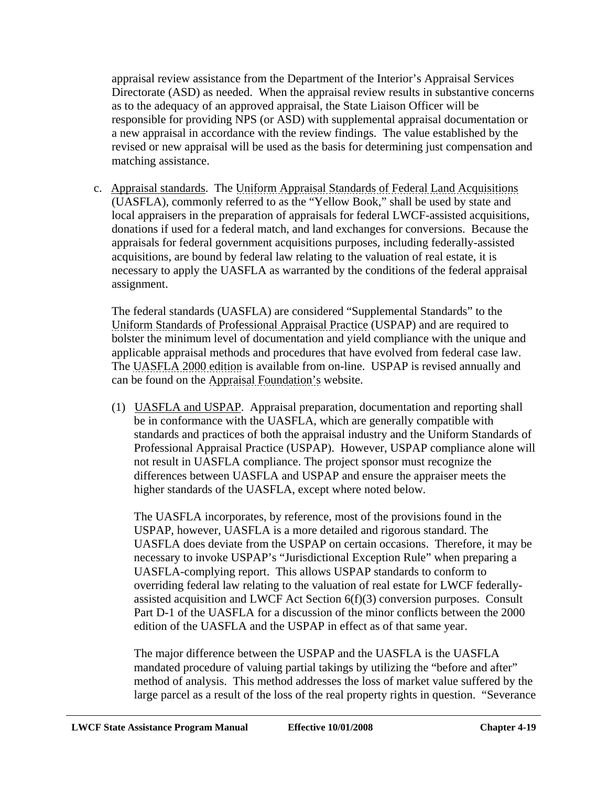appraisal review assistance from the Department of the Interior's Appraisal Services Directorate (ASD) as needed. When the appraisal review results in substantive concerns as to the adequacy of an approved appraisal, the State Liaison Officer will be responsible for providing NPS (or ASD) with supplemental appraisal documentation or a new appraisal in accordance with the review findings. The value established by the revised or new appraisal will be used as the basis for determining just compensation and matching assistance.

c. Appraisal standards. The Uniform Appraisal Standards of Federal Land Acquisitions (UASFLA), commonly referred to as the "Yellow Book," shall be used by state and local appraisers in the preparation of appraisals for federal LWCF-assisted acquisitions, donations if used for a federal match, and land exchanges for conversions. Because the appraisals for federal government acquisitions purposes, including federally-assisted acquisitions, are bound by federal law relating to the valuation of real estate, it is necessary to apply the UASFLA as warranted by the conditions of the federal appraisal assignment.

The federal standards (UASFLA) are considered "Supplemental Standards" to the Uniform Standards of Professional Appraisal Practice (USPAP) and are required to bolster the minimum level of documentation and yield compliance with the unique and applicable appraisal methods and procedures that have evolved from federal case law. The UASFLA 2000 edition is available from on-line. USPAP is revised annually and can be found on the Appraisal Foundation's website.

(1) UASFLA and USPAP. Appraisal preparation, documentation and reporting shall be in conformance with the UASFLA, which are generally compatible with standards and practices of both the appraisal industry and the Uniform Standards of Professional Appraisal Practice (USPAP). However, USPAP compliance alone will not result in UASFLA compliance. The project sponsor must recognize the differences between UASFLA and USPAP and ensure the appraiser meets the higher standards of the UASFLA, except where noted below.

The UASFLA incorporates, by reference, most of the provisions found in the USPAP, however, UASFLA is a more detailed and rigorous standard. The UASFLA does deviate from the USPAP on certain occasions. Therefore, it may be necessary to invoke USPAP's "Jurisdictional Exception Rule" when preparing a UASFLA-complying report. This allows USPAP standards to conform to overriding federal law relating to the valuation of real estate for LWCF federallyassisted acquisition and LWCF Act Section 6(f)(3) conversion purposes. Consult Part D-1 of the UASFLA for a discussion of the minor conflicts between the 2000 edition of the UASFLA and the USPAP in effect as of that same year.

The major difference between the USPAP and the UASFLA is the UASFLA mandated procedure of valuing partial takings by utilizing the "before and after" method of analysis. This method addresses the loss of market value suffered by the large parcel as a result of the loss of the real property rights in question. "Severance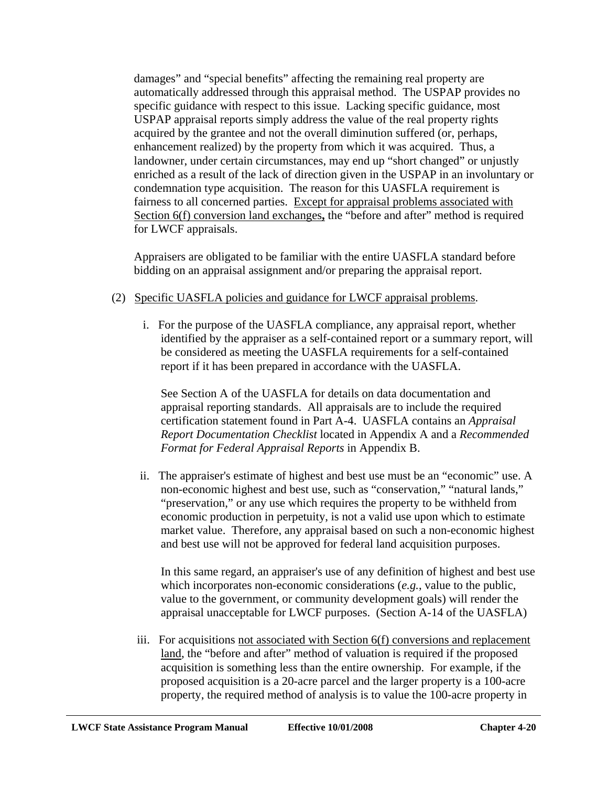damages" and "special benefits" affecting the remaining real property are automatically addressed through this appraisal method. The USPAP provides no specific guidance with respect to this issue. Lacking specific guidance, most USPAP appraisal reports simply address the value of the real property rights acquired by the grantee and not the overall diminution suffered (or, perhaps, enhancement realized) by the property from which it was acquired. Thus, a landowner, under certain circumstances, may end up "short changed" or unjustly enriched as a result of the lack of direction given in the USPAP in an involuntary or condemnation type acquisition. The reason for this UASFLA requirement is fairness to all concerned parties. Except for appraisal problems associated with Section 6(f) conversion land exchanges**,** the "before and after" method is required for LWCF appraisals.

Appraisers are obligated to be familiar with the entire UASFLA standard before bidding on an appraisal assignment and/or preparing the appraisal report.

#### (2) Specific UASFLA policies and guidance for LWCF appraisal problems.

 i. For the purpose of the UASFLA compliance, any appraisal report, whether identified by the appraiser as a self-contained report or a summary report, will be considered as meeting the UASFLA requirements for a self-contained report if it has been prepared in accordance with the UASFLA.

See Section A of the UASFLA for details on data documentation and appraisal reporting standards. All appraisals are to include the required certification statement found in Part A-4. UASFLA contains an *Appraisal Report Documentation Checklist* located in Appendix A and a *Recommended Format for Federal Appraisal Reports* in Appendix B.

 ii. The appraiser's estimate of highest and best use must be an "economic" use. A non-economic highest and best use, such as "conservation," "natural lands," "preservation," or any use which requires the property to be withheld from economic production in perpetuity, is not a valid use upon which to estimate market value. Therefore, any appraisal based on such a non-economic highest and best use will not be approved for federal land acquisition purposes.

In this same regard, an appraiser's use of any definition of highest and best use which incorporates non-economic considerations (*e.g.*, value to the public, value to the government, or community development goals) will render the appraisal unacceptable for LWCF purposes. (Section A-14 of the UASFLA)

 iii. For acquisitions not associated with Section 6(f) conversions and replacement land, the "before and after" method of valuation is required if the proposed acquisition is something less than the entire ownership. For example, if the proposed acquisition is a 20-acre parcel and the larger property is a 100-acre property, the required method of analysis is to value the 100-acre property in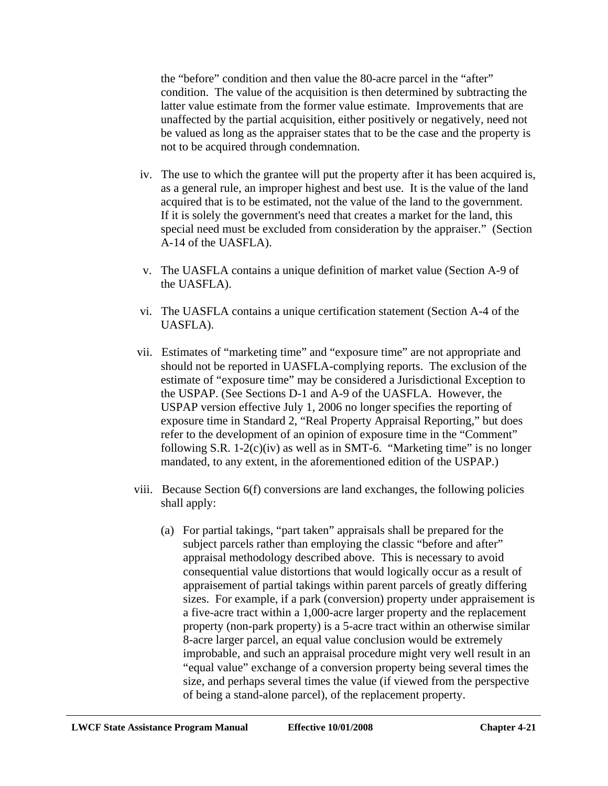the "before" condition and then value the 80-acre parcel in the "after" condition. The value of the acquisition is then determined by subtracting the latter value estimate from the former value estimate. Improvements that are unaffected by the partial acquisition, either positively or negatively, need not be valued as long as the appraiser states that to be the case and the property is not to be acquired through condemnation.

- iv. The use to which the grantee will put the property after it has been acquired is, as a general rule, an improper highest and best use. It is the value of the land acquired that is to be estimated, not the value of the land to the government. If it is solely the government's need that creates a market for the land, this special need must be excluded from consideration by the appraiser." (Section A-14 of the UASFLA).
- v. The UASFLA contains a unique definition of market value (Section A-9 of the UASFLA).
- vi. The UASFLA contains a unique certification statement (Section A-4 of the UASFLA).
- vii. Estimates of "marketing time" and "exposure time" are not appropriate and should not be reported in UASFLA-complying reports. The exclusion of the estimate of "exposure time" may be considered a Jurisdictional Exception to the USPAP. (See Sections D-1 and A-9 of the UASFLA. However, the USPAP version effective July 1, 2006 no longer specifies the reporting of exposure time in Standard 2, "Real Property Appraisal Reporting," but does refer to the development of an opinion of exposure time in the "Comment" following S.R.  $1-2(c)(iv)$  as well as in SMT-6. "Marketing time" is no longer mandated, to any extent, in the aforementioned edition of the USPAP.)
- viii. Because Section 6(f) conversions are land exchanges, the following policies shall apply:
	- (a) For partial takings, "part taken" appraisals shall be prepared for the subject parcels rather than employing the classic "before and after" appraisal methodology described above. This is necessary to avoid consequential value distortions that would logically occur as a result of appraisement of partial takings within parent parcels of greatly differing sizes. For example, if a park (conversion) property under appraisement is a five-acre tract within a 1,000-acre larger property and the replacement property (non-park property) is a 5-acre tract within an otherwise similar 8-acre larger parcel, an equal value conclusion would be extremely improbable, and such an appraisal procedure might very well result in an "equal value" exchange of a conversion property being several times the size, and perhaps several times the value (if viewed from the perspective of being a stand-alone parcel), of the replacement property.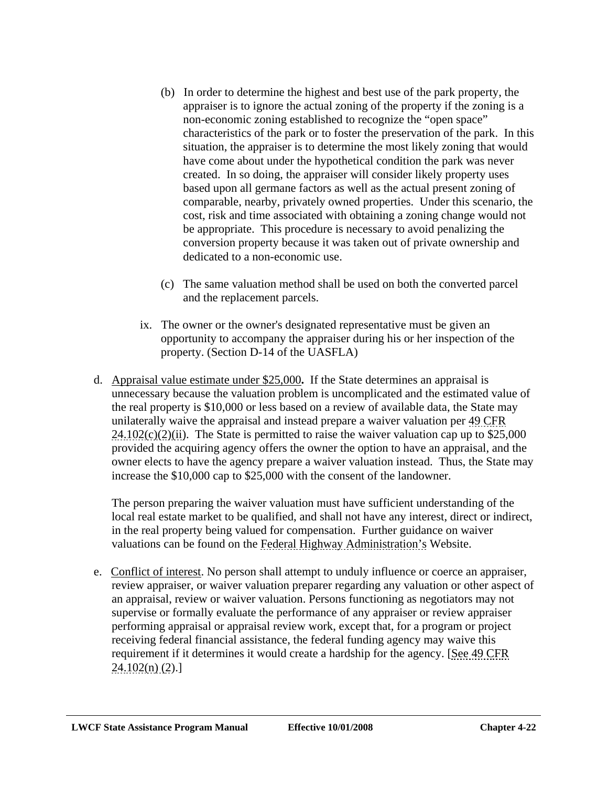- (b) In order to determine the highest and best use of the park property, the appraiser is to ignore the actual zoning of the property if the zoning is a non-economic zoning established to recognize the "open space" characteristics of the park or to foster the preservation of the park. In this situation, the appraiser is to determine the most likely zoning that would have come about under the hypothetical condition the park was never created. In so doing, the appraiser will consider likely property uses based upon all germane factors as well as the actual present zoning of comparable, nearby, privately owned properties. Under this scenario, the cost, risk and time associated with obtaining a zoning change would not be appropriate. This procedure is necessary to avoid penalizing the conversion property because it was taken out of private ownership and dedicated to a non-economic use.
- (c) The same valuation method shall be used on both the converted parcel and the replacement parcels.
- ix. The owner or the owner's designated representative must be given an opportunity to accompany the appraiser during his or her inspection of the property. (Section D-14 of the UASFLA)
- d. Appraisal value estimate under \$25,000**.** If the State determines an appraisal is unnecessary because the valuation problem is uncomplicated and the estimated value of the real property is \$10,000 or less based on a review of available data, the State may unilaterally waive the appraisal and instead prepare a waiver valuation per 49 CFR  $24.102(c)(2)(ii)$ . The State is permitted to raise the waiver valuation cap up to \$25,000 provided the acquiring agency offers the owner the option to have an appraisal, and the owner elects to have the agency prepare a waiver valuation instead. Thus, the State may increase the \$10,000 cap to \$25,000 with the consent of the landowner.

The person preparing the waiver valuation must have sufficient understanding of the local real estate market to be qualified, and shall not have any interest, direct or indirect, in the real property being valued for compensation. Further guidance on waiver valuations can be found on the Federal Highway Administration's Website.

e. Conflict of interest. No person shall attempt to unduly influence or coerce an appraiser, review appraiser, or waiver valuation preparer regarding any valuation or other aspect of an appraisal, review or waiver valuation. Persons functioning as negotiators may not supervise or formally evaluate the performance of any appraiser or review appraiser performing appraisal or appraisal review work, except that, for a program or project receiving federal financial assistance, the federal funding agency may waive this requirement if it determines it would create a hardship for the agency. [See 49 CFR  $24.102(n)$  (2).]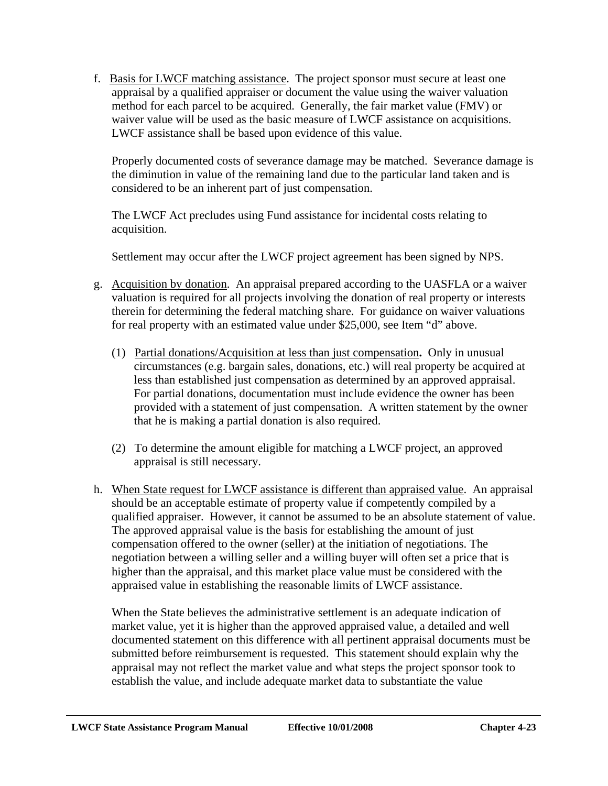f. Basis for LWCF matching assistance. The project sponsor must secure at least one appraisal by a qualified appraiser or document the value using the waiver valuation method for each parcel to be acquired. Generally, the fair market value (FMV) or waiver value will be used as the basic measure of LWCF assistance on acquisitions. LWCF assistance shall be based upon evidence of this value.

Properly documented costs of severance damage may be matched. Severance damage is the diminution in value of the remaining land due to the particular land taken and is considered to be an inherent part of just compensation.

The LWCF Act precludes using Fund assistance for incidental costs relating to acquisition.

Settlement may occur after the LWCF project agreement has been signed by NPS.

- g. Acquisition by donation. An appraisal prepared according to the UASFLA or a waiver valuation is required for all projects involving the donation of real property or interests therein for determining the federal matching share. For guidance on waiver valuations for real property with an estimated value under \$25,000, see Item "d" above.
	- (1) Partial donations/Acquisition at less than just compensation**.** Only in unusual circumstances (e.g. bargain sales, donations, etc.) will real property be acquired at less than established just compensation as determined by an approved appraisal. For partial donations, documentation must include evidence the owner has been provided with a statement of just compensation. A written statement by the owner that he is making a partial donation is also required.
	- (2) To determine the amount eligible for matching a LWCF project, an approved appraisal is still necessary.
- h. When State request for LWCF assistance is different than appraised value. An appraisal should be an acceptable estimate of property value if competently compiled by a qualified appraiser. However, it cannot be assumed to be an absolute statement of value. The approved appraisal value is the basis for establishing the amount of just compensation offered to the owner (seller) at the initiation of negotiations. The negotiation between a willing seller and a willing buyer will often set a price that is higher than the appraisal, and this market place value must be considered with the appraised value in establishing the reasonable limits of LWCF assistance.

When the State believes the administrative settlement is an adequate indication of market value, yet it is higher than the approved appraised value, a detailed and well documented statement on this difference with all pertinent appraisal documents must be submitted before reimbursement is requested. This statement should explain why the appraisal may not reflect the market value and what steps the project sponsor took to establish the value, and include adequate market data to substantiate the value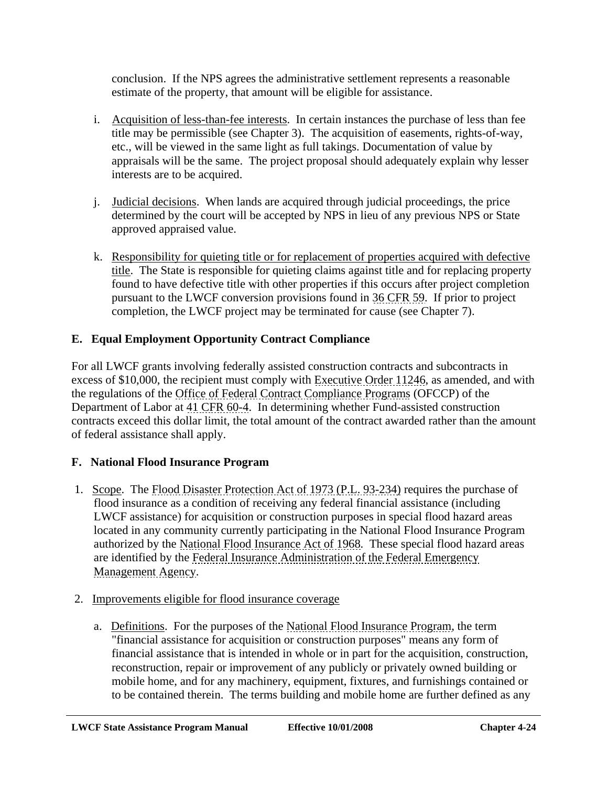conclusion. If the NPS agrees the administrative settlement represents a reasonable estimate of the property, that amount will be eligible for assistance.

- i. Acquisition of less-than-fee interests. In certain instances the purchase of less than fee title may be permissible (see Chapter 3). The acquisition of easements, rights-of-way, etc., will be viewed in the same light as full takings. Documentation of value by appraisals will be the same. The project proposal should adequately explain why lesser interests are to be acquired.
- j. Judicial decisions. When lands are acquired through judicial proceedings, the price determined by the court will be accepted by NPS in lieu of any previous NPS or State approved appraised value.
- k. Responsibility for quieting title or for replacement of properties acquired with defective title. The State is responsible for quieting claims against title and for replacing property found to have defective title with other properties if this occurs after project completion pursuant to the LWCF conversion provisions found in 36 CFR 59. If prior to project completion, the LWCF project may be terminated for cause (see Chapter 7).

# **E. Equal Employment Opportunity Contract Compliance**

For all LWCF grants involving federally assisted construction contracts and subcontracts in excess of \$10,000, the recipient must comply with Executive Order 11246, as amended, and with the regulations of the Office of Federal Contract Compliance Programs (OFCCP) of the Department of Labor at 41 CFR 60-4. In determining whether Fund-assisted construction contracts exceed this dollar limit, the total amount of the contract awarded rather than the amount of federal assistance shall apply.

# **F. National Flood Insurance Program**

- 1. Scope. The Flood Disaster Protection Act of 1973 (P.L. 93-234) requires the purchase of flood insurance as a condition of receiving any federal financial assistance (including LWCF assistance) for acquisition or construction purposes in special flood hazard areas located in any community currently participating in the National Flood Insurance Program authorized by the National Flood Insurance Act of 1968. These special flood hazard areas are identified by the Federal Insurance Administration of the Federal Emergency Management Agency.
- 2. Improvements eligible for flood insurance coverage
	- a. Definitions. For the purposes of the National Flood Insurance Program, the term "financial assistance for acquisition or construction purposes" means any form of financial assistance that is intended in whole or in part for the acquisition, construction, reconstruction, repair or improvement of any publicly or privately owned building or mobile home, and for any machinery, equipment, fixtures, and furnishings contained or to be contained therein. The terms building and mobile home are further defined as any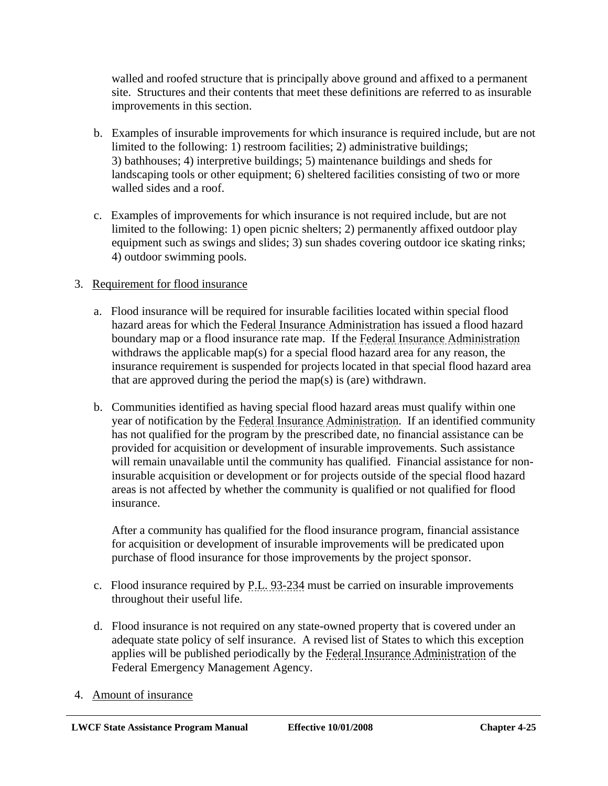walled and roofed structure that is principally above ground and affixed to a permanent site. Structures and their contents that meet these definitions are referred to as insurable improvements in this section.

- b. Examples of insurable improvements for which insurance is required include, but are not limited to the following: 1) restroom facilities; 2) administrative buildings; 3) bathhouses; 4) interpretive buildings; 5) maintenance buildings and sheds for landscaping tools or other equipment; 6) sheltered facilities consisting of two or more walled sides and a roof.
- c. Examples of improvements for which insurance is not required include, but are not limited to the following: 1) open picnic shelters; 2) permanently affixed outdoor play equipment such as swings and slides; 3) sun shades covering outdoor ice skating rinks; 4) outdoor swimming pools.

# 3. Requirement for flood insurance

- a. Flood insurance will be required for insurable facilities located within special flood hazard areas for which the Federal Insurance Administration has issued a flood hazard boundary map or a flood insurance rate map. If the Federal Insurance Administration withdraws the applicable map(s) for a special flood hazard area for any reason, the insurance requirement is suspended for projects located in that special flood hazard area that are approved during the period the map(s) is (are) withdrawn.
- b. Communities identified as having special flood hazard areas must qualify within one year of notification by the Federal Insurance Administration. If an identified community has not qualified for the program by the prescribed date, no financial assistance can be provided for acquisition or development of insurable improvements. Such assistance will remain unavailable until the community has qualified. Financial assistance for noninsurable acquisition or development or for projects outside of the special flood hazard areas is not affected by whether the community is qualified or not qualified for flood insurance.

After a community has qualified for the flood insurance program, financial assistance for acquisition or development of insurable improvements will be predicated upon purchase of flood insurance for those improvements by the project sponsor.

- c. Flood insurance required by P.L. 93-234 must be carried on insurable improvements throughout their useful life.
- d. Flood insurance is not required on any state-owned property that is covered under an adequate state policy of self insurance. A revised list of States to which this exception applies will be published periodically by the Federal Insurance Administration of the Federal Emergency Management Agency.
- 4. Amount of insurance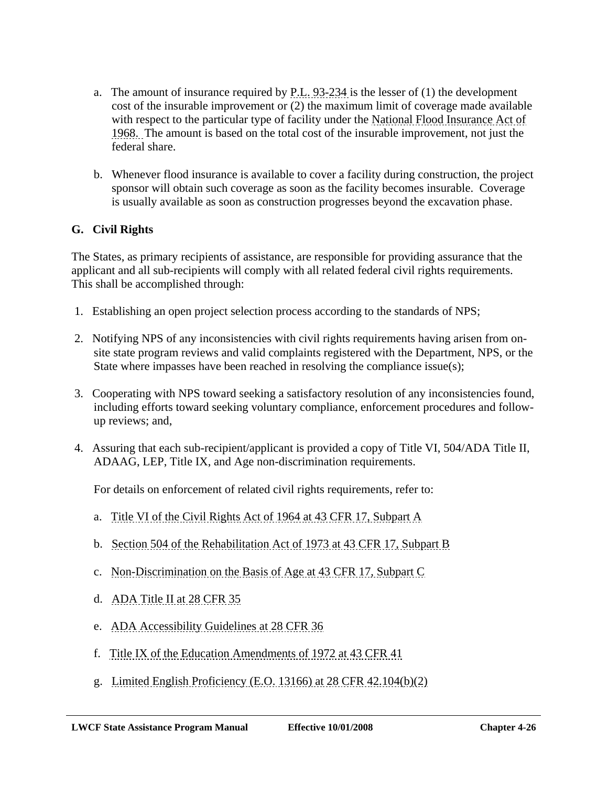- a. The amount of insurance required by P.L. 93-234 is the lesser of (1) the development cost of the insurable improvement or (2) the maximum limit of coverage made available with respect to the particular type of facility under the National Flood Insurance Act of 1968. The amount is based on the total cost of the insurable improvement, not just the federal share.
- b. Whenever flood insurance is available to cover a facility during construction, the project sponsor will obtain such coverage as soon as the facility becomes insurable. Coverage is usually available as soon as construction progresses beyond the excavation phase.

# **G. Civil Rights**

The States, as primary recipients of assistance, are responsible for providing assurance that the applicant and all sub-recipients will comply with all related federal civil rights requirements. This shall be accomplished through:

- 1. Establishing an open project selection process according to the standards of NPS;
- 2. Notifying NPS of any inconsistencies with civil rights requirements having arisen from onsite state program reviews and valid complaints registered with the Department, NPS, or the State where impasses have been reached in resolving the compliance issue(s);
- 3. Cooperating with NPS toward seeking a satisfactory resolution of any inconsistencies found, including efforts toward seeking voluntary compliance, enforcement procedures and followup reviews; and,
- 4. Assuring that each sub-recipient/applicant is provided a copy of Title VI, 504/ADA Title II, ADAAG, LEP, Title IX, and Age non-discrimination requirements.

For details on enforcement of related civil rights requirements, refer to:

- a. Title VI of the Civil Rights Act of 1964 at 43 CFR 17, Subpart A
- b. Section 504 of the Rehabilitation Act of 1973 at 43 CFR 17, Subpart B
- c. Non-Discrimination on the Basis of Age at 43 CFR 17, Subpart C
- d. ADA Title II at 28 CFR 35
- e. ADA Accessibility Guidelines at 28 CFR 36
- f. Title IX of the Education Amendments of 1972 at 43 CFR 41
- g. Limited English Proficiency (E.O. 13166) at 28 CFR 42.104(b)(2)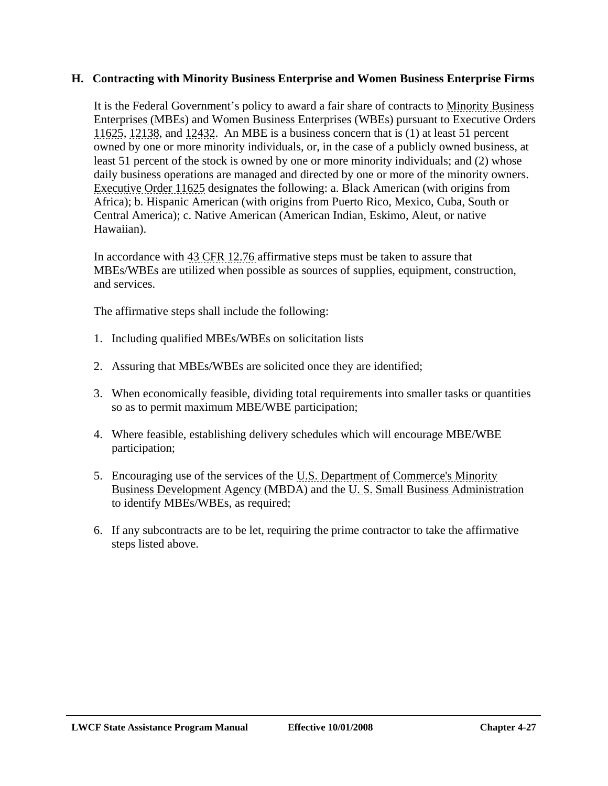#### **H. Contracting with Minority Business Enterprise and Women Business Enterprise Firms**

It is the Federal Government's policy to award a fair share of contracts to Minority Business Enterprises (MBEs) and Women Business Enterprises (WBEs) pursuant to Executive Orders 11625, 12138, and 12432. An MBE is a business concern that is (1) at least 51 percent owned by one or more minority individuals, or, in the case of a publicly owned business, at least 51 percent of the stock is owned by one or more minority individuals; and (2) whose daily business operations are managed and directed by one or more of the minority owners. Executive Order 11625 designates the following: a. Black American (with origins from Africa); b. Hispanic American (with origins from Puerto Rico, Mexico, Cuba, South or Central America); c. Native American (American Indian, Eskimo, Aleut, or native Hawaiian).

In accordance with 43 CFR 12.76 affirmative steps must be taken to assure that MBEs/WBEs are utilized when possible as sources of supplies, equipment, construction, and services.

The affirmative steps shall include the following:

- 1. Including qualified MBEs/WBEs on solicitation lists
- 2. Assuring that MBEs/WBEs are solicited once they are identified;
- 3. When economically feasible, dividing total requirements into smaller tasks or quantities so as to permit maximum MBE/WBE participation;
- 4. Where feasible, establishing delivery schedules which will encourage MBE/WBE participation;
- 5. Encouraging use of the services of the U.S. Department of Commerce's Minority Business Development Agency (MBDA) and the U. S. Small Business Administration to identify MBEs/WBEs, as required;
- 6. If any subcontracts are to be let, requiring the prime contractor to take the affirmative steps listed above.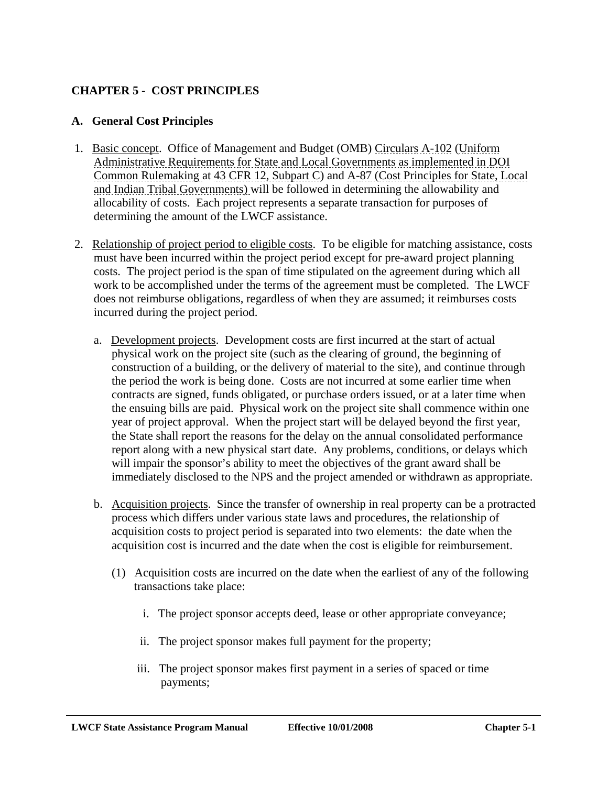# **CHAPTER 5 - COST PRINCIPLES**

#### **A. General Cost Principles**

- 1. Basic concept. Office of Management and Budget (OMB) Circulars A-102 (Uniform Administrative Requirements for State and Local Governments as implemented in DOI Common Rulemaking at 43 CFR 12, Subpart C) and A-87 (Cost Principles for State, Local and Indian Tribal Governments) will be followed in determining the allowability and allocability of costs. Each project represents a separate transaction for purposes of determining the amount of the LWCF assistance.
- 2. Relationship of project period to eligible costs. To be eligible for matching assistance, costs must have been incurred within the project period except for pre-award project planning costs. The project period is the span of time stipulated on the agreement during which all work to be accomplished under the terms of the agreement must be completed. The LWCF does not reimburse obligations, regardless of when they are assumed; it reimburses costs incurred during the project period.
	- a. Development projects. Development costs are first incurred at the start of actual physical work on the project site (such as the clearing of ground, the beginning of construction of a building, or the delivery of material to the site), and continue through the period the work is being done. Costs are not incurred at some earlier time when contracts are signed, funds obligated, or purchase orders issued, or at a later time when the ensuing bills are paid. Physical work on the project site shall commence within one year of project approval. When the project start will be delayed beyond the first year, the State shall report the reasons for the delay on the annual consolidated performance report along with a new physical start date. Any problems, conditions, or delays which will impair the sponsor's ability to meet the objectives of the grant award shall be immediately disclosed to the NPS and the project amended or withdrawn as appropriate.
	- b. Acquisition projects. Since the transfer of ownership in real property can be a protracted process which differs under various state laws and procedures, the relationship of acquisition costs to project period is separated into two elements: the date when the acquisition cost is incurred and the date when the cost is eligible for reimbursement.
		- (1) Acquisition costs are incurred on the date when the earliest of any of the following transactions take place:
			- i. The project sponsor accepts deed, lease or other appropriate conveyance;
			- ii. The project sponsor makes full payment for the property;
			- iii. The project sponsor makes first payment in a series of spaced or time payments;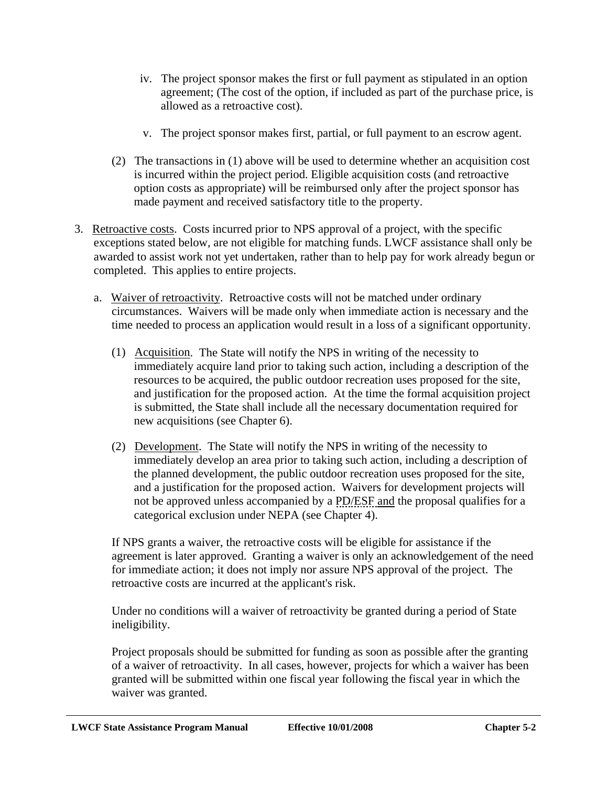- iv. The project sponsor makes the first or full payment as stipulated in an option agreement; (The cost of the option, if included as part of the purchase price, is allowed as a retroactive cost).
- v. The project sponsor makes first, partial, or full payment to an escrow agent.
- (2) The transactions in (1) above will be used to determine whether an acquisition cost is incurred within the project period. Eligible acquisition costs (and retroactive option costs as appropriate) will be reimbursed only after the project sponsor has made payment and received satisfactory title to the property.
- 3. Retroactive costs. Costs incurred prior to NPS approval of a project, with the specific exceptions stated below, are not eligible for matching funds. LWCF assistance shall only be awarded to assist work not yet undertaken, rather than to help pay for work already begun or completed. This applies to entire projects.
	- a. Waiver of retroactivity. Retroactive costs will not be matched under ordinary circumstances. Waivers will be made only when immediate action is necessary and the time needed to process an application would result in a loss of a significant opportunity.
		- (1) Acquisition. The State will notify the NPS in writing of the necessity to immediately acquire land prior to taking such action, including a description of the resources to be acquired, the public outdoor recreation uses proposed for the site, and justification for the proposed action. At the time the formal acquisition project is submitted, the State shall include all the necessary documentation required for new acquisitions (see Chapter 6).
		- (2) Development. The State will notify the NPS in writing of the necessity to immediately develop an area prior to taking such action, including a description of the planned development, the public outdoor recreation uses proposed for the site, and a justification for the proposed action. Waivers for development projects will not be approved unless accompanied by a PD/ESF and the proposal qualifies for a categorical exclusion under NEPA (see Chapter 4).

If NPS grants a waiver, the retroactive costs will be eligible for assistance if the agreement is later approved. Granting a waiver is only an acknowledgement of the need for immediate action; it does not imply nor assure NPS approval of the project. The retroactive costs are incurred at the applicant's risk.

Under no conditions will a waiver of retroactivity be granted during a period of State ineligibility.

Project proposals should be submitted for funding as soon as possible after the granting of a waiver of retroactivity. In all cases, however, projects for which a waiver has been granted will be submitted within one fiscal year following the fiscal year in which the waiver was granted.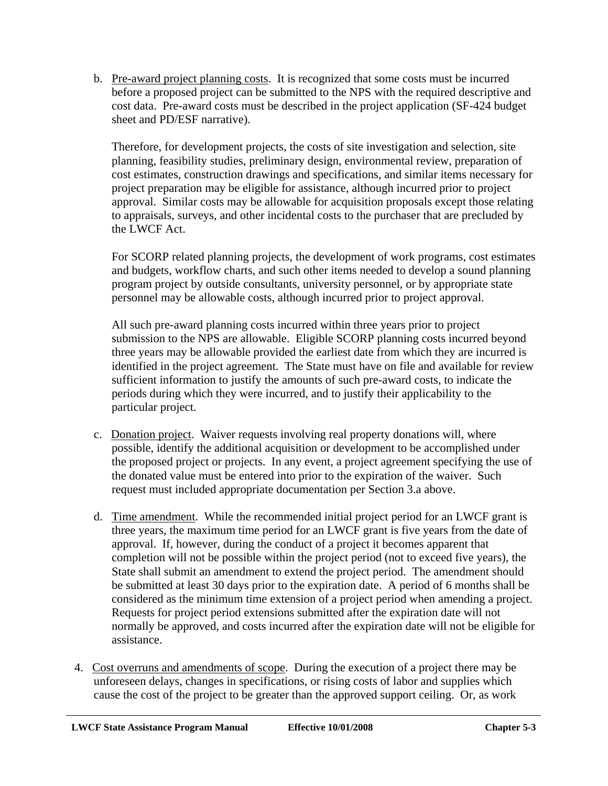b. Pre-award project planning costs. It is recognized that some costs must be incurred before a proposed project can be submitted to the NPS with the required descriptive and cost data. Pre-award costs must be described in the project application (SF-424 budget sheet and PD/ESF narrative).

Therefore, for development projects, the costs of site investigation and selection, site planning, feasibility studies, preliminary design, environmental review, preparation of cost estimates, construction drawings and specifications, and similar items necessary for project preparation may be eligible for assistance, although incurred prior to project approval. Similar costs may be allowable for acquisition proposals except those relating to appraisals, surveys, and other incidental costs to the purchaser that are precluded by the LWCF Act.

For SCORP related planning projects, the development of work programs, cost estimates and budgets, workflow charts, and such other items needed to develop a sound planning program project by outside consultants, university personnel, or by appropriate state personnel may be allowable costs, although incurred prior to project approval.

All such pre-award planning costs incurred within three years prior to project submission to the NPS are allowable. Eligible SCORP planning costs incurred beyond three years may be allowable provided the earliest date from which they are incurred is identified in the project agreement. The State must have on file and available for review sufficient information to justify the amounts of such pre-award costs, to indicate the periods during which they were incurred, and to justify their applicability to the particular project.

- c. Donation project. Waiver requests involving real property donations will, where possible, identify the additional acquisition or development to be accomplished under the proposed project or projects. In any event, a project agreement specifying the use of the donated value must be entered into prior to the expiration of the waiver. Such request must included appropriate documentation per Section 3.a above.
- d. Time amendment. While the recommended initial project period for an LWCF grant is three years, the maximum time period for an LWCF grant is five years from the date of approval. If, however, during the conduct of a project it becomes apparent that completion will not be possible within the project period (not to exceed five years), the State shall submit an amendment to extend the project period. The amendment should be submitted at least 30 days prior to the expiration date. A period of 6 months shall be considered as the minimum time extension of a project period when amending a project. Requests for project period extensions submitted after the expiration date will not normally be approved, and costs incurred after the expiration date will not be eligible for assistance.
- 4. Cost overruns and amendments of scope. During the execution of a project there may be unforeseen delays, changes in specifications, or rising costs of labor and supplies which cause the cost of the project to be greater than the approved support ceiling. Or, as work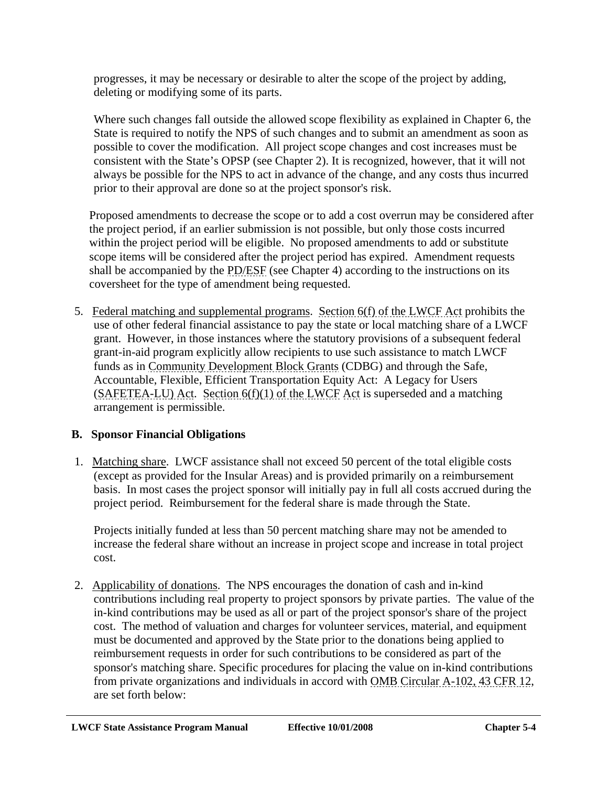progresses, it may be necessary or desirable to alter the scope of the project by adding, deleting or modifying some of its parts.

Where such changes fall outside the allowed scope flexibility as explained in Chapter 6, the State is required to notify the NPS of such changes and to submit an amendment as soon as possible to cover the modification. All project scope changes and cost increases must be consistent with the State's OPSP (see Chapter 2). It is recognized, however, that it will not always be possible for the NPS to act in advance of the change, and any costs thus incurred prior to their approval are done so at the project sponsor's risk.

Proposed amendments to decrease the scope or to add a cost overrun may be considered after the project period, if an earlier submission is not possible, but only those costs incurred within the project period will be eligible. No proposed amendments to add or substitute scope items will be considered after the project period has expired. Amendment requests shall be accompanied by the PD/ESF (see Chapter 4) according to the instructions on its coversheet for the type of amendment being requested.

 5. Federal matching and supplemental programs. Section 6(f) of the LWCF Act prohibits the use of other federal financial assistance to pay the state or local matching share of a LWCF grant. However, in those instances where the statutory provisions of a subsequent federal grant-in-aid program explicitly allow recipients to use such assistance to match LWCF funds as in Community Development Block Grants (CDBG) and through the Safe, Accountable, Flexible, Efficient Transportation Equity Act: A Legacy for Users  $(SAFETEA-LU)$  Act. Section  $6(f)(1)$  of the LWCF Act is superseded and a matching arrangement is permissible.

# **B. Sponsor Financial Obligations**

 1. Matching share. LWCF assistance shall not exceed 50 percent of the total eligible costs (except as provided for the Insular Areas) and is provided primarily on a reimbursement basis. In most cases the project sponsor will initially pay in full all costs accrued during the project period. Reimbursement for the federal share is made through the State.

Projects initially funded at less than 50 percent matching share may not be amended to increase the federal share without an increase in project scope and increase in total project cost.

 2. Applicability of donations. The NPS encourages the donation of cash and in-kind contributions including real property to project sponsors by private parties. The value of the in-kind contributions may be used as all or part of the project sponsor's share of the project cost. The method of valuation and charges for volunteer services, material, and equipment must be documented and approved by the State prior to the donations being applied to reimbursement requests in order for such contributions to be considered as part of the sponsor's matching share. Specific procedures for placing the value on in-kind contributions from private organizations and individuals in accord with OMB Circular A-102, 43 CFR 12, are set forth below: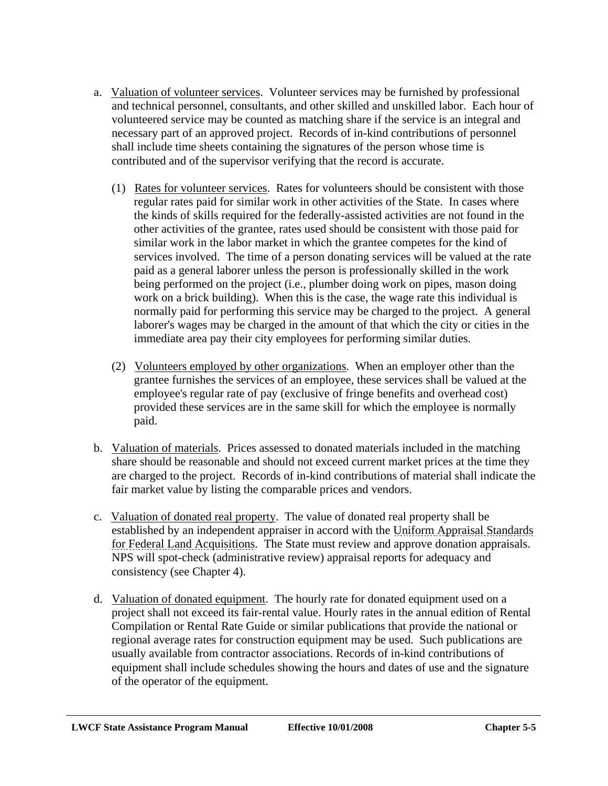- a. Valuation of volunteer services. Volunteer services may be furnished by professional and technical personnel, consultants, and other skilled and unskilled labor. Each hour of volunteered service may be counted as matching share if the service is an integral and necessary part of an approved project. Records of in-kind contributions of personnel shall include time sheets containing the signatures of the person whose time is contributed and of the supervisor verifying that the record is accurate.
	- (1) Rates for volunteer services. Rates for volunteers should be consistent with those regular rates paid for similar work in other activities of the State. In cases where the kinds of skills required for the federally-assisted activities are not found in the other activities of the grantee, rates used should be consistent with those paid for similar work in the labor market in which the grantee competes for the kind of services involved. The time of a person donating services will be valued at the rate paid as a general laborer unless the person is professionally skilled in the work being performed on the project (i.e., plumber doing work on pipes, mason doing work on a brick building). When this is the case, the wage rate this individual is normally paid for performing this service may be charged to the project. A general laborer's wages may be charged in the amount of that which the city or cities in the immediate area pay their city employees for performing similar duties.
	- (2) Volunteers employed by other organizations. When an employer other than the grantee furnishes the services of an employee, these services shall be valued at the employee's regular rate of pay (exclusive of fringe benefits and overhead cost) provided these services are in the same skill for which the employee is normally paid.
- b. Valuation of materials. Prices assessed to donated materials included in the matching share should be reasonable and should not exceed current market prices at the time they are charged to the project. Records of in-kind contributions of material shall indicate the fair market value by listing the comparable prices and vendors.
- c. Valuation of donated real property. The value of donated real property shall be established by an independent appraiser in accord with the Uniform Appraisal Standards for Federal Land Acquisitions. The State must review and approve donation appraisals. NPS will spot-check (administrative review) appraisal reports for adequacy and consistency (see Chapter 4).
- d. Valuation of donated equipment. The hourly rate for donated equipment used on a project shall not exceed its fair-rental value. Hourly rates in the annual edition of Rental Compilation or Rental Rate Guide or similar publications that provide the national or regional average rates for construction equipment may be used. Such publications are usually available from contractor associations. Records of in-kind contributions of equipment shall include schedules showing the hours and dates of use and the signature of the operator of the equipment.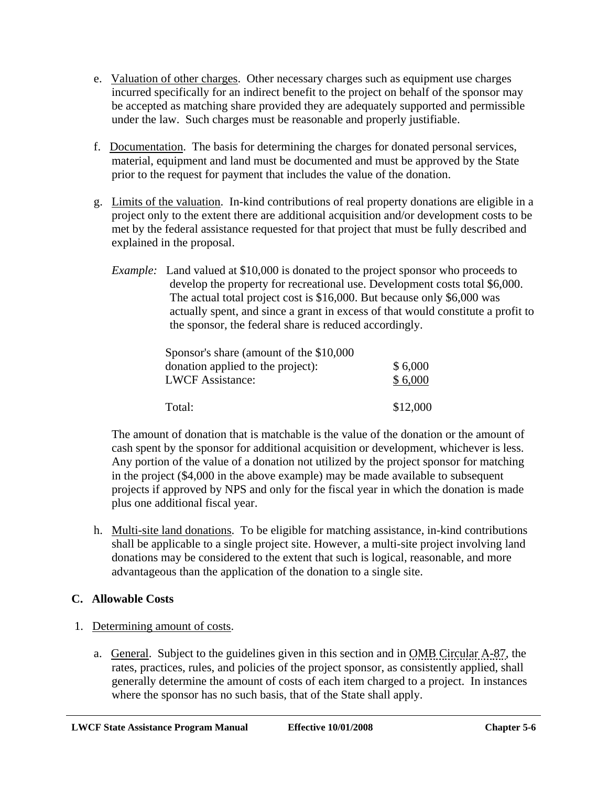- e. Valuation of other charges. Other necessary charges such as equipment use charges incurred specifically for an indirect benefit to the project on behalf of the sponsor may be accepted as matching share provided they are adequately supported and permissible under the law. Such charges must be reasonable and properly justifiable.
- f. Documentation. The basis for determining the charges for donated personal services, material, equipment and land must be documented and must be approved by the State prior to the request for payment that includes the value of the donation.
- g. Limits of the valuation. In-kind contributions of real property donations are eligible in a project only to the extent there are additional acquisition and/or development costs to be met by the federal assistance requested for that project that must be fully described and explained in the proposal.
	- *Example:* Land valued at \$10,000 is donated to the project sponsor who proceeds to develop the property for recreational use. Development costs total \$6,000. The actual total project cost is \$16,000. But because only \$6,000 was actually spent, and since a grant in excess of that would constitute a profit to the sponsor, the federal share is reduced accordingly.

| Sponsor's share (amount of the \$10,000) |          |
|------------------------------------------|----------|
| donation applied to the project):        | \$6,000  |
| <b>LWCF</b> Assistance:                  | \$6,000  |
| Total:                                   | \$12,000 |

The amount of donation that is matchable is the value of the donation or the amount of cash spent by the sponsor for additional acquisition or development, whichever is less. Any portion of the value of a donation not utilized by the project sponsor for matching in the project (\$4,000 in the above example) may be made available to subsequent projects if approved by NPS and only for the fiscal year in which the donation is made plus one additional fiscal year.

h. Multi-site land donations. To be eligible for matching assistance, in-kind contributions shall be applicable to a single project site. However, a multi-site project involving land donations may be considered to the extent that such is logical, reasonable, and more advantageous than the application of the donation to a single site.

# **C. Allowable Costs**

- 1. Determining amount of costs.
	- a. General. Subject to the guidelines given in this section and in OMB Circular A-87, the rates, practices, rules, and policies of the project sponsor, as consistently applied, shall generally determine the amount of costs of each item charged to a project. In instances where the sponsor has no such basis, that of the State shall apply.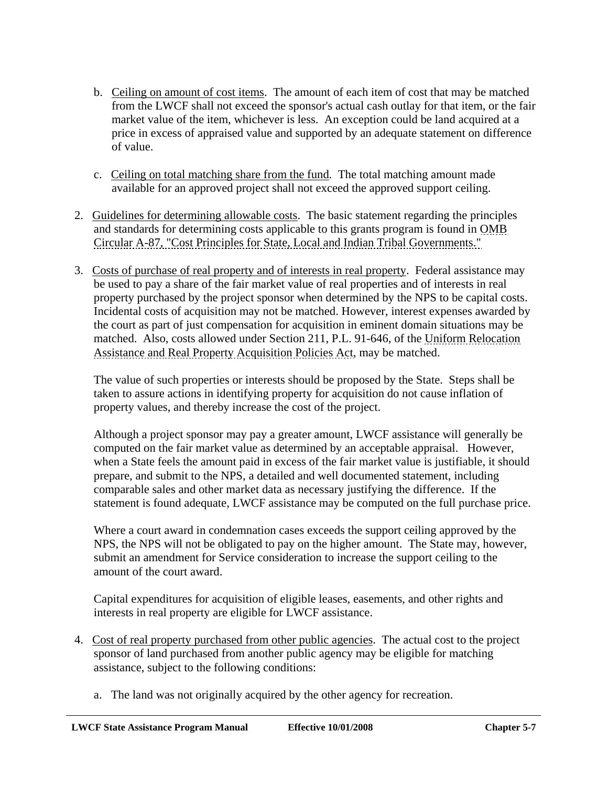- b. Ceiling on amount of cost items. The amount of each item of cost that may be matched from the LWCF shall not exceed the sponsor's actual cash outlay for that item, or the fair market value of the item, whichever is less. An exception could be land acquired at a price in excess of appraised value and supported by an adequate statement on difference of value.
- c. Ceiling on total matching share from the fund. The total matching amount made available for an approved project shall not exceed the approved support ceiling.
- 2. Guidelines for determining allowable costs. The basic statement regarding the principles and standards for determining costs applicable to this grants program is found in OMB Circular A-87, "Cost Principles for State, Local and Indian Tribal Governments."
- 3. Costs of purchase of real property and of interests in real property. Federal assistance may be used to pay a share of the fair market value of real properties and of interests in real property purchased by the project sponsor when determined by the NPS to be capital costs. Incidental costs of acquisition may not be matched. However, interest expenses awarded by the court as part of just compensation for acquisition in eminent domain situations may be matched. Also, costs allowed under Section 211, P.L. 91-646, of the Uniform Relocation Assistance and Real Property Acquisition Policies Act, may be matched.

The value of such properties or interests should be proposed by the State. Steps shall be taken to assure actions in identifying property for acquisition do not cause inflation of property values, and thereby increase the cost of the project.

Although a project sponsor may pay a greater amount, LWCF assistance will generally be computed on the fair market value as determined by an acceptable appraisal. However, when a State feels the amount paid in excess of the fair market value is justifiable, it should prepare, and submit to the NPS, a detailed and well documented statement, including comparable sales and other market data as necessary justifying the difference. If the statement is found adequate, LWCF assistance may be computed on the full purchase price.

Where a court award in condemnation cases exceeds the support ceiling approved by the NPS, the NPS will not be obligated to pay on the higher amount. The State may, however, submit an amendment for Service consideration to increase the support ceiling to the amount of the court award.

Capital expenditures for acquisition of eligible leases, easements, and other rights and interests in real property are eligible for LWCF assistance.

- 4. Cost of real property purchased from other public agencies. The actual cost to the project sponsor of land purchased from another public agency may be eligible for matching assistance, subject to the following conditions:
	- a. The land was not originally acquired by the other agency for recreation.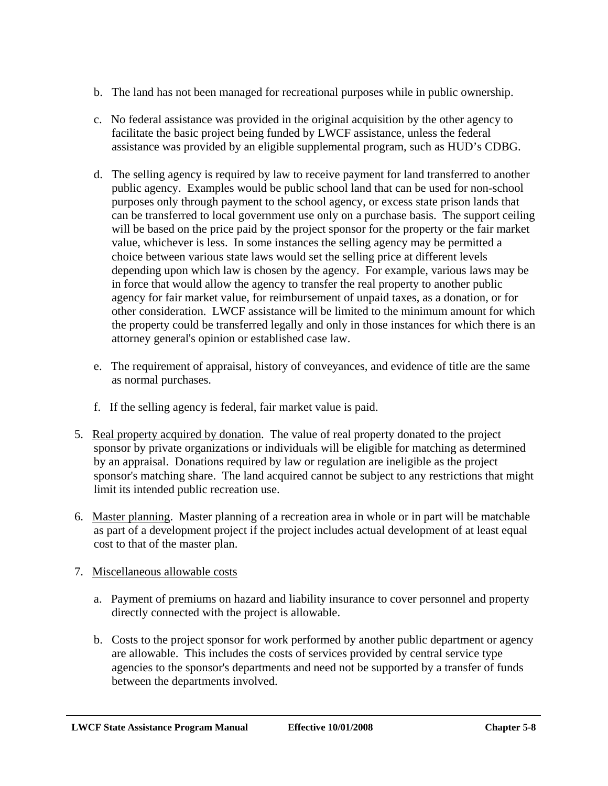- b. The land has not been managed for recreational purposes while in public ownership.
- c. No federal assistance was provided in the original acquisition by the other agency to facilitate the basic project being funded by LWCF assistance, unless the federal assistance was provided by an eligible supplemental program, such as HUD's CDBG.
- d. The selling agency is required by law to receive payment for land transferred to another public agency. Examples would be public school land that can be used for non-school purposes only through payment to the school agency, or excess state prison lands that can be transferred to local government use only on a purchase basis. The support ceiling will be based on the price paid by the project sponsor for the property or the fair market value, whichever is less. In some instances the selling agency may be permitted a choice between various state laws would set the selling price at different levels depending upon which law is chosen by the agency. For example, various laws may be in force that would allow the agency to transfer the real property to another public agency for fair market value, for reimbursement of unpaid taxes, as a donation, or for other consideration. LWCF assistance will be limited to the minimum amount for which the property could be transferred legally and only in those instances for which there is an attorney general's opinion or established case law.
- e. The requirement of appraisal, history of conveyances, and evidence of title are the same as normal purchases.
- f. If the selling agency is federal, fair market value is paid.
- 5. Real property acquired by donation. The value of real property donated to the project sponsor by private organizations or individuals will be eligible for matching as determined by an appraisal. Donations required by law or regulation are ineligible as the project sponsor's matching share. The land acquired cannot be subject to any restrictions that might limit its intended public recreation use.
- 6. Master planning. Master planning of a recreation area in whole or in part will be matchable as part of a development project if the project includes actual development of at least equal cost to that of the master plan.

### 7. Miscellaneous allowable costs

- a. Payment of premiums on hazard and liability insurance to cover personnel and property directly connected with the project is allowable.
- b. Costs to the project sponsor for work performed by another public department or agency are allowable. This includes the costs of services provided by central service type agencies to the sponsor's departments and need not be supported by a transfer of funds between the departments involved.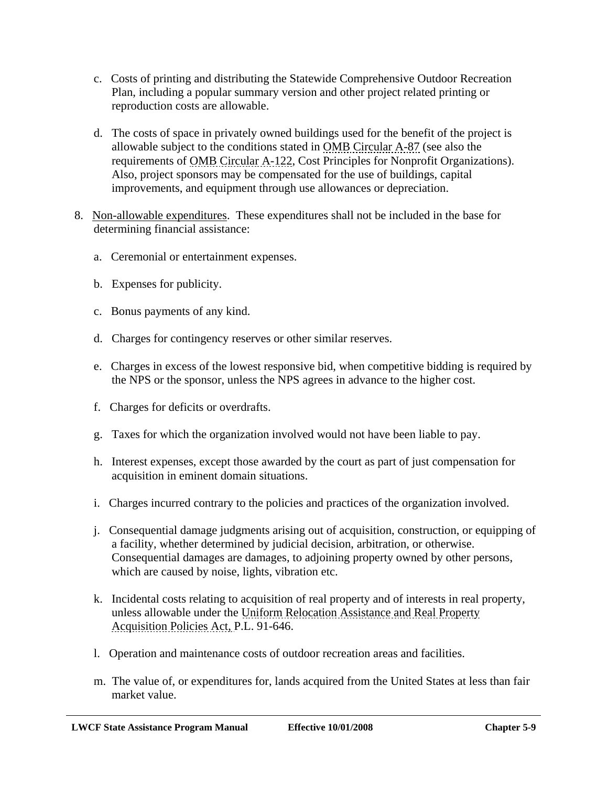- c. Costs of printing and distributing the Statewide Comprehensive Outdoor Recreation Plan, including a popular summary version and other project related printing or reproduction costs are allowable.
- d. The costs of space in privately owned buildings used for the benefit of the project is allowable subject to the conditions stated in OMB Circular A-87 (see also the requirements of OMB Circular A-122, Cost Principles for Nonprofit Organizations). Also, project sponsors may be compensated for the use of buildings, capital improvements, and equipment through use allowances or depreciation.
- 8. Non-allowable expenditures. These expenditures shall not be included in the base for determining financial assistance:
	- a. Ceremonial or entertainment expenses.
	- b. Expenses for publicity.
	- c. Bonus payments of any kind.
	- d. Charges for contingency reserves or other similar reserves.
	- e. Charges in excess of the lowest responsive bid, when competitive bidding is required by the NPS or the sponsor, unless the NPS agrees in advance to the higher cost.
	- f. Charges for deficits or overdrafts.
	- g. Taxes for which the organization involved would not have been liable to pay.
	- h. Interest expenses, except those awarded by the court as part of just compensation for acquisition in eminent domain situations.
	- i. Charges incurred contrary to the policies and practices of the organization involved.
	- j. Consequential damage judgments arising out of acquisition, construction, or equipping of a facility, whether determined by judicial decision, arbitration, or otherwise. Consequential damages are damages, to adjoining property owned by other persons, which are caused by noise, lights, vibration etc.
	- k. Incidental costs relating to acquisition of real property and of interests in real property, unless allowable under the Uniform Relocation Assistance and Real Property Acquisition Policies Act, P.L. 91-646.
	- l. Operation and maintenance costs of outdoor recreation areas and facilities.
	- m. The value of, or expenditures for, lands acquired from the United States at less than fair market value.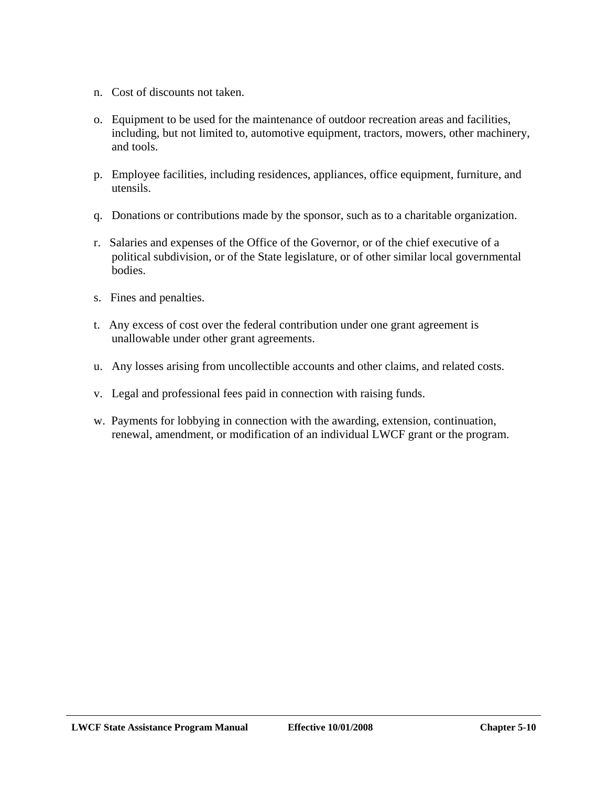- n. Cost of discounts not taken.
- o. Equipment to be used for the maintenance of outdoor recreation areas and facilities, including, but not limited to, automotive equipment, tractors, mowers, other machinery, and tools.
- p. Employee facilities, including residences, appliances, office equipment, furniture, and utensils.
- q. Donations or contributions made by the sponsor, such as to a charitable organization.
- r. Salaries and expenses of the Office of the Governor, or of the chief executive of a political subdivision, or of the State legislature, or of other similar local governmental bodies.
- s. Fines and penalties.
- t. Any excess of cost over the federal contribution under one grant agreement is unallowable under other grant agreements.
- u. Any losses arising from uncollectible accounts and other claims, and related costs.
- v. Legal and professional fees paid in connection with raising funds.
- w. Payments for lobbying in connection with the awarding, extension, continuation, renewal, amendment, or modification of an individual LWCF grant or the program.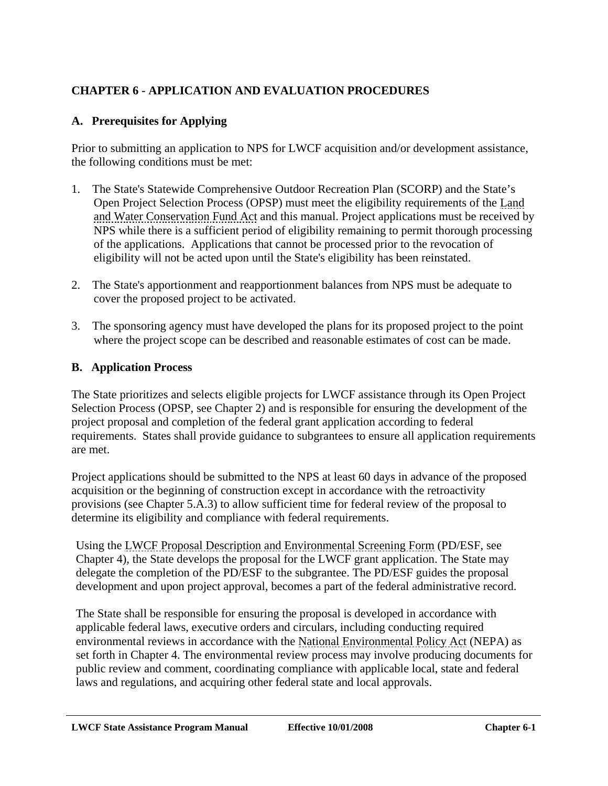# **CHAPTER 6 - APPLICATION AND EVALUATION PROCEDURES**

## **A. Prerequisites for Applying**

Prior to submitting an application to NPS for LWCF acquisition and/or development assistance, the following conditions must be met:

- 1. The State's Statewide Comprehensive Outdoor Recreation Plan (SCORP) and the State's Open Project Selection Process (OPSP) must meet the eligibility requirements of the Land and Water Conservation Fund Act and this manual. Project applications must be received by NPS while there is a sufficient period of eligibility remaining to permit thorough processing of the applications. Applications that cannot be processed prior to the revocation of eligibility will not be acted upon until the State's eligibility has been reinstated.
- 2. The State's apportionment and reapportionment balances from NPS must be adequate to cover the proposed project to be activated.
- 3. The sponsoring agency must have developed the plans for its proposed project to the point where the project scope can be described and reasonable estimates of cost can be made.

### **B. Application Process**

The State prioritizes and selects eligible projects for LWCF assistance through its Open Project Selection Process (OPSP, see Chapter 2) and is responsible for ensuring the development of the project proposal and completion of the federal grant application according to federal requirements. States shall provide guidance to subgrantees to ensure all application requirements are met.

Project applications should be submitted to the NPS at least 60 days in advance of the proposed acquisition or the beginning of construction except in accordance with the retroactivity provisions (see Chapter 5.A.3) to allow sufficient time for federal review of the proposal to determine its eligibility and compliance with federal requirements.

Using the LWCF Proposal Description and Environmental Screening Form (PD/ESF, see Chapter 4), the State develops the proposal for the LWCF grant application. The State may delegate the completion of the PD/ESF to the subgrantee. The PD/ESF guides the proposal development and upon project approval, becomes a part of the federal administrative record.

The State shall be responsible for ensuring the proposal is developed in accordance with applicable federal laws, executive orders and circulars, including conducting required environmental reviews in accordance with the National Environmental Policy Act (NEPA) as set forth in Chapter 4. The environmental review process may involve producing documents for public review and comment, coordinating compliance with applicable local, state and federal laws and regulations, and acquiring other federal state and local approvals.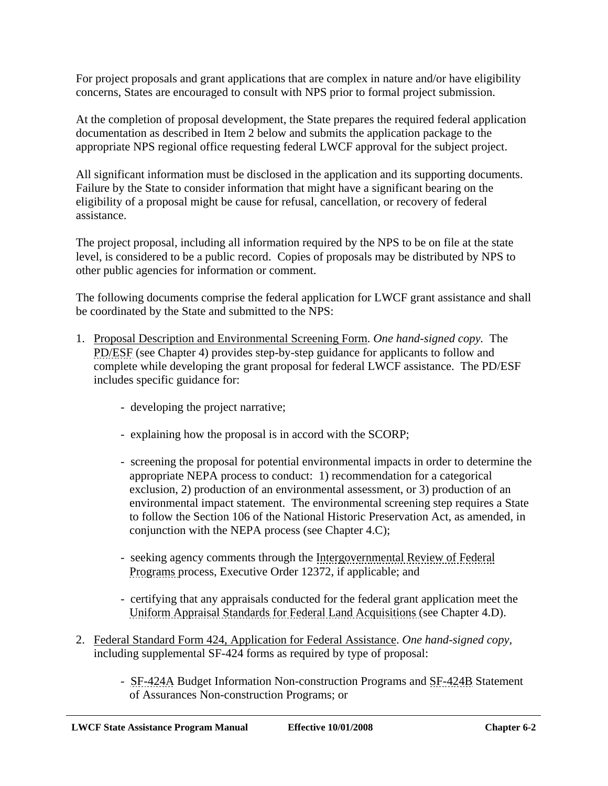For project proposals and grant applications that are complex in nature and/or have eligibility concerns, States are encouraged to consult with NPS prior to formal project submission.

At the completion of proposal development, the State prepares the required federal application documentation as described in Item 2 below and submits the application package to the appropriate NPS regional office requesting federal LWCF approval for the subject project.

All significant information must be disclosed in the application and its supporting documents. Failure by the State to consider information that might have a significant bearing on the eligibility of a proposal might be cause for refusal, cancellation, or recovery of federal assistance.

The project proposal, including all information required by the NPS to be on file at the state level, is considered to be a public record. Copies of proposals may be distributed by NPS to other public agencies for information or comment.

The following documents comprise the federal application for LWCF grant assistance and shall be coordinated by the State and submitted to the NPS:

- 1. Proposal Description and Environmental Screening Form. *One hand-signed copy.* The PD/ESF (see Chapter 4) provides step-by-step guidance for applicants to follow and complete while developing the grant proposal for federal LWCF assistance. The PD/ESF includes specific guidance for:
	- developing the project narrative;
	- explaining how the proposal is in accord with the SCORP;
	- screening the proposal for potential environmental impacts in order to determine the appropriate NEPA process to conduct: 1) recommendation for a categorical exclusion, 2) production of an environmental assessment, or 3) production of an environmental impact statement. The environmental screening step requires a State to follow the Section 106 of the National Historic Preservation Act, as amended, in conjunction with the NEPA process (see Chapter 4.C);
	- seeking agency comments through the Intergovernmental Review of Federal Programs process, Executive Order 12372, if applicable; and
	- certifying that any appraisals conducted for the federal grant application meet the Uniform Appraisal Standards for Federal Land Acquisitions (see Chapter 4.D).
- 2. Federal Standard Form 424, Application for Federal Assistance. *One hand-signed copy,*  including supplemental SF-424 forms as required by type of proposal:
	- SF-424A Budget Information Non-construction Programs and SF-424B Statement of Assurances Non-construction Programs; or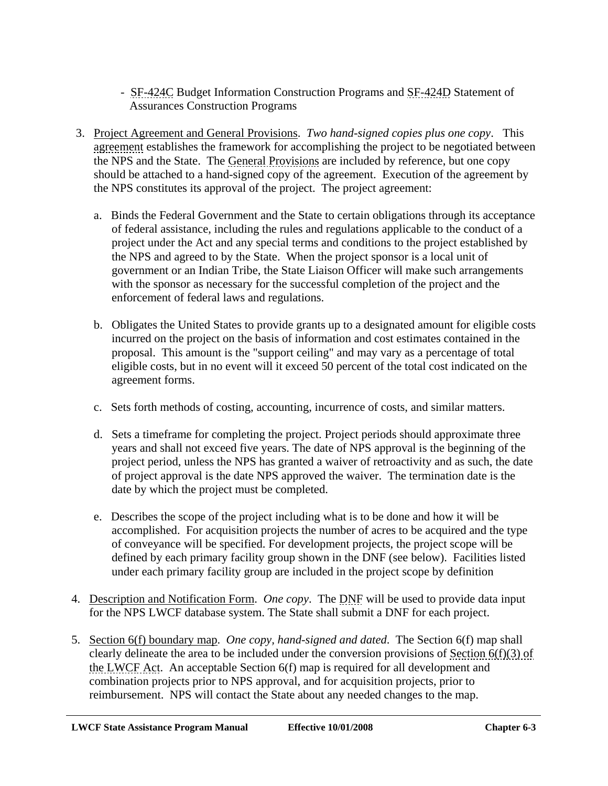- SF-424C Budget Information Construction Programs and SF-424D Statement of Assurances Construction Programs
- 3. Project Agreement and General Provisions. *Two hand-signed copies plus one copy*. This agreement establishes the framework for accomplishing the project to be negotiated between the NPS and the State. The General Provisions are included by reference, but one copy should be attached to a hand-signed copy of the agreement. Execution of the agreement by the NPS constitutes its approval of the project. The project agreement:
	- a. Binds the Federal Government and the State to certain obligations through its acceptance of federal assistance, including the rules and regulations applicable to the conduct of a project under the Act and any special terms and conditions to the project established by the NPS and agreed to by the State. When the project sponsor is a local unit of government or an Indian Tribe, the State Liaison Officer will make such arrangements with the sponsor as necessary for the successful completion of the project and the enforcement of federal laws and regulations.
	- b. Obligates the United States to provide grants up to a designated amount for eligible costs incurred on the project on the basis of information and cost estimates contained in the proposal. This amount is the "support ceiling" and may vary as a percentage of total eligible costs, but in no event will it exceed 50 percent of the total cost indicated on the agreement forms.
	- c. Sets forth methods of costing, accounting, incurrence of costs, and similar matters.
	- d. Sets a timeframe for completing the project. Project periods should approximate three years and shall not exceed five years. The date of NPS approval is the beginning of the project period, unless the NPS has granted a waiver of retroactivity and as such, the date of project approval is the date NPS approved the waiver. The termination date is the date by which the project must be completed.
	- e. Describes the scope of the project including what is to be done and how it will be accomplished. For acquisition projects the number of acres to be acquired and the type of conveyance will be specified. For development projects, the project scope will be defined by each primary facility group shown in the DNF (see below). Facilities listed under each primary facility group are included in the project scope by definition
- 4. Description and Notification Form. *One copy*. The DNF will be used to provide data input for the NPS LWCF database system. The State shall submit a DNF for each project.
- 5. Section 6(f) boundary map. *One copy, hand-signed and dated*. The Section 6(f) map shall clearly delineate the area to be included under the conversion provisions of Section 6(f)(3) of the LWCF Act. An acceptable Section 6(f) map is required for all development and combination projects prior to NPS approval, and for acquisition projects, prior to reimbursement. NPS will contact the State about any needed changes to the map.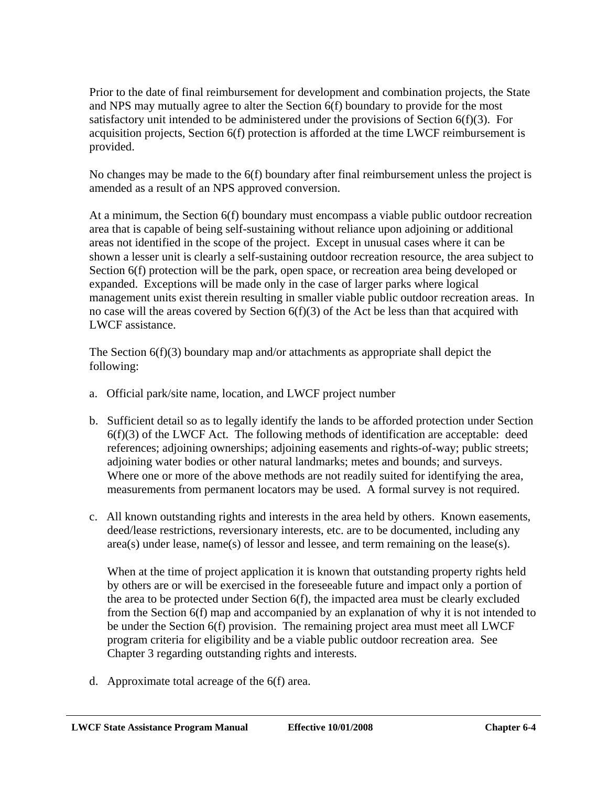Prior to the date of final reimbursement for development and combination projects, the State and NPS may mutually agree to alter the Section 6(f) boundary to provide for the most satisfactory unit intended to be administered under the provisions of Section 6(f)(3). For acquisition projects, Section 6(f) protection is afforded at the time LWCF reimbursement is provided.

No changes may be made to the 6(f) boundary after final reimbursement unless the project is amended as a result of an NPS approved conversion.

At a minimum, the Section 6(f) boundary must encompass a viable public outdoor recreation area that is capable of being self-sustaining without reliance upon adjoining or additional areas not identified in the scope of the project. Except in unusual cases where it can be shown a lesser unit is clearly a self-sustaining outdoor recreation resource, the area subject to Section 6(f) protection will be the park, open space, or recreation area being developed or expanded. Exceptions will be made only in the case of larger parks where logical management units exist therein resulting in smaller viable public outdoor recreation areas. In no case will the areas covered by Section 6(f)(3) of the Act be less than that acquired with LWCF assistance.

The Section  $6(f)(3)$  boundary map and/or attachments as appropriate shall depict the following:

- a. Official park/site name, location, and LWCF project number
- b. Sufficient detail so as to legally identify the lands to be afforded protection under Section  $6(f)(3)$  of the LWCF Act. The following methods of identification are acceptable: deed references; adjoining ownerships; adjoining easements and rights-of-way; public streets; adjoining water bodies or other natural landmarks; metes and bounds; and surveys. Where one or more of the above methods are not readily suited for identifying the area, measurements from permanent locators may be used. A formal survey is not required.
- c. All known outstanding rights and interests in the area held by others. Known easements, deed/lease restrictions, reversionary interests, etc. are to be documented, including any  $area(s)$  under lease, name(s) of lessor and lessee, and term remaining on the lease(s).

When at the time of project application it is known that outstanding property rights held by others are or will be exercised in the foreseeable future and impact only a portion of the area to be protected under Section 6(f), the impacted area must be clearly excluded from the Section 6(f) map and accompanied by an explanation of why it is not intended to be under the Section 6(f) provision. The remaining project area must meet all LWCF program criteria for eligibility and be a viable public outdoor recreation area. See Chapter 3 regarding outstanding rights and interests.

d. Approximate total acreage of the 6(f) area.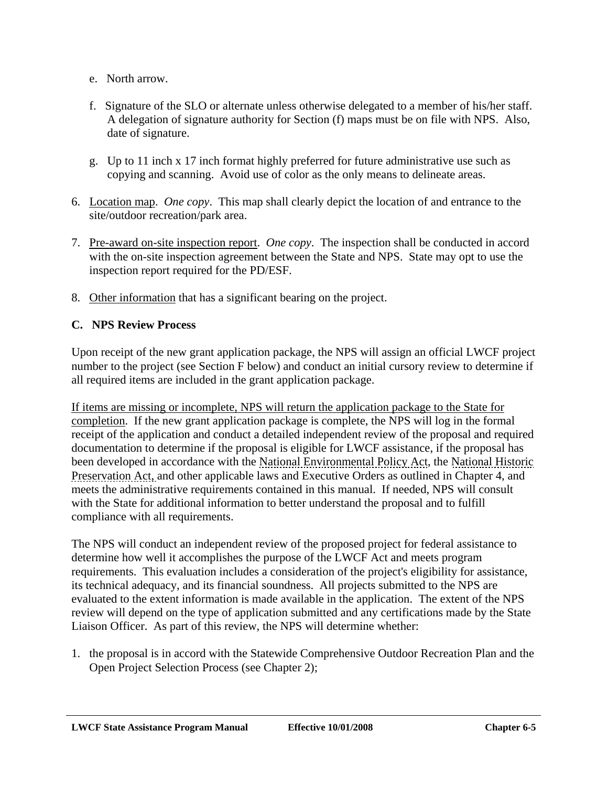- e. North arrow.
- f. Signature of the SLO or alternate unless otherwise delegated to a member of his/her staff. A delegation of signature authority for Section (f) maps must be on file with NPS. Also, date of signature.
- g. Up to 11 inch x 17 inch format highly preferred for future administrative use such as copying and scanning. Avoid use of color as the only means to delineate areas.
- 6. Location map. *One copy*. This map shall clearly depict the location of and entrance to the site/outdoor recreation/park area.
- 7. Pre-award on-site inspection report. *One copy*. The inspection shall be conducted in accord with the on-site inspection agreement between the State and NPS. State may opt to use the inspection report required for the PD/ESF.
- 8. Other information that has a significant bearing on the project.

## **C. NPS Review Process**

Upon receipt of the new grant application package, the NPS will assign an official LWCF project number to the project (see Section F below) and conduct an initial cursory review to determine if all required items are included in the grant application package.

If items are missing or incomplete, NPS will return the application package to the State for completion. If the new grant application package is complete, the NPS will log in the formal receipt of the application and conduct a detailed independent review of the proposal and required documentation to determine if the proposal is eligible for LWCF assistance, if the proposal has been developed in accordance with the National Environmental Policy Act, the National Historic Preservation Act, and other applicable laws and Executive Orders as outlined in Chapter 4, and meets the administrative requirements contained in this manual. If needed, NPS will consult with the State for additional information to better understand the proposal and to fulfill compliance with all requirements.

The NPS will conduct an independent review of the proposed project for federal assistance to determine how well it accomplishes the purpose of the LWCF Act and meets program requirements. This evaluation includes a consideration of the project's eligibility for assistance, its technical adequacy, and its financial soundness. All projects submitted to the NPS are evaluated to the extent information is made available in the application. The extent of the NPS review will depend on the type of application submitted and any certifications made by the State Liaison Officer. As part of this review, the NPS will determine whether:

1. the proposal is in accord with the Statewide Comprehensive Outdoor Recreation Plan and the Open Project Selection Process (see Chapter 2);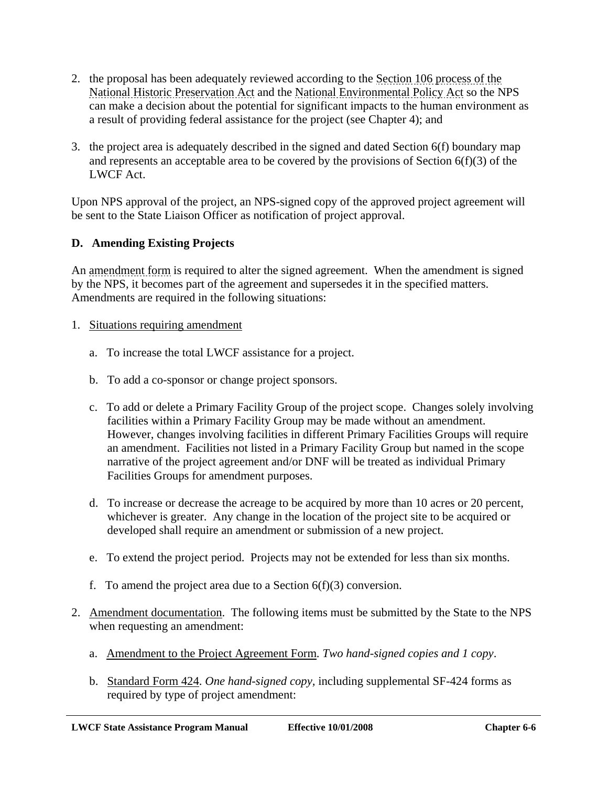- 2. the proposal has been adequately reviewed according to the Section 106 process of the National Historic Preservation Act and the National Environmental Policy Act so the NPS can make a decision about the potential for significant impacts to the human environment as a result of providing federal assistance for the project (see Chapter 4); and
- 3. the project area is adequately described in the signed and dated Section 6(f) boundary map and represents an acceptable area to be covered by the provisions of Section 6(f)(3) of the LWCF Act.

Upon NPS approval of the project, an NPS-signed copy of the approved project agreement will be sent to the State Liaison Officer as notification of project approval.

# **D. Amending Existing Projects**

An amendment form is required to alter the signed agreement. When the amendment is signed by the NPS, it becomes part of the agreement and supersedes it in the specified matters. Amendments are required in the following situations:

- 1. Situations requiring amendment
	- a. To increase the total LWCF assistance for a project.
	- b. To add a co-sponsor or change project sponsors.
	- c. To add or delete a Primary Facility Group of the project scope. Changes solely involving facilities within a Primary Facility Group may be made without an amendment. However, changes involving facilities in different Primary Facilities Groups will require an amendment. Facilities not listed in a Primary Facility Group but named in the scope narrative of the project agreement and/or DNF will be treated as individual Primary Facilities Groups for amendment purposes.
	- d. To increase or decrease the acreage to be acquired by more than 10 acres or 20 percent, whichever is greater. Any change in the location of the project site to be acquired or developed shall require an amendment or submission of a new project.
	- e. To extend the project period. Projects may not be extended for less than six months.
	- f. To amend the project area due to a Section  $6(f)(3)$  conversion.
- 2. Amendment documentation. The following items must be submitted by the State to the NPS when requesting an amendment:
	- a. Amendment to the Project Agreement Form. *Two hand-signed copies and 1 copy*.
	- b. Standard Form 424. *One hand-signed copy,* including supplemental SF-424 forms as required by type of project amendment: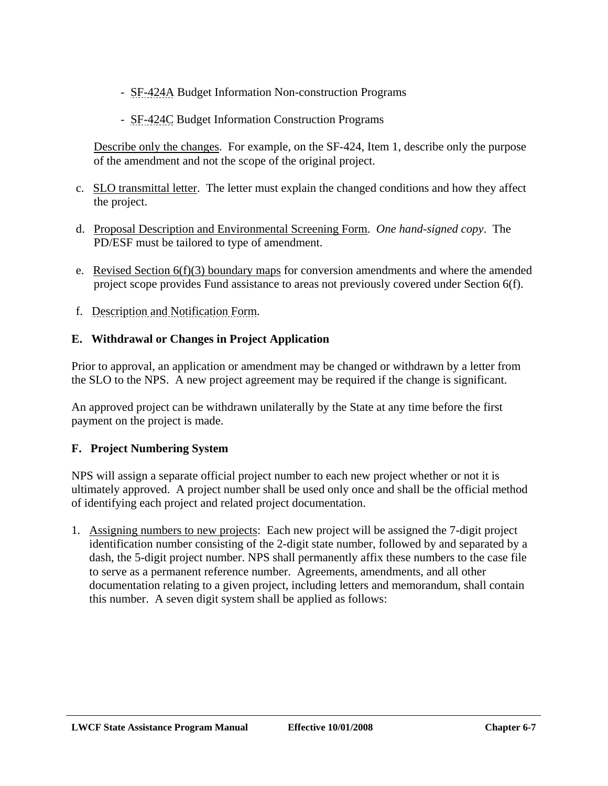- SF-424A Budget Information Non-construction Programs
- SF-424C Budget Information Construction Programs

Describe only the changes. For example, on the SF-424, Item 1, describe only the purpose of the amendment and not the scope of the original project.

- c. SLO transmittal letter. The letter must explain the changed conditions and how they affect the project.
- d. Proposal Description and Environmental Screening Form. *One hand-signed copy*. The PD/ESF must be tailored to type of amendment.
- e. Revised Section 6(f)(3) boundary maps for conversion amendments and where the amended project scope provides Fund assistance to areas not previously covered under Section 6(f).
- f. Description and Notification Form.

## **E. Withdrawal or Changes in Project Application**

Prior to approval, an application or amendment may be changed or withdrawn by a letter from the SLO to the NPS. A new project agreement may be required if the change is significant.

An approved project can be withdrawn unilaterally by the State at any time before the first payment on the project is made.

# **F. Project Numbering System**

NPS will assign a separate official project number to each new project whether or not it is ultimately approved. A project number shall be used only once and shall be the official method of identifying each project and related project documentation.

1. Assigning numbers to new projects: Each new project will be assigned the 7-digit project identification number consisting of the 2-digit state number, followed by and separated by a dash, the 5-digit project number. NPS shall permanently affix these numbers to the case file to serve as a permanent reference number. Agreements, amendments, and all other documentation relating to a given project, including letters and memorandum, shall contain this number. A seven digit system shall be applied as follows: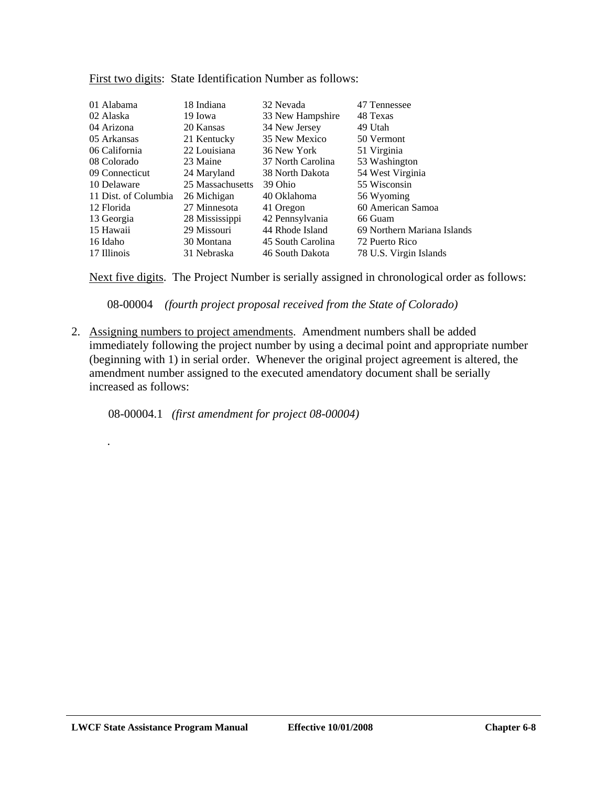| 01 Alabama<br>02 Alaska | 18 Indiana<br>19 Iowa | 32 Nevada<br>33 New Hampshire | 47 Tennessee<br>48 Texas    |
|-------------------------|-----------------------|-------------------------------|-----------------------------|
| 04 Arizona              | 20 Kansas             | 34 New Jersey                 | 49 Utah                     |
| 05 Arkansas             | 21 Kentucky           | 35 New Mexico                 | 50 Vermont                  |
| 06 California           | 22 Louisiana          | 36 New York                   | 51 Virginia                 |
| 08 Colorado             | 23 Maine              | 37 North Carolina             | 53 Washington               |
| 09 Connecticut          | 24 Maryland           | 38 North Dakota               | 54 West Virginia            |
| 10 Delaware             | 25 Massachusetts      | 39 Ohio                       | 55 Wisconsin                |
| 11 Dist. of Columbia    | 26 Michigan           | 40 Oklahoma                   | 56 Wyoming                  |
| 12 Florida              | 27 Minnesota          | 41 Oregon                     | 60 American Samoa           |
| 13 Georgia              | 28 Mississippi        | 42 Pennsylvania               | 66 Guam                     |
| 15 Hawaii               | 29 Missouri           | 44 Rhode Island               | 69 Northern Mariana Islands |
| 16 Idaho                | 30 Montana            | 45 South Carolina             | 72 Puerto Rico              |
| 17 Illinois             | 31 Nebraska           | 46 South Dakota               | 78 U.S. Virgin Islands      |

First two digits: State Identification Number as follows:

Next five digits. The Project Number is serially assigned in chronological order as follows:

08-00004 *(fourth project proposal received from the State of Colorado)*

2. Assigning numbers to project amendments. Amendment numbers shall be added immediately following the project number by using a decimal point and appropriate number (beginning with 1) in serial order. Whenever the original project agreement is altered, the amendment number assigned to the executed amendatory document shall be serially increased as follows:

08-00004.1 *(first amendment for project 08-00004)* 

.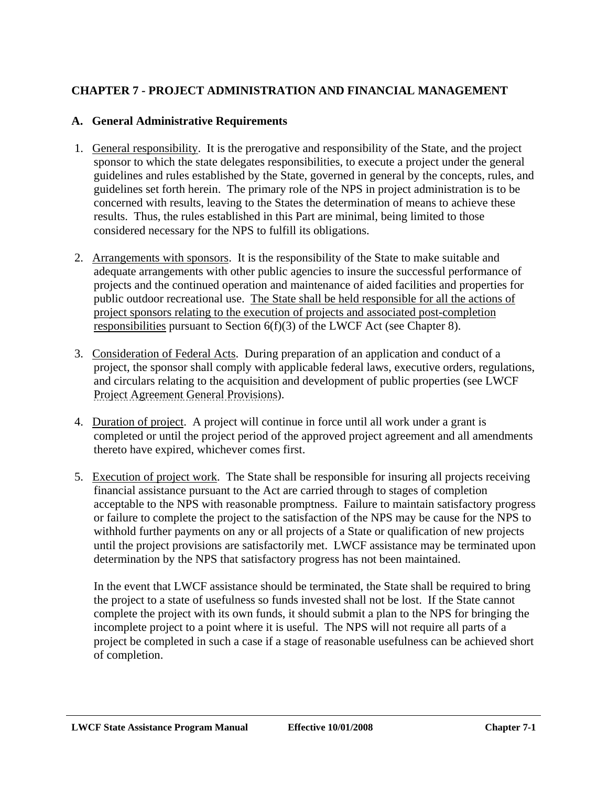# **CHAPTER 7 - PROJECT ADMINISTRATION AND FINANCIAL MANAGEMENT**

### **A. General Administrative Requirements**

- 1. General responsibility. It is the prerogative and responsibility of the State, and the project sponsor to which the state delegates responsibilities, to execute a project under the general guidelines and rules established by the State, governed in general by the concepts, rules, and guidelines set forth herein. The primary role of the NPS in project administration is to be concerned with results, leaving to the States the determination of means to achieve these results. Thus, the rules established in this Part are minimal, being limited to those considered necessary for the NPS to fulfill its obligations.
- 2. Arrangements with sponsors. It is the responsibility of the State to make suitable and adequate arrangements with other public agencies to insure the successful performance of projects and the continued operation and maintenance of aided facilities and properties for public outdoor recreational use. The State shall be held responsible for all the actions of project sponsors relating to the execution of projects and associated post-completion responsibilities pursuant to Section 6(f)(3) of the LWCF Act (see Chapter 8).
- 3. Consideration of Federal Acts. During preparation of an application and conduct of a project, the sponsor shall comply with applicable federal laws, executive orders, regulations, and circulars relating to the acquisition and development of public properties (see LWCF Project Agreement General Provisions).
- 4. Duration of project. A project will continue in force until all work under a grant is completed or until the project period of the approved project agreement and all amendments thereto have expired, whichever comes first.
- 5. Execution of project work. The State shall be responsible for insuring all projects receiving financial assistance pursuant to the Act are carried through to stages of completion acceptable to the NPS with reasonable promptness. Failure to maintain satisfactory progress or failure to complete the project to the satisfaction of the NPS may be cause for the NPS to withhold further payments on any or all projects of a State or qualification of new projects until the project provisions are satisfactorily met. LWCF assistance may be terminated upon determination by the NPS that satisfactory progress has not been maintained.

In the event that LWCF assistance should be terminated, the State shall be required to bring the project to a state of usefulness so funds invested shall not be lost. If the State cannot complete the project with its own funds, it should submit a plan to the NPS for bringing the incomplete project to a point where it is useful. The NPS will not require all parts of a project be completed in such a case if a stage of reasonable usefulness can be achieved short of completion.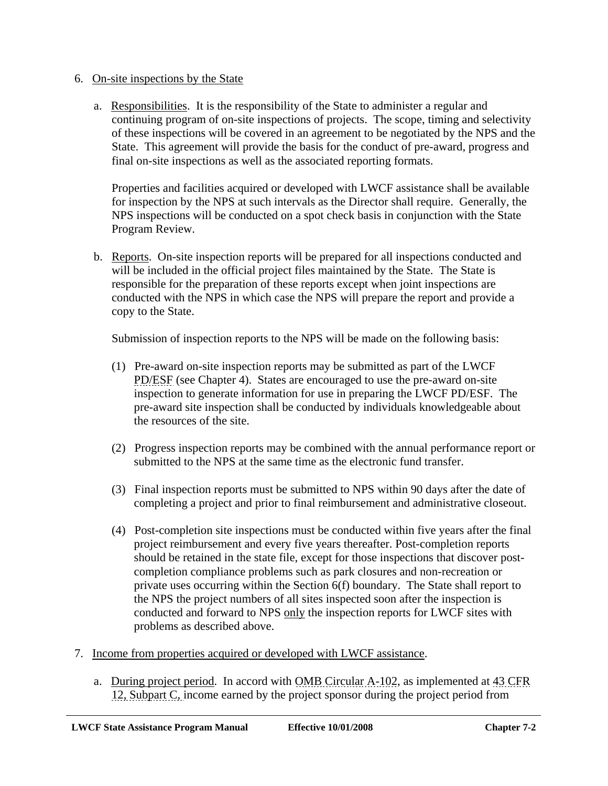#### 6. On-site inspections by the State

a. Responsibilities. It is the responsibility of the State to administer a regular and continuing program of on-site inspections of projects. The scope, timing and selectivity of these inspections will be covered in an agreement to be negotiated by the NPS and the State. This agreement will provide the basis for the conduct of pre-award, progress and final on-site inspections as well as the associated reporting formats.

Properties and facilities acquired or developed with LWCF assistance shall be available for inspection by the NPS at such intervals as the Director shall require. Generally, the NPS inspections will be conducted on a spot check basis in conjunction with the State Program Review.

b. Reports. On-site inspection reports will be prepared for all inspections conducted and will be included in the official project files maintained by the State. The State is responsible for the preparation of these reports except when joint inspections are conducted with the NPS in which case the NPS will prepare the report and provide a copy to the State.

Submission of inspection reports to the NPS will be made on the following basis:

- (1) Pre-award on-site inspection reports may be submitted as part of the LWCF PD/ESF (see Chapter 4). States are encouraged to use the pre-award on-site inspection to generate information for use in preparing the LWCF PD/ESF. The pre-award site inspection shall be conducted by individuals knowledgeable about the resources of the site.
- (2) Progress inspection reports may be combined with the annual performance report or submitted to the NPS at the same time as the electronic fund transfer.
- (3) Final inspection reports must be submitted to NPS within 90 days after the date of completing a project and prior to final reimbursement and administrative closeout.
- (4) Post-completion site inspections must be conducted within five years after the final project reimbursement and every five years thereafter. Post-completion reports should be retained in the state file, except for those inspections that discover postcompletion compliance problems such as park closures and non-recreation or private uses occurring within the Section 6(f) boundary. The State shall report to the NPS the project numbers of all sites inspected soon after the inspection is conducted and forward to NPS only the inspection reports for LWCF sites with problems as described above.
- 7. Income from properties acquired or developed with LWCF assistance.
	- a. During project period. In accord with OMB Circular A-102, as implemented at 43 CFR 12, Subpart C, income earned by the project sponsor during the project period from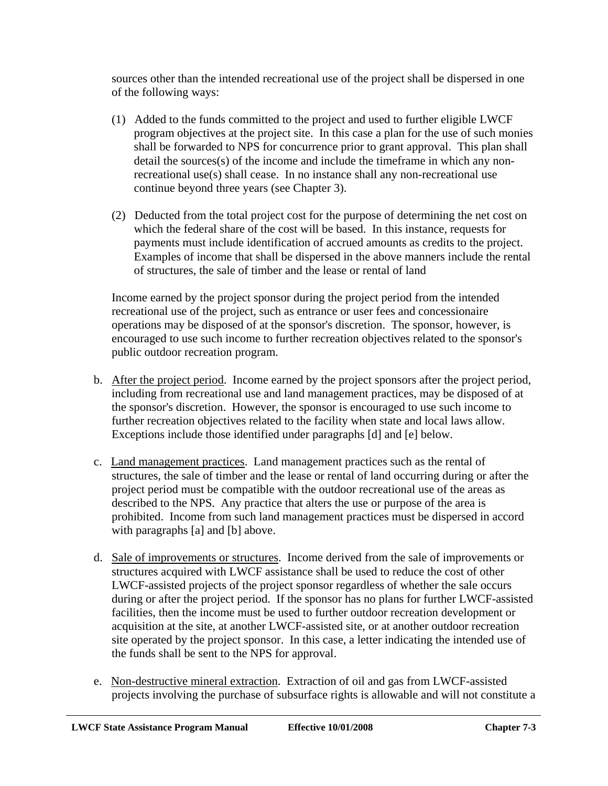sources other than the intended recreational use of the project shall be dispersed in one of the following ways:

- (1) Added to the funds committed to the project and used to further eligible LWCF program objectives at the project site. In this case a plan for the use of such monies shall be forwarded to NPS for concurrence prior to grant approval. This plan shall detail the sources(s) of the income and include the timeframe in which any nonrecreational use(s) shall cease. In no instance shall any non-recreational use continue beyond three years (see Chapter 3).
- (2) Deducted from the total project cost for the purpose of determining the net cost on which the federal share of the cost will be based. In this instance, requests for payments must include identification of accrued amounts as credits to the project. Examples of income that shall be dispersed in the above manners include the rental of structures, the sale of timber and the lease or rental of land

Income earned by the project sponsor during the project period from the intended recreational use of the project, such as entrance or user fees and concessionaire operations may be disposed of at the sponsor's discretion. The sponsor, however, is encouraged to use such income to further recreation objectives related to the sponsor's public outdoor recreation program.

- b. After the project period. Income earned by the project sponsors after the project period, including from recreational use and land management practices, may be disposed of at the sponsor's discretion. However, the sponsor is encouraged to use such income to further recreation objectives related to the facility when state and local laws allow. Exceptions include those identified under paragraphs [d] and [e] below.
- c. Land management practices. Land management practices such as the rental of structures, the sale of timber and the lease or rental of land occurring during or after the project period must be compatible with the outdoor recreational use of the areas as described to the NPS. Any practice that alters the use or purpose of the area is prohibited. Income from such land management practices must be dispersed in accord with paragraphs [a] and [b] above.
- d. Sale of improvements or structures. Income derived from the sale of improvements or structures acquired with LWCF assistance shall be used to reduce the cost of other LWCF-assisted projects of the project sponsor regardless of whether the sale occurs during or after the project period. If the sponsor has no plans for further LWCF-assisted facilities, then the income must be used to further outdoor recreation development or acquisition at the site, at another LWCF-assisted site, or at another outdoor recreation site operated by the project sponsor. In this case, a letter indicating the intended use of the funds shall be sent to the NPS for approval.
- e. Non-destructive mineral extraction. Extraction of oil and gas from LWCF-assisted projects involving the purchase of subsurface rights is allowable and will not constitute a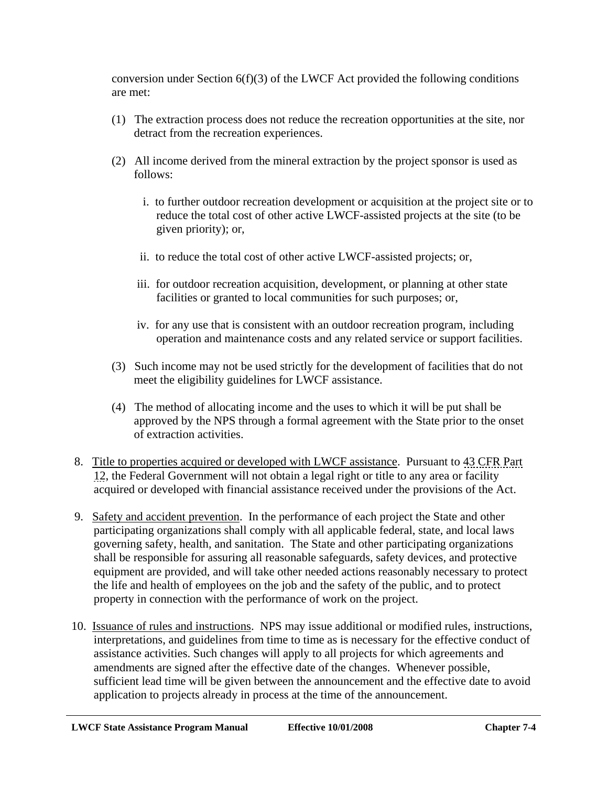conversion under Section  $6(f)(3)$  of the LWCF Act provided the following conditions are met:

- (1) The extraction process does not reduce the recreation opportunities at the site, nor detract from the recreation experiences.
- (2) All income derived from the mineral extraction by the project sponsor is used as follows:
	- i. to further outdoor recreation development or acquisition at the project site or to reduce the total cost of other active LWCF-assisted projects at the site (to be given priority); or,
	- ii. to reduce the total cost of other active LWCF-assisted projects; or,
	- iii. for outdoor recreation acquisition, development, or planning at other state facilities or granted to local communities for such purposes; or,
	- iv. for any use that is consistent with an outdoor recreation program, including operation and maintenance costs and any related service or support facilities.
- (3) Such income may not be used strictly for the development of facilities that do not meet the eligibility guidelines for LWCF assistance.
- (4) The method of allocating income and the uses to which it will be put shall be approved by the NPS through a formal agreement with the State prior to the onset of extraction activities.
- 8. Title to properties acquired or developed with LWCF assistance. Pursuant to 43 CFR Part 12, the Federal Government will not obtain a legal right or title to any area or facility acquired or developed with financial assistance received under the provisions of the Act.
- 9. Safety and accident prevention. In the performance of each project the State and other participating organizations shall comply with all applicable federal, state, and local laws governing safety, health, and sanitation. The State and other participating organizations shall be responsible for assuring all reasonable safeguards, safety devices, and protective equipment are provided, and will take other needed actions reasonably necessary to protect the life and health of employees on the job and the safety of the public, and to protect property in connection with the performance of work on the project.
- 10. Issuance of rules and instructions. NPS may issue additional or modified rules, instructions, interpretations, and guidelines from time to time as is necessary for the effective conduct of assistance activities. Such changes will apply to all projects for which agreements and amendments are signed after the effective date of the changes. Whenever possible, sufficient lead time will be given between the announcement and the effective date to avoid application to projects already in process at the time of the announcement.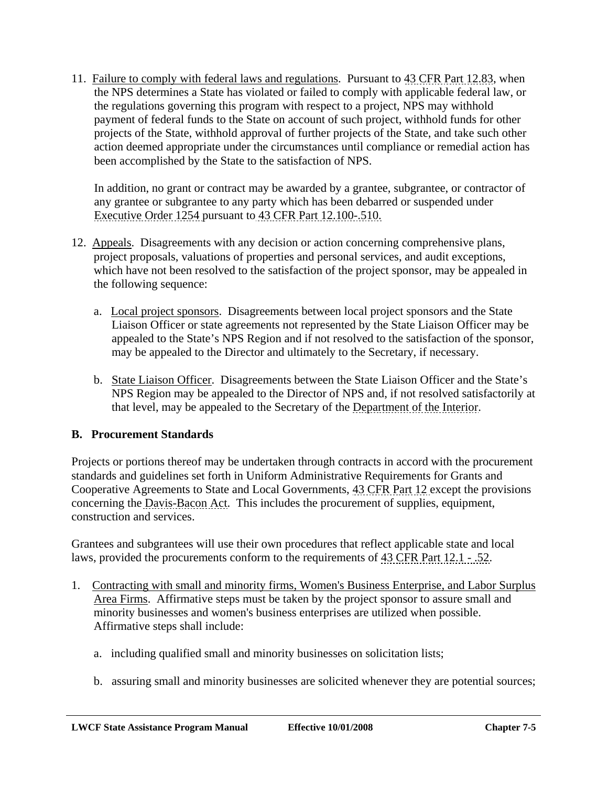11. Failure to comply with federal laws and regulations. Pursuant to 43 CFR Part 12.83, when the NPS determines a State has violated or failed to comply with applicable federal law, or the regulations governing this program with respect to a project, NPS may withhold payment of federal funds to the State on account of such project, withhold funds for other projects of the State, withhold approval of further projects of the State, and take such other action deemed appropriate under the circumstances until compliance or remedial action has been accomplished by the State to the satisfaction of NPS.

In addition, no grant or contract may be awarded by a grantee, subgrantee, or contractor of any grantee or subgrantee to any party which has been debarred or suspended under Executive Order 1254 pursuant to 43 CFR Part 12.100-.510.

- 12. Appeals. Disagreements with any decision or action concerning comprehensive plans, project proposals, valuations of properties and personal services, and audit exceptions, which have not been resolved to the satisfaction of the project sponsor, may be appealed in the following sequence:
	- a. Local project sponsors. Disagreements between local project sponsors and the State Liaison Officer or state agreements not represented by the State Liaison Officer may be appealed to the State's NPS Region and if not resolved to the satisfaction of the sponsor, may be appealed to the Director and ultimately to the Secretary, if necessary.
	- b. State Liaison Officer. Disagreements between the State Liaison Officer and the State's NPS Region may be appealed to the Director of NPS and, if not resolved satisfactorily at that level, may be appealed to the Secretary of the Department of the Interior.

### **B. Procurement Standards**

Projects or portions thereof may be undertaken through contracts in accord with the procurement standards and guidelines set forth in Uniform Administrative Requirements for Grants and Cooperative Agreements to State and Local Governments, 43 CFR Part 12 except the provisions concerning the Davis-Bacon Act. This includes the procurement of supplies, equipment, construction and services.

Grantees and subgrantees will use their own procedures that reflect applicable state and local laws, provided the procurements conform to the requirements of 43 CFR Part 12.1 - .52.

- 1. Contracting with small and minority firms, Women's Business Enterprise, and Labor Surplus Area Firms. Affirmative steps must be taken by the project sponsor to assure small and minority businesses and women's business enterprises are utilized when possible. Affirmative steps shall include:
	- a. including qualified small and minority businesses on solicitation lists;
	- b. assuring small and minority businesses are solicited whenever they are potential sources;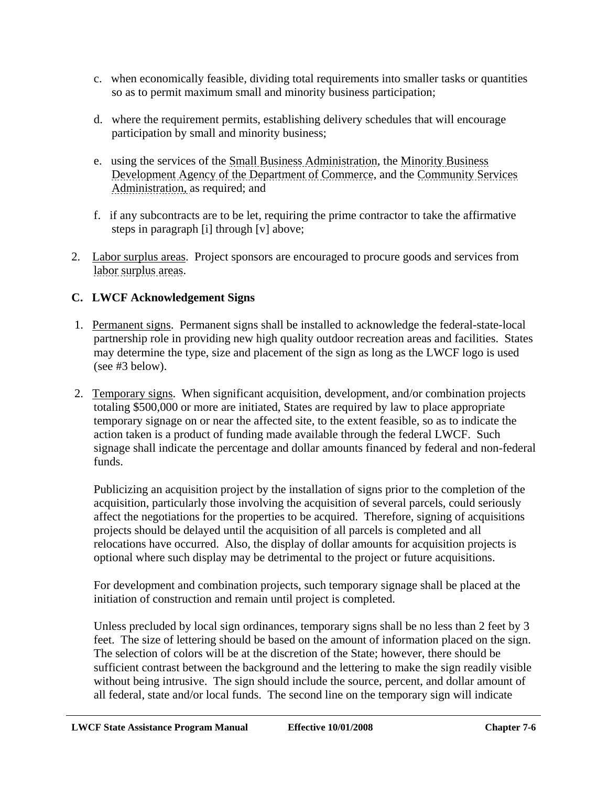- c. when economically feasible, dividing total requirements into smaller tasks or quantities so as to permit maximum small and minority business participation;
- d. where the requirement permits, establishing delivery schedules that will encourage participation by small and minority business;
- e. using the services of the Small Business Administration, the Minority Business Development Agency of the Department of Commerce, and the Community Services Administration, as required; and
- f. if any subcontracts are to be let, requiring the prime contractor to take the affirmative steps in paragraph [i] through [v] above;
- 2. Labor surplus areas. Project sponsors are encouraged to procure goods and services from labor surplus areas.

# **C. LWCF Acknowledgement Signs**

- 1. Permanent signs. Permanent signs shall be installed to acknowledge the federal-state-local partnership role in providing new high quality outdoor recreation areas and facilities. States may determine the type, size and placement of the sign as long as the LWCF logo is used (see #3 below).
- 2. Temporary signs. When significant acquisition, development, and/or combination projects totaling \$500,000 or more are initiated, States are required by law to place appropriate temporary signage on or near the affected site, to the extent feasible, so as to indicate the action taken is a product of funding made available through the federal LWCF. Such signage shall indicate the percentage and dollar amounts financed by federal and non-federal funds.

Publicizing an acquisition project by the installation of signs prior to the completion of the acquisition, particularly those involving the acquisition of several parcels, could seriously affect the negotiations for the properties to be acquired. Therefore, signing of acquisitions projects should be delayed until the acquisition of all parcels is completed and all relocations have occurred. Also, the display of dollar amounts for acquisition projects is optional where such display may be detrimental to the project or future acquisitions.

For development and combination projects, such temporary signage shall be placed at the initiation of construction and remain until project is completed.

Unless precluded by local sign ordinances, temporary signs shall be no less than 2 feet by 3 feet. The size of lettering should be based on the amount of information placed on the sign. The selection of colors will be at the discretion of the State; however, there should be sufficient contrast between the background and the lettering to make the sign readily visible without being intrusive. The sign should include the source, percent, and dollar amount of all federal, state and/or local funds. The second line on the temporary sign will indicate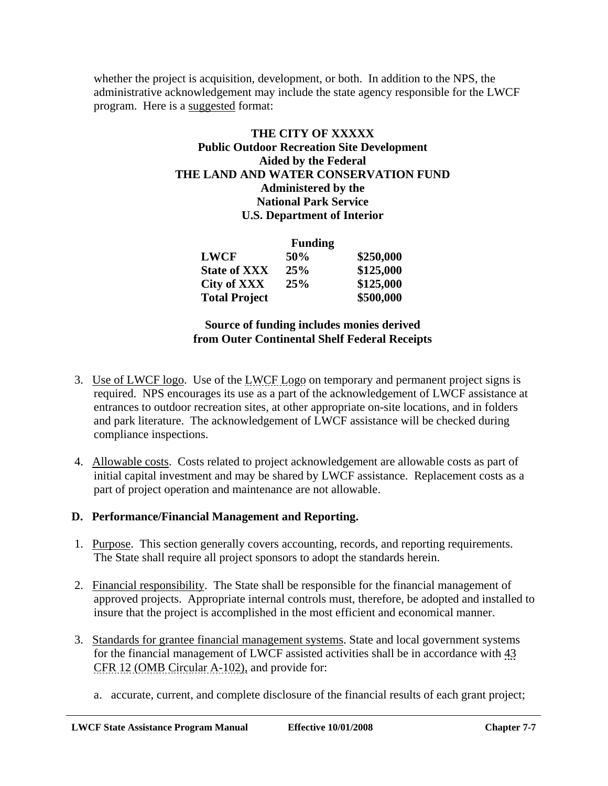whether the project is acquisition, development, or both. In addition to the NPS, the administrative acknowledgement may include the state agency responsible for the LWCF program. Here is a suggested format:

### **THE CITY OF XXXXX Public Outdoor Recreation Site Development Aided by the Federal THE LAND AND WATER CONSERVATION FUND Administered by the National Park Service U.S. Department of Interior**

|                      | <b>Funding</b> |           |
|----------------------|----------------|-----------|
| <b>LWCF</b>          | 50%            | \$250,000 |
| <b>State of XXX</b>  | 25%            | \$125,000 |
| City of XXX          | 25%            | \$125,000 |
| <b>Total Project</b> |                | \$500,000 |

### **Source of funding includes monies derived from Outer Continental Shelf Federal Receipts**

- 3. Use of LWCF logo. Use of the LWCF Logo on temporary and permanent project signs is required. NPS encourages its use as a part of the acknowledgement of LWCF assistance at entrances to outdoor recreation sites, at other appropriate on-site locations, and in folders and park literature. The acknowledgement of LWCF assistance will be checked during compliance inspections.
- 4. Allowable costs. Costs related to project acknowledgement are allowable costs as part of initial capital investment and may be shared by LWCF assistance. Replacement costs as a part of project operation and maintenance are not allowable.

### **D. Performance/Financial Management and Reporting.**

- 1. Purpose. This section generally covers accounting, records, and reporting requirements. The State shall require all project sponsors to adopt the standards herein.
- 2. Financial responsibility. The State shall be responsible for the financial management of approved projects. Appropriate internal controls must, therefore, be adopted and installed to insure that the project is accomplished in the most efficient and economical manner.
- 3. Standards for grantee financial management systems. State and local government systems for the financial management of LWCF assisted activities shall be in accordance with 43 CFR 12 (OMB Circular A-102), and provide for:
	- a. accurate, current, and complete disclosure of the financial results of each grant project;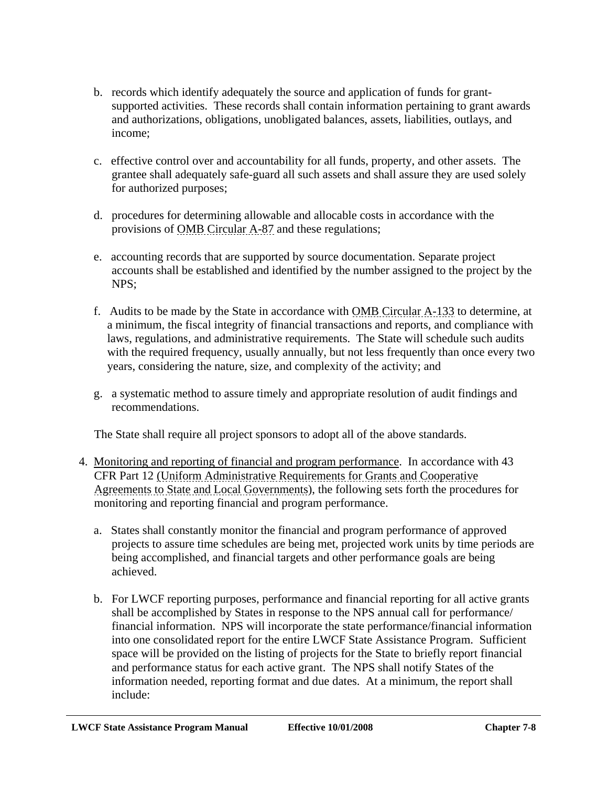- b. records which identify adequately the source and application of funds for grantsupported activities. These records shall contain information pertaining to grant awards and authorizations, obligations, unobligated balances, assets, liabilities, outlays, and income;
- c. effective control over and accountability for all funds, property, and other assets. The grantee shall adequately safe-guard all such assets and shall assure they are used solely for authorized purposes;
- d. procedures for determining allowable and allocable costs in accordance with the provisions of OMB Circular A-87 and these regulations;
- e. accounting records that are supported by source documentation. Separate project accounts shall be established and identified by the number assigned to the project by the NPS;
- f. Audits to be made by the State in accordance with OMB Circular A-133 to determine, at a minimum, the fiscal integrity of financial transactions and reports, and compliance with laws, regulations, and administrative requirements. The State will schedule such audits with the required frequency, usually annually, but not less frequently than once every two years, considering the nature, size, and complexity of the activity; and
- g. a systematic method to assure timely and appropriate resolution of audit findings and recommendations.

The State shall require all project sponsors to adopt all of the above standards.

- 4. Monitoring and reporting of financial and program performance. In accordance with 43 CFR Part 12 (Uniform Administrative Requirements for Grants and Cooperative Agreements to State and Local Governments), the following sets forth the procedures for monitoring and reporting financial and program performance.
	- a. States shall constantly monitor the financial and program performance of approved projects to assure time schedules are being met, projected work units by time periods are being accomplished, and financial targets and other performance goals are being achieved.
	- b. For LWCF reporting purposes, performance and financial reporting for all active grants shall be accomplished by States in response to the NPS annual call for performance/ financial information. NPS will incorporate the state performance/financial information into one consolidated report for the entire LWCF State Assistance Program. Sufficient space will be provided on the listing of projects for the State to briefly report financial and performance status for each active grant. The NPS shall notify States of the information needed, reporting format and due dates. At a minimum, the report shall include: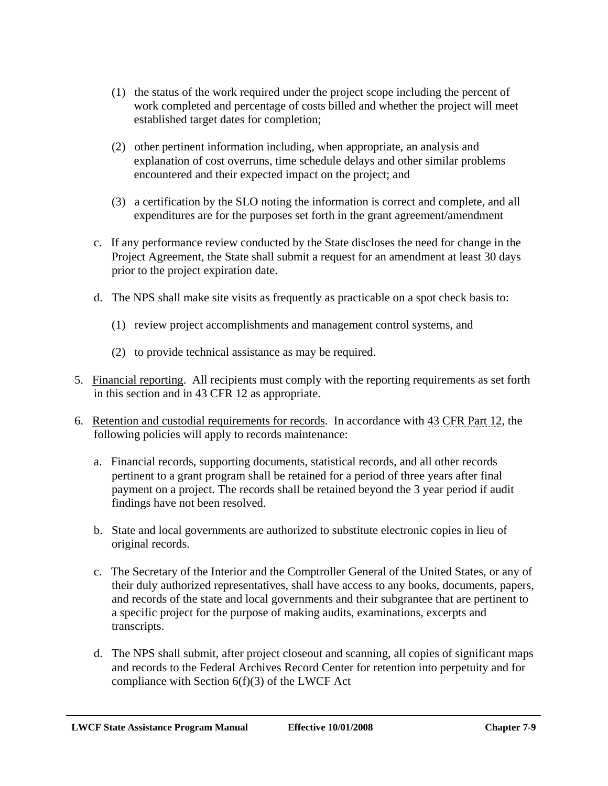- (1) the status of the work required under the project scope including the percent of work completed and percentage of costs billed and whether the project will meet established target dates for completion;
- (2) other pertinent information including, when appropriate, an analysis and explanation of cost overruns, time schedule delays and other similar problems encountered and their expected impact on the project; and
- (3) a certification by the SLO noting the information is correct and complete, and all expenditures are for the purposes set forth in the grant agreement/amendment
- c. If any performance review conducted by the State discloses the need for change in the Project Agreement, the State shall submit a request for an amendment at least 30 days prior to the project expiration date.
- d. The NPS shall make site visits as frequently as practicable on a spot check basis to:
	- (1) review project accomplishments and management control systems, and
	- (2) to provide technical assistance as may be required.
- 5. Financial reporting. All recipients must comply with the reporting requirements as set forth in this section and in 43 CFR 12 as appropriate.
- 6. Retention and custodial requirements for records. In accordance with 43 CFR Part 12, the following policies will apply to records maintenance:
	- a. Financial records, supporting documents, statistical records, and all other records pertinent to a grant program shall be retained for a period of three years after final payment on a project. The records shall be retained beyond the 3 year period if audit findings have not been resolved.
	- b. State and local governments are authorized to substitute electronic copies in lieu of original records.
	- c. The Secretary of the Interior and the Comptroller General of the United States, or any of their duly authorized representatives, shall have access to any books, documents, papers, and records of the state and local governments and their subgrantee that are pertinent to a specific project for the purpose of making audits, examinations, excerpts and transcripts.
	- d. The NPS shall submit, after project closeout and scanning, all copies of significant maps and records to the Federal Archives Record Center for retention into perpetuity and for compliance with Section  $6(f)(3)$  of the LWCF Act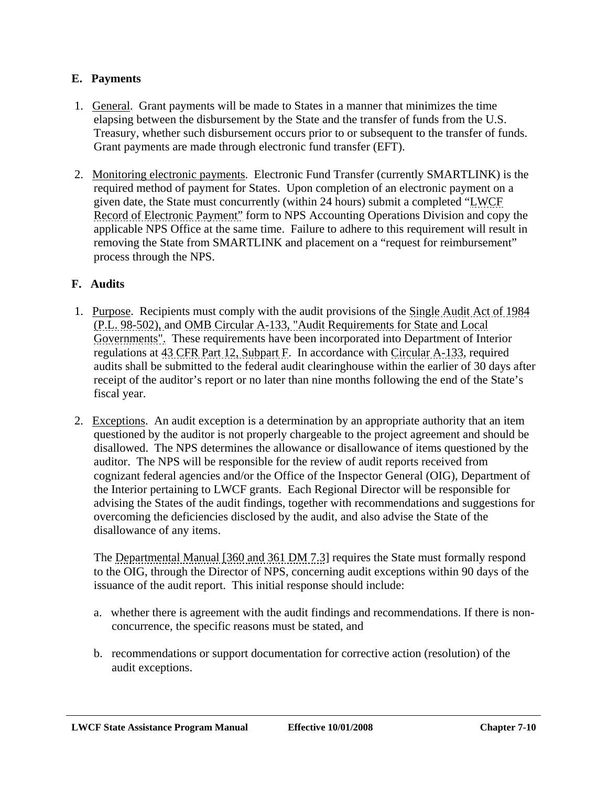## **E. Payments**

- 1. General. Grant payments will be made to States in a manner that minimizes the time elapsing between the disbursement by the State and the transfer of funds from the U.S. Treasury, whether such disbursement occurs prior to or subsequent to the transfer of funds. Grant payments are made through electronic fund transfer (EFT).
- 2. Monitoring electronic payments. Electronic Fund Transfer (currently SMARTLINK) is the required method of payment for States. Upon completion of an electronic payment on a given date, the State must concurrently (within 24 hours) submit a completed "LWCF Record of Electronic Payment" form to NPS Accounting Operations Division and copy the applicable NPS Office at the same time. Failure to adhere to this requirement will result in removing the State from SMARTLINK and placement on a "request for reimbursement" process through the NPS.

# **F. Audits**

- 1. Purpose. Recipients must comply with the audit provisions of the Single Audit Act of 1984 (P.L. 98-502), and OMB Circular A-133, "Audit Requirements for State and Local Governments". These requirements have been incorporated into Department of Interior regulations at 43 CFR Part 12, Subpart F. In accordance with Circular A-133, required audits shall be submitted to the federal audit clearinghouse within the earlier of 30 days after receipt of the auditor's report or no later than nine months following the end of the State's fiscal year.
- 2. Exceptions. An audit exception is a determination by an appropriate authority that an item questioned by the auditor is not properly chargeable to the project agreement and should be disallowed. The NPS determines the allowance or disallowance of items questioned by the auditor. The NPS will be responsible for the review of audit reports received from cognizant federal agencies and/or the Office of the Inspector General (OIG), Department of the Interior pertaining to LWCF grants. Each Regional Director will be responsible for advising the States of the audit findings, together with recommendations and suggestions for overcoming the deficiencies disclosed by the audit, and also advise the State of the disallowance of any items.

The Departmental Manual [360 and 361 DM 7.3] requires the State must formally respond to the OIG, through the Director of NPS, concerning audit exceptions within 90 days of the issuance of the audit report. This initial response should include:

- a. whether there is agreement with the audit findings and recommendations. If there is nonconcurrence, the specific reasons must be stated, and
- b. recommendations or support documentation for corrective action (resolution) of the audit exceptions.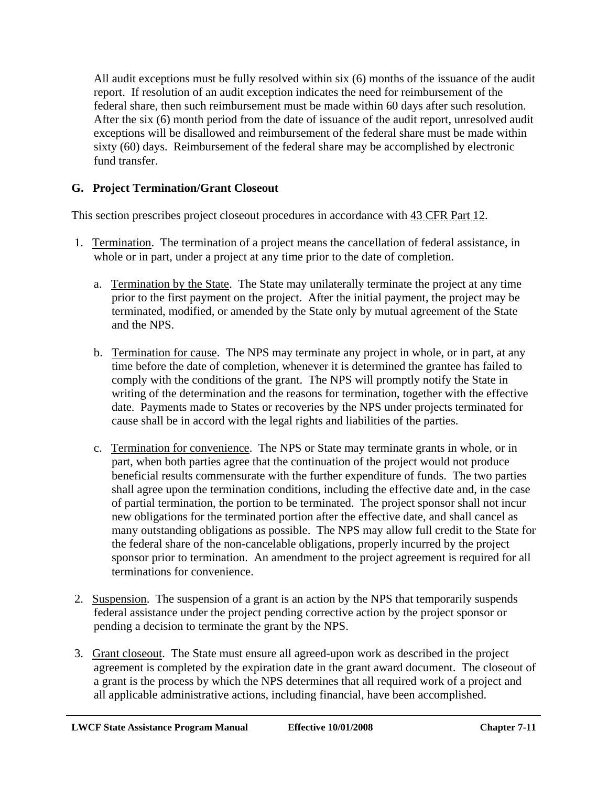All audit exceptions must be fully resolved within six (6) months of the issuance of the audit report. If resolution of an audit exception indicates the need for reimbursement of the federal share, then such reimbursement must be made within 60 days after such resolution. After the six (6) month period from the date of issuance of the audit report, unresolved audit exceptions will be disallowed and reimbursement of the federal share must be made within sixty (60) days. Reimbursement of the federal share may be accomplished by electronic fund transfer.

# **G. Project Termination/Grant Closeout**

This section prescribes project closeout procedures in accordance with 43 CFR Part 12.

- 1. Termination. The termination of a project means the cancellation of federal assistance, in whole or in part, under a project at any time prior to the date of completion.
	- a. Termination by the State. The State may unilaterally terminate the project at any time prior to the first payment on the project. After the initial payment, the project may be terminated, modified, or amended by the State only by mutual agreement of the State and the NPS.
	- b. Termination for cause. The NPS may terminate any project in whole, or in part, at any time before the date of completion, whenever it is determined the grantee has failed to comply with the conditions of the grant. The NPS will promptly notify the State in writing of the determination and the reasons for termination, together with the effective date. Payments made to States or recoveries by the NPS under projects terminated for cause shall be in accord with the legal rights and liabilities of the parties.
	- c. Termination for convenience. The NPS or State may terminate grants in whole, or in part, when both parties agree that the continuation of the project would not produce beneficial results commensurate with the further expenditure of funds. The two parties shall agree upon the termination conditions, including the effective date and, in the case of partial termination, the portion to be terminated. The project sponsor shall not incur new obligations for the terminated portion after the effective date, and shall cancel as many outstanding obligations as possible. The NPS may allow full credit to the State for the federal share of the non-cancelable obligations, properly incurred by the project sponsor prior to termination. An amendment to the project agreement is required for all terminations for convenience.
- 2. Suspension. The suspension of a grant is an action by the NPS that temporarily suspends federal assistance under the project pending corrective action by the project sponsor or pending a decision to terminate the grant by the NPS.
- 3. Grant closeout. The State must ensure all agreed-upon work as described in the project agreement is completed by the expiration date in the grant award document. The closeout of a grant is the process by which the NPS determines that all required work of a project and all applicable administrative actions, including financial, have been accomplished.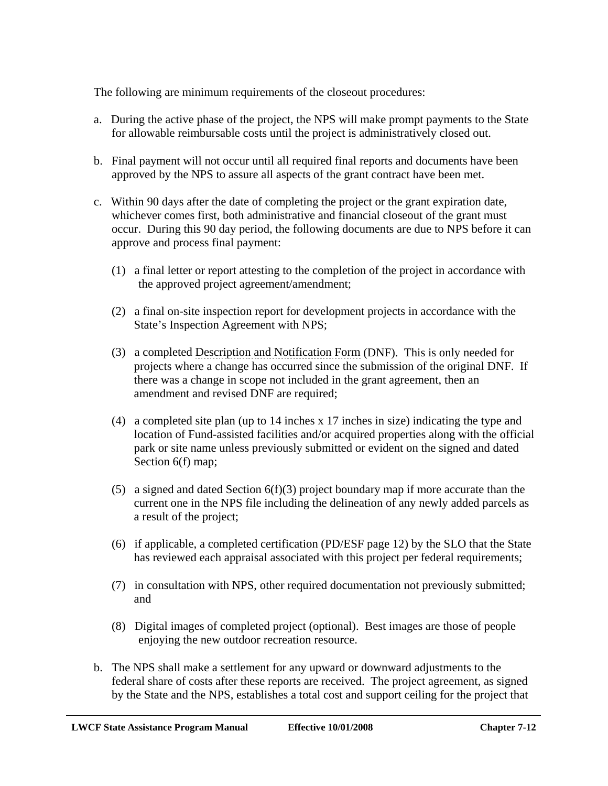The following are minimum requirements of the closeout procedures:

- a. During the active phase of the project, the NPS will make prompt payments to the State for allowable reimbursable costs until the project is administratively closed out.
- b. Final payment will not occur until all required final reports and documents have been approved by the NPS to assure all aspects of the grant contract have been met.
- c. Within 90 days after the date of completing the project or the grant expiration date, whichever comes first, both administrative and financial closeout of the grant must occur. During this 90 day period, the following documents are due to NPS before it can approve and process final payment:
	- (1) a final letter or report attesting to the completion of the project in accordance with the approved project agreement/amendment;
	- (2) a final on-site inspection report for development projects in accordance with the State's Inspection Agreement with NPS;
	- (3) a completed Description and Notification Form (DNF). This is only needed for projects where a change has occurred since the submission of the original DNF. If there was a change in scope not included in the grant agreement, then an amendment and revised DNF are required;
	- (4) a completed site plan (up to 14 inches x 17 inches in size) indicating the type and location of Fund-assisted facilities and/or acquired properties along with the official park or site name unless previously submitted or evident on the signed and dated Section 6(f) map;
	- (5) a signed and dated Section  $6(f)(3)$  project boundary map if more accurate than the current one in the NPS file including the delineation of any newly added parcels as a result of the project;
	- (6) if applicable, a completed certification (PD/ESF page 12) by the SLO that the State has reviewed each appraisal associated with this project per federal requirements;
	- (7) in consultation with NPS, other required documentation not previously submitted; and
	- (8) Digital images of completed project (optional). Best images are those of people enjoying the new outdoor recreation resource.
- b. The NPS shall make a settlement for any upward or downward adjustments to the federal share of costs after these reports are received. The project agreement, as signed by the State and the NPS, establishes a total cost and support ceiling for the project that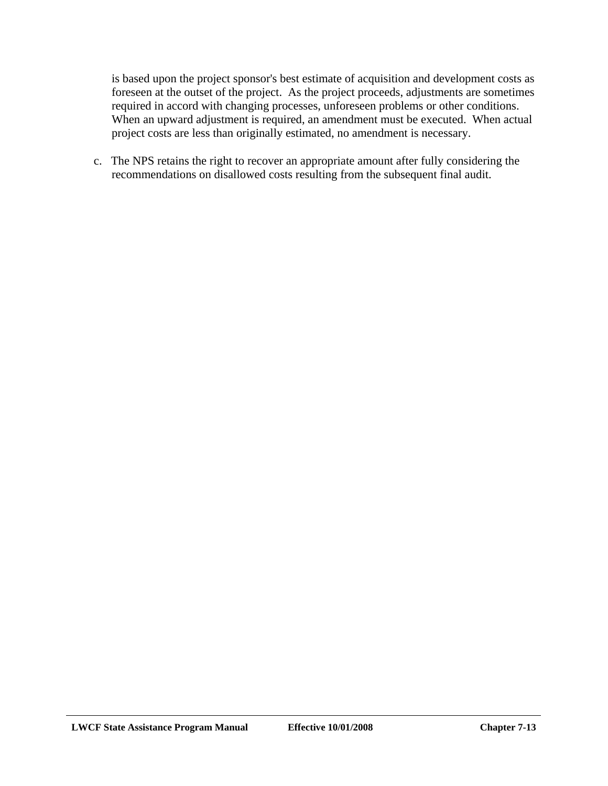is based upon the project sponsor's best estimate of acquisition and development costs as foreseen at the outset of the project. As the project proceeds, adjustments are sometimes required in accord with changing processes, unforeseen problems or other conditions. When an upward adjustment is required, an amendment must be executed. When actual project costs are less than originally estimated, no amendment is necessary.

c. The NPS retains the right to recover an appropriate amount after fully considering the recommendations on disallowed costs resulting from the subsequent final audit.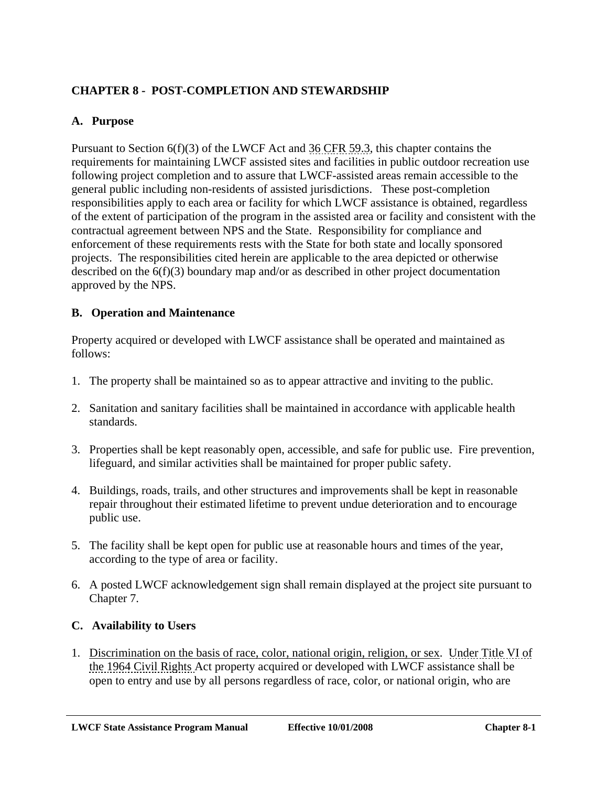# **CHAPTER 8 - POST-COMPLETION AND STEWARDSHIP**

#### **A. Purpose**

Pursuant to Section 6(f)(3) of the LWCF Act and 36 CFR 59.3, this chapter contains the requirements for maintaining LWCF assisted sites and facilities in public outdoor recreation use following project completion and to assure that LWCF-assisted areas remain accessible to the general public including non-residents of assisted jurisdictions. These post-completion responsibilities apply to each area or facility for which LWCF assistance is obtained, regardless of the extent of participation of the program in the assisted area or facility and consistent with the contractual agreement between NPS and the State. Responsibility for compliance and enforcement of these requirements rests with the State for both state and locally sponsored projects. The responsibilities cited herein are applicable to the area depicted or otherwise described on the 6(f)(3) boundary map and/or as described in other project documentation approved by the NPS.

#### **B. Operation and Maintenance**

Property acquired or developed with LWCF assistance shall be operated and maintained as follows:

- 1. The property shall be maintained so as to appear attractive and inviting to the public.
- 2. Sanitation and sanitary facilities shall be maintained in accordance with applicable health standards.
- 3. Properties shall be kept reasonably open, accessible, and safe for public use. Fire prevention, lifeguard, and similar activities shall be maintained for proper public safety.
- 4. Buildings, roads, trails, and other structures and improvements shall be kept in reasonable repair throughout their estimated lifetime to prevent undue deterioration and to encourage public use.
- 5. The facility shall be kept open for public use at reasonable hours and times of the year, according to the type of area or facility.
- 6. A posted LWCF acknowledgement sign shall remain displayed at the project site pursuant to Chapter 7.

#### **C. Availability to Users**

1. Discrimination on the basis of race, color, national origin, religion, or sex. Under Title VI of the 1964 Civil Rights Act property acquired or developed with LWCF assistance shall be open to entry and use by all persons regardless of race, color, or national origin, who are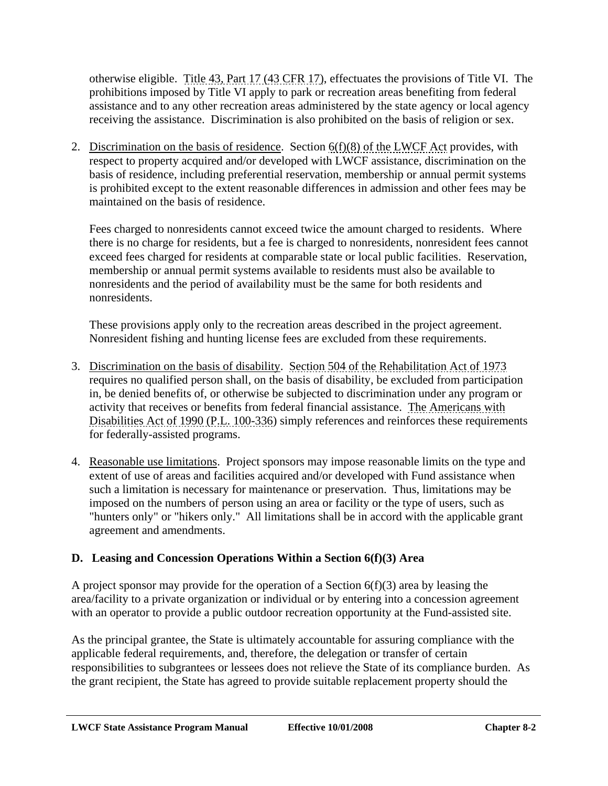otherwise eligible. Title 43, Part 17 (43 CFR 17), effectuates the provisions of Title VI. The prohibitions imposed by Title VI apply to park or recreation areas benefiting from federal assistance and to any other recreation areas administered by the state agency or local agency receiving the assistance. Discrimination is also prohibited on the basis of religion or sex.

2. Discrimination on the basis of residence. Section  $6(f)(8)$  of the LWCF Act provides, with respect to property acquired and/or developed with LWCF assistance, discrimination on the basis of residence, including preferential reservation, membership or annual permit systems is prohibited except to the extent reasonable differences in admission and other fees may be maintained on the basis of residence.

Fees charged to nonresidents cannot exceed twice the amount charged to residents. Where there is no charge for residents, but a fee is charged to nonresidents, nonresident fees cannot exceed fees charged for residents at comparable state or local public facilities. Reservation, membership or annual permit systems available to residents must also be available to nonresidents and the period of availability must be the same for both residents and nonresidents.

These provisions apply only to the recreation areas described in the project agreement. Nonresident fishing and hunting license fees are excluded from these requirements.

- 3. Discrimination on the basis of disability. Section 504 of the Rehabilitation Act of 1973 requires no qualified person shall, on the basis of disability, be excluded from participation in, be denied benefits of, or otherwise be subjected to discrimination under any program or activity that receives or benefits from federal financial assistance. The Americans with Disabilities Act of 1990 (P.L. 100-336) simply references and reinforces these requirements for federally-assisted programs.
- 4. Reasonable use limitations. Project sponsors may impose reasonable limits on the type and extent of use of areas and facilities acquired and/or developed with Fund assistance when such a limitation is necessary for maintenance or preservation. Thus, limitations may be imposed on the numbers of person using an area or facility or the type of users, such as "hunters only" or "hikers only." All limitations shall be in accord with the applicable grant agreement and amendments.

## **D. Leasing and Concession Operations Within a Section 6(f)(3) Area**

A project sponsor may provide for the operation of a Section  $6(f)(3)$  area by leasing the area/facility to a private organization or individual or by entering into a concession agreement with an operator to provide a public outdoor recreation opportunity at the Fund-assisted site.

As the principal grantee, the State is ultimately accountable for assuring compliance with the applicable federal requirements, and, therefore, the delegation or transfer of certain responsibilities to subgrantees or lessees does not relieve the State of its compliance burden. As the grant recipient, the State has agreed to provide suitable replacement property should the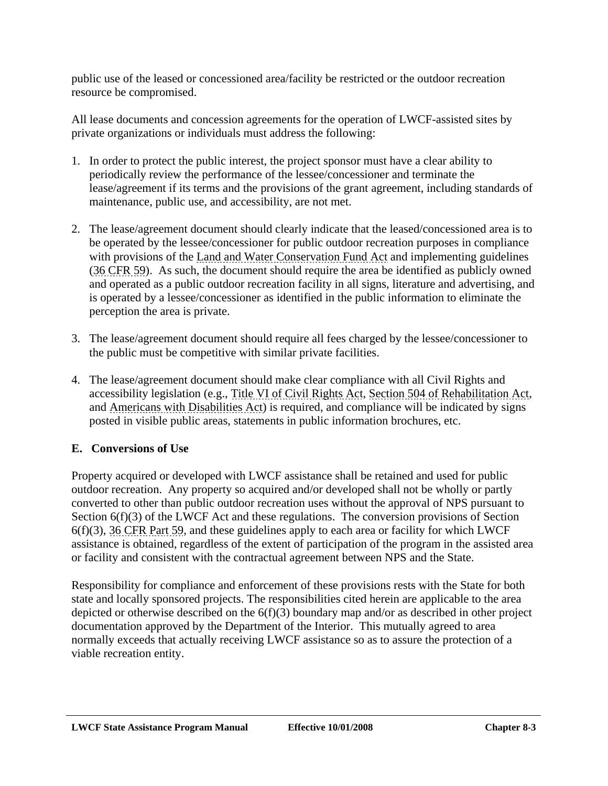public use of the leased or concessioned area/facility be restricted or the outdoor recreation resource be compromised.

All lease documents and concession agreements for the operation of LWCF-assisted sites by private organizations or individuals must address the following:

- 1. In order to protect the public interest, the project sponsor must have a clear ability to periodically review the performance of the lessee/concessioner and terminate the lease/agreement if its terms and the provisions of the grant agreement, including standards of maintenance, public use, and accessibility, are not met.
- 2. The lease/agreement document should clearly indicate that the leased/concessioned area is to be operated by the lessee/concessioner for public outdoor recreation purposes in compliance with provisions of the Land and Water Conservation Fund Act and implementing guidelines (36 CFR 59). As such, the document should require the area be identified as publicly owned and operated as a public outdoor recreation facility in all signs, literature and advertising, and is operated by a lessee/concessioner as identified in the public information to eliminate the perception the area is private.
- 3. The lease/agreement document should require all fees charged by the lessee/concessioner to the public must be competitive with similar private facilities.
- 4. The lease/agreement document should make clear compliance with all Civil Rights and accessibility legislation (e.g., Title VI of Civil Rights Act, Section 504 of Rehabilitation Act, and Americans with Disabilities Act) is required, and compliance will be indicated by signs posted in visible public areas, statements in public information brochures, etc.

## **E. Conversions of Use**

Property acquired or developed with LWCF assistance shall be retained and used for public outdoor recreation. Any property so acquired and/or developed shall not be wholly or partly converted to other than public outdoor recreation uses without the approval of NPS pursuant to Section 6(f)(3) of the LWCF Act and these regulations. The conversion provisions of Section 6(f)(3), 36 CFR Part 59, and these guidelines apply to each area or facility for which LWCF assistance is obtained, regardless of the extent of participation of the program in the assisted area or facility and consistent with the contractual agreement between NPS and the State.

Responsibility for compliance and enforcement of these provisions rests with the State for both state and locally sponsored projects. The responsibilities cited herein are applicable to the area depicted or otherwise described on the  $6(f)(3)$  boundary map and/or as described in other project documentation approved by the Department of the Interior. This mutually agreed to area normally exceeds that actually receiving LWCF assistance so as to assure the protection of a viable recreation entity.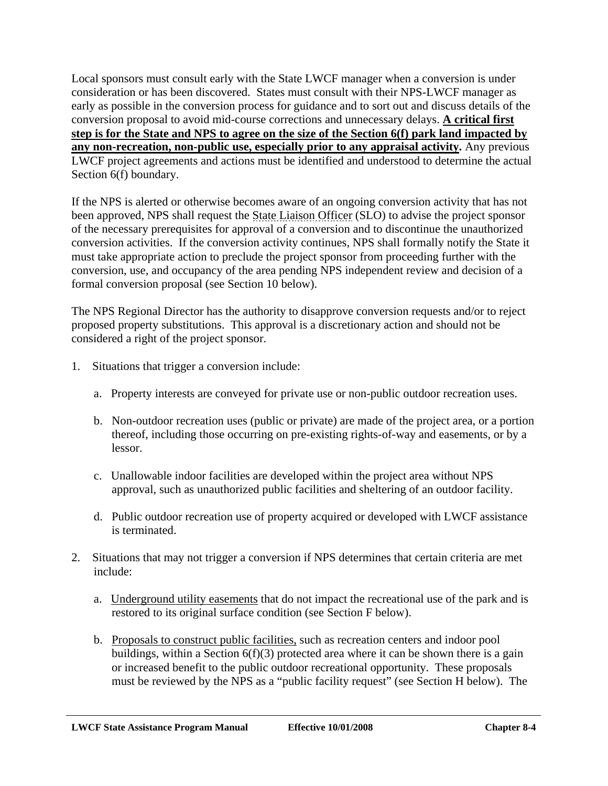Local sponsors must consult early with the State LWCF manager when a conversion is under consideration or has been discovered. States must consult with their NPS-LWCF manager as early as possible in the conversion process for guidance and to sort out and discuss details of the conversion proposal to avoid mid-course corrections and unnecessary delays. **A critical first step is for the State and NPS to agree on the size of the Section 6(f) park land impacted by any non-recreation, non-public use, especially prior to any appraisal activity.** Any previous LWCF project agreements and actions must be identified and understood to determine the actual Section 6(f) boundary.

If the NPS is alerted or otherwise becomes aware of an ongoing conversion activity that has not been approved, NPS shall request the State Liaison Officer (SLO) to advise the project sponsor of the necessary prerequisites for approval of a conversion and to discontinue the unauthorized conversion activities. If the conversion activity continues, NPS shall formally notify the State it must take appropriate action to preclude the project sponsor from proceeding further with the conversion, use, and occupancy of the area pending NPS independent review and decision of a formal conversion proposal (see Section 10 below).

The NPS Regional Director has the authority to disapprove conversion requests and/or to reject proposed property substitutions. This approval is a discretionary action and should not be considered a right of the project sponsor.

- 1. Situations that trigger a conversion include:
	- a. Property interests are conveyed for private use or non-public outdoor recreation uses.
	- b. Non-outdoor recreation uses (public or private) are made of the project area, or a portion thereof, including those occurring on pre-existing rights-of-way and easements, or by a lessor.
	- c. Unallowable indoor facilities are developed within the project area without NPS approval, such as unauthorized public facilities and sheltering of an outdoor facility.
	- d. Public outdoor recreation use of property acquired or developed with LWCF assistance is terminated.
- 2. Situations that may not trigger a conversion if NPS determines that certain criteria are met include:
	- a. Underground utility easements that do not impact the recreational use of the park and is restored to its original surface condition (see Section F below).
	- b. Proposals to construct public facilities, such as recreation centers and indoor pool buildings, within a Section  $6(f)(3)$  protected area where it can be shown there is a gain or increased benefit to the public outdoor recreational opportunity. These proposals must be reviewed by the NPS as a "public facility request" (see Section H below). The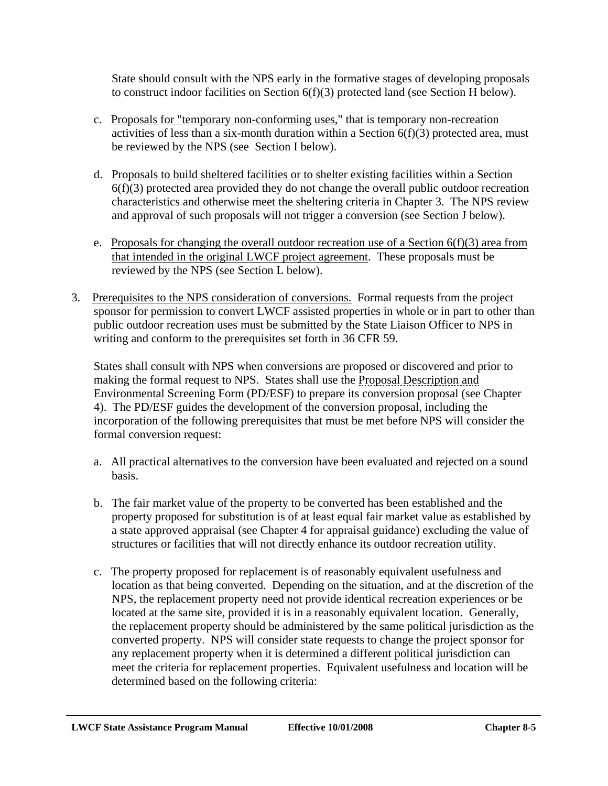State should consult with the NPS early in the formative stages of developing proposals to construct indoor facilities on Section 6(f)(3) protected land (see Section H below).

- c. Proposals for "temporary non-conforming uses," that is temporary non-recreation activities of less than a six-month duration within a Section 6(f)(3) protected area, must be reviewed by the NPS (see Section I below).
- d. Proposals to build sheltered facilities or to shelter existing facilities within a Section  $6(f)(3)$  protected area provided they do not change the overall public outdoor recreation characteristics and otherwise meet the sheltering criteria in Chapter 3. The NPS review and approval of such proposals will not trigger a conversion (see Section J below).
- e. Proposals for changing the overall outdoor recreation use of a Section  $6(f)(3)$  area from that intended in the original LWCF project agreement. These proposals must be reviewed by the NPS (see Section L below).
- 3. Prerequisites to the NPS consideration of conversions. Formal requests from the project sponsor for permission to convert LWCF assisted properties in whole or in part to other than public outdoor recreation uses must be submitted by the State Liaison Officer to NPS in writing and conform to the prerequisites set forth in 36 CFR 59.

States shall consult with NPS when conversions are proposed or discovered and prior to making the formal request to NPS. States shall use the Proposal Description and Environmental Screening Form (PD/ESF) to prepare its conversion proposal (see Chapter 4). The PD/ESF guides the development of the conversion proposal, including the incorporation of the following prerequisites that must be met before NPS will consider the formal conversion request:

- a. All practical alternatives to the conversion have been evaluated and rejected on a sound basis.
- b. The fair market value of the property to be converted has been established and the property proposed for substitution is of at least equal fair market value as established by a state approved appraisal (see Chapter 4 for appraisal guidance) excluding the value of structures or facilities that will not directly enhance its outdoor recreation utility.
- c. The property proposed for replacement is of reasonably equivalent usefulness and location as that being converted. Depending on the situation, and at the discretion of the NPS, the replacement property need not provide identical recreation experiences or be located at the same site, provided it is in a reasonably equivalent location. Generally, the replacement property should be administered by the same political jurisdiction as the converted property. NPS will consider state requests to change the project sponsor for any replacement property when it is determined a different political jurisdiction can meet the criteria for replacement properties. Equivalent usefulness and location will be determined based on the following criteria: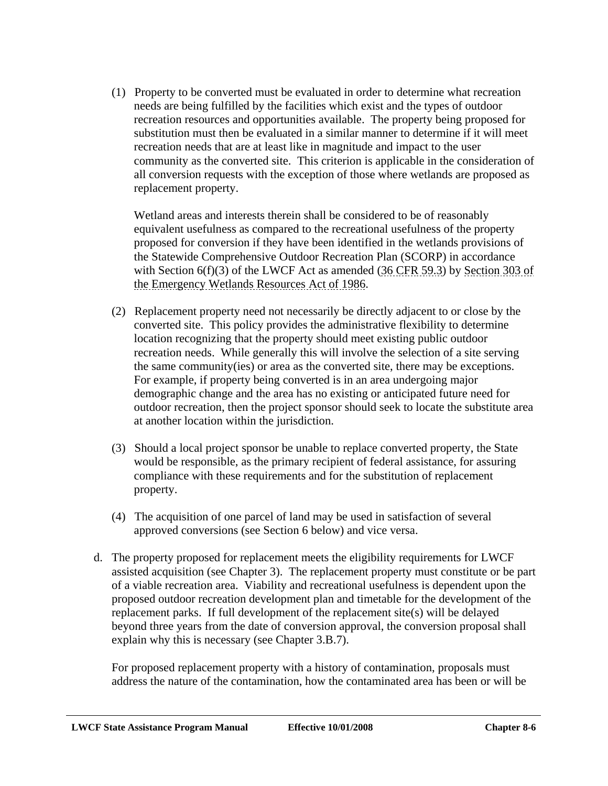(1) Property to be converted must be evaluated in order to determine what recreation needs are being fulfilled by the facilities which exist and the types of outdoor recreation resources and opportunities available. The property being proposed for substitution must then be evaluated in a similar manner to determine if it will meet recreation needs that are at least like in magnitude and impact to the user community as the converted site. This criterion is applicable in the consideration of all conversion requests with the exception of those where wetlands are proposed as replacement property.

Wetland areas and interests therein shall be considered to be of reasonably equivalent usefulness as compared to the recreational usefulness of the property proposed for conversion if they have been identified in the wetlands provisions of the Statewide Comprehensive Outdoor Recreation Plan (SCORP) in accordance with Section 6(f)(3) of the LWCF Act as amended (36 CFR 59.3) by Section 303 of the Emergency Wetlands Resources Act of 1986.

- (2) Replacement property need not necessarily be directly adjacent to or close by the converted site. This policy provides the administrative flexibility to determine location recognizing that the property should meet existing public outdoor recreation needs. While generally this will involve the selection of a site serving the same community(ies) or area as the converted site, there may be exceptions. For example, if property being converted is in an area undergoing major demographic change and the area has no existing or anticipated future need for outdoor recreation, then the project sponsor should seek to locate the substitute area at another location within the jurisdiction.
- (3) Should a local project sponsor be unable to replace converted property, the State would be responsible, as the primary recipient of federal assistance, for assuring compliance with these requirements and for the substitution of replacement property.
- (4) The acquisition of one parcel of land may be used in satisfaction of several approved conversions (see Section 6 below) and vice versa.
- d. The property proposed for replacement meets the eligibility requirements for LWCF assisted acquisition (see Chapter 3). The replacement property must constitute or be part of a viable recreation area. Viability and recreational usefulness is dependent upon the proposed outdoor recreation development plan and timetable for the development of the replacement parks. If full development of the replacement site(s) will be delayed beyond three years from the date of conversion approval, the conversion proposal shall explain why this is necessary (see Chapter 3.B.7).

For proposed replacement property with a history of contamination, proposals must address the nature of the contamination, how the contaminated area has been or will be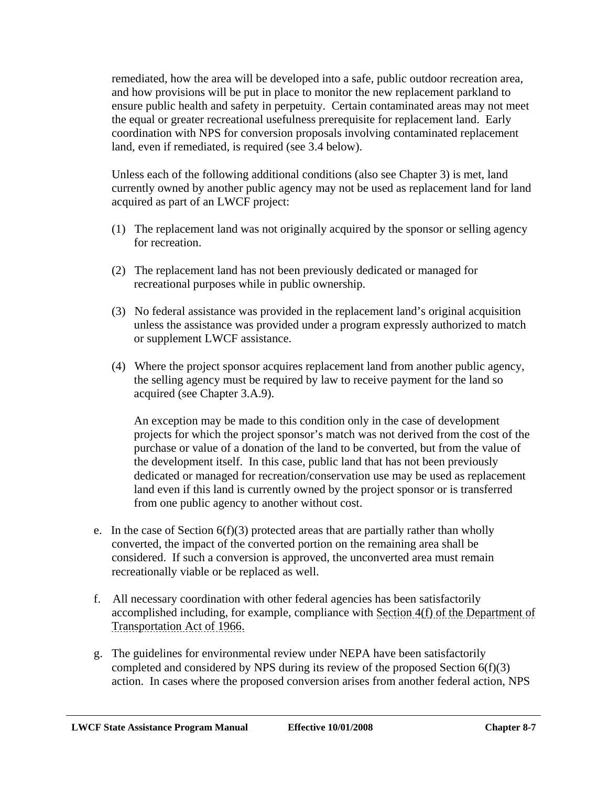remediated, how the area will be developed into a safe, public outdoor recreation area, and how provisions will be put in place to monitor the new replacement parkland to ensure public health and safety in perpetuity. Certain contaminated areas may not meet the equal or greater recreational usefulness prerequisite for replacement land. Early coordination with NPS for conversion proposals involving contaminated replacement land, even if remediated, is required (see 3.4 below).

Unless each of the following additional conditions (also see Chapter 3) is met, land currently owned by another public agency may not be used as replacement land for land acquired as part of an LWCF project:

- (1) The replacement land was not originally acquired by the sponsor or selling agency for recreation.
- (2) The replacement land has not been previously dedicated or managed for recreational purposes while in public ownership.
- (3) No federal assistance was provided in the replacement land's original acquisition unless the assistance was provided under a program expressly authorized to match or supplement LWCF assistance.
- (4) Where the project sponsor acquires replacement land from another public agency, the selling agency must be required by law to receive payment for the land so acquired (see Chapter 3.A.9).

An exception may be made to this condition only in the case of development projects for which the project sponsor's match was not derived from the cost of the purchase or value of a donation of the land to be converted, but from the value of the development itself. In this case, public land that has not been previously dedicated or managed for recreation/conservation use may be used as replacement land even if this land is currently owned by the project sponsor or is transferred from one public agency to another without cost.

- e. In the case of Section  $6(f)(3)$  protected areas that are partially rather than wholly converted, the impact of the converted portion on the remaining area shall be considered. If such a conversion is approved, the unconverted area must remain recreationally viable or be replaced as well.
- f. All necessary coordination with other federal agencies has been satisfactorily accomplished including, for example, compliance with Section 4(f) of the Department of Transportation Act of 1966.
- g. The guidelines for environmental review under NEPA have been satisfactorily completed and considered by NPS during its review of the proposed Section 6(f)(3) action. In cases where the proposed conversion arises from another federal action, NPS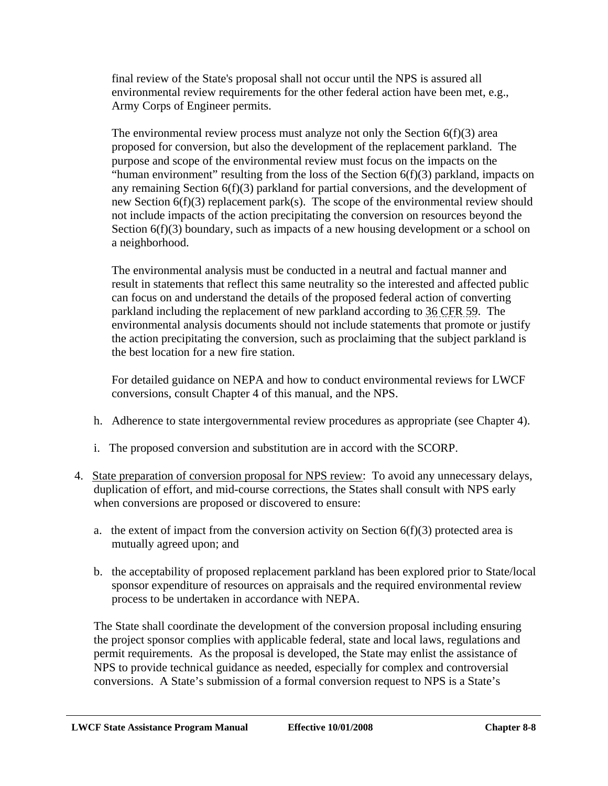final review of the State's proposal shall not occur until the NPS is assured all environmental review requirements for the other federal action have been met, e.g., Army Corps of Engineer permits.

The environmental review process must analyze not only the Section  $6(f)(3)$  area proposed for conversion, but also the development of the replacement parkland. The purpose and scope of the environmental review must focus on the impacts on the "human environment" resulting from the loss of the Section  $6(f)(3)$  parkland, impacts on any remaining Section 6(f)(3) parkland for partial conversions, and the development of new Section 6(f)(3) replacement park(s). The scope of the environmental review should not include impacts of the action precipitating the conversion on resources beyond the Section 6(f)(3) boundary, such as impacts of a new housing development or a school on a neighborhood.

The environmental analysis must be conducted in a neutral and factual manner and result in statements that reflect this same neutrality so the interested and affected public can focus on and understand the details of the proposed federal action of converting parkland including the replacement of new parkland according to 36 CFR 59. The environmental analysis documents should not include statements that promote or justify the action precipitating the conversion, such as proclaiming that the subject parkland is the best location for a new fire station.

For detailed guidance on NEPA and how to conduct environmental reviews for LWCF conversions, consult Chapter 4 of this manual, and the NPS.

- h. Adherence to state intergovernmental review procedures as appropriate (see Chapter 4).
- i. The proposed conversion and substitution are in accord with the SCORP.
- 4. State preparation of conversion proposal for NPS review: To avoid any unnecessary delays, duplication of effort, and mid-course corrections, the States shall consult with NPS early when conversions are proposed or discovered to ensure:
	- a. the extent of impact from the conversion activity on Section  $6(f)(3)$  protected area is mutually agreed upon; and
	- b. the acceptability of proposed replacement parkland has been explored prior to State/local sponsor expenditure of resources on appraisals and the required environmental review process to be undertaken in accordance with NEPA.

The State shall coordinate the development of the conversion proposal including ensuring the project sponsor complies with applicable federal, state and local laws, regulations and permit requirements. As the proposal is developed, the State may enlist the assistance of NPS to provide technical guidance as needed, especially for complex and controversial conversions. A State's submission of a formal conversion request to NPS is a State's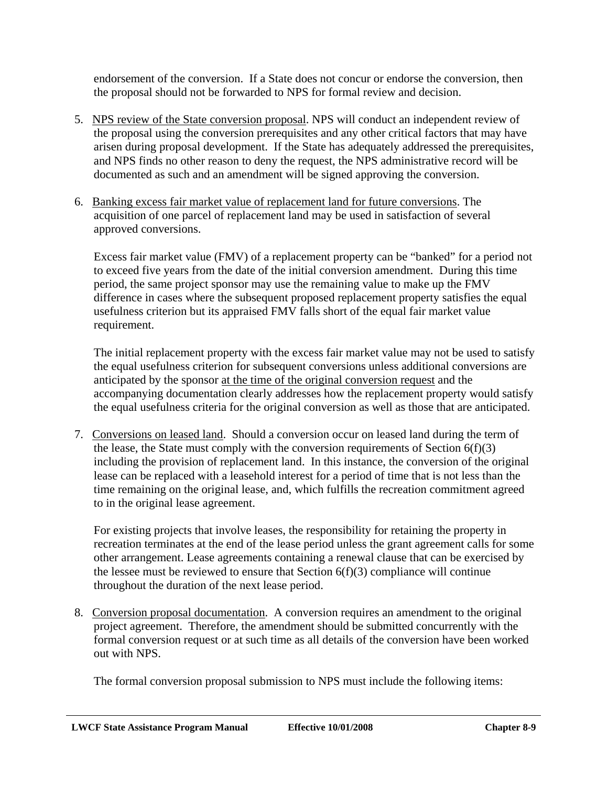endorsement of the conversion. If a State does not concur or endorse the conversion, then the proposal should not be forwarded to NPS for formal review and decision.

- 5. NPS review of the State conversion proposal. NPS will conduct an independent review of the proposal using the conversion prerequisites and any other critical factors that may have arisen during proposal development. If the State has adequately addressed the prerequisites, and NPS finds no other reason to deny the request, the NPS administrative record will be documented as such and an amendment will be signed approving the conversion.
- 6. Banking excess fair market value of replacement land for future conversions. The acquisition of one parcel of replacement land may be used in satisfaction of several approved conversions.

Excess fair market value (FMV) of a replacement property can be "banked" for a period not to exceed five years from the date of the initial conversion amendment. During this time period, the same project sponsor may use the remaining value to make up the FMV difference in cases where the subsequent proposed replacement property satisfies the equal usefulness criterion but its appraised FMV falls short of the equal fair market value requirement.

The initial replacement property with the excess fair market value may not be used to satisfy the equal usefulness criterion for subsequent conversions unless additional conversions are anticipated by the sponsor at the time of the original conversion request and the accompanying documentation clearly addresses how the replacement property would satisfy the equal usefulness criteria for the original conversion as well as those that are anticipated.

 7. Conversions on leased land. Should a conversion occur on leased land during the term of the lease, the State must comply with the conversion requirements of Section  $6(f)(3)$ including the provision of replacement land. In this instance, the conversion of the original lease can be replaced with a leasehold interest for a period of time that is not less than the time remaining on the original lease, and, which fulfills the recreation commitment agreed to in the original lease agreement.

For existing projects that involve leases, the responsibility for retaining the property in recreation terminates at the end of the lease period unless the grant agreement calls for some other arrangement. Lease agreements containing a renewal clause that can be exercised by the lessee must be reviewed to ensure that Section  $6(f)(3)$  compliance will continue throughout the duration of the next lease period.

 8. Conversion proposal documentation. A conversion requires an amendment to the original project agreement. Therefore, the amendment should be submitted concurrently with the formal conversion request or at such time as all details of the conversion have been worked out with NPS.

The formal conversion proposal submission to NPS must include the following items: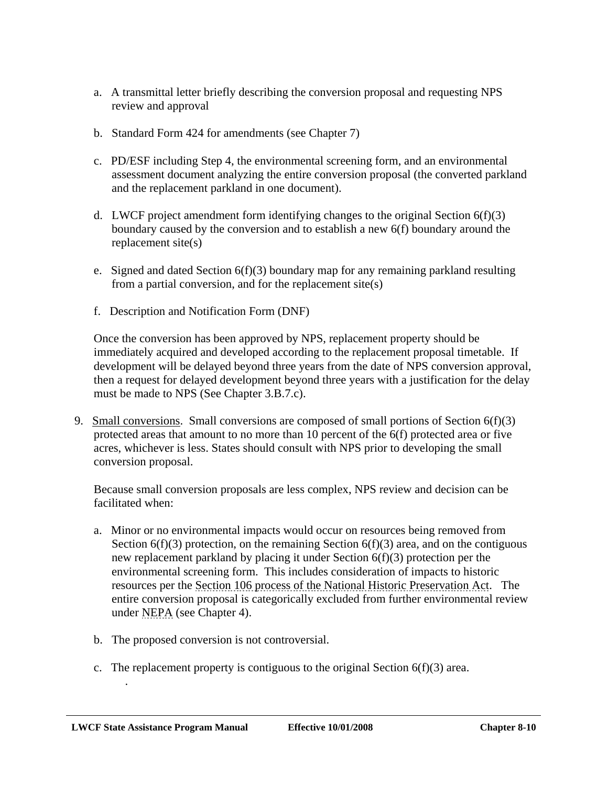- a. A transmittal letter briefly describing the conversion proposal and requesting NPS review and approval
- b. Standard Form 424 for amendments (see Chapter 7)
- c. PD/ESF including Step 4, the environmental screening form, and an environmental assessment document analyzing the entire conversion proposal (the converted parkland and the replacement parkland in one document).
- d. LWCF project amendment form identifying changes to the original Section  $6(f)(3)$ boundary caused by the conversion and to establish a new 6(f) boundary around the replacement site(s)
- e. Signed and dated Section  $6(f)(3)$  boundary map for any remaining parkland resulting from a partial conversion, and for the replacement site(s)
- f. Description and Notification Form (DNF)

Once the conversion has been approved by NPS, replacement property should be immediately acquired and developed according to the replacement proposal timetable. If development will be delayed beyond three years from the date of NPS conversion approval, then a request for delayed development beyond three years with a justification for the delay must be made to NPS (See Chapter 3.B.7.c).

 9. Small conversions. Small conversions are composed of small portions of Section 6(f)(3) protected areas that amount to no more than 10 percent of the 6(f) protected area or five acres, whichever is less. States should consult with NPS prior to developing the small conversion proposal.

Because small conversion proposals are less complex, NPS review and decision can be facilitated when:

- a. Minor or no environmental impacts would occur on resources being removed from Section  $6(f)(3)$  protection, on the remaining Section  $6(f)(3)$  area, and on the contiguous new replacement parkland by placing it under Section 6(f)(3) protection per the environmental screening form. This includes consideration of impacts to historic resources per the Section 106 process of the National Historic Preservation Act. The entire conversion proposal is categorically excluded from further environmental review under NEPA (see Chapter 4).
- b. The proposed conversion is not controversial.

.

c. The replacement property is contiguous to the original Section  $6(f)(3)$  area.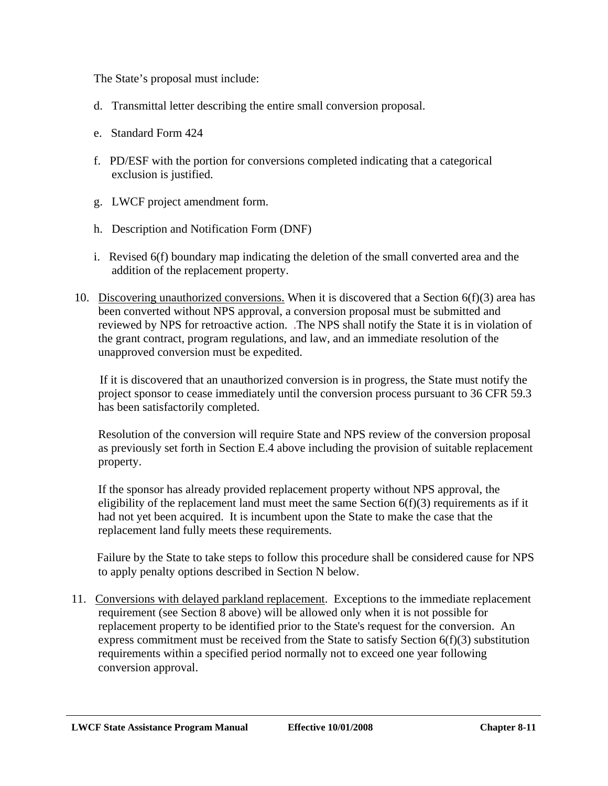The State's proposal must include:

- d. Transmittal letter describing the entire small conversion proposal.
- e. Standard Form 424
- f. PD/ESF with the portion for conversions completed indicating that a categorical exclusion is justified.
- g. LWCF project amendment form.
- h. Description and Notification Form (DNF)
- i. Revised 6(f) boundary map indicating the deletion of the small converted area and the addition of the replacement property.
- 10. Discovering unauthorized conversions. When it is discovered that a Section  $6(f)(3)$  area has been converted without NPS approval, a conversion proposal must be submitted and reviewed by NPS for retroactive action. .The NPS shall notify the State it is in violation of the grant contract, program regulations, and law, and an immediate resolution of the unapproved conversion must be expedited.

If it is discovered that an unauthorized conversion is in progress, the State must notify the project sponsor to cease immediately until the conversion process pursuant to 36 CFR 59.3 has been satisfactorily completed.

Resolution of the conversion will require State and NPS review of the conversion proposal as previously set forth in Section E.4 above including the provision of suitable replacement property.

If the sponsor has already provided replacement property without NPS approval, the eligibility of the replacement land must meet the same Section  $6(f)(3)$  requirements as if it had not yet been acquired. It is incumbent upon the State to make the case that the replacement land fully meets these requirements.

Failure by the State to take steps to follow this procedure shall be considered cause for NPS to apply penalty options described in Section N below.

11. Conversions with delayed parkland replacement. Exceptions to the immediate replacement requirement (see Section 8 above) will be allowed only when it is not possible for replacement property to be identified prior to the State's request for the conversion. An express commitment must be received from the State to satisfy Section 6(f)(3) substitution requirements within a specified period normally not to exceed one year following conversion approval.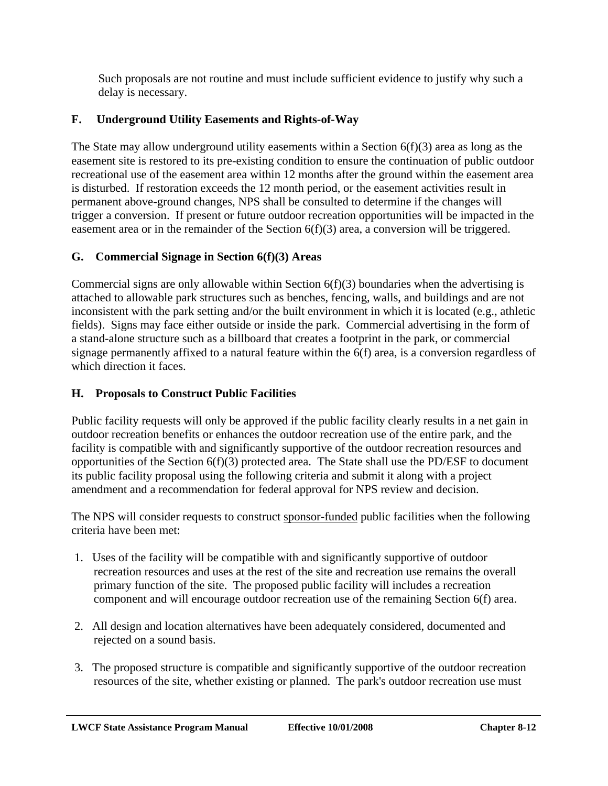Such proposals are not routine and must include sufficient evidence to justify why such a delay is necessary.

# **F. Underground Utility Easements and Rights-of-Way**

The State may allow underground utility easements within a Section 6(f)(3) area as long as the easement site is restored to its pre-existing condition to ensure the continuation of public outdoor recreational use of the easement area within 12 months after the ground within the easement area is disturbed. If restoration exceeds the 12 month period, or the easement activities result in permanent above-ground changes, NPS shall be consulted to determine if the changes will trigger a conversion. If present or future outdoor recreation opportunities will be impacted in the easement area or in the remainder of the Section 6(f)(3) area, a conversion will be triggered.

## **G. Commercial Signage in Section 6(f)(3) Areas**

Commercial signs are only allowable within Section  $6(f)(3)$  boundaries when the advertising is attached to allowable park structures such as benches, fencing, walls, and buildings and are not inconsistent with the park setting and/or the built environment in which it is located (e.g., athletic fields). Signs may face either outside or inside the park. Commercial advertising in the form of a stand-alone structure such as a billboard that creates a footprint in the park, or commercial signage permanently affixed to a natural feature within the 6(f) area, is a conversion regardless of which direction it faces.

## **H. Proposals to Construct Public Facilities**

Public facility requests will only be approved if the public facility clearly results in a net gain in outdoor recreation benefits or enhances the outdoor recreation use of the entire park, and the facility is compatible with and significantly supportive of the outdoor recreation resources and opportunities of the Section 6(f)(3) protected area. The State shall use the PD/ESF to document its public facility proposal using the following criteria and submit it along with a project amendment and a recommendation for federal approval for NPS review and decision.

The NPS will consider requests to construct sponsor-funded public facilities when the following criteria have been met:

- 1. Uses of the facility will be compatible with and significantly supportive of outdoor recreation resources and uses at the rest of the site and recreation use remains the overall primary function of the site. The proposed public facility will includes a recreation component and will encourage outdoor recreation use of the remaining Section 6(f) area.
- 2. All design and location alternatives have been adequately considered, documented and rejected on a sound basis.
- 3. The proposed structure is compatible and significantly supportive of the outdoor recreation resources of the site, whether existing or planned. The park's outdoor recreation use must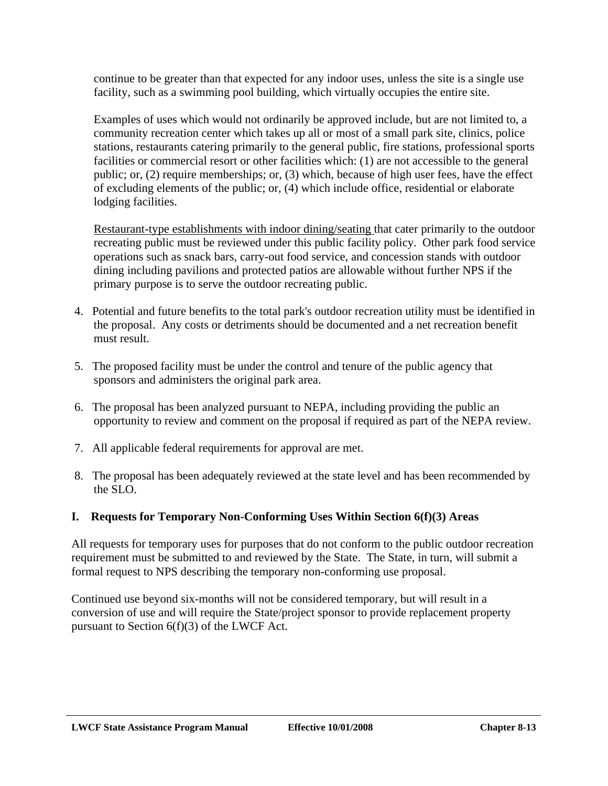continue to be greater than that expected for any indoor uses, unless the site is a single use facility, such as a swimming pool building, which virtually occupies the entire site.

Examples of uses which would not ordinarily be approved include, but are not limited to, a community recreation center which takes up all or most of a small park site, clinics, police stations, restaurants catering primarily to the general public, fire stations, professional sports facilities or commercial resort or other facilities which: (1) are not accessible to the general public; or, (2) require memberships; or, (3) which, because of high user fees, have the effect of excluding elements of the public; or, (4) which include office, residential or elaborate lodging facilities.

Restaurant-type establishments with indoor dining/seating that cater primarily to the outdoor recreating public must be reviewed under this public facility policy. Other park food service operations such as snack bars, carry-out food service, and concession stands with outdoor dining including pavilions and protected patios are allowable without further NPS if the primary purpose is to serve the outdoor recreating public.

- 4. Potential and future benefits to the total park's outdoor recreation utility must be identified in the proposal. Any costs or detriments should be documented and a net recreation benefit must result.
- 5. The proposed facility must be under the control and tenure of the public agency that sponsors and administers the original park area.
- 6. The proposal has been analyzed pursuant to NEPA, including providing the public an opportunity to review and comment on the proposal if required as part of the NEPA review.
- 7. All applicable federal requirements for approval are met.
- 8. The proposal has been adequately reviewed at the state level and has been recommended by the SLO.

## **I. Requests for Temporary Non-Conforming Uses Within Section 6(f)(3) Areas**

All requests for temporary uses for purposes that do not conform to the public outdoor recreation requirement must be submitted to and reviewed by the State. The State, in turn, will submit a formal request to NPS describing the temporary non-conforming use proposal.

Continued use beyond six-months will not be considered temporary, but will result in a conversion of use and will require the State/project sponsor to provide replacement property pursuant to Section 6(f)(3) of the LWCF Act.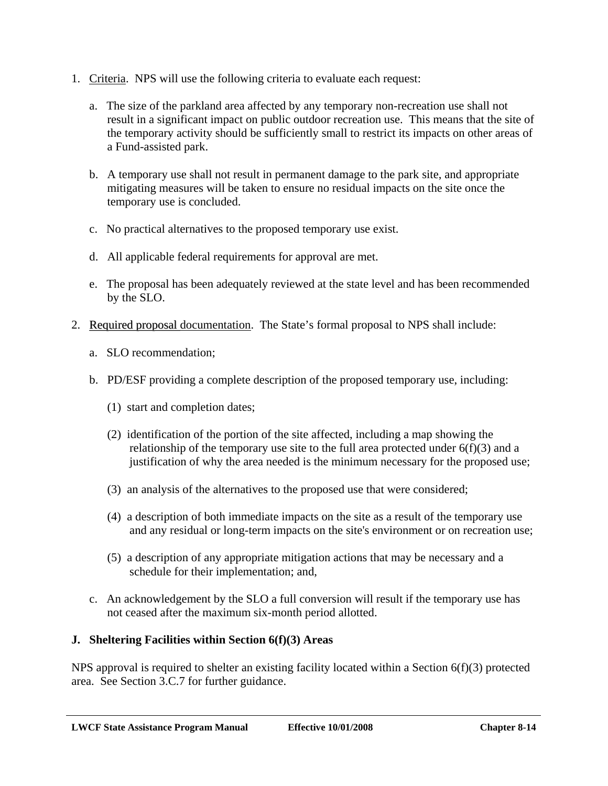- 1. Criteria. NPS will use the following criteria to evaluate each request:
	- a. The size of the parkland area affected by any temporary non-recreation use shall not result in a significant impact on public outdoor recreation use. This means that the site of the temporary activity should be sufficiently small to restrict its impacts on other areas of a Fund-assisted park.
	- b. A temporary use shall not result in permanent damage to the park site, and appropriate mitigating measures will be taken to ensure no residual impacts on the site once the temporary use is concluded.
	- c. No practical alternatives to the proposed temporary use exist.
	- d. All applicable federal requirements for approval are met.
	- e. The proposal has been adequately reviewed at the state level and has been recommended by the SLO.
- 2. Required proposal documentation. The State's formal proposal to NPS shall include:
	- a. SLO recommendation;
	- b. PD/ESF providing a complete description of the proposed temporary use, including:
		- (1) start and completion dates;
		- (2) identification of the portion of the site affected, including a map showing the relationship of the temporary use site to the full area protected under  $6(f)(3)$  and a justification of why the area needed is the minimum necessary for the proposed use;
		- (3) an analysis of the alternatives to the proposed use that were considered;
		- (4) a description of both immediate impacts on the site as a result of the temporary use and any residual or long-term impacts on the site's environment or on recreation use;
		- (5) a description of any appropriate mitigation actions that may be necessary and a schedule for their implementation; and,
	- c. An acknowledgement by the SLO a full conversion will result if the temporary use has not ceased after the maximum six-month period allotted.

#### **J. Sheltering Facilities within Section 6(f)(3) Areas**

NPS approval is required to shelter an existing facility located within a Section 6(f)(3) protected area. See Section 3.C.7 for further guidance.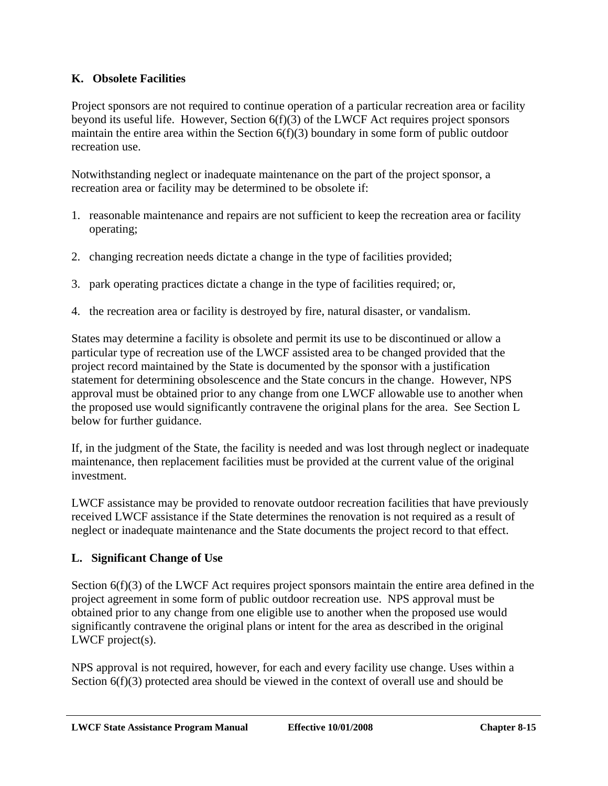## **K. Obsolete Facilities**

Project sponsors are not required to continue operation of a particular recreation area or facility beyond its useful life. However, Section  $6(f)(3)$  of the LWCF Act requires project sponsors maintain the entire area within the Section 6(f)(3) boundary in some form of public outdoor recreation use.

Notwithstanding neglect or inadequate maintenance on the part of the project sponsor, a recreation area or facility may be determined to be obsolete if:

- 1. reasonable maintenance and repairs are not sufficient to keep the recreation area or facility operating;
- 2. changing recreation needs dictate a change in the type of facilities provided;
- 3. park operating practices dictate a change in the type of facilities required; or,
- 4. the recreation area or facility is destroyed by fire, natural disaster, or vandalism.

States may determine a facility is obsolete and permit its use to be discontinued or allow a particular type of recreation use of the LWCF assisted area to be changed provided that the project record maintained by the State is documented by the sponsor with a justification statement for determining obsolescence and the State concurs in the change. However, NPS approval must be obtained prior to any change from one LWCF allowable use to another when the proposed use would significantly contravene the original plans for the area. See Section L below for further guidance.

If, in the judgment of the State, the facility is needed and was lost through neglect or inadequate maintenance, then replacement facilities must be provided at the current value of the original investment.

LWCF assistance may be provided to renovate outdoor recreation facilities that have previously received LWCF assistance if the State determines the renovation is not required as a result of neglect or inadequate maintenance and the State documents the project record to that effect.

#### **L. Significant Change of Use**

Section 6(f)(3) of the LWCF Act requires project sponsors maintain the entire area defined in the project agreement in some form of public outdoor recreation use. NPS approval must be obtained prior to any change from one eligible use to another when the proposed use would significantly contravene the original plans or intent for the area as described in the original LWCF project(s).

NPS approval is not required, however, for each and every facility use change. Uses within a Section 6(f)(3) protected area should be viewed in the context of overall use and should be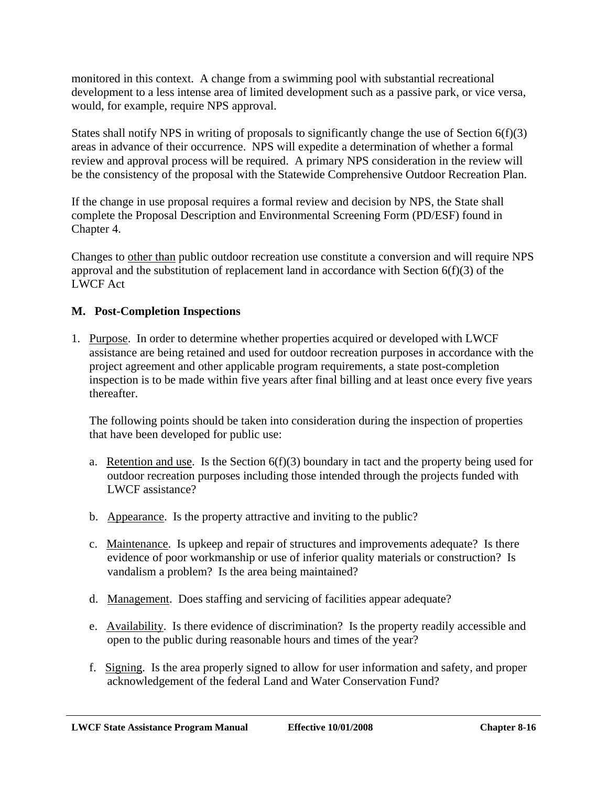monitored in this context. A change from a swimming pool with substantial recreational development to a less intense area of limited development such as a passive park, or vice versa, would, for example, require NPS approval.

States shall notify NPS in writing of proposals to significantly change the use of Section  $6(f)(3)$ areas in advance of their occurrence. NPS will expedite a determination of whether a formal review and approval process will be required. A primary NPS consideration in the review will be the consistency of the proposal with the Statewide Comprehensive Outdoor Recreation Plan.

If the change in use proposal requires a formal review and decision by NPS, the State shall complete the Proposal Description and Environmental Screening Form (PD/ESF) found in Chapter 4.

Changes to other than public outdoor recreation use constitute a conversion and will require NPS approval and the substitution of replacement land in accordance with Section  $6(f)(3)$  of the LWCF Act

#### **M. Post-Completion Inspections**

1. Purpose. In order to determine whether properties acquired or developed with LWCF assistance are being retained and used for outdoor recreation purposes in accordance with the project agreement and other applicable program requirements, a state post-completion inspection is to be made within five years after final billing and at least once every five years thereafter.

The following points should be taken into consideration during the inspection of properties that have been developed for public use:

- a. Retention and use. Is the Section  $6(f)(3)$  boundary in tact and the property being used for outdoor recreation purposes including those intended through the projects funded with LWCF assistance?
- b. Appearance. Is the property attractive and inviting to the public?
- c. Maintenance. Is upkeep and repair of structures and improvements adequate? Is there evidence of poor workmanship or use of inferior quality materials or construction? Is vandalism a problem? Is the area being maintained?
- d. Management. Does staffing and servicing of facilities appear adequate?
- e. Availability. Is there evidence of discrimination? Is the property readily accessible and open to the public during reasonable hours and times of the year?
- f. Signing. Is the area properly signed to allow for user information and safety, and proper acknowledgement of the federal Land and Water Conservation Fund?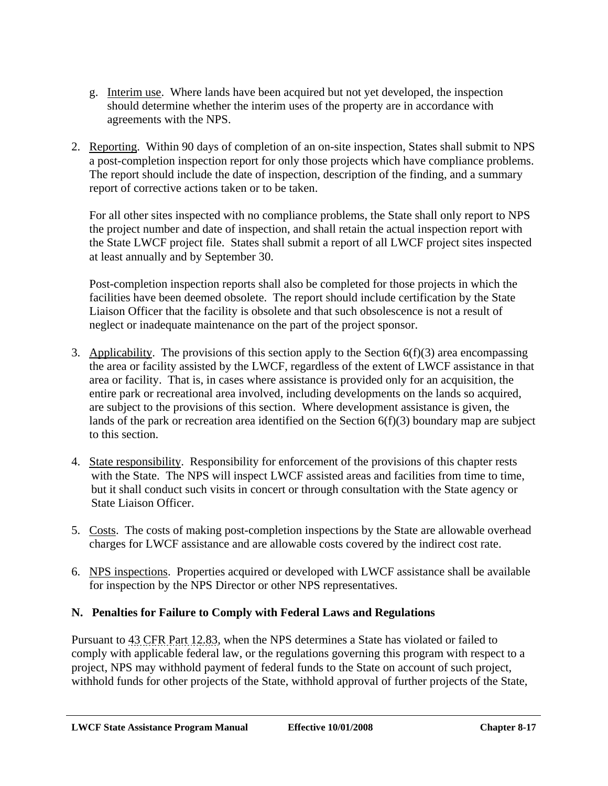- g. Interim use. Where lands have been acquired but not yet developed, the inspection should determine whether the interim uses of the property are in accordance with agreements with the NPS.
- 2. Reporting. Within 90 days of completion of an on-site inspection, States shall submit to NPS a post-completion inspection report for only those projects which have compliance problems. The report should include the date of inspection, description of the finding, and a summary report of corrective actions taken or to be taken.

For all other sites inspected with no compliance problems, the State shall only report to NPS the project number and date of inspection, and shall retain the actual inspection report with the State LWCF project file. States shall submit a report of all LWCF project sites inspected at least annually and by September 30.

Post-completion inspection reports shall also be completed for those projects in which the facilities have been deemed obsolete. The report should include certification by the State Liaison Officer that the facility is obsolete and that such obsolescence is not a result of neglect or inadequate maintenance on the part of the project sponsor.

- 3. Applicability. The provisions of this section apply to the Section  $6(f)(3)$  area encompassing the area or facility assisted by the LWCF, regardless of the extent of LWCF assistance in that area or facility. That is, in cases where assistance is provided only for an acquisition, the entire park or recreational area involved, including developments on the lands so acquired, are subject to the provisions of this section. Where development assistance is given, the lands of the park or recreation area identified on the Section 6(f)(3) boundary map are subject to this section.
- 4. State responsibility. Responsibility for enforcement of the provisions of this chapter rests with the State. The NPS will inspect LWCF assisted areas and facilities from time to time, but it shall conduct such visits in concert or through consultation with the State agency or State Liaison Officer.
- 5. Costs. The costs of making post-completion inspections by the State are allowable overhead charges for LWCF assistance and are allowable costs covered by the indirect cost rate.
- 6. NPS inspections. Properties acquired or developed with LWCF assistance shall be available for inspection by the NPS Director or other NPS representatives.

## **N. Penalties for Failure to Comply with Federal Laws and Regulations**

Pursuant to 43 CFR Part 12.83, when the NPS determines a State has violated or failed to comply with applicable federal law, or the regulations governing this program with respect to a project, NPS may withhold payment of federal funds to the State on account of such project, withhold funds for other projects of the State, withhold approval of further projects of the State,